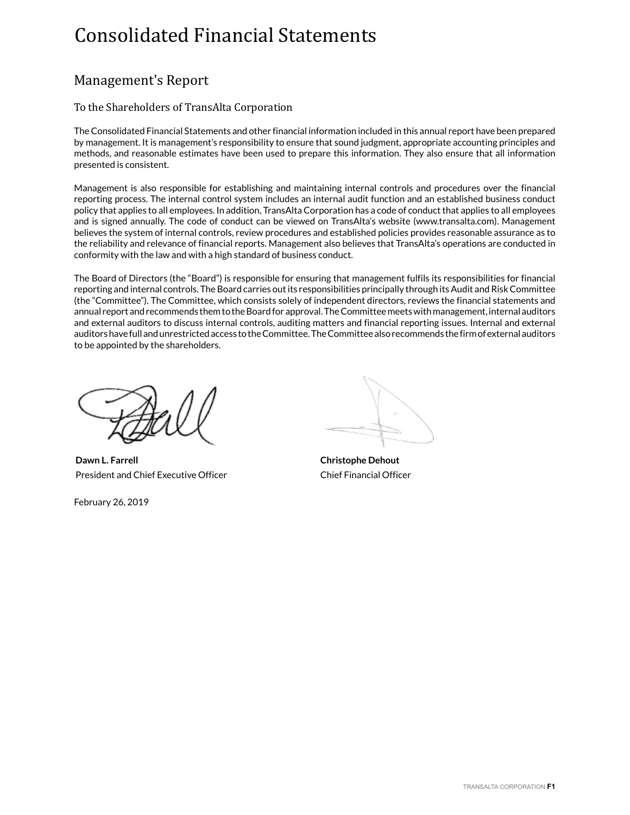# Consolidated Financial Statements

# Management's Report

# To the Shareholders of TransAlta Corporation

The Consolidated Financial Statements and other financial information included in this annual report have been prepared by management. It is management's responsibility to ensure that sound judgment, appropriate accounting principles and methods, and reasonable estimates have been used to prepare this information. They also ensure that all information presented is consistent.

Management is also responsible for establishing and maintaining internal controls and procedures over the financial reporting process. The internal control system includes an internal audit function and an established business conduct policy that applies to all employees. In addition, TransAlta Corporation has a code of conduct that applies to all employees and is signed annually. The code of conduct can be viewed on TransAlta's website (www.transalta.com). Management believes the system of internal controls, review procedures and established policies provides reasonable assurance as to the reliability and relevance of financial reports. Management also believes that TransAlta's operations are conducted in conformity with the law and with a high standard of business conduct.

The Board of Directors (the "Board") is responsible for ensuring that management fulfils its responsibilities for financial reporting and internal controls. The Board carries out its responsibilities principally through its Audit and Risk Committee (the "Committee"). The Committee, which consists solely of independent directors, reviews the financial statements and annual report and recommends them to the Board for approval. The Committee meets with management, internal auditors and external auditors to discuss internal controls, auditing matters and financial reporting issues. Internal and external auditors have full and unrestricted access to the Committee. The Committee also recommends the firm of external auditors to be appointed by the shareholders.

**Dawn L. Farrell Christophe Dehout** President and Chief Executive Officer Chief Financial Officer

February 26, 2019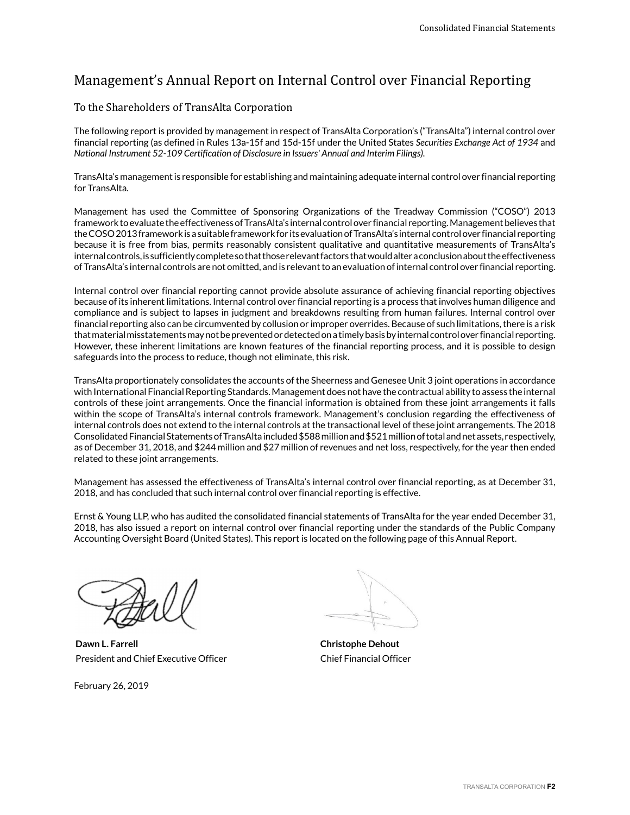# Management's Annual Report on Internal Control over Financial Reporting

# To the Shareholders of TransAlta Corporation

The following report is provided by management in respect of TransAlta Corporation's ("TransAlta") internal control over financial reporting (as defined in Rules 13a-15f and 15d-15f under the United States *Securities Exchange Act of 1934* and *National Instrument 52-109 Certification of Disclosure in Issuers' Annual and Interim Filings).*

TransAlta's management is responsible for establishing and maintaining adequate internal control over financial reporting for TransAlta.

Management has used the Committee of Sponsoring Organizations of the Treadway Commission ("COSO") 2013 framework to evaluate the effectiveness of TransAlta's internal control over financial reporting. Management believes that the COSO 2013 framework is a suitable framework for its evaluation of TransAlta's internal control over financial reporting because it is free from bias, permits reasonably consistent qualitative and quantitative measurements of TransAlta's internal controls, is sufficiently complete so that those relevant factors that would alter a conclusion about the effectiveness of TransAlta's internal controls are not omitted, and is relevant to an evaluation of internal control over financial reporting.

Internal control over financial reporting cannot provide absolute assurance of achieving financial reporting objectives because of its inherent limitations. Internal control over financial reporting is a process that involves human diligence and compliance and is subject to lapses in judgment and breakdowns resulting from human failures. Internal control over financial reporting also can be circumvented by collusion or improper overrides. Because of such limitations, there is a risk that material misstatements may not be prevented or detected on a timely basis by internal control over financial reporting. However, these inherent limitations are known features of the financial reporting process, and it is possible to design safeguards into the process to reduce, though not eliminate, this risk.

TransAlta proportionately consolidates the accounts of the Sheerness and Genesee Unit 3 joint operations in accordance with International Financial Reporting Standards. Management does not have the contractual ability to assess the internal controls of these joint arrangements. Once the financial information is obtained from these joint arrangements it falls within the scope of TransAlta's internal controls framework. Management's conclusion regarding the effectiveness of internal controls does not extend to the internal controls at the transactional level of these joint arrangements. The 2018 Consolidated Financial Statements of TransAlta included \$588 million and \$521 million of total and net assets, respectively, as of December 31, 2018, and \$244 million and \$27 million of revenues and net loss, respectively, for the year then ended related to these joint arrangements.

Management has assessed the effectiveness of TransAlta's internal control over financial reporting, as at December 31, 2018, and has concluded that such internal control over financial reporting is effective.

Ernst & Young LLP, who has audited the consolidated financial statements of TransAlta for the year ended December 31, 2018, has also issued a report on internal control over financial reporting under the standards of the Public Company Accounting Oversight Board (United States). This report is located on the following page of this Annual Report.

**Dawn L. Farrell Christophe Dehout** President and Chief Executive Officer Chief Financial Officer

February 26, 2019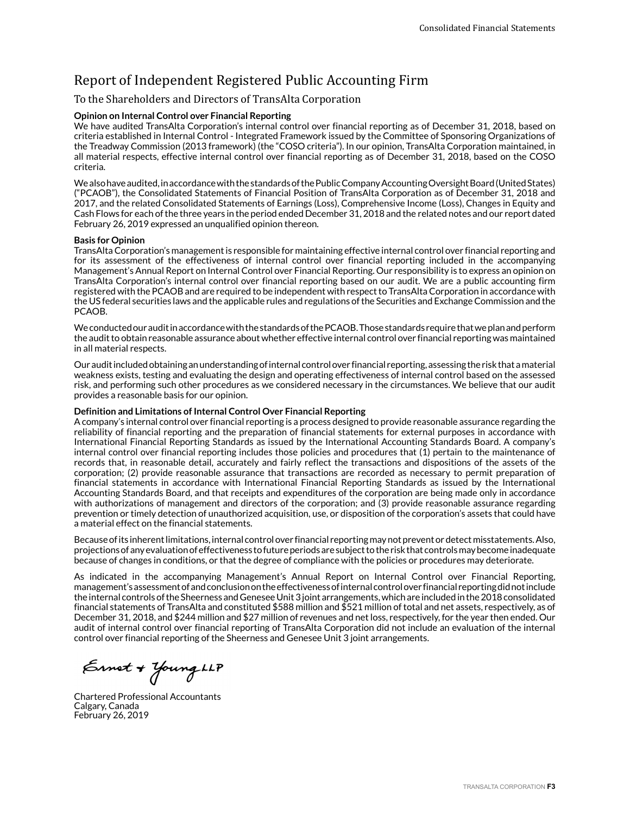# Report of Independent Registered Public Accounting Firm

# To the Shareholders and Directors of TransAlta Corporation

#### **Opinion on Internal Control over Financial Reporting**

We have audited TransAlta Corporation's internal control over financial reporting as of December 31, 2018, based on criteria established in Internal Control - Integrated Framework issued by the Committee of Sponsoring Organizations of the Treadway Commission (2013 framework) (the "COSO criteria"). In our opinion, TransAlta Corporation maintained, in all material respects, effective internal control over financial reporting as of December 31, 2018, based on the COSO criteria.

We also have audited, in accordance with the standards of the Public Company Accounting Oversight Board (United States) ("PCAOB"), the Consolidated Statements of Financial Position of TransAlta Corporation as of December 31, 2018 and 2017, and the related Consolidated Statements of Earnings (Loss), Comprehensive Income (Loss), Changes in Equity and Cash Flows for each of the three years in the period ended December 31, 2018 and the related notes and our report dated February 26, 2019 expressed an unqualified opinion thereon.

#### **Basis for Opinion**

TransAlta Corporation's management is responsible for maintaining effective internal control over financial reporting and for its assessment of the effectiveness of internal control over financial reporting included in the accompanying Management's Annual Report on Internal Control over Financial Reporting. Our responsibility is to express an opinion on TransAlta Corporation's internal control over financial reporting based on our audit. We are a public accounting firm registered with the PCAOB and are required to be independent with respect to TransAlta Corporation in accordance with the US federal securities laws and the applicable rules and regulations of the Securities and Exchange Commission and the PCAOB.

We conducted our audit in accordance with the standards of the PCAOB. Those standards require that we plan and perform the audit to obtain reasonable assurance about whether effective internal control over financial reporting was maintained in all material respects.

Our audit included obtaining an understanding of internal control over financial reporting, assessing the risk that a material weakness exists, testing and evaluating the design and operating effectiveness of internal control based on the assessed risk, and performing such other procedures as we considered necessary in the circumstances. We believe that our audit provides a reasonable basis for our opinion.

#### **Definition and Limitations of Internal Control Over Financial Reporting**

A company's internal control over financial reporting is a process designed to provide reasonable assurance regarding the reliability of financial reporting and the preparation of financial statements for external purposes in accordance with International Financial Reporting Standards as issued by the International Accounting Standards Board. A company's internal control over financial reporting includes those policies and procedures that (1) pertain to the maintenance of records that, in reasonable detail, accurately and fairly reflect the transactions and dispositions of the assets of the corporation; (2) provide reasonable assurance that transactions are recorded as necessary to permit preparation of financial statements in accordance with International Financial Reporting Standards as issued by the International Accounting Standards Board, and that receipts and expenditures of the corporation are being made only in accordance with authorizations of management and directors of the corporation; and (3) provide reasonable assurance regarding prevention or timely detection of unauthorized acquisition, use, or disposition of the corporation's assets that could have a material effect on the financial statements.

Because of its inherent limitations, internal control over financial reporting may not prevent or detect misstatements. Also, projections of any evaluation of effectiveness to future periods are subject to the risk that controls may become inadequate because of changes in conditions, or that the degree of compliance with the policies or procedures may deteriorate.

As indicated in the accompanying Management's Annual Report on Internal Control over Financial Reporting, management's assessment of and conclusion on the effectiveness of internal control over financial reporting did not include the internal controls of the Sheerness and Genesee Unit 3 joint arrangements, which are included in the 2018 consolidated financial statements of TransAlta and constituted \$588 million and \$521 million of total and net assets, respectively, as of December 31, 2018, and \$244 million and \$27 million of revenues and net loss, respectively, for the year then ended. Our audit of internal control over financial reporting of TransAlta Corporation did not include an evaluation of the internal control over financial reporting of the Sheerness and Genesee Unit 3 joint arrangements.

Ernet + Young LLP

Chartered Professional Accountants Calgary, Canada February 26, 2019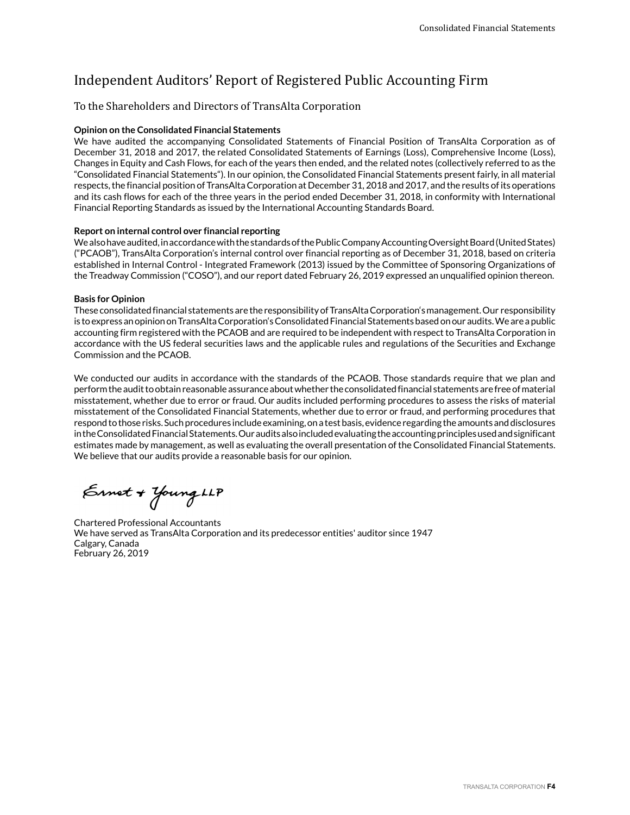# Independent Auditors' Report of Registered Public Accounting Firm

# To the Shareholders and Directors of TransAlta Corporation

#### **Opinion on the Consolidated Financial Statements**

We have audited the accompanying Consolidated Statements of Financial Position of TransAlta Corporation as of December 31, 2018 and 2017, the related Consolidated Statements of Earnings (Loss), Comprehensive Income (Loss), Changes in Equity and Cash Flows, for each of the years then ended, and the related notes (collectively referred to as the "Consolidated Financial Statements"). In our opinion, the Consolidated Financial Statements present fairly, in all material respects, the financial position of TransAlta Corporation at December 31, 2018 and 2017, and the results of its operations and its cash flows for each of the three years in the period ended December 31, 2018, in conformity with International Financial Reporting Standards as issued by the International Accounting Standards Board.

#### **Report on internal control over financial reporting**

We also have audited, in accordance with the standards of the Public Company Accounting Oversight Board (United States) ("PCAOB"), TransAlta Corporation's internal control over financial reporting as of December 31, 2018, based on criteria established in Internal Control - Integrated Framework (2013) issued by the Committee of Sponsoring Organizations of the Treadway Commission ("COSO"), and our report dated February 26, 2019 expressed an unqualified opinion thereon.

#### **Basis for Opinion**

These consolidated financial statements are the responsibility of TransAlta Corporation's management. Our responsibility is to express an opinion on TransAlta Corporation's Consolidated Financial Statements based on our audits. We are a public accounting firm registered with the PCAOB and are required to be independent with respect to TransAlta Corporation in accordance with the US federal securities laws and the applicable rules and regulations of the Securities and Exchange Commission and the PCAOB.

We conducted our audits in accordance with the standards of the PCAOB. Those standards require that we plan and perform the audit to obtain reasonable assurance about whether the consolidated financial statements are free of material misstatement, whether due to error or fraud. Our audits included performing procedures to assess the risks of material misstatement of the Consolidated Financial Statements, whether due to error or fraud, and performing procedures that respond to those risks. Such procedures include examining, on a test basis, evidence regarding the amounts and disclosures in the Consolidated Financial Statements. Our audits also included evaluating the accounting principles used and significant estimates made by management, as well as evaluating the overall presentation of the Consolidated Financial Statements. We believe that our audits provide a reasonable basis for our opinion.

Ernet + Young LLP

Chartered Professional Accountants We have served as TransAlta Corporation and its predecessor entities' auditor since 1947 Calgary, Canada February 26, 2019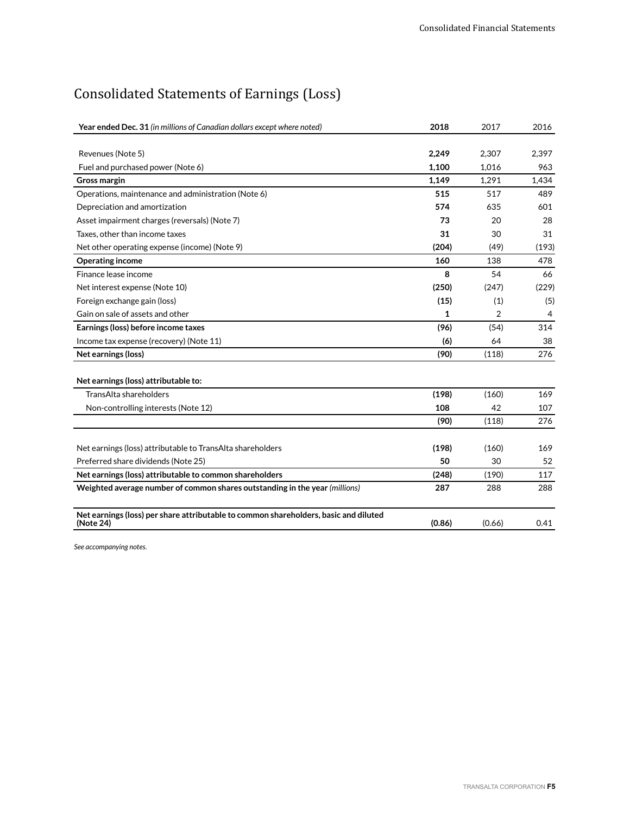# Consolidated Statements of Earnings (Loss)

| Year ended Dec. 31 (in millions of Canadian dollars except where noted)                           | 2018   | 2017   | 2016  |
|---------------------------------------------------------------------------------------------------|--------|--------|-------|
|                                                                                                   |        |        |       |
| Revenues (Note 5)                                                                                 | 2,249  | 2,307  | 2,397 |
| Fuel and purchased power (Note 6)                                                                 | 1,100  | 1,016  | 963   |
| <b>Gross margin</b>                                                                               | 1.149  | 1,291  | 1.434 |
| Operations, maintenance and administration (Note 6)                                               | 515    | 517    | 489   |
| Depreciation and amortization                                                                     | 574    | 635    | 601   |
| Asset impairment charges (reversals) (Note 7)                                                     | 73     | 20     | 28    |
| Taxes, other than income taxes                                                                    | 31     | 30     | 31    |
| Net other operating expense (income) (Note 9)                                                     | (204)  | (49)   | (193) |
| <b>Operating income</b>                                                                           | 160    | 138    | 478   |
| Finance lease income                                                                              | 8      | 54     | 66    |
| Net interest expense (Note 10)                                                                    | (250)  | (247)  | (229) |
| Foreign exchange gain (loss)                                                                      | (15)   | (1)    | (5)   |
| Gain on sale of assets and other                                                                  | 1      | 2      | 4     |
| Earnings (loss) before income taxes                                                               | (96)   | (54)   | 314   |
| Income tax expense (recovery) (Note 11)                                                           | (6)    | 64     | 38    |
| Net earnings (loss)                                                                               | (90)   | (118)  | 276   |
| Net earnings (loss) attributable to:                                                              |        |        |       |
| TransAlta shareholders                                                                            | (198)  | (160)  | 169   |
| Non-controlling interests (Note 12)                                                               | 108    | 42     | 107   |
|                                                                                                   | (90)   | (118)  | 276   |
| Net earnings (loss) attributable to TransAlta shareholders                                        | (198)  | (160)  | 169   |
| Preferred share dividends (Note 25)                                                               | 50     | 30     | 52    |
| Net earnings (loss) attributable to common shareholders                                           | (248)  | (190)  | 117   |
| Weighted average number of common shares outstanding in the year (millions)                       | 287    | 288    | 288   |
|                                                                                                   |        |        |       |
| Net earnings (loss) per share attributable to common shareholders, basic and diluted<br>(Note 24) | (0.86) | (0.66) | 0.41  |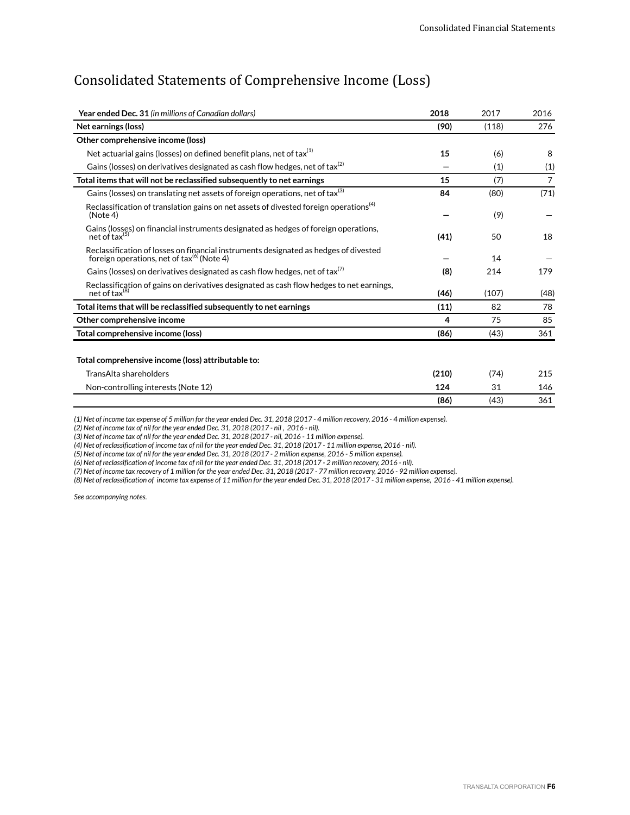# Consolidated Statements of Comprehensive Income (Loss)

| Year ended Dec. 31 (in millions of Canadian dollars)                                                                                           | 2018  | 2017  | 2016           |
|------------------------------------------------------------------------------------------------------------------------------------------------|-------|-------|----------------|
| Net earnings (loss)                                                                                                                            | (90)  | (118) | 276            |
| Other comprehensive income (loss)                                                                                                              |       |       |                |
| Net actuarial gains (losses) on defined benefit plans, net of tax <sup>(1)</sup>                                                               | 15    | (6)   | 8              |
| Gains (losses) on derivatives designated as cash flow hedges, net of tax <sup>(2)</sup>                                                        |       | (1)   | (1)            |
| Total items that will not be reclassified subsequently to net earnings                                                                         | 15    | (7)   | $\overline{7}$ |
| Gains (losses) on translating net assets of foreign operations, net of tax <sup>(3)</sup>                                                      | 84    | (80)  | (71)           |
| Reclassification of translation gains on net assets of divested foreign operations <sup>(4)</sup><br>(Note 4)                                  |       | (9)   |                |
| Gains (losses) on financial instruments designated as hedges of foreign operations,<br>net of $tax^{(5)}$                                      | (41)  | 50    | 18             |
| Reclassification of losses on financial instruments designated as hedges of divested<br>foreign operations, net of $\text{tax}^{(6)}$ (Note 4) |       | 14    |                |
| Gains (losses) on derivatives designated as cash flow hedges, net of tax <sup>(7)</sup>                                                        | (8)   | 214   | 179            |
| Reclassification of gains on derivatives designated as cash flow hedges to net earnings,<br>net of $tax^{(8)}$                                 | (46)  | (107) | (48)           |
| Total items that will be reclassified subsequently to net earnings                                                                             | (11)  | 82    | 78             |
| Other comprehensive income                                                                                                                     | 4     | 75    | 85             |
| Total comprehensive income (loss)                                                                                                              | (86)  | (43)  | 361            |
| Total comprehensive income (loss) attributable to:                                                                                             |       |       |                |
| TransAlta shareholders                                                                                                                         | (210) | (74)  | 215            |
| Non-controlling interests (Note 12)                                                                                                            | 124   | 31    | 146            |
|                                                                                                                                                | (86)  | (43)  | 361            |

*(1) Net of income tax expense of 5 million for the year ended Dec. 31, 2018 (2017 - 4 million recovery, 2016 - 4 million expense).*

*(2) Net of income tax of nil for the year ended Dec. 31, 2018 (2017 - nil , 2016 - nil).*

*(3) Net of income tax of nil for the year ended Dec. 31, 2018 (2017 - nil, 2016 - 11 million expense).*

*(4) Net of reclassification of income tax of nil for the year ended Dec. 31, 2018 (2017 - 11 million expense, 2016 - nil).*

*(5) Net of income tax of nil for the year ended Dec. 31, 2018 (2017 - 2 million expense, 2016 - 5 million expense).*

*(6) Net of reclassification of income tax of nil for the year ended Dec. 31, 2018 (2017 - 2 million recovery, 2016 - nil).*

*(7) Net of income tax recovery of 1 million for the year ended Dec. 31, 2018 (2017 - 77 million recovery, 2016 - 92 million expense).*

*(8) Net of reclassification of income tax expense of 11 million for the year ended Dec. 31, 2018 (2017 - 31 million expense, 2016 - 41 million expense).*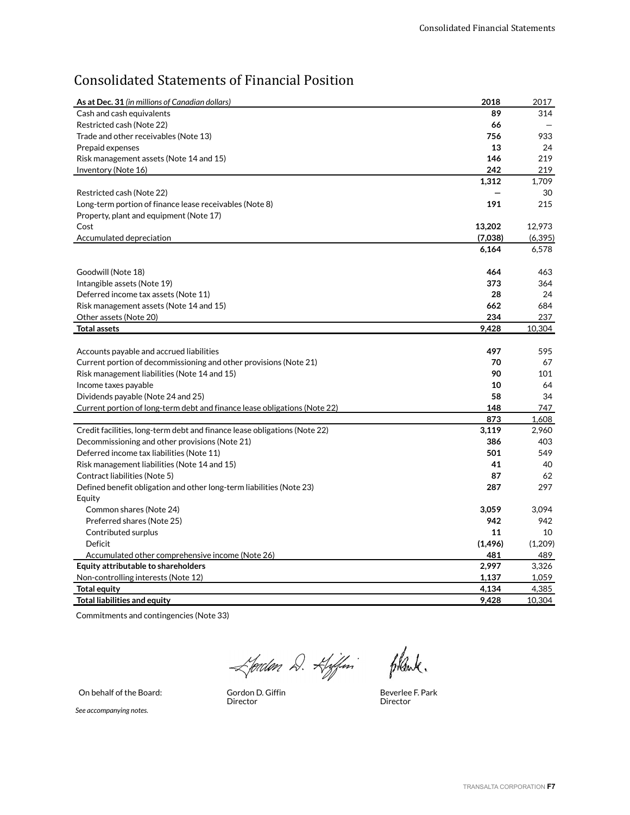# Consolidated Statements of Financial Position

| As at Dec. 31 (in millions of Canadian dollars)                                | 2018     | 2017     |
|--------------------------------------------------------------------------------|----------|----------|
| Cash and cash equivalents                                                      | 89       | 314      |
| Restricted cash (Note 22)                                                      | 66       |          |
| Trade and other receivables (Note 13)                                          | 756      | 933      |
| Prepaid expenses                                                               | 13       | 24       |
| Risk management assets (Note 14 and 15)                                        | 146      | 219      |
| Inventory (Note 16)                                                            | 242      | 219      |
|                                                                                | 1,312    | 1,709    |
| Restricted cash (Note 22)                                                      |          | 30       |
| Long-term portion of finance lease receivables (Note 8)                        | 191      | 215      |
| Property, plant and equipment (Note 17)                                        |          |          |
| Cost                                                                           | 13,202   | 12,973   |
| Accumulated depreciation                                                       | (7,038)  | (6, 395) |
|                                                                                | 6,164    | 6,578    |
| Goodwill (Note 18)                                                             | 464      | 463      |
| Intangible assets (Note 19)                                                    | 373      | 364      |
| Deferred income tax assets (Note 11)                                           | 28       | 24       |
| Risk management assets (Note 14 and 15)                                        | 662      | 684      |
| Other assets (Note 20)                                                         | 234      | 237      |
| <b>Total assets</b>                                                            | 9,428    | 10,304   |
|                                                                                |          |          |
| Accounts payable and accrued liabilities                                       | 497      | 595      |
| Current portion of decommissioning and other provisions (Note 21)              | 70       | 67       |
| Risk management liabilities (Note 14 and 15)                                   | 90       | 101      |
| Income taxes payable                                                           | 10       | 64       |
| Dividends payable (Note 24 and 25)                                             | 58       | 34       |
| Current portion of long-term debt and finance lease obligations (Note 22)      | 148      | 747      |
|                                                                                | 873      | 1,608    |
| Credit facilities, long-term debt and finance lease obligations (Note 22)      | 3,119    | 2,960    |
| Decommissioning and other provisions (Note 21)                                 | 386      | 403      |
| Deferred income tax liabilities (Note 11)                                      | 501      | 549      |
| Risk management liabilities (Note 14 and 15)                                   | 41       | 40       |
| Contract liabilities (Note 5)                                                  | 87       | 62       |
| Defined benefit obligation and other long-term liabilities (Note 23)<br>Equity | 287      | 297      |
| Common shares (Note 24)                                                        | 3,059    | 3,094    |
| Preferred shares (Note 25)                                                     | 942      | 942      |
| Contributed surplus                                                            | 11       | 10       |
| Deficit                                                                        | (1, 496) | (1,209)  |
| Accumulated other comprehensive income (Note 26)                               | 481      | 489      |
| Equity attributable to shareholders                                            | 2,997    | 3,326    |
| Non-controlling interests (Note 12)                                            | 1,137    | 1,059    |
| <b>Total equity</b>                                                            | 4,134    | 4,385    |
| <b>Total liabilities and equity</b>                                            | 9,428    | 10,304   |

Commitments and contingencies (Note 33)

Ljorden D. Kjefin filsente.

On behalf of the Board:

Gordon D. Giffin<br>Director

Beverlee F. Park Director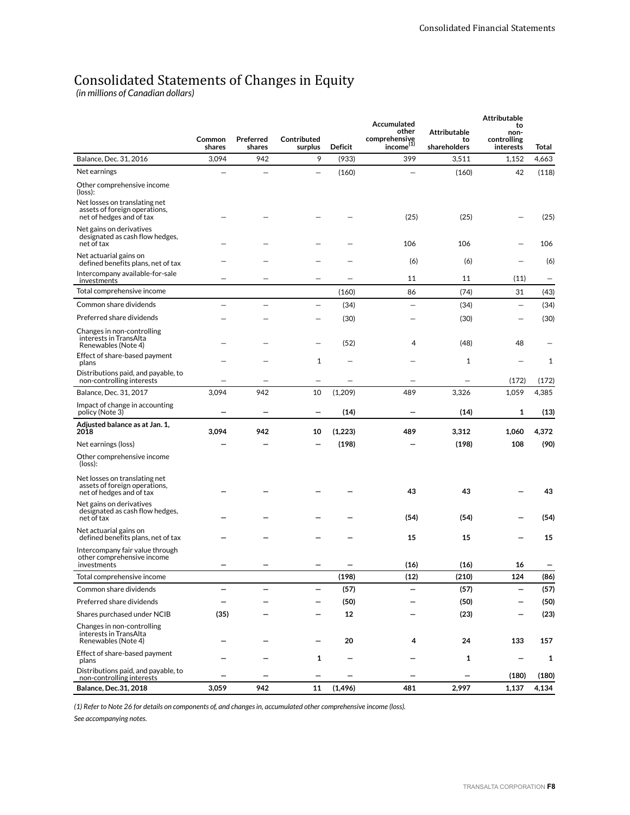# Consolidated Statements of Changes in Equity

*(in millions of Canadian dollars)*

|                                                                                            |                  | <b>Attributable</b><br>Accumulated |                        |          |                                                 |                                           |                                        |       |
|--------------------------------------------------------------------------------------------|------------------|------------------------------------|------------------------|----------|-------------------------------------------------|-------------------------------------------|----------------------------------------|-------|
|                                                                                            | Common<br>shares | Preferred<br>shares                | Contributed<br>surplus | Deficit  | other<br>comprehensiye<br>income <sup>(1)</sup> | <b>Attributable</b><br>to<br>shareholders | to<br>non-<br>controlling<br>interests | Total |
| Balance, Dec. 31, 2016                                                                     | 3,094            | 942                                | 9                      | (933)    | 399                                             | 3,511                                     | 1,152                                  | 4,663 |
| Net earnings                                                                               |                  |                                    | —                      | (160)    |                                                 | (160)                                     | 42                                     | (118) |
| Other comprehensive income<br>(loss):                                                      |                  |                                    |                        |          |                                                 |                                           |                                        |       |
| Net losses on translating net<br>assets of foreign operations,<br>net of hedges and of tax |                  |                                    |                        |          | (25)                                            | (25)                                      |                                        | (25)  |
| Net gains on derivatives<br>designated as cash flow hedges,<br>net of tax                  |                  |                                    |                        |          | 106                                             | 106                                       |                                        | 106   |
| Net actuarial gains on<br>defined benefits plans, net of tax                               |                  |                                    |                        |          | (6)                                             | (6)                                       |                                        | (6)   |
| Intercompany available-for-sale<br>investments                                             |                  |                                    |                        |          | 11                                              | 11                                        | (11)                                   | —     |
| Total comprehensive income                                                                 |                  |                                    |                        | (160)    | 86                                              | (74)                                      | 31                                     | (43)  |
| Common share dividends                                                                     |                  |                                    |                        | (34)     |                                                 | (34)                                      |                                        | (34)  |
| Preferred share dividends                                                                  |                  |                                    |                        | (30)     |                                                 | (30)                                      |                                        | (30)  |
| Changes in non-controlling<br>interests in TransAlta<br>Renewables (Note 4)                |                  |                                    |                        | (52)     | 4                                               | (48)                                      | 48                                     |       |
| Effect of share-based payment<br>plans                                                     |                  |                                    | 1                      |          |                                                 | 1                                         |                                        | 1     |
| Distributions paid, and payable, to<br>non-controlling interests                           |                  |                                    |                        |          |                                                 |                                           | (172)                                  | (172) |
| Balance, Dec. 31, 2017                                                                     | 3,094            | 942                                | 10                     | (1,209)  | 489                                             | 3,326                                     | 1,059                                  | 4,385 |
| Impact of change in accounting<br>policy (Note 3)                                          |                  |                                    |                        | (14)     |                                                 | (14)                                      | 1                                      | (13)  |
| Adjusted balance as at Jan. 1,<br>2018                                                     | 3,094            | 942                                | 10                     | (1,223)  | 489                                             | 3,312                                     | 1,060                                  | 4,372 |
| Net earnings (loss)                                                                        |                  |                                    |                        | (198)    |                                                 | (198)                                     | 108                                    | (90)  |
| Other comprehensive income<br>(loss):                                                      |                  |                                    |                        |          |                                                 |                                           |                                        |       |
| Net losses on translating net<br>assets of foreign operations,<br>net of hedges and of tax |                  |                                    |                        |          | 43                                              | 43                                        |                                        | 43    |
| Net gains on derivatives<br>designated as cash flow hedges,<br>net of tax                  |                  |                                    |                        |          | (54)                                            | (54)                                      |                                        | (54)  |
| Net actuarial gains on<br>defined benefits plans, net of tax                               |                  |                                    |                        |          | 15                                              | 15                                        |                                        | 15    |
| Intercompany fair value through<br>other comprehensive income<br>investments               |                  |                                    |                        |          | (16)                                            | (16)                                      | 16                                     |       |
| Total comprehensive income                                                                 |                  |                                    |                        | (198)    | (12)                                            | (210)                                     | 124                                    | (86)  |
| Common share dividends                                                                     |                  |                                    |                        | (57)     |                                                 | (57)                                      |                                        | (57)  |
| Preferred share dividends                                                                  |                  |                                    |                        | (50)     |                                                 | (50)                                      |                                        | (50)  |
| Shares purchased under NCIB                                                                | (35)             |                                    |                        | 12       |                                                 | (23)                                      |                                        | (23)  |
| Changes in non-controlling<br>interests in TransAlta<br>Renewables (Note 4)                |                  |                                    |                        | 20       | 4                                               | 24                                        | 133                                    | 157   |
| Effect of share-based payment<br>plans                                                     |                  |                                    | 1                      |          |                                                 | 1                                         |                                        | 1     |
| Distributions paid, and payable, to<br>non-controlling interests                           |                  |                                    |                        |          |                                                 |                                           | (180)                                  | (180) |
| <b>Balance, Dec.31, 2018</b>                                                               | 3,059            | 942                                | 11                     | (1, 496) | 481                                             | 2,997                                     | 1,137                                  | 4,134 |

*(1) Refer to Note 26 for details on components of, and changes in, accumulated other comprehensive income (loss).*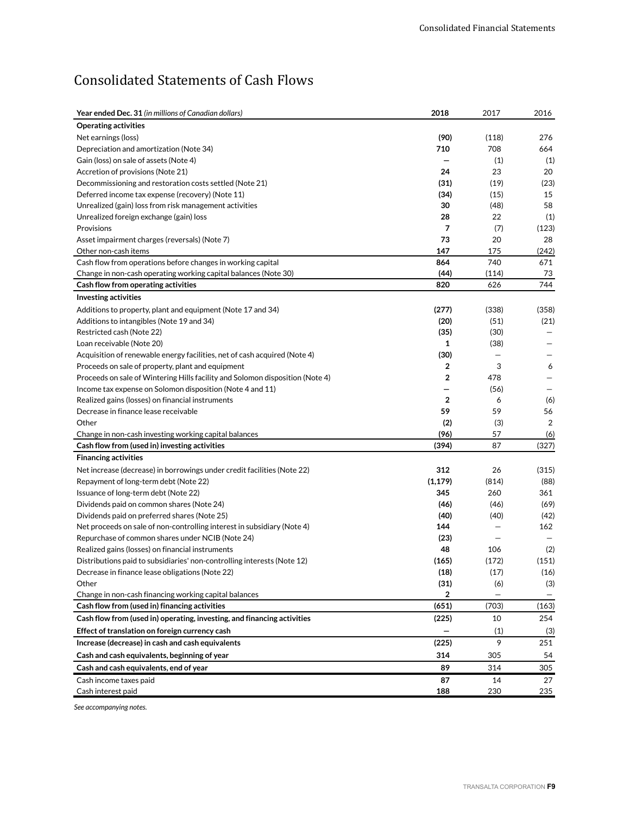# Consolidated Statements of Cash Flows

| <b>Year ended Dec. 31</b> (in millions of Canadian dollars)                   | 2018           | 2017              | 2016              |
|-------------------------------------------------------------------------------|----------------|-------------------|-------------------|
| <b>Operating activities</b>                                                   |                |                   |                   |
| Net earnings (loss)                                                           | (90)           | (118)             | 276               |
| Depreciation and amortization (Note 34)                                       | 710            | 708               | 664               |
| Gain (loss) on sale of assets (Note 4)                                        |                | (1)               | (1)               |
| Accretion of provisions (Note 21)                                             | 24             | 23                | 20                |
| Decommissioning and restoration costs settled (Note 21)                       | (31)           | (19)              | (23)              |
| (Note 11) Deferred income tax expense (recovery)                              | (34)           | (15)              | 15                |
| Unrealized (gain) loss from risk management activities                        | 30             | (48)              | 58                |
| Unrealized foreign exchange (gain) loss                                       | 28             | 22                | (1)               |
| Provisions                                                                    | 7              | (7)               | (123)             |
| Asset impairment charges (reversals) (Note 7)                                 | 73             | 20                | 28                |
| Other non-cash items                                                          | 147            | 175               | (242)             |
| Cash flow from operations before changes in working capital                   | 864            | 740               | 671               |
| Change in non-cash operating working capital balances (Note 30)               | (44)           | (114)             | 73                |
| Cash flow from operating activities                                           | 820            | 626               | 744               |
| <b>Investing activities</b>                                                   |                |                   |                   |
| Additions to property, plant and equipment (Note 17 and 34)                   | (277)          | (338)             | (358)             |
| Additions to intangibles (Note 19 and 34)                                     | (20)           | (51)              | (21)              |
| Restricted cash (Note 22)                                                     | (35)           | (30)              |                   |
| Loan receivable (Note 20)                                                     | 1              | (38)              |                   |
| Acquisition of renewable energy facilities, net of cash acquired (Note 4)     | (30)           | -                 |                   |
| Proceeds on sale of property, plant and equipment                             | $\overline{2}$ | 3                 | 6                 |
| Proceeds on sale of Wintering Hills facility and Solomon disposition (Note 4) | $\overline{2}$ | 478               |                   |
| Income tax expense on Solomon disposition (Note 4 and 11)                     |                | (56)              |                   |
| Realized gains (losses) on financial instruments                              | $\overline{2}$ | 6                 | (6)               |
| Decrease in finance lease receivable                                          | 59             | 59                | 56                |
| Other                                                                         | (2)            | (3)               | $\overline{2}$    |
| Change in non-cash investing working capital balances                         | (96)           | 57                | (6)               |
| Cash flow from (used in) investing activities                                 | (394)          | 87                | (327)             |
| <b>Financing activities</b>                                                   |                |                   |                   |
| Net increase (decrease) in borrowings under credit facilities (Note 22)       | 312            | 26                | (315)             |
| Repayment of long-term debt (Note 22)                                         | (1, 179)       | (814)             | (88)              |
| Issuance of long-term debt (Note 22)                                          | 345            | 260               | 361               |
| Dividends paid on common shares (Note 24)                                     | (46)           | (46)              | (69)              |
| Dividends paid on preferred shares (Note 25)                                  | (40)           | (40)              | (42)              |
| Net proceeds on sale of non-controlling interest in subsidiary (Note 4)       | 144            |                   | 162               |
| Repurchase of common shares under NCIB (Note 24)                              | (23)           |                   |                   |
| Realized gains (losses) on financial instruments                              | 48             | 106               | (2)               |
| Distributions paid to subsidiaries' non-controlling interests (Note 12)       | (165)          | (172)             | (151)             |
| Decrease in finance lease obligations (Note 22)                               | (18)           | (17)              | (16)              |
| Other                                                                         | (31)           | (6)               | (3)               |
| Change in non-cash financing working capital balances                         | 2              | $\qquad \qquad -$ | $\qquad \qquad -$ |
| Cash flow from (used in) financing activities                                 | (651)          | (703)             | (163)             |
| Cash flow from (used in) operating, investing, and financing activities       | (225)          | 10                | 254               |
| Effect of translation on foreign currency cash                                | —              | (1)               | (3)               |
| Increase (decrease) in cash and cash equivalents                              | (225)          | 9                 | 251               |
| Cash and cash equivalents, beginning of year                                  | 314            | 305               | 54                |
| Cash and cash equivalents, end of year                                        | 89             | 314               | 305               |
| Cash income taxes paid                                                        | 87             | 14                | 27                |
| Cash interest paid                                                            | 188            | 230               | 235               |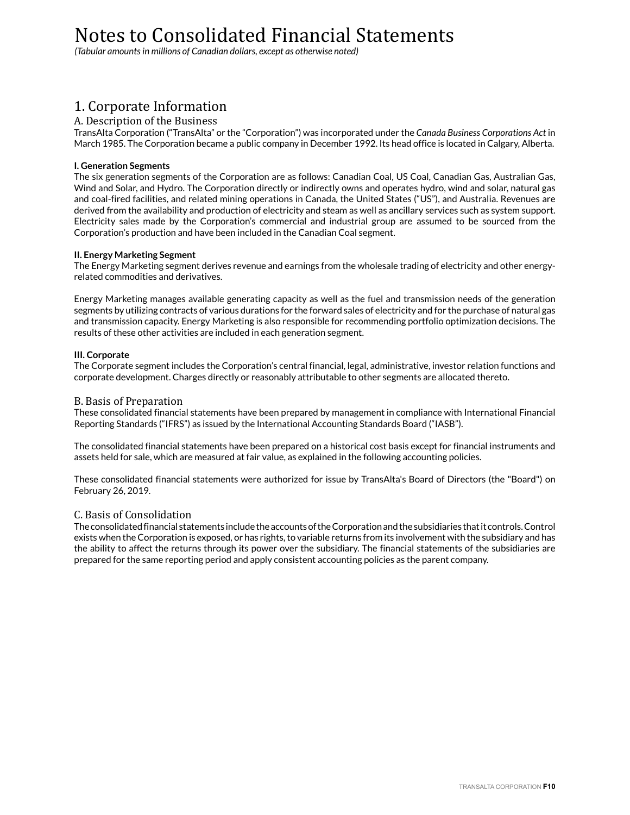# Notes to Consolidated Financial Statements

*(Tabular amounts in millions of Canadian dollars, except as otherwise noted)*

# 1. Corporate Information

# A. Description of the Business

TransAlta Corporation ("TransAlta" or the "Corporation") was incorporated under the *Canada Business Corporations Act* in March 1985. The Corporation became a public company in December 1992. Its head office is located in Calgary, Alberta.

### **I. Generation Segments**

The six generation segments of the Corporation are as follows: Canadian Coal, US Coal, Canadian Gas, Australian Gas, Wind and Solar, and Hydro. The Corporation directly or indirectly owns and operates hydro, wind and solar, natural gas and coal-fired facilities, and related mining operations in Canada, the United States ("US"), and Australia. Revenues are derived from the availability and production of electricity and steam as well as ancillary services such as system support. Electricity sales made by the Corporation's commercial and industrial group are assumed to be sourced from the Corporation's production and have been included in the Canadian Coal segment.

### **II. Energy Marketing Segment**

The Energy Marketing segment derives revenue and earnings from the wholesale trading of electricity and other energyrelated commodities and derivatives.

Energy Marketing manages available generating capacity as well as the fuel and transmission needs of the generation segments by utilizing contracts of various durations for the forward sales of electricity and for the purchase of natural gas and transmission capacity. Energy Marketing is also responsible for recommending portfolio optimization decisions. The results of these other activities are included in each generation segment.

### **III. Corporate**

The Corporate segment includes the Corporation's central financial, legal, administrative, investor relation functions and corporate development. Charges directly or reasonably attributable to other segments are allocated thereto.

### B. Basis of Preparation

These consolidated financial statements have been prepared by management in compliance with International Financial Reporting Standards ("IFRS") as issued by the International Accounting Standards Board ("IASB").

The consolidated financial statements have been prepared on a historical cost basis except for financial instruments and assets held for sale, which are measured at fair value, as explained in the following accounting policies.

These consolidated financial statements were authorized for issue by TransAlta's Board of Directors (the "Board") on February 26, 2019.

# C. Basis of Consolidation

The consolidated financial statements include the accounts of the Corporation and the subsidiaries that it controls. Control exists when the Corporation is exposed, or has rights, to variable returns from its involvement with the subsidiary and has the ability to affect the returns through its power over the subsidiary. The financial statements of the subsidiaries are prepared for the same reporting period and apply consistent accounting policies as the parent company.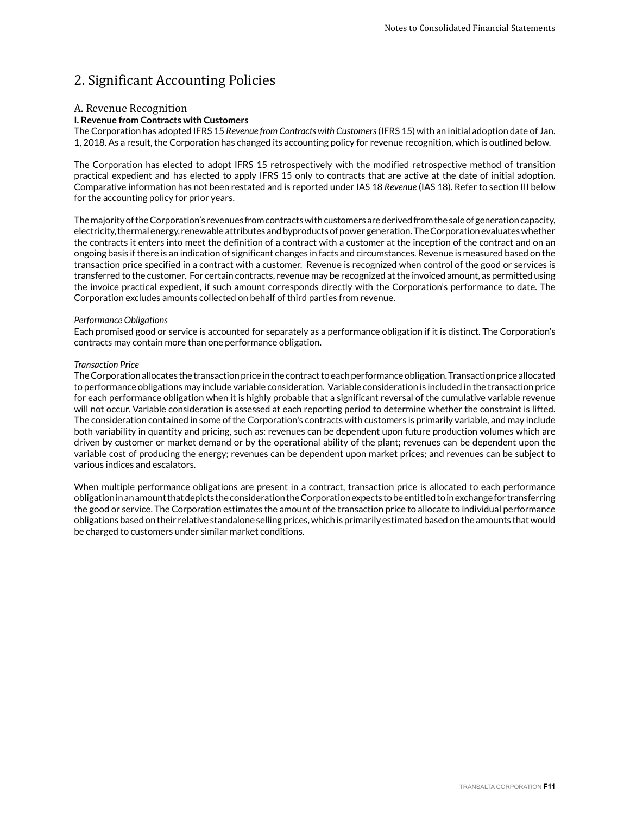# 2. Significant Accounting Policies

#### A. Revenue Recognition

#### **I. Revenue from Contracts with Customers**

The Corporation has adopted IFRS 15 *Revenue from Contracts with Customers* (IFRS 15) with an initial adoption date of Jan. 1, 2018. As a result, the Corporation has changed its accounting policy for revenue recognition, which is outlined below.

The Corporation has elected to adopt IFRS 15 retrospectively with the modified retrospective method of transition practical expedient and has elected to apply IFRS 15 only to contracts that are active at the date of initial adoption. Comparative information has not been restated and is reported under IAS 18 *Revenue* (IAS 18). Refer to section III below for the accounting policy for prior years.

The majority of the Corporation's revenues from contracts with customers are derived from the sale of generation capacity, electricity, thermal energy, renewable attributes and byproducts of power generation. The Corporation evaluates whether the contracts it enters into meet the definition of a contract with a customer at the inception of the contract and on an ongoing basis if there is an indication of significant changes in facts and circumstances. Revenue is measured based on the transaction price specified in a contract with a customer. Revenue is recognized when control of the good or services is transferred to the customer. For certain contracts, revenue may be recognized at the invoiced amount, as permitted using the invoice practical expedient, if such amount corresponds directly with the Corporation's performance to date. The Corporation excludes amounts collected on behalf of third parties from revenue.

#### *Performance Obligations*

Each promised good or service is accounted for separately as a performance obligation if it is distinct. The Corporation's contracts may contain more than one performance obligation.

#### *Transaction Price*

The Corporation allocates the transaction price in the contract to each performance obligation. Transaction price allocated to performance obligations may include variable consideration. Variable consideration is included in the transaction price for each performance obligation when it is highly probable that a significant reversal of the cumulative variable revenue will not occur. Variable consideration is assessed at each reporting period to determine whether the constraint is lifted. The consideration contained in some of the Corporation's contracts with customers is primarily variable, and may include both variability in quantity and pricing, such as: revenues can be dependent upon future production volumes which are driven by customer or market demand or by the operational ability of the plant; revenues can be dependent upon the variable cost of producing the energy; revenues can be dependent upon market prices; and revenues can be subject to various indices and escalators.

When multiple performance obligations are present in a contract, transaction price is allocated to each performance obligation in an amount that depicts the consideration the Corporation expects to be entitled to in exchange for transferring the good or service. The Corporation estimates the amount of the transaction price to allocate to individual performance obligations based on their relative standalone selling prices, which is primarily estimated based on the amounts that would be charged to customers under similar market conditions.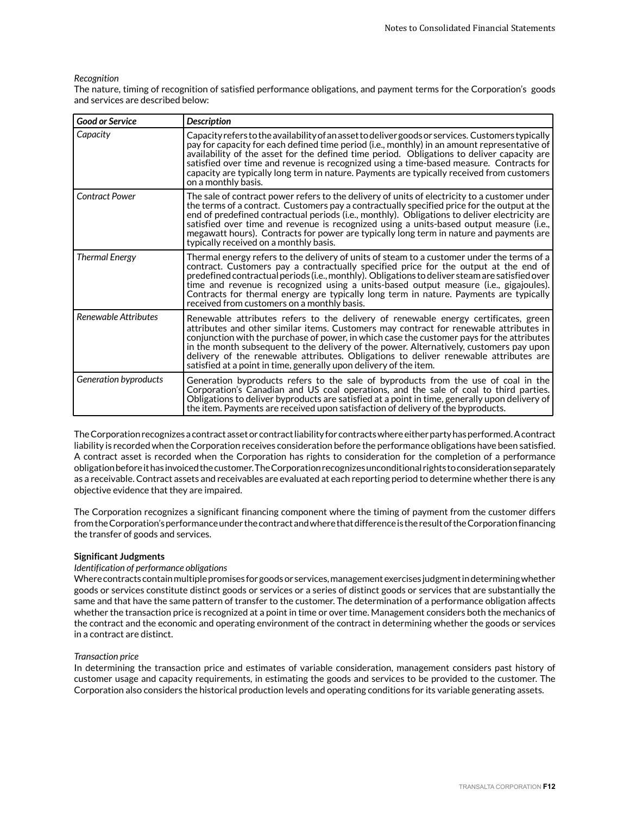#### *Recognition*

The nature, timing of recognition of satisfied performance obligations, and payment terms for the Corporation's goods and services are described below:

| <b>Good or Service</b> | <b>Description</b>                                                                                                                                                                                                                                                                                                                                                                                                                                                                                                                    |
|------------------------|---------------------------------------------------------------------------------------------------------------------------------------------------------------------------------------------------------------------------------------------------------------------------------------------------------------------------------------------------------------------------------------------------------------------------------------------------------------------------------------------------------------------------------------|
| Capacity               | Capacity refers to the availability of an asset to deliver goods or services. Customers typically<br>pay for capacity for each defined time period (i.e., monthly) in an amount representative of<br>availability of the asset for the defined time period. Obligations to deliver capacity are<br>satisfied over time and revenue is recognized using a time-based measure. Contracts for<br>capacity are typically long term in nature. Payments are typically received from customers<br>on a monthly basis.                       |
| <b>Contract Power</b>  | The sale of contract power refers to the delivery of units of electricity to a customer under<br>the terms of a contract. Customers pay a contractually specified price for the output at the<br>end of predefined contractual periods (i.e., monthly). Obligations to deliver electricity are<br>satisfied over time and revenue is recognized using a units-based output measure (i.e.,<br>megawatt hours). Contracts for power are typically long term in nature and payments are<br>typically received on a monthly basis.        |
| <b>Thermal Energy</b>  | Thermal energy refers to the delivery of units of steam to a customer under the terms of a<br>contract. Customers pay a contractually specified price for the output at the end of<br>predefined contractual periods (i.e., monthly). Obligations to deliver steam are satisfied over<br>time and revenue is recognized using a units-based output measure (i.e., gigajoules).<br>Contracts for thermal energy are typically long term in nature. Payments are typically<br>received from customers on a monthly basis.               |
| Renewable Attributes   | Renewable attributes refers to the delivery of renewable energy certificates, green<br>attributes and other similar items. Customers may contract for renewable attributes in<br>conjunction with the purchase of power, in which case the customer pays for the attributes<br>in the month subsequent to the delivery of the power. Alternatively, customers pay upon<br>delivery of the renewable attributes. Obligations to deliver renewable attributes are<br>satisfied at a point in time, generally upon delivery of the item. |
| Generation byproducts  | Generation byproducts refers to the sale of byproducts from the use of coal in the<br>Corporation's Canadian and US coal operations, and the sale of coal to third parties.<br>Obligations to deliver byproducts are satisfied at a point in time, generally upon delivery of<br>the item. Payments are received upon satisfaction of delivery of the byproducts.                                                                                                                                                                     |

The Corporation recognizes a contract asset or contract liability for contracts where either party has performed. A contract liability is recorded when the Corporation receives consideration before the performance obligations have been satisfied. A contract asset is recorded when the Corporation has rights to consideration for the completion of a performance obligation before it has invoiced the customer. The Corporation recognizes unconditional rights to consideration separately as a receivable. Contract assets and receivables are evaluated at each reporting period to determine whether there is any objective evidence that they are impaired.

The Corporation recognizes a significant financing component where the timing of payment from the customer differs from the Corporation's performance under the contract and where that difference is the result of the Corporation financing the transfer of goods and services.

#### **Significant Judgments**

#### *Identification of performance obligations*

Where contracts contain multiple promises for goods or services, management exercises judgment in determining whether goods or services constitute distinct goods or services or a series of distinct goods or services that are substantially the same and that have the same pattern of transfer to the customer. The determination of a performance obligation affects whether the transaction price is recognized at a point in time or over time. Management considers both the mechanics of the contract and the economic and operating environment of the contract in determining whether the goods or services in a contract are distinct.

#### *Transaction price*

In determining the transaction price and estimates of variable consideration, management considers past history of customer usage and capacity requirements, in estimating the goods and services to be provided to the customer. The Corporation also considers the historical production levels and operating conditions for its variable generating assets.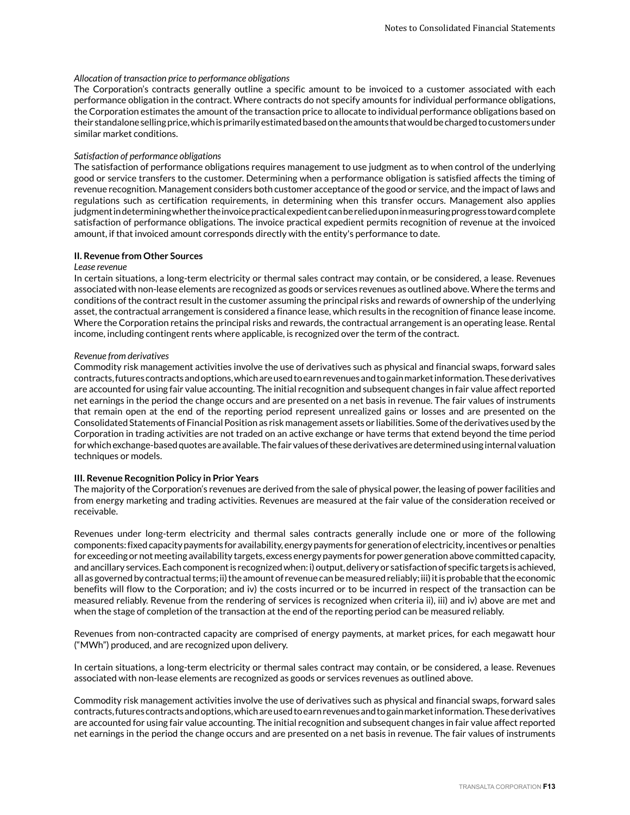#### *Allocation of transaction price to performance obligations*

The Corporation's contracts generally outline a specific amount to be invoiced to a customer associated with each performance obligation in the contract. Where contracts do not specify amounts for individual performance obligations, the Corporation estimates the amount of the transaction price to allocate to individual performance obligations based on their standalone selling price, which is primarily estimated based on the amounts that would be charged to customers under similar market conditions.

#### *Satisfaction of performance obligations*

The satisfaction of performance obligations requires management to use judgment as to when control of the underlying good or service transfers to the customer. Determining when a performance obligation is satisfied affects the timing of revenue recognition. Management considers both customer acceptance of the good or service, and the impact of laws and regulations such as certification requirements, in determining when this transfer occurs. Management also applies judgment in determining whether the invoice practical expedient can be relied upon in measuring progress toward complete satisfaction of performance obligations. The invoice practical expedient permits recognition of revenue at the invoiced amount, if that invoiced amount corresponds directly with the entity's performance to date.

#### **II. Revenue from Other Sources**

#### *Lease revenue*

In certain situations, a long-term electricity or thermal sales contract may contain, or be considered, a lease. Revenues associated with non-lease elements are recognized as goods or services revenues as outlined above. Where the terms and conditions of the contract result in the customer assuming the principal risks and rewards of ownership of the underlying asset, the contractual arrangement is considered a finance lease, which results in the recognition of finance lease income. Where the Corporation retains the principal risks and rewards, the contractual arrangement is an operating lease. Rental income, including contingent rents where applicable, is recognized over the term of the contract.

#### *Revenue from derivatives*

Commodity risk management activities involve the use of derivatives such as physical and financial swaps, forward sales contracts, futures contracts and options, which are used to earn revenues and to gain market information. These derivatives are accounted for using fair value accounting. The initial recognition and subsequent changes in fair value affect reported net earnings in the period the change occurs and are presented on a net basis in revenue. The fair values of instruments that remain open at the end of the reporting period represent unrealized gains or losses and are presented on the Consolidated Statements of Financial Position as risk management assets or liabilities. Some of the derivatives used by the Corporation in trading activities are not traded on an active exchange or have terms that extend beyond the time period for which exchange-based quotes are available. The fair values of these derivatives are determined using internal valuation techniques or models.

#### **III. Revenue Recognition Policy in Prior Years**

The majority of the Corporation's revenues are derived from the sale of physical power, the leasing of power facilities and from energy marketing and trading activities. Revenues are measured at the fair value of the consideration received or receivable.

Revenues under long-term electricity and thermal sales contracts generally include one or more of the following components: fixed capacity payments for availability, energy payments for generation of electricity, incentives or penalties for exceeding or not meeting availability targets, excess energy payments for power generation above committed capacity, and ancillary services. Each component is recognized when: i) output, delivery or satisfaction of specific targets is achieved, all as governed by contractual terms; ii) the amount of revenue can be measured reliably; iii) it is probable that the economic benefits will flow to the Corporation; and iv) the costs incurred or to be incurred in respect of the transaction can be measured reliably. Revenue from the rendering of services is recognized when criteria ii), iii) and iv) above are met and when the stage of completion of the transaction at the end of the reporting period can be measured reliably.

Revenues from non-contracted capacity are comprised of energy payments, at market prices, for each megawatt hour ("MWh") produced, and are recognized upon delivery.

In certain situations, a long-term electricity or thermal sales contract may contain, or be considered, a lease. Revenues associated with non-lease elements are recognized as goods or services revenues as outlined above.

Commodity risk management activities involve the use of derivatives such as physical and financial swaps, forward sales contracts, futures contracts and options, which are used to earn revenues and to gain market information. These derivatives are accounted for using fair value accounting. The initial recognition and subsequent changes in fair value affect reported net earnings in the period the change occurs and are presented on a net basis in revenue. The fair values of instruments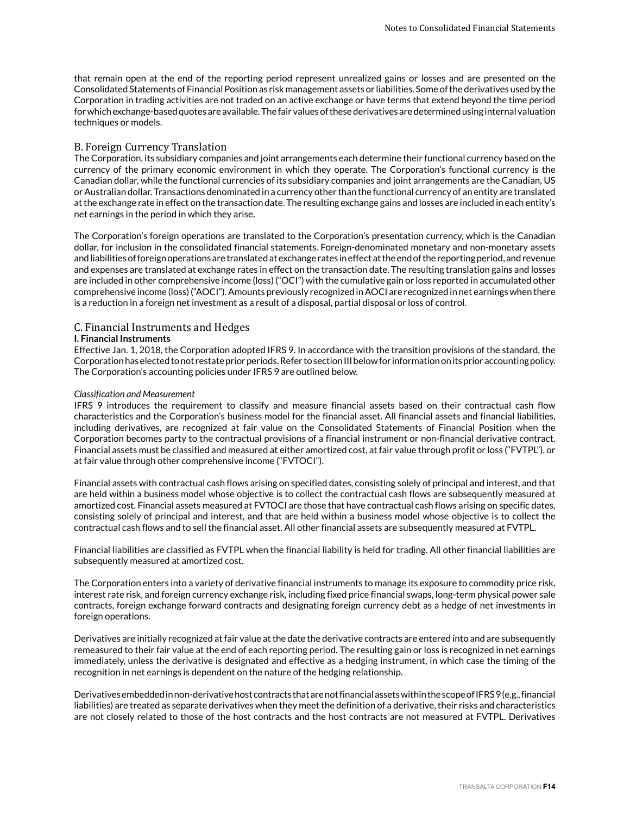that remain open at the end of the reporting period represent unrealized gains or losses and are presented on the Consolidated Statements of Financial Position as risk management assets or liabilities. Some of the derivatives used by the Corporation in trading activities are not traded on an active exchange or have terms that extend beyond the time period for which exchange-based quotes are available. The fair values of these derivatives are determined using internal valuation techniques or models.

#### B. Foreign Currency Translation

The Corporation, its subsidiary companies and joint arrangements each determine their functional currency based on the currency of the primary economic environment in which they operate. The Corporation's functional currency is the Canadian dollar, while the functional currencies of its subsidiary companies and joint arrangements are the Canadian, US or Australian dollar. Transactions denominated in a currency other than the functional currency of an entity are translated at the exchange rate in effect on the transaction date. The resulting exchange gains and losses are included in each entity's net earnings in the period in which they arise.

The Corporation's foreign operations are translated to the Corporation's presentation currency, which is the Canadian dollar, for inclusion in the consolidated financial statements. Foreign-denominated monetary and non-monetary assets and liabilities of foreign operations are translated at exchange rates in effect at the end of the reporting period, and revenue and expenses are translated at exchange rates in effect on the transaction date. The resulting translation gains and losses are included in other comprehensive income (loss) ("OCI") with the cumulative gain or loss reported in accumulated other comprehensive income (loss) ("AOCI"). Amounts previously recognized in AOCI are recognized in net earnings when there is a reduction in a foreign net investment as a result of a disposal, partial disposal or loss of control.

#### C. Financial Instruments and Hedges

#### **I. Financial Instruments**

Effective Jan. 1, 2018, the Corporation adopted IFRS 9. In accordance with the transition provisions of the standard, the Corporation has elected to not restate prior periods. Refer to section III below for information on its prior accounting policy. The Corporation's accounting policies under IFRS 9 are outlined below.

#### *Classification and Measurement*

IFRS 9 introduces the requirement to classify and measure financial assets based on their contractual cash flow characteristics and the Corporation's business model for the financial asset. All financial assets and financial liabilities, including derivatives, are recognized at fair value on the Consolidated Statements of Financial Position when the Corporation becomes party to the contractual provisions of a financial instrument or non-financial derivative contract. Financial assets must be classified and measured at either amortized cost, at fair value through profit or loss ("FVTPL"), or at fair value through other comprehensive income ("FVTOCI").

Financial assets with contractual cash flows arising on specified dates, consisting solely of principal and interest, and that are held within a business model whose objective is to collect the contractual cash flows are subsequently measured at amortized cost. Financial assets measured at FVTOCI are those that have contractual cash flows arising on specific dates, consisting solely of principal and interest, and that are held within a business model whose objective is to collect the contractual cash flows and to sell the financial asset. All other financial assets are subsequently measured at FVTPL.

Financial liabilities are classified as FVTPL when the financial liability is held for trading. All other financial liabilities are subsequently measured at amortized cost.

The Corporation enters into a variety of derivative financial instruments to manage its exposure to commodity price risk, interest rate risk, and foreign currency exchange risk, including fixed price financial swaps, long-term physical power sale contracts, foreign exchange forward contracts and designating foreign currency debt as a hedge of net investments in foreign operations.

Derivatives are initially recognized at fair value at the date the derivative contracts are entered into and are subsequently remeasured to their fair value at the end of each reporting period. The resulting gain or loss is recognized in net earnings immediately, unless the derivative is designated and effective as a hedging instrument, in which case the timing of the recognition in net earnings is dependent on the nature of the hedging relationship.

Derivatives embedded in non-derivative host contracts that are not financial assets within the scope of IFRS 9 (e.g., financial liabilities) are treated as separate derivatives when they meet the definition of a derivative, their risks and characteristics are not closely related to those of the host contracts and the host contracts are not measured at FVTPL. Derivatives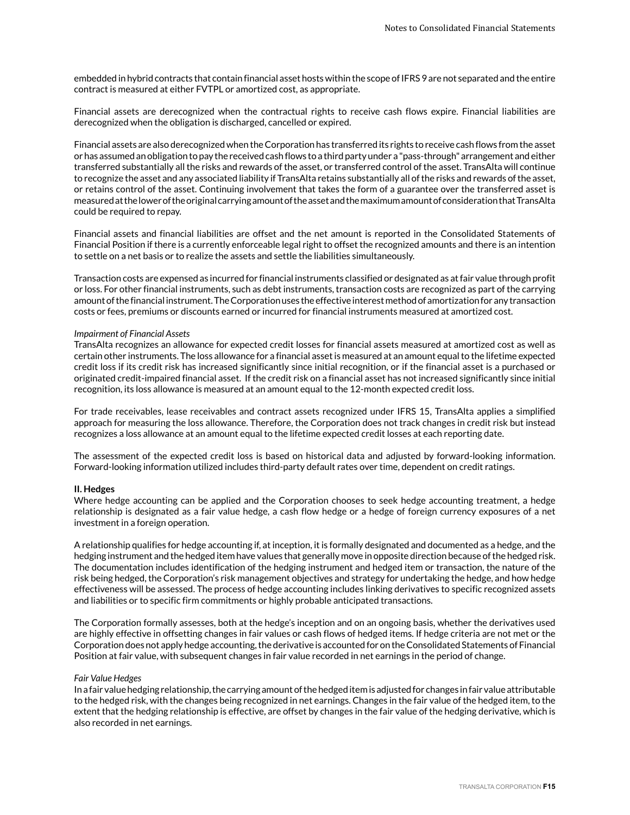embedded in hybrid contracts that contain financial asset hosts within the scope of IFRS 9 are not separated and the entire contract is measured at either FVTPL or amortized cost, as appropriate.

Financial assets are derecognized when the contractual rights to receive cash flows expire. Financial liabilities are derecognized when the obligation is discharged, cancelled or expired.

Financial assets are also derecognized when the Corporation has transferred its rights to receive cash flows from the asset or has assumed an obligation to pay the received cash flows to a third party under a "pass-through" arrangement and either transferred substantially all the risks and rewards of the asset, or transferred control of the asset. TransAlta will continue to recognize the asset and any associated liability if TransAlta retains substantially all of the risks and rewards of the asset, or retains control of the asset. Continuing involvement that takes the form of a guarantee over the transferred asset is measured at the lower of the original carrying amount of the asset and the maximum amount of consideration that TransAlta could be required to repay.

Financial assets and financial liabilities are offset and the net amount is reported in the Consolidated Statements of Financial Position if there is a currently enforceable legal right to offset the recognized amounts and there is an intention to settle on a net basis or to realize the assets and settle the liabilities simultaneously.

Transaction costs are expensed as incurred for financial instruments classified or designated as at fair value through profit or loss. For other financial instruments, such as debt instruments, transaction costs are recognized as part of the carrying amount of the financial instrument. The Corporation uses the effective interest method of amortization for any transaction costs or fees, premiums or discounts earned or incurred for financial instruments measured at amortized cost.

#### *Impairment of Financial Assets*

TransAlta recognizes an allowance for expected credit losses for financial assets measured at amortized cost as well as certain other instruments. The loss allowance for a financial asset is measured at an amount equal to the lifetime expected credit loss if its credit risk has increased significantly since initial recognition, or if the financial asset is a purchased or originated credit-impaired financial asset. If the credit risk on a financial asset has not increased significantly since initial recognition, its loss allowance is measured at an amount equal to the 12-month expected credit loss.

For trade receivables, lease receivables and contract assets recognized under IFRS 15, TransAlta applies a simplified approach for measuring the loss allowance. Therefore, the Corporation does not track changes in credit risk but instead recognizes a loss allowance at an amount equal to the lifetime expected credit losses at each reporting date.

The assessment of the expected credit loss is based on historical data and adjusted by forward-looking information. Forward-looking information utilized includes third-party default rates over time, dependent on credit ratings.

#### **II. Hedges**

Where hedge accounting can be applied and the Corporation chooses to seek hedge accounting treatment, a hedge relationship is designated as a fair value hedge, a cash flow hedge or a hedge of foreign currency exposures of a net investment in a foreign operation.

A relationship qualifies for hedge accounting if, at inception, it is formally designated and documented as a hedge, and the hedging instrument and the hedged item have values that generally move in opposite direction because of the hedged risk. The documentation includes identification of the hedging instrument and hedged item or transaction, the nature of the risk being hedged, the Corporation's risk management objectives and strategy for undertaking the hedge, and how hedge effectiveness will be assessed. The process of hedge accounting includes linking derivatives to specific recognized assets and liabilities or to specific firm commitments or highly probable anticipated transactions.

The Corporation formally assesses, both at the hedge's inception and on an ongoing basis, whether the derivatives used are highly effective in offsetting changes in fair values or cash flows of hedged items. If hedge criteria are not met or the Corporation does not apply hedge accounting, the derivative is accounted for on the Consolidated Statements of Financial Position at fair value, with subsequent changes in fair value recorded in net earnings in the period of change.

#### *Fair Value Hedges*

In a fair value hedging relationship, the carrying amount of the hedged item is adjusted for changes in fair value attributable to the hedged risk, with the changes being recognized in net earnings. Changes in the fair value of the hedged item, to the extent that the hedging relationship is effective, are offset by changes in the fair value of the hedging derivative, which is also recorded in net earnings.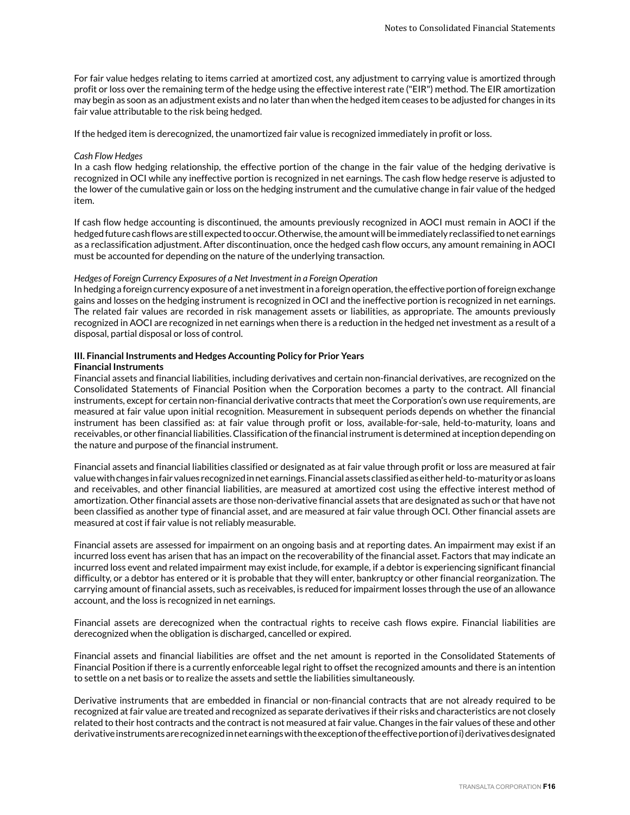For fair value hedges relating to items carried at amortized cost, any adjustment to carrying value is amortized through profit or loss over the remaining term of the hedge using the effective interest rate ("EIR") method. The EIR amortization may begin as soon as an adjustment exists and no later than when the hedged item ceases to be adjusted for changes in its fair value attributable to the risk being hedged.

If the hedged item is derecognized, the unamortized fair value is recognized immediately in profit or loss.

#### *Cash Flow Hedges*

In a cash flow hedging relationship, the effective portion of the change in the fair value of the hedging derivative is recognized in OCI while any ineffective portion is recognized in net earnings. The cash flow hedge reserve is adjusted to the lower of the cumulative gain or loss on the hedging instrument and the cumulative change in fair value of the hedged item.

If cash flow hedge accounting is discontinued, the amounts previously recognized in AOCI must remain in AOCI if the hedged future cash flows are still expected to occur. Otherwise, the amount will be immediately reclassified to net earnings as a reclassification adjustment. After discontinuation, once the hedged cash flow occurs, any amount remaining in AOCI must be accounted for depending on the nature of the underlying transaction.

#### *Hedges of Foreign Currency Exposures of a Net Investment in a Foreign Operation*

In hedging a foreign currency exposure of a net investment in a foreign operation, the effective portion of foreign exchange gains and losses on the hedging instrument is recognized in OCI and the ineffective portion is recognized in net earnings. The related fair values are recorded in risk management assets or liabilities, as appropriate. The amounts previously recognized in AOCI are recognized in net earnings when there is a reduction in the hedged net investment as a result of a disposal, partial disposal or loss of control.

#### **III. Financial Instruments and Hedges Accounting Policy for Prior Years Financial Instruments**

Financial assets and financial liabilities, including derivatives and certain non-financial derivatives, are recognized on the Consolidated Statements of Financial Position when the Corporation becomes a party to the contract. All financial instruments, except for certain non-financial derivative contracts that meet the Corporation's own use requirements, are measured at fair value upon initial recognition. Measurement in subsequent periods depends on whether the financial instrument has been classified as: at fair value through profit or loss, available-for-sale, held-to-maturity, loans and receivables, or other financial liabilities. Classification of the financial instrument is determined at inception depending on the nature and purpose of the financial instrument.

Financial assets and financial liabilities classified or designated as at fair value through profit or loss are measured at fair value with changes in fair values recognized in net earnings. Financial assets classified as either held-to-maturity or as loans and receivables, and other financial liabilities, are measured at amortized cost using the effective interest method of amortization. Other financial assets are those non-derivative financial assets that are designated as such or that have not been classified as another type of financial asset, and are measured at fair value through OCI. Other financial assets are measured at cost if fair value is not reliably measurable.

Financial assets are assessed for impairment on an ongoing basis and at reporting dates. An impairment may exist if an incurred loss event has arisen that has an impact on the recoverability of the financial asset. Factors that may indicate an incurred loss event and related impairment may exist include, for example, if a debtor is experiencing significant financial difficulty, or a debtor has entered or it is probable that they will enter, bankruptcy or other financial reorganization. The carrying amount of financial assets, such as receivables, is reduced for impairment losses through the use of an allowance account, and the loss is recognized in net earnings.

Financial assets are derecognized when the contractual rights to receive cash flows expire. Financial liabilities are derecognized when the obligation is discharged, cancelled or expired.

Financial assets and financial liabilities are offset and the net amount is reported in the Consolidated Statements of Financial Position if there is a currently enforceable legal right to offset the recognized amounts and there is an intention to settle on a net basis or to realize the assets and settle the liabilities simultaneously.

Derivative instruments that are embedded in financial or non-financial contracts that are not already required to be recognized at fair value are treated and recognized as separate derivatives if their risks and characteristics are not closely related to their host contracts and the contract is not measured at fair value. Changes in the fair values of these and other derivative instruments are recognized in net earnings with the exception of the effective portion of i) derivatives designated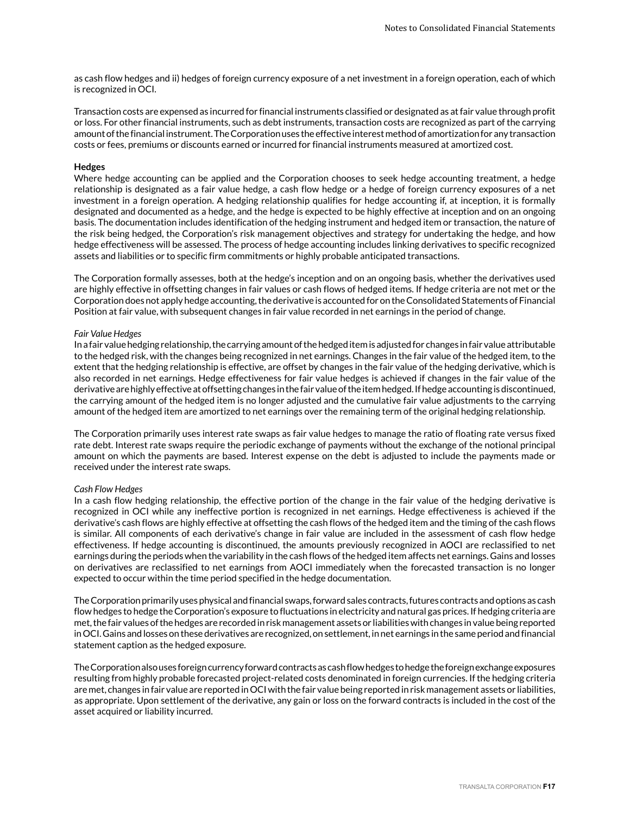as cash flow hedges and ii) hedges of foreign currency exposure of a net investment in a foreign operation, each of which is recognized in OCI.

Transaction costs are expensed as incurred for financial instruments classified or designated as at fair value through profit or loss. For other financial instruments, such as debt instruments, transaction costs are recognized as part of the carrying amount of the financial instrument. The Corporation uses the effective interest method of amortization for any transaction costs or fees, premiums or discounts earned or incurred for financial instruments measured at amortized cost.

#### **Hedges**

Where hedge accounting can be applied and the Corporation chooses to seek hedge accounting treatment, a hedge relationship is designated as a fair value hedge, a cash flow hedge or a hedge of foreign currency exposures of a net investment in a foreign operation. A hedging relationship qualifies for hedge accounting if, at inception, it is formally designated and documented as a hedge, and the hedge is expected to be highly effective at inception and on an ongoing basis. The documentation includes identification of the hedging instrument and hedged item or transaction, the nature of the risk being hedged, the Corporation's risk management objectives and strategy for undertaking the hedge, and how hedge effectiveness will be assessed. The process of hedge accounting includes linking derivatives to specific recognized assets and liabilities or to specific firm commitments or highly probable anticipated transactions.

The Corporation formally assesses, both at the hedge's inception and on an ongoing basis, whether the derivatives used are highly effective in offsetting changes in fair values or cash flows of hedged items. If hedge criteria are not met or the Corporation does not apply hedge accounting, the derivative is accounted for on the Consolidated Statements of Financial Position at fair value, with subsequent changes in fair value recorded in net earnings in the period of change.

#### *Fair Value Hedges*

In a fair value hedging relationship, the carrying amount of the hedged item is adjusted for changes in fair value attributable to the hedged risk, with the changes being recognized in net earnings. Changes in the fair value of the hedged item, to the extent that the hedging relationship is effective, are offset by changes in the fair value of the hedging derivative, which is also recorded in net earnings. Hedge effectiveness for fair value hedges is achieved if changes in the fair value of the derivative are highly effective at offsetting changes in the fair value of the item hedged. If hedge accounting is discontinued, the carrying amount of the hedged item is no longer adjusted and the cumulative fair value adjustments to the carrying amount of the hedged item are amortized to net earnings over the remaining term of the original hedging relationship.

The Corporation primarily uses interest rate swaps as fair value hedges to manage the ratio of floating rate versus fixed rate debt. Interest rate swaps require the periodic exchange of payments without the exchange of the notional principal amount on which the payments are based. Interest expense on the debt is adjusted to include the payments made or received under the interest rate swaps.

#### *Cash Flow Hedges*

In a cash flow hedging relationship, the effective portion of the change in the fair value of the hedging derivative is recognized in OCI while any ineffective portion is recognized in net earnings. Hedge effectiveness is achieved if the derivative's cash flows are highly effective at offsetting the cash flows of the hedged item and the timing of the cash flows is similar. All components of each derivative's change in fair value are included in the assessment of cash flow hedge effectiveness. If hedge accounting is discontinued, the amounts previously recognized in AOCI are reclassified to net earnings during the periods when the variability in the cash flows of the hedged item affects net earnings. Gains and losses on derivatives are reclassified to net earnings from AOCI immediately when the forecasted transaction is no longer expected to occur within the time period specified in the hedge documentation.

The Corporation primarily uses physical and financial swaps, forward sales contracts, futures contracts and options as cash flow hedges to hedge the Corporation's exposure to fluctuations in electricity and natural gas prices. If hedging criteria are met, the fair values of the hedges are recorded in risk management assets or liabilities with changes in value being reported in OCI. Gains and losses on these derivatives are recognized, on settlement, in net earnings in the same period and financial statement caption as the hedged exposure.

The Corporation also uses foreign currency forward contracts as cash flow hedges to hedge the foreign exchange exposures resulting from highly probable forecasted project-related costs denominated in foreign currencies. If the hedging criteria are met, changes in fair value are reported in OCI with the fair value being reported in risk management assets or liabilities, as appropriate. Upon settlement of the derivative, any gain or loss on the forward contracts is included in the cost of the asset acquired or liability incurred.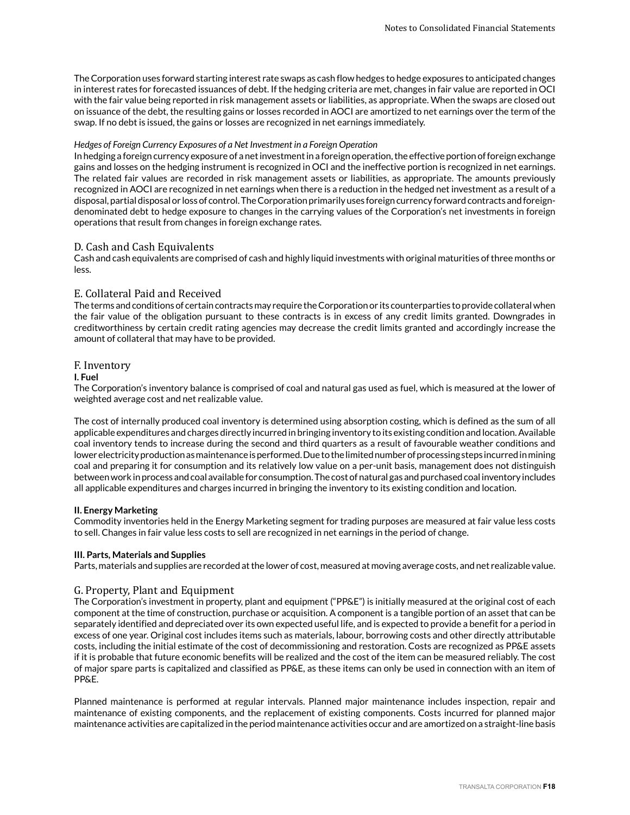The Corporation uses forward starting interest rate swaps as cash flow hedges to hedge exposures to anticipated changes in interest rates for forecasted issuances of debt. If the hedging criteria are met, changes in fair value are reported in OCI with the fair value being reported in risk management assets or liabilities, as appropriate. When the swaps are closed out on issuance of the debt, the resulting gains or losses recorded in AOCI are amortized to net earnings over the term of the swap. If no debt is issued, the gains or losses are recognized in net earnings immediately.

#### *Hedges of Foreign Currency Exposures of a Net Investment in a Foreign Operation*

In hedging a foreign currency exposure of a net investment in a foreign operation, the effective portion of foreign exchange gains and losses on the hedging instrument is recognized in OCI and the ineffective portion is recognized in net earnings. The related fair values are recorded in risk management assets or liabilities, as appropriate. The amounts previously recognized in AOCI are recognized in net earnings when there is a reduction in the hedged net investment as a result of a disposal, partial disposal or loss of control. The Corporation primarily uses foreign currency forward contracts and foreigndenominated debt to hedge exposure to changes in the carrying values of the Corporation's net investments in foreign operations that result from changes in foreign exchange rates.

#### D. Cash and Cash Equivalents

Cash and cash equivalents are comprised of cash and highly liquid investments with original maturities of three months or less.

### E. Collateral Paid and Received

The terms and conditions of certain contracts may require the Corporation or its counterparties to provide collateral when the fair value of the obligation pursuant to these contracts is in excess of any credit limits granted. Downgrades in creditworthiness by certain credit rating agencies may decrease the credit limits granted and accordingly increase the amount of collateral that may have to be provided.

### F. Inventory

#### **I. Fuel**

The Corporation's inventory balance is comprised of coal and natural gas used as fuel, which is measured at the lower of weighted average cost and net realizable value.

The cost of internally produced coal inventory is determined using absorption costing, which is defined as the sum of all applicable expenditures and charges directly incurred in bringing inventory to its existing condition and location. Available coal inventory tends to increase during the second and third quarters as a result of favourable weather conditions and lower electricity production as maintenance is performed. Due to the limited number of processing steps incurred in mining coal and preparing it for consumption and its relatively low value on a per-unit basis, management does not distinguish between work in process and coal available for consumption. The cost of natural gas and purchased coal inventory includes all applicable expenditures and charges incurred in bringing the inventory to its existing condition and location.

#### **II. Energy Marketing**

Commodity inventories held in the Energy Marketing segment for trading purposes are measured at fair value less costs to sell. Changes in fair value less costs to sell are recognized in net earnings in the period of change.

#### **III. Parts, Materials and Supplies**

Parts, materials and supplies are recorded at the lower of cost, measured at moving average costs, and net realizable value.

# G. Property, Plant and Equipment

The Corporation's investment in property, plant and equipment ("PP&E") is initially measured at the original cost of each component at the time of construction, purchase or acquisition. A component is a tangible portion of an asset that can be separately identified and depreciated over its own expected useful life, and is expected to provide a benefit for a period in excess of one year. Original cost includes items such as materials, labour, borrowing costs and other directly attributable costs, including the initial estimate of the cost of decommissioning and restoration. Costs are recognized as PP&E assets if it is probable that future economic benefits will be realized and the cost of the item can be measured reliably. The cost of major spare parts is capitalized and classified as PP&E, as these items can only be used in connection with an item of PP&E.

Planned maintenance is performed at regular intervals. Planned major maintenance includes inspection, repair and maintenance of existing components, and the replacement of existing components. Costs incurred for planned major maintenance activities are capitalized in the period maintenance activities occur and are amortized on a straight-line basis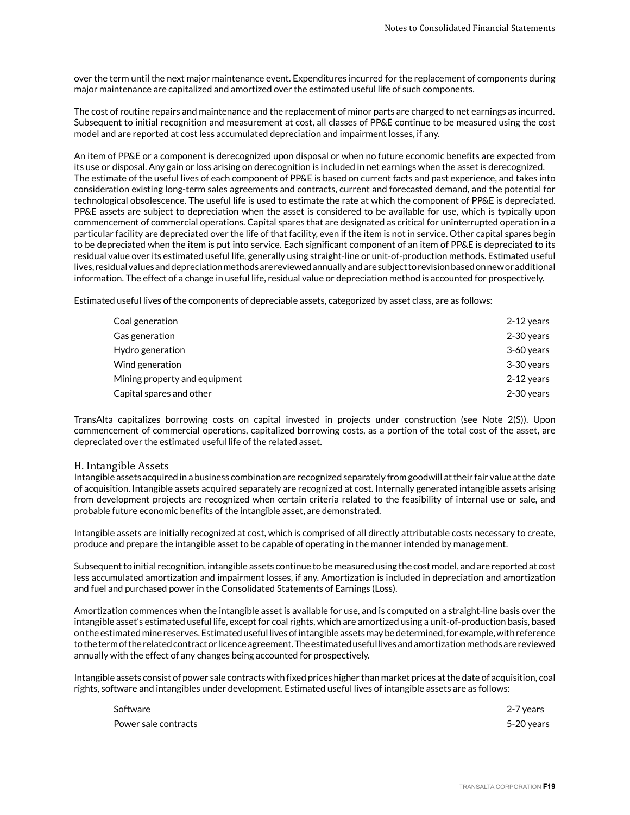over the term until the next major maintenance event. Expenditures incurred for the replacement of components during major maintenance are capitalized and amortized over the estimated useful life of such components.

The cost of routine repairs and maintenance and the replacement of minor parts are charged to net earnings as incurred. Subsequent to initial recognition and measurement at cost, all classes of PP&E continue to be measured using the cost model and are reported at cost less accumulated depreciation and impairment losses, if any.

An item of PP&E or a component is derecognized upon disposal or when no future economic benefits are expected from its use or disposal. Any gain or loss arising on derecognition is included in net earnings when the asset is derecognized. The estimate of the useful lives of each component of PP&E is based on current facts and past experience, and takes into consideration existing long-term sales agreements and contracts, current and forecasted demand, and the potential for technological obsolescence. The useful life is used to estimate the rate at which the component of PP&E is depreciated. PP&E assets are subject to depreciation when the asset is considered to be available for use, which is typically upon commencement of commercial operations. Capital spares that are designated as critical for uninterrupted operation in a particular facility are depreciated over the life of that facility, even if the item is not in service. Other capital spares begin to be depreciated when the item is put into service. Each significant component of an item of PP&E is depreciated to its residual value over its estimated useful life, generally using straight-line or unit-of-production methods. Estimated useful lives, residual values and depreciation methods are reviewed annually and are subject to revision based on new or additional information. The effect of a change in useful life, residual value or depreciation method is accounted for prospectively.

Estimated useful lives of the components of depreciable assets, categorized by asset class, are as follows:

| Coal generation               | 2-12 years |
|-------------------------------|------------|
| Gas generation                | 2-30 years |
| Hydro generation              | 3-60 years |
| Wind generation               | 3-30 years |
| Mining property and equipment | 2-12 years |
| Capital spares and other      | 2-30 years |

TransAlta capitalizes borrowing costs on capital invested in projects under construction (see Note 2(S)). Upon commencement of commercial operations, capitalized borrowing costs, as a portion of the total cost of the asset, are depreciated over the estimated useful life of the related asset.

#### H. Intangible Assets

Intangible assets acquired in a business combination are recognized separately from goodwill at their fair value at the date of acquisition. Intangible assets acquired separately are recognized at cost. Internally generated intangible assets arising from development projects are recognized when certain criteria related to the feasibility of internal use or sale, and probable future economic benefits of the intangible asset, are demonstrated.

Intangible assets are initially recognized at cost, which is comprised of all directly attributable costs necessary to create, produce and prepare the intangible asset to be capable of operating in the manner intended by management.

Subsequent to initial recognition, intangible assets continue to be measured using the cost model, and are reported at cost less accumulated amortization and impairment losses, if any. Amortization is included in depreciation and amortization and fuel and purchased power in the Consolidated Statements of Earnings (Loss).

Amortization commences when the intangible asset is available for use, and is computed on a straight-line basis over the intangible asset's estimated useful life, except for coal rights, which are amortized using a unit-of-production basis, based on the estimated mine reserves. Estimated useful lives of intangible assets may be determined, for example, with reference to the term of the related contract or licence agreement. The estimated useful lives and amortization methods are reviewed annually with the effect of any changes being accounted for prospectively.

Intangible assets consist of power sale contracts with fixed prices higher than market prices at the date of acquisition, coal rights, software and intangibles under development. Estimated useful lives of intangible assets are as follows:

| Software             | 2-7 years  |
|----------------------|------------|
| Power sale contracts | 5-20 years |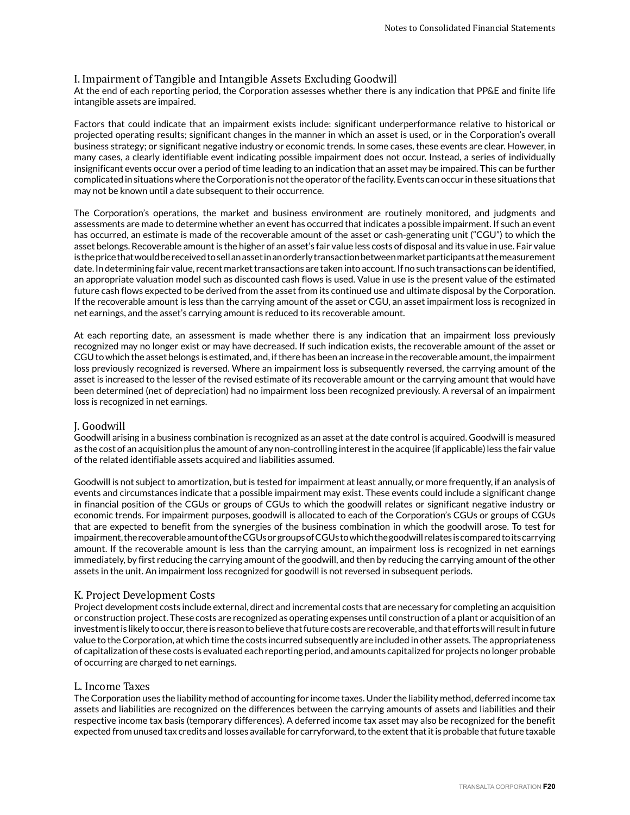# I. Impairment of Tangible and Intangible Assets Excluding Goodwill

At the end of each reporting period, the Corporation assesses whether there is any indication that PP&E and finite life intangible assets are impaired.

Factors that could indicate that an impairment exists include: significant underperformance relative to historical or projected operating results; significant changes in the manner in which an asset is used, or in the Corporation's overall business strategy; or significant negative industry or economic trends. In some cases, these events are clear. However, in many cases, a clearly identifiable event indicating possible impairment does not occur. Instead, a series of individually insignificant events occur over a period of time leading to an indication that an asset may be impaired. This can be further complicated in situations where the Corporation is not the operator of the facility. Events can occur in these situations that may not be known until a date subsequent to their occurrence.

The Corporation's operations, the market and business environment are routinely monitored, and judgments and assessments are made to determine whether an event has occurred that indicates a possible impairment. If such an event has occurred, an estimate is made of the recoverable amount of the asset or cash-generating unit ("CGU") to which the asset belongs. Recoverable amount is the higher of an asset's fair value less costs of disposal and its value in use. Fair value is the price that would be received to sell an asset in an orderly transaction between market participants at the measurement date. In determining fair value, recent market transactions are taken into account. If no such transactions can be identified, an appropriate valuation model such as discounted cash flows is used. Value in use is the present value of the estimated future cash flows expected to be derived from the asset from its continued use and ultimate disposal by the Corporation. If the recoverable amount is less than the carrying amount of the asset or CGU, an asset impairment loss is recognized in net earnings, and the asset's carrying amount is reduced to its recoverable amount.

At each reporting date, an assessment is made whether there is any indication that an impairment loss previously recognized may no longer exist or may have decreased. If such indication exists, the recoverable amount of the asset or CGU to which the asset belongs is estimated, and, if there has been an increase in the recoverable amount, the impairment loss previously recognized is reversed. Where an impairment loss is subsequently reversed, the carrying amount of the asset is increased to the lesser of the revised estimate of its recoverable amount or the carrying amount that would have been determined (net of depreciation) had no impairment loss been recognized previously. A reversal of an impairment loss is recognized in net earnings.

# J. Goodwill

Goodwill arising in a business combination is recognized as an asset at the date control is acquired. Goodwill is measured as the cost of an acquisition plus the amount of any non-controlling interest in the acquiree (if applicable) less the fair value of the related identifiable assets acquired and liabilities assumed.

Goodwill is not subject to amortization, but is tested for impairment at least annually, or more frequently, if an analysis of events and circumstances indicate that a possible impairment may exist. These events could include a significant change in financial position of the CGUs or groups of CGUs to which the goodwill relates or significant negative industry or economic trends. For impairment purposes, goodwill is allocated to each of the Corporation's CGUs or groups of CGUs that are expected to benefit from the synergies of the business combination in which the goodwill arose. To test for impairment, the recoverable amount of the CGUs or groups of CGUs to which the goodwill relates is compared to its carrying amount. If the recoverable amount is less than the carrying amount, an impairment loss is recognized in net earnings immediately, by first reducing the carrying amount of the goodwill, and then by reducing the carrying amount of the other assets in the unit. An impairment loss recognized for goodwill is not reversed in subsequent periods.

#### K. Project Development Costs

Project development costs include external, direct and incremental costs that are necessary for completing an acquisition or construction project. These costs are recognized as operating expenses until construction of a plant or acquisition of an investment is likely to occur, there is reason to believe that future costs are recoverable, and that efforts will result in future value to the Corporation, at which time the costs incurred subsequently are included in other assets. The appropriateness of capitalization of these costs is evaluated each reporting period, and amounts capitalized for projects no longer probable of occurring are charged to net earnings.

#### L. Income Taxes

The Corporation uses the liability method of accounting for income taxes. Under the liability method, deferred income tax assets and liabilities are recognized on the differences between the carrying amounts of assets and liabilities and their respective income tax basis (temporary differences). A deferred income tax asset may also be recognized for the benefit expected from unused tax credits and losses available for carryforward, to the extent that it is probable that future taxable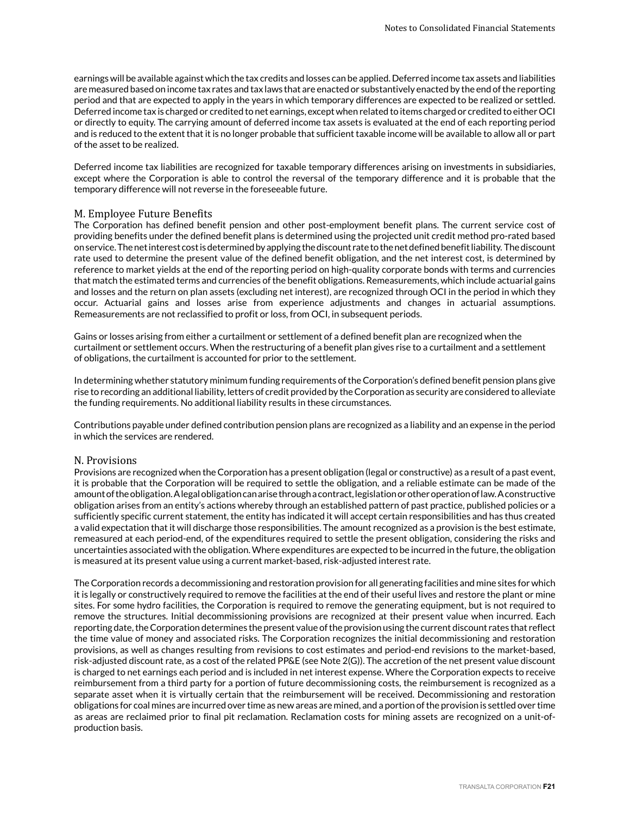earnings will be available against which the tax credits and losses can be applied. Deferred income tax assets and liabilities are measured based on income tax rates and tax laws that are enacted or substantively enacted by the end of the reporting period and that are expected to apply in the years in which temporary differences are expected to be realized or settled. Deferred income tax is charged or credited to net earnings, except when related to items charged or credited to either OCI or directly to equity. The carrying amount of deferred income tax assets is evaluated at the end of each reporting period and is reduced to the extent that it is no longer probable that sufficient taxable income will be available to allow all or part of the asset to be realized.

Deferred income tax liabilities are recognized for taxable temporary differences arising on investments in subsidiaries, except where the Corporation is able to control the reversal of the temporary difference and it is probable that the temporary difference will not reverse in the foreseeable future.

#### M. Employee Future Benefits

The Corporation has defined benefit pension and other post-employment benefit plans. The current service cost of providing benefits under the defined benefit plans is determined using the projected unit credit method pro-rated based on service. The net interest cost is determined by applying the discount rate to the net defined benefit liability. The discount rate used to determine the present value of the defined benefit obligation, and the net interest cost, is determined by reference to market yields at the end of the reporting period on high-quality corporate bonds with terms and currencies that match the estimated terms and currencies of the benefit obligations. Remeasurements, which include actuarial gains and losses and the return on plan assets (excluding net interest), are recognized through OCI in the period in which they occur. Actuarial gains and losses arise from experience adjustments and changes in actuarial assumptions. Remeasurements are not reclassified to profit or loss, from OCI, in subsequent periods.

Gains or losses arising from either a curtailment or settlement of a defined benefit plan are recognized when the curtailment or settlement occurs. When the restructuring of a benefit plan gives rise to a curtailment and a settlement of obligations, the curtailment is accounted for prior to the settlement.

In determining whether statutory minimum funding requirements of the Corporation's defined benefit pension plans give rise to recording an additional liability, letters of credit provided by the Corporation as security are considered to alleviate the funding requirements. No additional liability results in these circumstances.

Contributions payable under defined contribution pension plans are recognized as a liability and an expense in the period in which the services are rendered.

#### N. Provisions

Provisions are recognized when the Corporation has a present obligation (legal or constructive) as a result of a past event, it is probable that the Corporation will be required to settle the obligation, and a reliable estimate can be made of the amount of the obligation. A legal obligation can arise through a contract, legislation or other operation of law. A constructive obligation arises from an entity's actions whereby through an established pattern of past practice, published policies or a sufficiently specific current statement, the entity has indicated it will accept certain responsibilities and has thus created a valid expectation that it will discharge those responsibilities. The amount recognized as a provision is the best estimate, remeasured at each period-end, of the expenditures required to settle the present obligation, considering the risks and uncertainties associated with the obligation. Where expenditures are expected to be incurred in the future, the obligation is measured at its present value using a current market-based, risk-adjusted interest rate.

The Corporation records a decommissioning and restoration provision for all generating facilities and mine sites for which it is legally or constructively required to remove the facilities at the end of their useful lives and restore the plant or mine sites. For some hydro facilities, the Corporation is required to remove the generating equipment, but is not required to remove the structures. Initial decommissioning provisions are recognized at their present value when incurred. Each reporting date, the Corporation determines the present value of the provision using the current discount rates that reflect the time value of money and associated risks. The Corporation recognizes the initial decommissioning and restoration provisions, as well as changes resulting from revisions to cost estimates and period-end revisions to the market-based, risk-adjusted discount rate, as a cost of the related PP&E (see Note 2(G)). The accretion of the net present value discount is charged to net earnings each period and is included in net interest expense. Where the Corporation expects to receive reimbursement from a third party for a portion of future decommissioning costs, the reimbursement is recognized as a separate asset when it is virtually certain that the reimbursement will be received. Decommissioning and restoration obligations for coal mines are incurred over time as new areas are mined, and a portion of the provision is settled over time as areas are reclaimed prior to final pit reclamation. Reclamation costs for mining assets are recognized on a unit-ofproduction basis.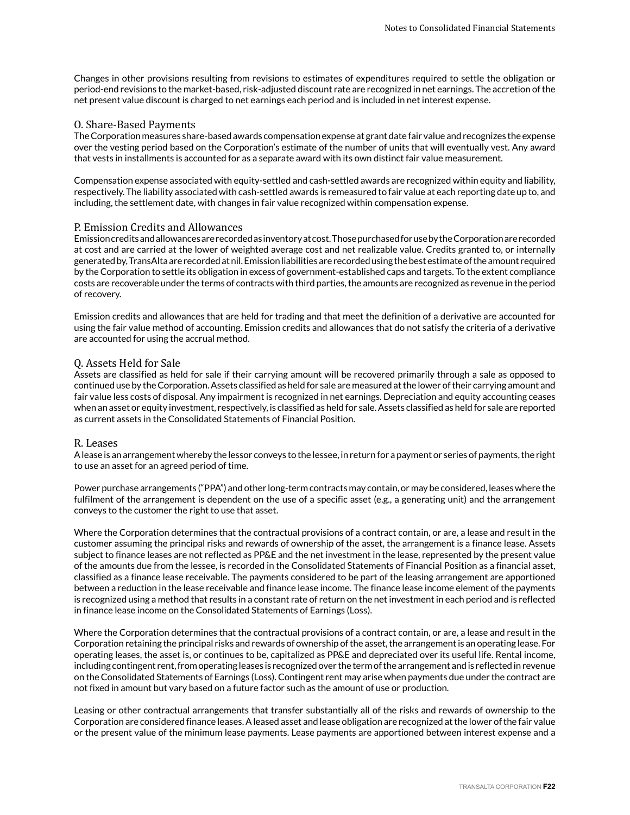Changes in other provisions resulting from revisions to estimates of expenditures required to settle the obligation or period-end revisions to the market-based, risk-adjusted discount rate are recognized in net earnings. The accretion of the net present value discount is charged to net earnings each period and is included in net interest expense.

#### O. Share-Based Payments

The Corporation measures share-based awards compensation expense at grant date fair value and recognizes the expense over the vesting period based on the Corporation's estimate of the number of units that will eventually vest. Any award that vests in installments is accounted for as a separate award with its own distinct fair value measurement.

Compensation expense associated with equity-settled and cash-settled awards are recognized within equity and liability, respectively. The liability associated with cash-settled awards is remeasured to fair value at each reporting date up to, and including, the settlement date, with changes in fair value recognized within compensation expense.

#### P. Emission Credits and Allowances

Emission credits and allowances are recorded as inventory at cost. Those purchased for use by the Corporation are recorded at cost and are carried at the lower of weighted average cost and net realizable value. Credits granted to, or internally generated by, TransAlta are recorded at nil. Emission liabilities are recorded using the best estimate of the amount required by the Corporation to settle its obligation in excess of government-established caps and targets. To the extent compliance costs are recoverable under the terms of contracts with third parties, the amounts are recognized as revenue in the period of recovery.

Emission credits and allowances that are held for trading and that meet the definition of a derivative are accounted for using the fair value method of accounting. Emission credits and allowances that do not satisfy the criteria of a derivative are accounted for using the accrual method.

#### Q. Assets Held for Sale

Assets are classified as held for sale if their carrying amount will be recovered primarily through a sale as opposed to continued use by the Corporation. Assets classified as held for sale are measured at the lower of their carrying amount and fair value less costs of disposal. Any impairment is recognized in net earnings. Depreciation and equity accounting ceases when an asset or equity investment, respectively, is classified as held for sale. Assets classified as held for sale are reported as current assets in the Consolidated Statements of Financial Position.

#### R. Leases

A lease is an arrangement whereby the lessor conveys to the lessee, in return for a payment or series of payments, the right to use an asset for an agreed period of time.

Power purchase arrangements ("PPA") and other long-term contracts may contain, or may be considered, leases where the fulfilment of the arrangement is dependent on the use of a specific asset (e.g., a generating unit) and the arrangement conveys to the customer the right to use that asset.

Where the Corporation determines that the contractual provisions of a contract contain, or are, a lease and result in the customer assuming the principal risks and rewards of ownership of the asset, the arrangement is a finance lease. Assets subject to finance leases are not reflected as PP&E and the net investment in the lease, represented by the present value of the amounts due from the lessee, is recorded in the Consolidated Statements of Financial Position as a financial asset, classified as a finance lease receivable. The payments considered to be part of the leasing arrangement are apportioned between a reduction in the lease receivable and finance lease income. The finance lease income element of the payments is recognized using a method that results in a constant rate of return on the net investment in each period and is reflected in finance lease income on the Consolidated Statements of Earnings (Loss).

Where the Corporation determines that the contractual provisions of a contract contain, or are, a lease and result in the Corporation retaining the principal risks and rewards of ownership of the asset, the arrangement is an operating lease. For operating leases, the asset is, or continues to be, capitalized as PP&E and depreciated over its useful life. Rental income, including contingent rent, from operating leases is recognized over the term of the arrangement and is reflected in revenue on the Consolidated Statements of Earnings (Loss). Contingent rent may arise when payments due under the contract are not fixed in amount but vary based on a future factor such as the amount of use or production.

Leasing or other contractual arrangements that transfer substantially all of the risks and rewards of ownership to the Corporation are considered finance leases. A leased asset and lease obligation are recognized at the lower of the fair value or the present value of the minimum lease payments. Lease payments are apportioned between interest expense and a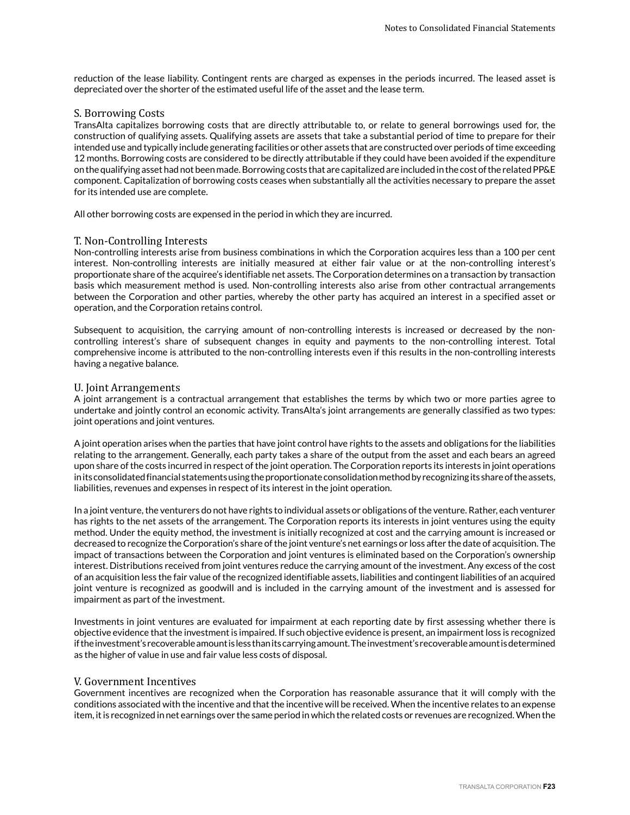reduction of the lease liability. Contingent rents are charged as expenses in the periods incurred. The leased asset is depreciated over the shorter of the estimated useful life of the asset and the lease term.

#### S. Borrowing Costs

TransAlta capitalizes borrowing costs that are directly attributable to, or relate to general borrowings used for, the construction of qualifying assets. Qualifying assets are assets that take a substantial period of time to prepare for their intended use and typically include generating facilities or other assets that are constructed over periods of time exceeding 12 months. Borrowing costs are considered to be directly attributable if they could have been avoided if the expenditure on the qualifying asset had not been made. Borrowing costs that are capitalized are included in the cost of the related PP&E component. Capitalization of borrowing costs ceases when substantially all the activities necessary to prepare the asset for its intended use are complete.

All other borrowing costs are expensed in the period in which they are incurred.

#### T. Non-Controlling Interests

Non-controlling interests arise from business combinations in which the Corporation acquires less than a 100 per cent interest. Non-controlling interests are initially measured at either fair value or at the non-controlling interest's proportionate share of the acquiree's identifiable net assets. The Corporation determines on a transaction by transaction basis which measurement method is used. Non-controlling interests also arise from other contractual arrangements between the Corporation and other parties, whereby the other party has acquired an interest in a specified asset or operation, and the Corporation retains control.

Subsequent to acquisition, the carrying amount of non-controlling interests is increased or decreased by the noncontrolling interest's share of subsequent changes in equity and payments to the non-controlling interest. Total comprehensive income is attributed to the non-controlling interests even if this results in the non-controlling interests having a negative balance.

#### U. Joint Arrangements

A joint arrangement is a contractual arrangement that establishes the terms by which two or more parties agree to undertake and jointly control an economic activity. TransAlta's joint arrangements are generally classified as two types: joint operations and joint ventures.

A joint operation arises when the parties that have joint control have rights to the assets and obligations for the liabilities relating to the arrangement. Generally, each party takes a share of the output from the asset and each bears an agreed upon share of the costs incurred in respect of the joint operation. The Corporation reports its interests in joint operations in its consolidated financial statements using the proportionate consolidation method by recognizing its share of the assets, liabilities, revenues and expenses in respect of its interest in the joint operation.

In a joint venture, the venturers do not have rights to individual assets or obligations of the venture. Rather, each venturer has rights to the net assets of the arrangement. The Corporation reports its interests in joint ventures using the equity method. Under the equity method, the investment is initially recognized at cost and the carrying amount is increased or decreased to recognize the Corporation's share of the joint venture's net earnings or loss after the date of acquisition. The impact of transactions between the Corporation and joint ventures is eliminated based on the Corporation's ownership interest. Distributions received from joint ventures reduce the carrying amount of the investment. Any excess of the cost of an acquisition less the fair value of the recognized identifiable assets, liabilities and contingent liabilities of an acquired joint venture is recognized as goodwill and is included in the carrying amount of the investment and is assessed for impairment as part of the investment.

Investments in joint ventures are evaluated for impairment at each reporting date by first assessing whether there is objective evidence that the investment is impaired. If such objective evidence is present, an impairment loss is recognized if the investment's recoverable amount is less than its carrying amount. The investment's recoverable amount is determined as the higher of value in use and fair value less costs of disposal.

#### V. Government Incentives

Government incentives are recognized when the Corporation has reasonable assurance that it will comply with the conditions associated with the incentive and that the incentive will be received. When the incentive relates to an expense item, it is recognized in net earnings over the same period in which the related costs or revenues are recognized. When the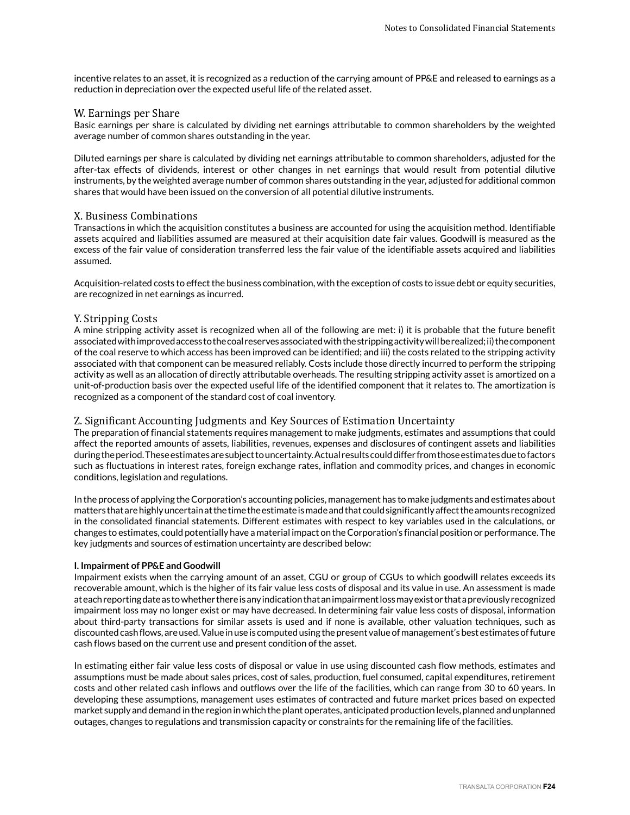incentive relates to an asset, it is recognized as a reduction of the carrying amount of PP&E and released to earnings as a reduction in depreciation over the expected useful life of the related asset.

#### W. Earnings per Share

Basic earnings per share is calculated by dividing net earnings attributable to common shareholders by the weighted average number of common shares outstanding in the year.

Diluted earnings per share is calculated by dividing net earnings attributable to common shareholders, adjusted for the after-tax effects of dividends, interest or other changes in net earnings that would result from potential dilutive instruments, by the weighted average number of common shares outstanding in the year, adjusted for additional common shares that would have been issued on the conversion of all potential dilutive instruments.

### X. Business Combinations

Transactions in which the acquisition constitutes a business are accounted for using the acquisition method. Identifiable assets acquired and liabilities assumed are measured at their acquisition date fair values. Goodwill is measured as the excess of the fair value of consideration transferred less the fair value of the identifiable assets acquired and liabilities assumed.

Acquisition-related costs to effect the business combination, with the exception of costs to issue debt or equity securities, are recognized in net earnings as incurred.

### Y. Stripping Costs

A mine stripping activity asset is recognized when all of the following are met: i) it is probable that the future benefit associated with improved access to the coal reserves associated with the stripping activity will be realized; ii) the component of the coal reserve to which access has been improved can be identified; and iii) the costs related to the stripping activity associated with that component can be measured reliably. Costs include those directly incurred to perform the stripping activity as well as an allocation of directly attributable overheads. The resulting stripping activity asset is amortized on a unit-of-production basis over the expected useful life of the identified component that it relates to. The amortization is recognized as a component of the standard cost of coal inventory.

# Z. Significant Accounting Judgments and Key Sources of Estimation Uncertainty

The preparation of financial statements requires management to make judgments, estimates and assumptions that could affect the reported amounts of assets, liabilities, revenues, expenses and disclosures of contingent assets and liabilities during the period. These estimates are subject to uncertainty. Actual results could differ from those estimates due to factors such as fluctuations in interest rates, foreign exchange rates, inflation and commodity prices, and changes in economic conditions, legislation and regulations.

In the process of applying the Corporation's accounting policies, management has to make judgments and estimates about matters that are highly uncertain at the time the estimate is made and that could significantly affect the amounts recognized in the consolidated financial statements. Different estimates with respect to key variables used in the calculations, or changes to estimates, could potentially have a material impact on the Corporation's financial position or performance. The key judgments and sources of estimation uncertainty are described below:

#### **I. Impairment of PP&E and Goodwill**

Impairment exists when the carrying amount of an asset, CGU or group of CGUs to which goodwill relates exceeds its recoverable amount, which is the higher of its fair value less costs of disposal and its value in use. An assessment is made at each reporting date as to whether there is any indication that an impairment loss may exist or that a previously recognized impairment loss may no longer exist or may have decreased. In determining fair value less costs of disposal, information about third-party transactions for similar assets is used and if none is available, other valuation techniques, such as discounted cash flows, are used. Value in use is computed using the present value of management's best estimates of future cash flows based on the current use and present condition of the asset.

In estimating either fair value less costs of disposal or value in use using discounted cash flow methods, estimates and assumptions must be made about sales prices, cost of sales, production, fuel consumed, capital expenditures, retirement costs and other related cash inflows and outflows over the life of the facilities, which can range from 30 to 60 years. In developing these assumptions, management uses estimates of contracted and future market prices based on expected market supply and demand in the region in which the plant operates, anticipated production levels, planned and unplanned outages, changes to regulations and transmission capacity or constraints for the remaining life of the facilities.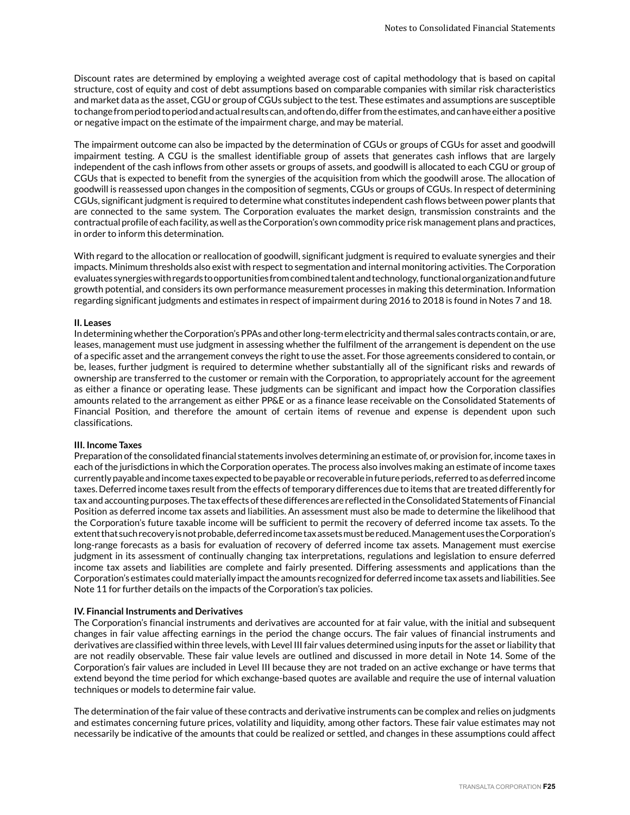Discount rates are determined by employing a weighted average cost of capital methodology that is based on capital structure, cost of equity and cost of debt assumptions based on comparable companies with similar risk characteristics and market data as the asset, CGU or group of CGUs subject to the test. These estimates and assumptions are susceptible to change from period to period and actual results can, and often do, differ from the estimates, and can have either a positive or negative impact on the estimate of the impairment charge, and may be material.

The impairment outcome can also be impacted by the determination of CGUs or groups of CGUs for asset and goodwill impairment testing. A CGU is the smallest identifiable group of assets that generates cash inflows that are largely independent of the cash inflows from other assets or groups of assets, and goodwill is allocated to each CGU or group of CGUs that is expected to benefit from the synergies of the acquisition from which the goodwill arose. The allocation of goodwill is reassessed upon changes in the composition of segments, CGUs or groups of CGUs. In respect of determining CGUs, significant judgment is required to determine what constitutes independent cash flows between power plants that are connected to the same system. The Corporation evaluates the market design, transmission constraints and the contractual profile of each facility, as well as the Corporation's own commodity price risk management plans and practices, in order to inform this determination.

With regard to the allocation or reallocation of goodwill, significant judgment is required to evaluate synergies and their impacts. Minimum thresholds also exist with respect to segmentation and internal monitoring activities. The Corporation evaluates synergies with regards to opportunities from combined talent and technology, functional organization and future growth potential, and considers its own performance measurement processes in making this determination. Information regarding significant judgments and estimates in respect of impairment during 2016 to 2018 is found in Notes 7 and 18.

#### **II. Leases**

In determining whether the Corporation's PPAs and other long-term electricity and thermal sales contracts contain, or are, leases, management must use judgment in assessing whether the fulfilment of the arrangement is dependent on the use of a specific asset and the arrangement conveys the right to use the asset. For those agreements considered to contain, or be, leases, further judgment is required to determine whether substantially all of the significant risks and rewards of ownership are transferred to the customer or remain with the Corporation, to appropriately account for the agreement as either a finance or operating lease. These judgments can be significant and impact how the Corporation classifies amounts related to the arrangement as either PP&E or as a finance lease receivable on the Consolidated Statements of Financial Position, and therefore the amount of certain items of revenue and expense is dependent upon such classifications.

#### **III. Income Taxes**

Preparation of the consolidated financial statements involves determining an estimate of, or provision for, income taxes in each of the jurisdictions in which the Corporation operates. The process also involves making an estimate of income taxes currently payable and income taxes expected to be payable or recoverable in future periods, referred to as deferred income taxes. Deferred income taxes result from the effects of temporary differences due to items that are treated differently for tax and accounting purposes. The tax effects of these differences are reflected in the Consolidated Statements of Financial Position as deferred income tax assets and liabilities. An assessment must also be made to determine the likelihood that the Corporation's future taxable income will be sufficient to permit the recovery of deferred income tax assets. To the extent that such recovery is not probable, deferred income tax assets must be reduced. Management uses the Corporation's long-range forecasts as a basis for evaluation of recovery of deferred income tax assets. Management must exercise judgment in its assessment of continually changing tax interpretations, regulations and legislation to ensure deferred income tax assets and liabilities are complete and fairly presented. Differing assessments and applications than the Corporation's estimates could materially impact the amounts recognized for deferred income tax assets and liabilities. See Note 11 for further details on the impacts of the Corporation's tax policies.

#### **IV. Financial Instruments and Derivatives**

The Corporation's financial instruments and derivatives are accounted for at fair value, with the initial and subsequent changes in fair value affecting earnings in the period the change occurs. The fair values of financial instruments and derivatives are classified within three levels, with Level III fair values determined using inputs for the asset or liability that are not readily observable. These fair value levels are outlined and discussed in more detail in Note 14. Some of the Corporation's fair values are included in Level III because they are not traded on an active exchange or have terms that extend beyond the time period for which exchange-based quotes are available and require the use of internal valuation techniques or models to determine fair value.

The determination of the fair value of these contracts and derivative instruments can be complex and relies on judgments and estimates concerning future prices, volatility and liquidity, among other factors. These fair value estimates may not necessarily be indicative of the amounts that could be realized or settled, and changes in these assumptions could affect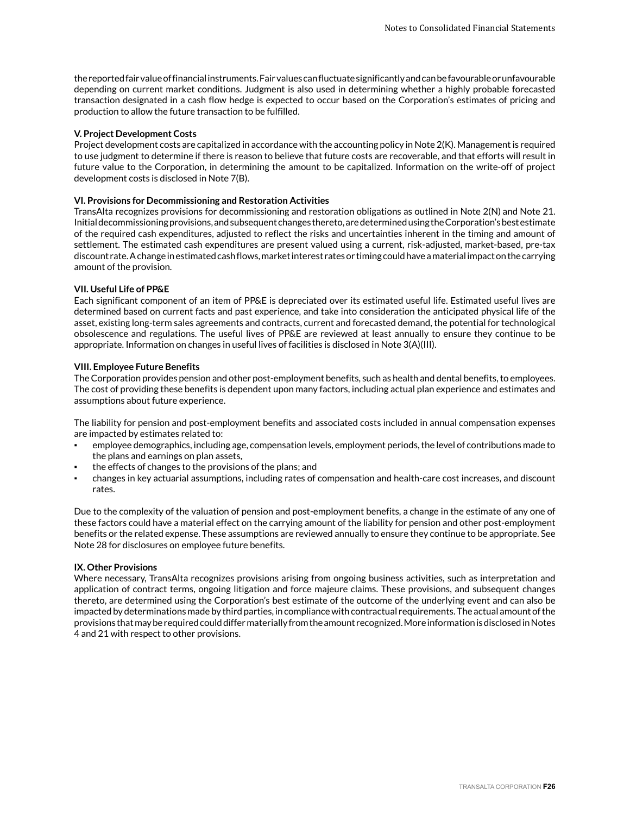the reported fair value of financial instruments. Fair values can fluctuate significantly and can be favourable or unfavourable depending on current market conditions. Judgment is also used in determining whether a highly probable forecasted transaction designated in a cash flow hedge is expected to occur based on the Corporation's estimates of pricing and production to allow the future transaction to be fulfilled.

#### **V. Project Development Costs**

Project development costs are capitalized in accordance with the accounting policy in Note 2(K). Management is required to use judgment to determine if there is reason to believe that future costs are recoverable, and that efforts will result in future value to the Corporation, in determining the amount to be capitalized. Information on the write-off of project development costs is disclosed in Note 7(B).

#### **VI. Provisions for Decommissioning and Restoration Activities**

TransAlta recognizes provisions for decommissioning and restoration obligations as outlined in Note 2(N) and Note 21. Initial decommissioning provisions, and subsequent changes thereto, are determined using the Corporation's best estimate of the required cash expenditures, adjusted to reflect the risks and uncertainties inherent in the timing and amount of settlement. The estimated cash expenditures are present valued using a current, risk-adjusted, market-based, pre-tax discount rate. A change in estimated cash flows, market interest rates or timing could have a material impact on the carrying amount of the provision.

#### **VII. Useful Life of PP&E**

Each significant component of an item of PP&E is depreciated over its estimated useful life. Estimated useful lives are determined based on current facts and past experience, and take into consideration the anticipated physical life of the asset, existing long-term sales agreements and contracts, current and forecasted demand, the potential for technological obsolescence and regulations. The useful lives of PP&E are reviewed at least annually to ensure they continue to be appropriate. Information on changes in useful lives of facilities is disclosed in Note 3(A)(III).

#### **VIII. Employee Future Benefits**

The Corporation provides pension and other post-employment benefits, such as health and dental benefits, to employees. The cost of providing these benefits is dependent upon many factors, including actual plan experience and estimates and assumptions about future experience.

The liability for pension and post-employment benefits and associated costs included in annual compensation expenses are impacted by estimates related to:

- employee demographics, including age, compensation levels, employment periods, the level of contributions made to the plans and earnings on plan assets,
- the effects of changes to the provisions of the plans; and
- changes in key actuarial assumptions, including rates of compensation and health-care cost increases, and discount rates.

Due to the complexity of the valuation of pension and post-employment benefits, a change in the estimate of any one of these factors could have a material effect on the carrying amount of the liability for pension and other post-employment benefits or the related expense. These assumptions are reviewed annually to ensure they continue to be appropriate. See Note 28 for disclosures on employee future benefits.

#### **IX. Other Provisions**

Where necessary, TransAlta recognizes provisions arising from ongoing business activities, such as interpretation and application of contract terms, ongoing litigation and force majeure claims. These provisions, and subsequent changes thereto, are determined using the Corporation's best estimate of the outcome of the underlying event and can also be impacted by determinations made by third parties, in compliance with contractual requirements. The actual amount of the provisions that may be required could differ materially from the amount recognized. More information is disclosed in Notes 4 and 21 with respect to other provisions.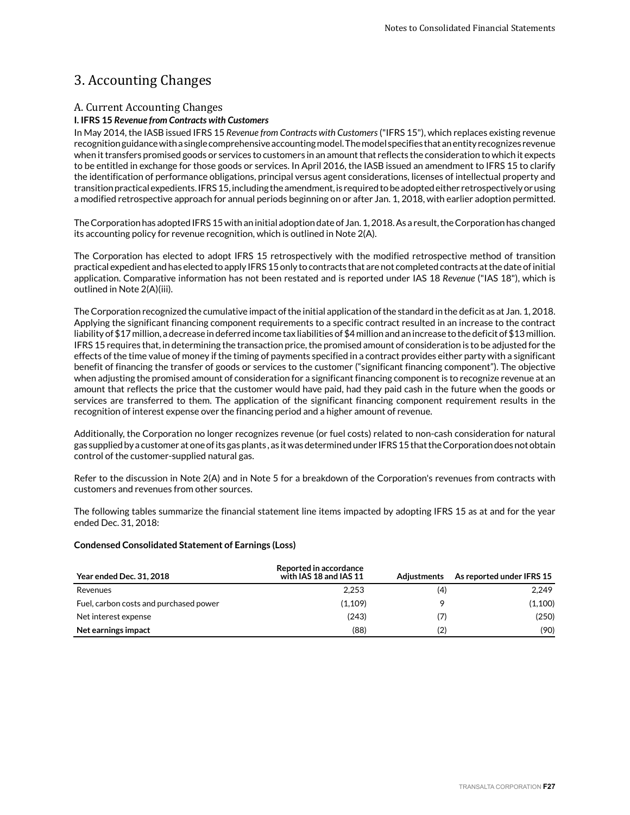# 3. Accounting Changes

# A. Current Accounting Changes

### **I. IFRS 15** *Revenue from Contracts with Customers*

In May 2014, the IASB issued IFRS 15 *Revenue from Contracts with Customers* ("IFRS 15"), which replaces existing revenue recognition guidance with a single comprehensive accounting model. The model specifies that an entity recognizes revenue when it transfers promised goods or services to customers in an amount that reflects the consideration to which it expects to be entitled in exchange for those goods or services. In April 2016, the IASB issued an amendment to IFRS 15 to clarify the identification of performance obligations, principal versus agent considerations, licenses of intellectual property and transition practical expedients. IFRS 15, including the amendment, is required to be adopted either retrospectively or using a modified retrospective approach for annual periods beginning on or after Jan. 1, 2018, with earlier adoption permitted.

The Corporation has adopted IFRS 15 with an initial adoption date of Jan. 1, 2018. As a result, the Corporation has changed its accounting policy for revenue recognition, which is outlined in Note 2(A).

The Corporation has elected to adopt IFRS 15 retrospectively with the modified retrospective method of transition practical expedient and has elected to apply IFRS 15 only to contracts that are not completed contracts at the date of initial application. Comparative information has not been restated and is reported under IAS 18 *Revenue* ("IAS 18"), which is outlined in Note 2(A)(iii).

The Corporation recognized the cumulative impact of the initial application of the standard in the deficit as at Jan. 1, 2018. Applying the significant financing component requirements to a specific contract resulted in an increase to the contract liability of \$17 million, a decrease in deferred income tax liabilities of \$4 million and an increase to the deficit of \$13 million. IFRS 15 requires that, in determining the transaction price, the promised amount of consideration is to be adjusted for the effects of the time value of money if the timing of payments specified in a contract provides either party with a significant benefit of financing the transfer of goods or services to the customer ("significant financing component"). The objective when adjusting the promised amount of consideration for a significant financing component is to recognize revenue at an amount that reflects the price that the customer would have paid, had they paid cash in the future when the goods or services are transferred to them. The application of the significant financing component requirement results in the recognition of interest expense over the financing period and a higher amount of revenue.

Additionally, the Corporation no longer recognizes revenue (or fuel costs) related to non-cash consideration for natural gas supplied by a customer at one of its gas plants , as it was determined under IFRS 15 that the Corporation does not obtain control of the customer-supplied natural gas.

Refer to the discussion in Note 2(A) and in Note 5 for a breakdown of the Corporation's revenues from contracts with customers and revenues from other sources.

The following tables summarize the financial statement line items impacted by adopting IFRS 15 as at and for the year ended Dec. 31, 2018:

#### **Condensed Consolidated Statement of Earnings (Loss)**

| <b>Year ended Dec. 31, 2018</b>        | Reported in accordance<br>with IAS 18 and IAS 11 | <b>Adiustments</b> | As reported under IFRS 15 |
|----------------------------------------|--------------------------------------------------|--------------------|---------------------------|
| Revenues                               | 2.253                                            | (4)                | 2.249                     |
| Fuel, carbon costs and purchased power | (1,109)                                          |                    | (1,100)                   |
| Net interest expense                   | (243)                                            | (7)                | (250)                     |
| Net earnings impact                    | (88)                                             | (2)                | (90)                      |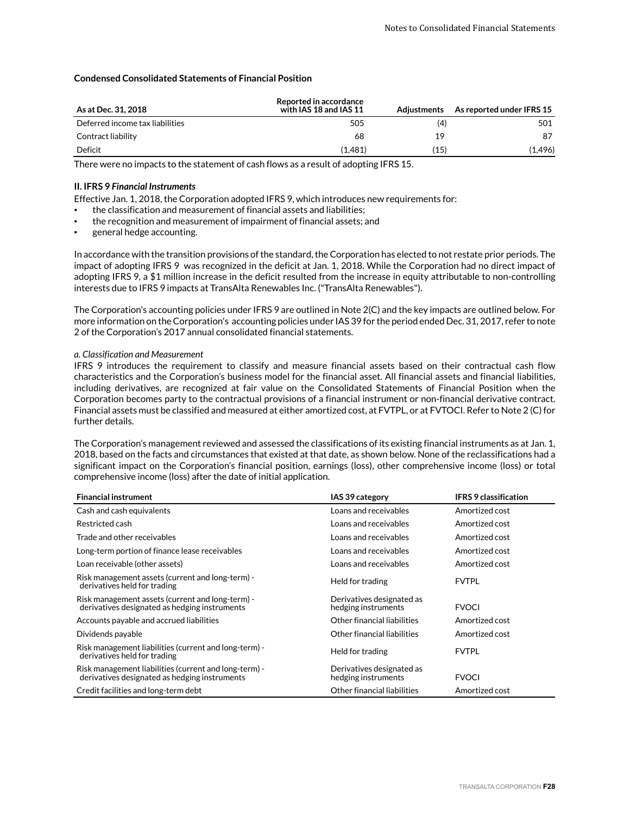#### **Condensed Consolidated Statements of Financial Position**

| As at Dec. 31, 2018             | <b>Reported in accordance</b><br>with IAS 18 and IAS 11 | Adiustments | As reported under IFRS 15 |
|---------------------------------|---------------------------------------------------------|-------------|---------------------------|
| Deferred income tax liabilities | 505                                                     | (4)         | 501                       |
| Contract liability              | 68                                                      | 19          | 87                        |
| Deficit                         | (1.481)                                                 | (15)        | (1,496)                   |

There were no impacts to the statement of cash flows as a result of adopting IFRS 15.

#### **II. IFRS 9** *Financial Instruments*

Effective Jan. 1, 2018, the Corporation adopted IFRS 9, which introduces new requirements for:

- the classification and measurement of financial assets and liabilities;
- the recognition and measurement of impairment of financial assets; and
- general hedge accounting.

In accordance with the transition provisions of the standard, the Corporation has elected to not restate prior periods. The impact of adopting IFRS 9 was recognized in the deficit at Jan. 1, 2018. While the Corporation had no direct impact of adopting IFRS 9, a \$1 million increase in the deficit resulted from the increase in equity attributable to non-controlling interests due to IFRS 9 impacts at TransAlta Renewables Inc. ("TransAlta Renewables").

The Corporation's accounting policies under IFRS 9 are outlined in Note 2(C) and the key impacts are outlined below. For more information on the Corporation's accounting policies under IAS 39 for the period ended Dec. 31, 2017, refer to note 2 of the Corporation's 2017 annual consolidated financial statements.

#### *a. Classification and Measurement*

IFRS 9 introduces the requirement to classify and measure financial assets based on their contractual cash flow characteristics and the Corporation's business model for the financial asset. All financial assets and financial liabilities, including derivatives, are recognized at fair value on the Consolidated Statements of Financial Position when the Corporation becomes party to the contractual provisions of a financial instrument or non-financial derivative contract. Financial assets must be classified and measured at either amortized cost, at FVTPL, or at FVTOCI. Refer to Note 2 (C) for further details.

The Corporation's management reviewed and assessed the classifications of its existing financial instruments as at Jan. 1, 2018, based on the facts and circumstances that existed at that date, as shown below. None of the reclassifications had a significant impact on the Corporation's financial position, earnings (loss), other comprehensive income (loss) or total comprehensive income (loss) after the date of initial application.

| <b>Financial instrument</b>                                                                            | IAS 39 category                                  | <b>IFRS 9 classification</b> |
|--------------------------------------------------------------------------------------------------------|--------------------------------------------------|------------------------------|
| Cash and cash equivalents                                                                              | Loans and receivables                            | Amortized cost               |
| Restricted cash                                                                                        | Loans and receivables                            | Amortized cost               |
| Trade and other receivables                                                                            | Loans and receivables                            | Amortized cost               |
| Long-term portion of finance lease receivables                                                         | Loans and receivables                            | Amortized cost               |
| Loan receivable (other assets)                                                                         | Loans and receivables                            | Amortized cost               |
| Risk management assets (current and long-term) -<br>derivatives held for trading                       | Held for trading                                 | <b>FVTPL</b>                 |
| Risk management assets (current and long-term) -<br>derivatives designated as hedging instruments      | Derivatives designated as<br>hedging instruments | <b>FVOCI</b>                 |
| Accounts payable and accrued liabilities                                                               | Other financial liabilities                      | Amortized cost               |
| Dividends payable                                                                                      | Other financial liabilities                      | Amortized cost               |
| Risk management liabilities (current and long-term) -<br>derivatives held for trading                  | Held for trading                                 | <b>FVTPL</b>                 |
| Risk management liabilities (current and long-term) -<br>derivatives designated as hedging instruments | Derivatives designated as<br>hedging instruments | <b>FVOCI</b>                 |
| Credit facilities and long-term debt                                                                   | Other financial liabilities                      | Amortized cost               |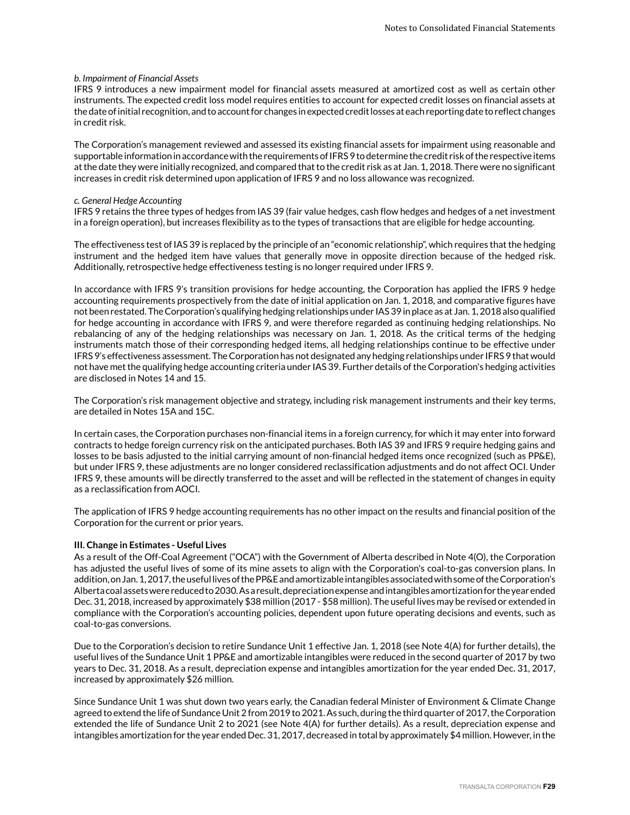#### *b. Impairment of Financial Assets*

IFRS 9 introduces a new impairment model for financial assets measured at amortized cost as well as certain other instruments. The expected credit loss model requires entities to account for expected credit losses on financial assets at the date of initial recognition, and to account for changes in expected credit losses at each reporting date to reflect changes in credit risk.

The Corporation's management reviewed and assessed its existing financial assets for impairment using reasonable and supportable information in accordance with the requirements of IFRS 9 to determine the credit risk of the respective items at the date they were initially recognized, and compared that to the credit risk as at Jan. 1, 2018. There were no significant increases in credit risk determined upon application of IFRS 9 and no loss allowance was recognized.

#### *c. General Hedge Accounting*

IFRS 9 retains the three types of hedges from IAS 39 (fair value hedges, cash flow hedges and hedges of a net investment in a foreign operation), but increases flexibility as to the types of transactions that are eligible for hedge accounting.

The effectiveness test of IAS 39 is replaced by the principle of an "economic relationship", which requires that the hedging instrument and the hedged item have values that generally move in opposite direction because of the hedged risk. Additionally, retrospective hedge effectiveness testing is no longer required under IFRS 9.

In accordance with IFRS 9's transition provisions for hedge accounting, the Corporation has applied the IFRS 9 hedge accounting requirements prospectively from the date of initial application on Jan. 1, 2018, and comparative figures have not been restated. The Corporation's qualifying hedging relationships under IAS 39 in place as at Jan. 1, 2018 also qualified for hedge accounting in accordance with IFRS 9, and were therefore regarded as continuing hedging relationships. No rebalancing of any of the hedging relationships was necessary on Jan. 1, 2018. As the critical terms of the hedging instruments match those of their corresponding hedged items, all hedging relationships continue to be effective under IFRS 9's effectiveness assessment. The Corporation has not designated any hedging relationships under IFRS 9 that would not have met the qualifying hedge accounting criteria under IAS 39. Further details of the Corporation's hedging activities are disclosed in Notes 14 and 15.

The Corporation's risk management objective and strategy, including risk management instruments and their key terms, are detailed in Notes 15A and 15C.

In certain cases, the Corporation purchases non-financial items in a foreign currency, for which it may enter into forward contracts to hedge foreign currency risk on the anticipated purchases. Both IAS 39 and IFRS 9 require hedging gains and losses to be basis adjusted to the initial carrying amount of non-financial hedged items once recognized (such as PP&E), but under IFRS 9, these adjustments are no longer considered reclassification adjustments and do not affect OCI. Under IFRS 9, these amounts will be directly transferred to the asset and will be reflected in the statement of changes in equity as a reclassification from AOCI.

The application of IFRS 9 hedge accounting requirements has no other impact on the results and financial position of the Corporation for the current or prior years.

#### **III. Change in Estimates - Useful Lives**

As a result of the Off-Coal Agreement ("OCA") with the Government of Alberta described in Note 4(O), the Corporation has adjusted the useful lives of some of its mine assets to align with the Corporation's coal-to-gas conversion plans. In addition, on Jan. 1, 2017, the useful lives of the PP&E and amortizable intangibles associated with some of the Corporation's Alberta coal assets were reduced to 2030. As a result, depreciation expense and intangibles amortization for the year ended Dec. 31, 2018, increased by approximately \$38 million (2017 - \$58 million). The useful lives may be revised or extended in compliance with the Corporation's accounting policies, dependent upon future operating decisions and events, such as coal-to-gas conversions.

Due to the Corporation's decision to retire Sundance Unit 1 effective Jan. 1, 2018 (see Note 4(A) for further details), the useful lives of the Sundance Unit 1 PP&E and amortizable intangibles were reduced in the second quarter of 2017 by two years to Dec. 31, 2018. As a result, depreciation expense and intangibles amortization for the year ended Dec. 31, 2017, increased by approximately \$26 million.

Since Sundance Unit 1 was shut down two years early, the Canadian federal Minister of Environment & Climate Change agreed to extend the life of Sundance Unit 2 from 2019 to 2021. As such, during the third quarter of 2017, the Corporation extended the life of Sundance Unit 2 to 2021 (see Note 4(A) for further details). As a result, depreciation expense and intangibles amortization for the year ended Dec. 31, 2017, decreased in total by approximately \$4 million. However, in the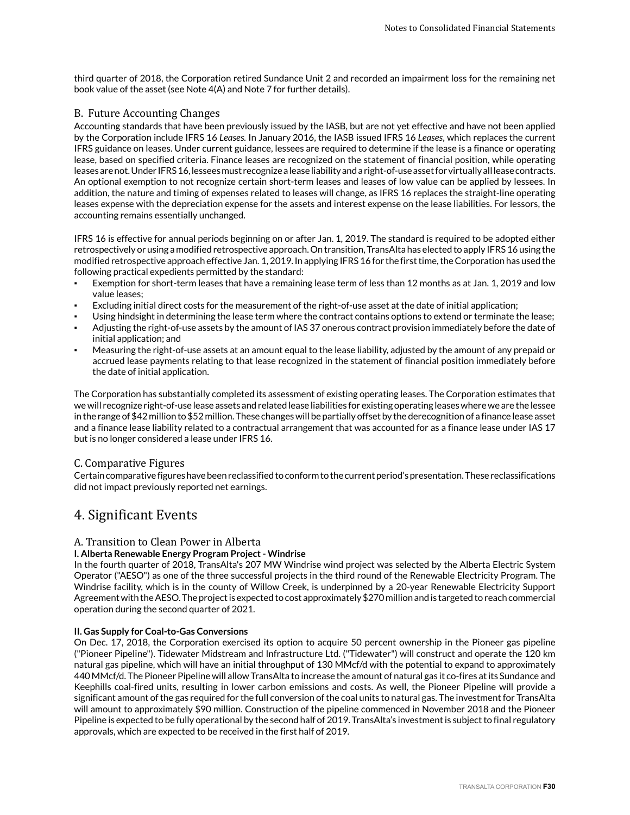third quarter of 2018, the Corporation retired Sundance Unit 2 and recorded an impairment loss for the remaining net book value of the asset (see Note 4(A) and Note 7 for further details).

# B. Future Accounting Changes

Accounting standards that have been previously issued by the IASB, but are not yet effective and have not been applied by the Corporation include IFRS 16 *Leases.* In January 2016, the IASB issued IFRS 16 *Leases*, which replaces the current IFRS guidance on leases. Under current guidance, lessees are required to determine if the lease is a finance or operating lease, based on specified criteria. Finance leases are recognized on the statement of financial position, while operating leases are not. Under IFRS 16, lessees must recognize a lease liability and a right-of-use asset for virtually all lease contracts. An optional exemption to not recognize certain short-term leases and leases of low value can be applied by lessees. In addition, the nature and timing of expenses related to leases will change, as IFRS 16 replaces the straight-line operating leases expense with the depreciation expense for the assets and interest expense on the lease liabilities. For lessors, the accounting remains essentially unchanged.

IFRS 16 is effective for annual periods beginning on or after Jan. 1, 2019. The standard is required to be adopted either retrospectively or using a modified retrospective approach. On transition, TransAlta has elected to apply IFRS 16 using the modified retrospective approach effective Jan. 1, 2019. In applying IFRS 16 for the first time, the Corporation has used the following practical expedients permitted by the standard:

- Exemption for short-term leases that have a remaining lease term of less than 12 months as at Jan. 1, 2019 and low value leases;
- Excluding initial direct costs for the measurement of the right-of-use asset at the date of initial application;
- Using hindsight in determining the lease term where the contract contains options to extend or terminate the lease;
- Adjusting the right-of-use assets by the amount of IAS 37 onerous contract provision immediately before the date of initial application; and
- Measuring the right-of-use assets at an amount equal to the lease liability, adjusted by the amount of any prepaid or accrued lease payments relating to that lease recognized in the statement of financial position immediately before the date of initial application.

The Corporation has substantially completed its assessment of existing operating leases. The Corporation estimates that we will recognize right-of-use lease assets and related lease liabilities for existing operating leases where we are the lessee in the range of \$42 million to \$52 million. These changes will be partially offset by the derecognition of a finance lease asset and a finance lease liability related to a contractual arrangement that was accounted for as a finance lease under IAS 17 but is no longer considered a lease under IFRS 16.

# C. Comparative Figures

Certain comparative figures have been reclassified to conform to the current period's presentation. These reclassifications did not impact previously reported net earnings.

# 4. Significant Events

# A. Transition to Clean Power in Alberta

#### **I. Alberta Renewable Energy Program Project - Windrise**

In the fourth quarter of 2018, TransAlta's 207 MW Windrise wind project was selected by the Alberta Electric System Operator ("AESO") as one of the three successful projects in the third round of the Renewable Electricity Program. The Windrise facility, which is in the county of Willow Creek, is underpinned by a 20-year Renewable Electricity Support Agreement with the AESO. The project is expected to cost approximately \$270 million and is targeted to reach commercial operation during the second quarter of 2021.

#### **II. Gas Supply for Coal-to-Gas Conversions**

On Dec. 17, 2018, the Corporation exercised its option to acquire 50 percent ownership in the Pioneer gas pipeline ("Pioneer Pipeline"). Tidewater Midstream and Infrastructure Ltd. ("Tidewater") will construct and operate the 120 km natural gas pipeline, which will have an initial throughput of 130 MMcf/d with the potential to expand to approximately 440 MMcf/d. The Pioneer Pipeline will allow TransAlta to increase the amount of natural gas it co-fires at its Sundance and Keephills coal-fired units, resulting in lower carbon emissions and costs. As well, the Pioneer Pipeline will provide a significant amount of the gas required for the full conversion of the coal units to natural gas. The investment for TransAlta will amount to approximately \$90 million. Construction of the pipeline commenced in November 2018 and the Pioneer Pipeline is expected to be fully operational by the second half of 2019. TransAlta's investment is subject to final regulatory approvals, which are expected to be received in the first half of 2019.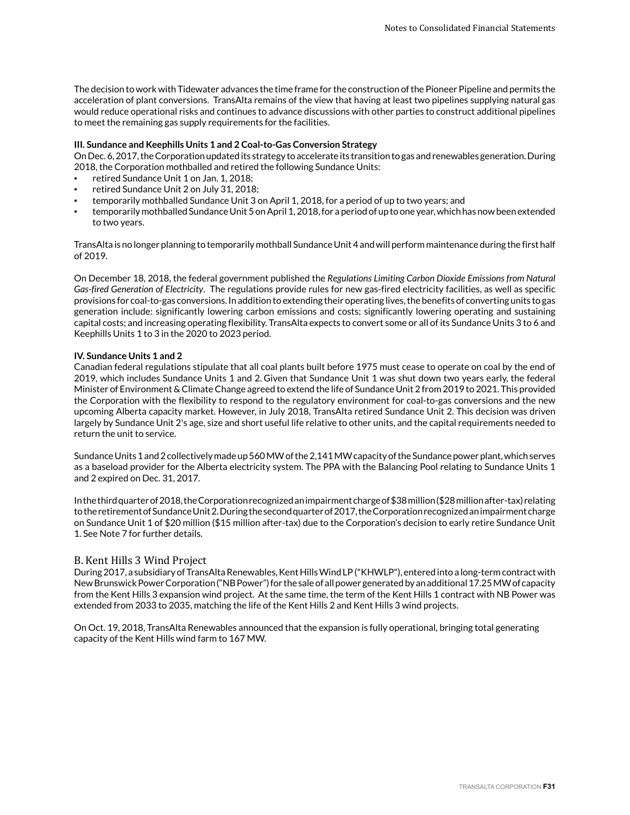The decision to work with Tidewater advances the time frame for the construction of the Pioneer Pipeline and permits the acceleration of plant conversions. TransAlta remains of the view that having at least two pipelines supplying natural gas would reduce operational risks and continues to advance discussions with other parties to construct additional pipelines to meet the remaining gas supply requirements for the facilities.

#### **III. Sundance and Keephills Units 1 and 2 Coal-to-Gas Conversion Strategy**

On Dec. 6, 2017, the Corporation updated its strategy to accelerate its transition to gas and renewables generation. During 2018, the Corporation mothballed and retired the following Sundance Units:

- retired Sundance Unit 1 on Jan. 1, 2018;
- retired Sundance Unit 2 on July 31, 2018;
- temporarily mothballed Sundance Unit 3 on April 1, 2018, for a period of up to two years; and
- temporarily mothballed Sundance Unit 5 on April 1, 2018, for a period of up to one year, which has now been extended to two years.

TransAlta is no longer planning to temporarily mothball Sundance Unit 4 and will perform maintenance during the first half of 2019.

On December 18, 2018, the federal government published the *Regulations Limiting Carbon Dioxide Emissions from Natural Gas-fired Generation of Electricity*. The regulations provide rules for new gas-fired electricity facilities, as well as specific provisions for coal-to-gas conversions. In addition to extending their operating lives, the benefits of converting units to gas generation include: significantly lowering carbon emissions and costs; significantly lowering operating and sustaining capital costs; and increasing operating flexibility. TransAlta expects to convert some or all of its Sundance Units 3 to 6 and Keephills Units 1 to 3 in the 2020 to 2023 period.

#### **IV. Sundance Units 1 and 2**

Canadian federal regulations stipulate that all coal plants built before 1975 must cease to operate on coal by the end of 2019, which includes Sundance Units 1 and 2. Given that Sundance Unit 1 was shut down two years early, the federal Minister of Environment & Climate Change agreed to extend the life of Sundance Unit 2 from 2019 to 2021. This provided the Corporation with the flexibility to respond to the regulatory environment for coal-to-gas conversions and the new upcoming Alberta capacity market. However, in July 2018, TransAlta retired Sundance Unit 2. This decision was driven largely by Sundance Unit 2's age, size and short useful life relative to other units, and the capital requirements needed to return the unit to service.

Sundance Units 1 and 2 collectively made up 560 MW of the 2,141 MW capacity of the Sundance power plant, which serves as a baseload provider for the Alberta electricity system. The PPA with the Balancing Pool relating to Sundance Units 1 and 2 expired on Dec. 31, 2017.

In the third quarter of 2018, the Corporation recognized an impairment charge of \$38 million (\$28 million after-tax) relating to the retirement of Sundance Unit 2. During the second quarter of 2017, the Corporation recognized an impairment charge on Sundance Unit 1 of \$20 million (\$15 million after-tax) due to the Corporation's decision to early retire Sundance Unit 1. See Note 7 for further details.

#### B. Kent Hills 3 Wind Project

During 2017, a subsidiary of TransAlta Renewables, Kent Hills Wind LP ("KHWLP"), entered into a long-term contract with New Brunswick Power Corporation ("NB Power") for the sale of all power generated by an additional 17.25 MW of capacity from the Kent Hills 3 expansion wind project. At the same time, the term of the Kent Hills 1 contract with NB Power was extended from 2033 to 2035, matching the life of the Kent Hills 2 and Kent Hills 3 wind projects.

On Oct. 19, 2018, TransAlta Renewables announced that the expansion is fully operational, bringing total generating capacity of the Kent Hills wind farm to 167 MW.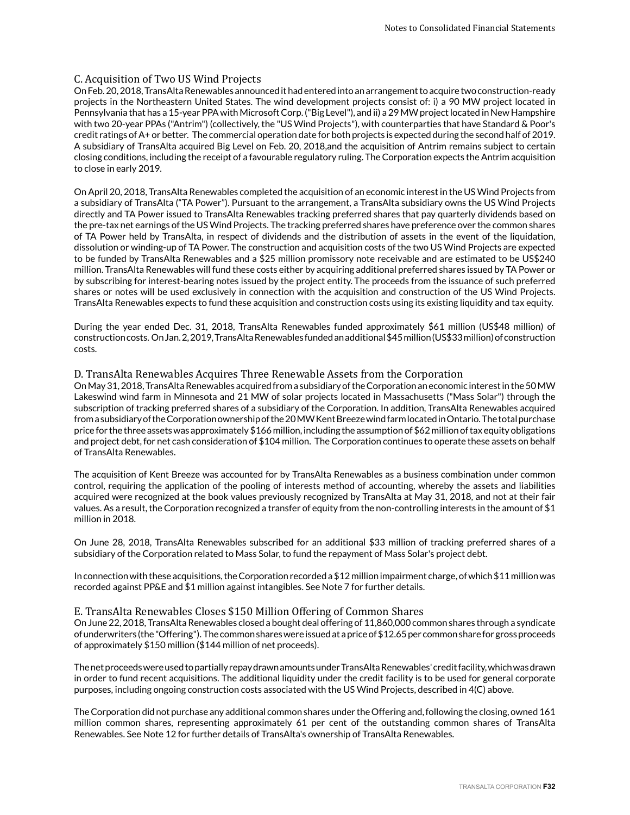#### C. Acquisition of Two US Wind Projects

On Feb. 20, 2018, TransAlta Renewables announced it had entered into an arrangement to acquire two construction-ready projects in the Northeastern United States. The wind development projects consist of: i) a 90 MW project located in Pennsylvania that has a 15-year PPA with Microsoft Corp. ("Big Level"), and ii) a 29 MW project located in New Hampshire with two 20-year PPAs ("Antrim") (collectively, the "US Wind Projects"), with counterparties that have Standard & Poor's credit ratings of A+ or better. The commercial operation date for both projects is expected during the second half of 2019. A subsidiary of TransAlta acquired Big Level on Feb. 20, 2018,and the acquisition of Antrim remains subject to certain closing conditions, including the receipt of a favourable regulatory ruling. The Corporation expects the Antrim acquisition to close in early 2019.

On April 20, 2018, TransAlta Renewables completed the acquisition of an economic interest in the US Wind Projects from a subsidiary of TransAlta ("TA Power"). Pursuant to the arrangement, a TransAlta subsidiary owns the US Wind Projects directly and TA Power issued to TransAlta Renewables tracking preferred shares that pay quarterly dividends based on the pre-tax net earnings of the US Wind Projects. The tracking preferred shares have preference over the common shares of TA Power held by TransAlta, in respect of dividends and the distribution of assets in the event of the liquidation, dissolution or winding-up of TA Power. The construction and acquisition costs of the two US Wind Projects are expected to be funded by TransAlta Renewables and a \$25 million promissory note receivable and are estimated to be US\$240 million. TransAlta Renewables will fund these costs either by acquiring additional preferred shares issued by TA Power or by subscribing for interest-bearing notes issued by the project entity. The proceeds from the issuance of such preferred shares or notes will be used exclusively in connection with the acquisition and construction of the US Wind Projects. TransAlta Renewables expects to fund these acquisition and construction costs using its existing liquidity and tax equity.

During the year ended Dec. 31, 2018, TransAlta Renewables funded approximately \$61 million (US\$48 million) of construction costs. On Jan. 2, 2019, TransAlta Renewables funded an additional \$45 million (US\$33 million) of construction costs.

#### D. TransAlta Renewables Acquires Three Renewable Assets from the Corporation

On May 31, 2018, TransAlta Renewables acquired from a subsidiary of the Corporation an economic interest in the 50 MW Lakeswind wind farm in Minnesota and 21 MW of solar projects located in Massachusetts ("Mass Solar") through the subscription of tracking preferred shares of a subsidiary of the Corporation. In addition, TransAlta Renewables acquired from a subsidiary of the Corporation ownership of the 20 MW Kent Breeze wind farm located in Ontario. The total purchase price for the three assets was approximately \$166 million, including the assumption of \$62 million of tax equity obligations and project debt, for net cash consideration of \$104 million. The Corporation continues to operate these assets on behalf of TransAlta Renewables.

The acquisition of Kent Breeze was accounted for by TransAlta Renewables as a business combination under common control, requiring the application of the pooling of interests method of accounting, whereby the assets and liabilities acquired were recognized at the book values previously recognized by TransAlta at May 31, 2018, and not at their fair values. As a result, the Corporation recognized a transfer of equity from the non-controlling interests in the amount of \$1 million in 2018.

On June 28, 2018, TransAlta Renewables subscribed for an additional \$33 million of tracking preferred shares of a subsidiary of the Corporation related to Mass Solar, to fund the repayment of Mass Solar's project debt.

In connection with these acquisitions, the Corporation recorded a \$12 million impairment charge, of which \$11 million was recorded against PP&E and \$1 million against intangibles. See Note 7 for further details.

#### E. TransAlta Renewables Closes \$150 Million Offering of Common Shares

On June 22, 2018, TransAlta Renewables closed a bought deal offering of 11,860,000 common shares through a syndicate of underwriters (the "Offering"). The common shares were issued at a price of \$12.65 per common share for gross proceeds of approximately \$150 million (\$144 million of net proceeds).

The net proceeds were used to partially repay drawn amounts under TransAlta Renewables' credit facility, which was drawn in order to fund recent acquisitions. The additional liquidity under the credit facility is to be used for general corporate purposes, including ongoing construction costs associated with the US Wind Projects, described in 4(C) above.

The Corporation did not purchase any additional common shares under the Offering and, following the closing, owned 161 million common shares, representing approximately 61 per cent of the outstanding common shares of TransAlta Renewables. See Note 12 for further details of TransAlta's ownership of TransAlta Renewables.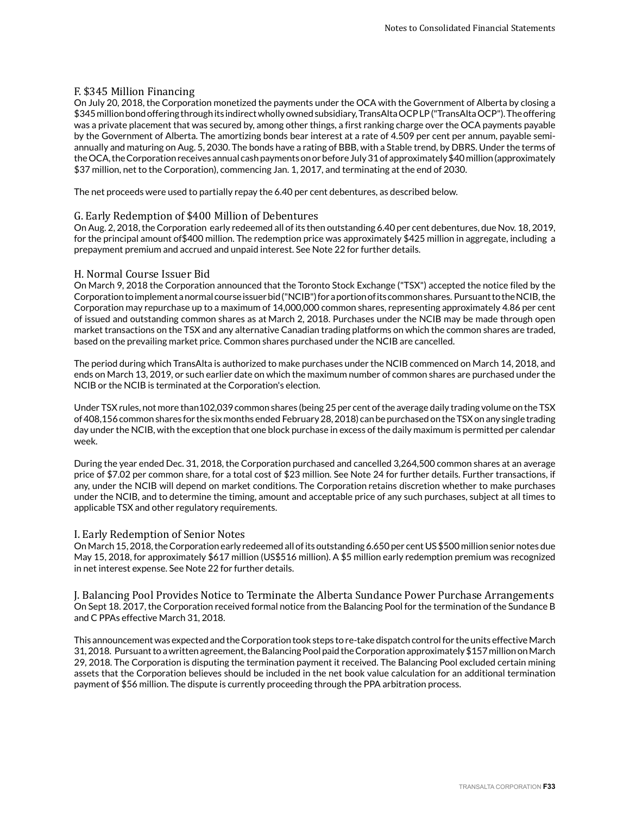# F. \$345 Million Financing

On July 20, 2018, the Corporation monetized the payments under the OCA with the Government of Alberta by closing a \$345 million bond offering through its indirect wholly owned subsidiary, TransAlta OCP LP ("TransAlta OCP"). The offering was a private placement that was secured by, among other things, a first ranking charge over the OCA payments payable by the Government of Alberta. The amortizing bonds bear interest at a rate of 4.509 per cent per annum, payable semiannually and maturing on Aug. 5, 2030. The bonds have a rating of BBB, with a Stable trend, by DBRS. Under the terms of the OCA, the Corporation receives annual cash payments on or before July 31 of approximately \$40 million (approximately \$37 million, net to the Corporation), commencing Jan. 1, 2017, and terminating at the end of 2030.

The net proceeds were used to partially repay the 6.40 per cent debentures, as described below.

### G. Early Redemption of \$400 Million of Debentures

On Aug. 2, 2018, the Corporation early redeemed all of its then outstanding 6.40 per cent debentures, due Nov. 18, 2019, for the principal amount of\$400 million. The redemption price was approximately \$425 million in aggregate, including a prepayment premium and accrued and unpaid interest. See Note 22 for further details.

### H. Normal Course Issuer Bid

On March 9, 2018 the Corporation announced that the Toronto Stock Exchange ("TSX") accepted the notice filed by the Corporation to implement a normal course issuer bid ("NCIB") for a portion of its common shares. Pursuant to the NCIB, the Corporation may repurchase up to a maximum of 14,000,000 common shares, representing approximately 4.86 per cent of issued and outstanding common shares as at March 2, 2018. Purchases under the NCIB may be made through open market transactions on the TSX and any alternative Canadian trading platforms on which the common shares are traded, based on the prevailing market price. Common shares purchased under the NCIB are cancelled.

The period during which TransAlta is authorized to make purchases under the NCIB commenced on March 14, 2018, and ends on March 13, 2019, or such earlier date on which the maximum number of common shares are purchased under the NCIB or the NCIB is terminated at the Corporation's election.

Under TSX rules, not more than102,039 common shares (being 25 per cent of the average daily trading volume on the TSX of 408,156 common shares for the six months ended February 28, 2018) can be purchased on the TSX on any single trading day under the NCIB, with the exception that one block purchase in excess of the daily maximum is permitted per calendar week.

During the year ended Dec. 31, 2018, the Corporation purchased and cancelled 3,264,500 common shares at an average price of \$7.02 per common share, for a total cost of \$23 million. See Note 24 for further details. Further transactions, if any, under the NCIB will depend on market conditions. The Corporation retains discretion whether to make purchases under the NCIB, and to determine the timing, amount and acceptable price of any such purchases, subject at all times to applicable TSX and other regulatory requirements.

#### I. Early Redemption of Senior Notes

On March 15, 2018, the Corporation early redeemed all of its outstanding 6.650 per cent US \$500 million senior notes due May 15, 2018, for approximately \$617 million (US\$516 million). A \$5 million early redemption premium was recognized in net interest expense. See Note 22 for further details.

J. Balancing Pool Provides Notice to Terminate the Alberta Sundance Power Purchase Arrangements On Sept 18. 2017, the Corporation received formal notice from the Balancing Pool for the termination of the Sundance B and C PPAs effective March 31, 2018.

This announcement was expected and the Corporation took steps to re-take dispatch control for the units effective March 31, 2018. Pursuant to a written agreement, the Balancing Pool paid the Corporation approximately \$157 million on March 29, 2018. The Corporation is disputing the termination payment it received. The Balancing Pool excluded certain mining assets that the Corporation believes should be included in the net book value calculation for an additional termination payment of \$56 million. The dispute is currently proceeding through the PPA arbitration process.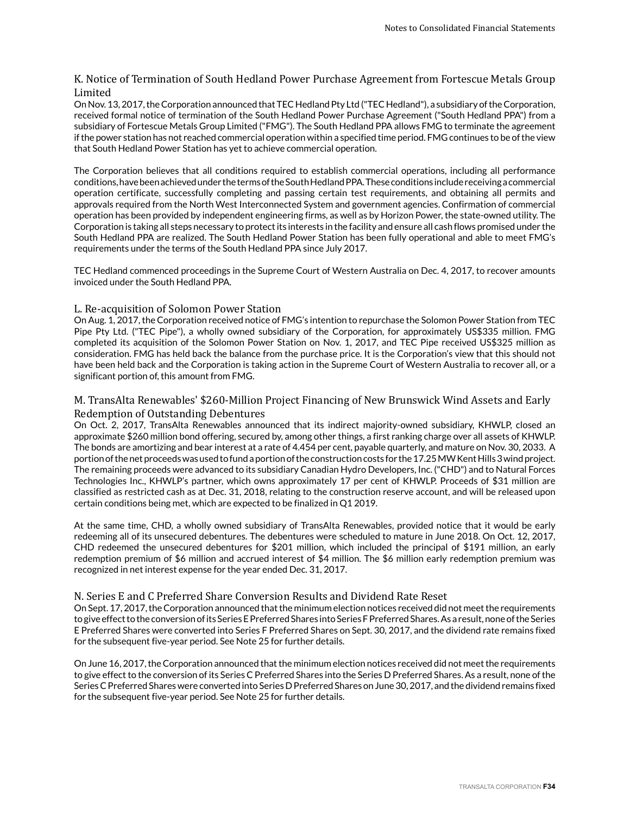# K. Notice of Termination of South Hedland Power Purchase Agreement from Fortescue Metals Group Limited

On Nov. 13, 2017, the Corporation announced that TEC Hedland Pty Ltd ("TEC Hedland"), a subsidiary of the Corporation, received formal notice of termination of the South Hedland Power Purchase Agreement ("South Hedland PPA") from a subsidiary of Fortescue Metals Group Limited ("FMG"). The South Hedland PPA allows FMG to terminate the agreement if the power station has not reached commercial operation within a specified time period. FMG continues to be of the view that South Hedland Power Station has yet to achieve commercial operation.

The Corporation believes that all conditions required to establish commercial operations, including all performance conditions, have been achieved under the terms of the South Hedland PPA. These conditions include receiving a commercial operation certificate, successfully completing and passing certain test requirements, and obtaining all permits and approvals required from the North West Interconnected System and government agencies. Confirmation of commercial operation has been provided by independent engineering firms, as well as by Horizon Power, the state-owned utility. The Corporation is taking all steps necessary to protect its interests in the facility and ensure all cash flows promised under the South Hedland PPA are realized. The South Hedland Power Station has been fully operational and able to meet FMG's requirements under the terms of the South Hedland PPA since July 2017.

TEC Hedland commenced proceedings in the Supreme Court of Western Australia on Dec. 4, 2017, to recover amounts invoiced under the South Hedland PPA.

# L. Re-acquisition of Solomon Power Station

On Aug. 1, 2017, the Corporation received notice of FMG's intention to repurchase the Solomon Power Station from TEC Pipe Pty Ltd. ("TEC Pipe"), a wholly owned subsidiary of the Corporation, for approximately US\$335 million. FMG completed its acquisition of the Solomon Power Station on Nov. 1, 2017, and TEC Pipe received US\$325 million as consideration. FMG has held back the balance from the purchase price. It is the Corporation's view that this should not have been held back and the Corporation is taking action in the Supreme Court of Western Australia to recover all, or a significant portion of, this amount from FMG.

# M. TransAlta Renewables' \$260-Million Project Financing of New Brunswick Wind Assets and Early Redemption of Outstanding Debentures

On Oct. 2, 2017, TransAlta Renewables announced that its indirect majority-owned subsidiary, KHWLP, closed an approximate \$260 million bond offering, secured by, among other things, a first ranking charge over all assets of KHWLP. The bonds are amortizing and bear interest at a rate of 4.454 per cent, payable quarterly, and mature on Nov. 30, 2033. A portion of the net proceeds was used to fund a portion of the construction costs for the 17.25 MW Kent Hills 3 wind project. The remaining proceeds were advanced to its subsidiary Canadian Hydro Developers, Inc. ("CHD") and to Natural Forces Technologies Inc., KHWLP's partner, which owns approximately 17 per cent of KHWLP. Proceeds of \$31 million are classified as restricted cash as at Dec. 31, 2018, relating to the construction reserve account, and will be released upon certain conditions being met, which are expected to be finalized in Q1 2019.

At the same time, CHD, a wholly owned subsidiary of TransAlta Renewables, provided notice that it would be early redeeming all of its unsecured debentures. The debentures were scheduled to mature in June 2018. On Oct. 12, 2017, CHD redeemed the unsecured debentures for \$201 million, which included the principal of \$191 million, an early redemption premium of \$6 million and accrued interest of \$4 million. The \$6 million early redemption premium was recognized in net interest expense for the year ended Dec. 31, 2017.

#### N. Series E and C Preferred Share Conversion Results and Dividend Rate Reset

On Sept. 17, 2017, the Corporation announced that the minimum election notices received did not meet the requirements to give effect to the conversion of its Series E Preferred Shares into Series F Preferred Shares. As a result, none of the Series E Preferred Shares were converted into Series F Preferred Shares on Sept. 30, 2017, and the dividend rate remains fixed for the subsequent five-year period. See Note 25 for further details.

On June 16, 2017, the Corporation announced that the minimum election notices received did not meet the requirements to give effect to the conversion of its Series C Preferred Shares into the Series D Preferred Shares. As a result, none of the Series C Preferred Shares were converted into Series D Preferred Shares on June 30, 2017, and the dividend remains fixed for the subsequent five-year period. See Note 25 for further details.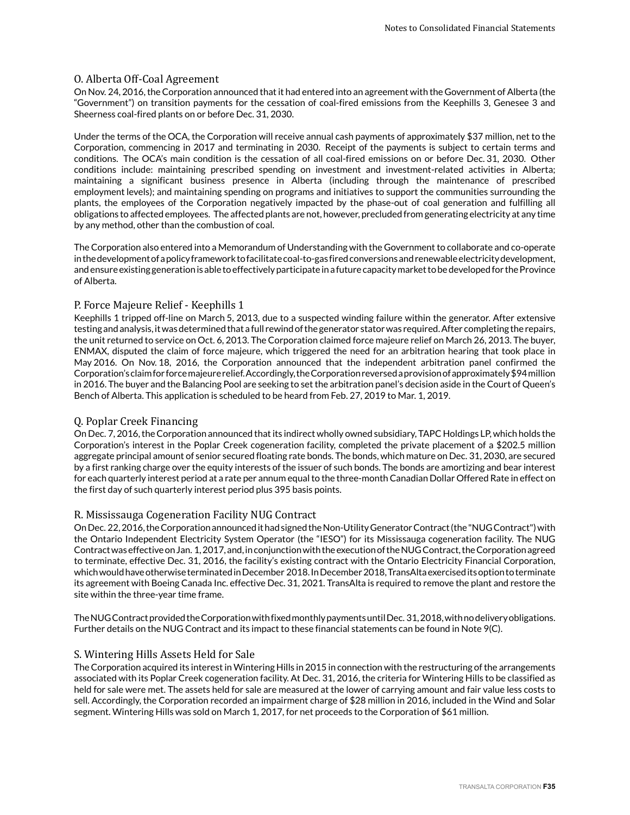# O. Alberta Off-Coal Agreement

On Nov. 24, 2016, the Corporation announced that it had entered into an agreement with the Government of Alberta (the "Government") on transition payments for the cessation of coal-fired emissions from the Keephills 3, Genesee 3 and Sheerness coal-fired plants on or before Dec. 31, 2030.

Under the terms of the OCA, the Corporation will receive annual cash payments of approximately \$37 million, net to the Corporation, commencing in 2017 and terminating in 2030. Receipt of the payments is subject to certain terms and conditions. The OCA's main condition is the cessation of all coal-fired emissions on or before Dec. 31, 2030. Other conditions include: maintaining prescribed spending on investment and investment-related activities in Alberta; maintaining a significant business presence in Alberta (including through the maintenance of prescribed employment levels); and maintaining spending on programs and initiatives to support the communities surrounding the plants, the employees of the Corporation negatively impacted by the phase-out of coal generation and fulfilling all obligations to affected employees. The affected plants are not, however, precluded from generating electricity at any time by any method, other than the combustion of coal.

The Corporation also entered into a Memorandum of Understanding with the Government to collaborate and co-operate in the development of a policy framework to facilitate coal-to-gas fired conversions and renewable electricity development, and ensure existing generation is able to effectively participate in a future capacity market to be developed for the Province of Alberta.

# P. Force Majeure Relief - Keephills 1

Keephills 1 tripped off-line on March 5, 2013, due to a suspected winding failure within the generator. After extensive testing and analysis, it was determined that a full rewind of the generator stator was required. After completing the repairs, the unit returned to service on Oct. 6, 2013. The Corporation claimed force majeure relief on March 26, 2013. The buyer, ENMAX, disputed the claim of force majeure, which triggered the need for an arbitration hearing that took place in May 2016. On Nov. 18, 2016, the Corporation announced that the independent arbitration panel confirmed the Corporation's claim for force majeure relief. Accordingly, the Corporation reversed a provision of approximately \$94 million in 2016. The buyer and the Balancing Pool are seeking to set the arbitration panel's decision aside in the Court of Queen's Bench of Alberta. This application is scheduled to be heard from Feb. 27, 2019 to Mar. 1, 2019.

# Q. Poplar Creek Financing

On Dec. 7, 2016, the Corporation announced that its indirect wholly owned subsidiary, TAPC Holdings LP, which holds the Corporation's interest in the Poplar Creek cogeneration facility, completed the private placement of a \$202.5 million aggregate principal amount of senior secured floating rate bonds. The bonds, which mature on Dec. 31, 2030, are secured by a first ranking charge over the equity interests of the issuer of such bonds. The bonds are amortizing and bear interest for each quarterly interest period at a rate per annum equal to the three-month Canadian Dollar Offered Rate in effect on the first day of such quarterly interest period plus 395 basis points.

# R. Mississauga Cogeneration Facility NUG Contract

On Dec. 22, 2016, the Corporation announced it had signed the Non-Utility Generator Contract (the "NUG Contract") with the Ontario Independent Electricity System Operator (the "IESO") for its Mississauga cogeneration facility. The NUG Contract was effective on Jan. 1, 2017, and, in conjunction with the execution of the NUG Contract, the Corporation agreed to terminate, effective Dec. 31, 2016, the facility's existing contract with the Ontario Electricity Financial Corporation, which would have otherwise terminated in December 2018. In December 2018, TransAlta exercised its option to terminate its agreement with Boeing Canada Inc. effective Dec. 31, 2021. TransAlta is required to remove the plant and restore the site within the three-year time frame.

The NUG Contract provided the Corporation with fixed monthly payments until Dec. 31, 2018, with no delivery obligations. Further details on the NUG Contract and its impact to these financial statements can be found in Note 9(C).

#### S. Wintering Hills Assets Held for Sale

The Corporation acquired its interest in Wintering Hills in 2015 in connection with the restructuring of the arrangements associated with its Poplar Creek cogeneration facility. At Dec. 31, 2016, the criteria for Wintering Hills to be classified as held for sale were met. The assets held for sale are measured at the lower of carrying amount and fair value less costs to sell. Accordingly, the Corporation recorded an impairment charge of \$28 million in 2016, included in the Wind and Solar segment. Wintering Hills was sold on March 1, 2017, for net proceeds to the Corporation of \$61 million.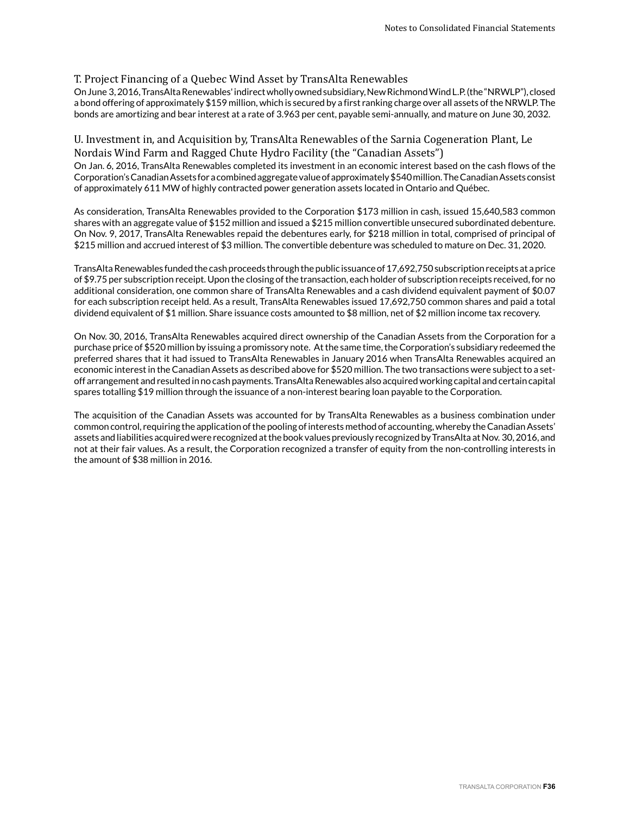# T. Project Financing of a Quebec Wind Asset by TransAlta Renewables

On June 3, 2016, TransAlta Renewables' indirect wholly owned subsidiary, New Richmond Wind L.P. (the "NRWLP"), closed a bond offering of approximately \$159 million, which is secured by a first ranking charge over all assets of the NRWLP. The bonds are amortizing and bear interest at a rate of 3.963 per cent, payable semi-annually, and mature on June 30, 2032.

# U. Investment in, and Acquisition by, TransAlta Renewables of the Sarnia Cogeneration Plant, Le Nordais Wind Farm and Ragged Chute Hydro Facility (the "Canadian Assets")

On Jan. 6, 2016, TransAlta Renewables completed its investment in an economic interest based on the cash flows of the Corporation's Canadian Assets for a combined aggregate value of approximately \$540 million. The Canadian Assets consist of approximately 611 MW of highly contracted power generation assets located in Ontario and Québec.

As consideration, TransAlta Renewables provided to the Corporation \$173 million in cash, issued 15,640,583 common shares with an aggregate value of \$152 million and issued a \$215 million convertible unsecured subordinated debenture. On Nov. 9, 2017, TransAlta Renewables repaid the debentures early, for \$218 million in total, comprised of principal of \$215 million and accrued interest of \$3 million. The convertible debenture was scheduled to mature on Dec. 31, 2020.

TransAlta Renewables funded the cash proceeds through the public issuance of 17,692,750 subscription receipts at a price of \$9.75 per subscription receipt. Upon the closing of the transaction, each holder of subscription receipts received, for no additional consideration, one common share of TransAlta Renewables and a cash dividend equivalent payment of \$0.07 for each subscription receipt held. As a result, TransAlta Renewables issued 17,692,750 common shares and paid a total dividend equivalent of \$1 million. Share issuance costs amounted to \$8 million, net of \$2 million income tax recovery.

On Nov. 30, 2016, TransAlta Renewables acquired direct ownership of the Canadian Assets from the Corporation for a purchase price of \$520 million by issuing a promissory note. At the same time, the Corporation's subsidiary redeemed the preferred shares that it had issued to TransAlta Renewables in January 2016 when TransAlta Renewables acquired an economic interest in the Canadian Assets as described above for \$520 million. The two transactions were subject to a setoff arrangement and resulted in no cash payments. TransAlta Renewables also acquired working capital and certain capital spares totalling \$19 million through the issuance of a non-interest bearing loan payable to the Corporation.

The acquisition of the Canadian Assets was accounted for by TransAlta Renewables as a business combination under common control, requiring the application of the pooling of interests method of accounting, whereby the Canadian Assets' assets and liabilities acquired were recognized at the book values previously recognized by TransAlta at Nov. 30, 2016, and not at their fair values. As a result, the Corporation recognized a transfer of equity from the non-controlling interests in the amount of \$38 million in 2016.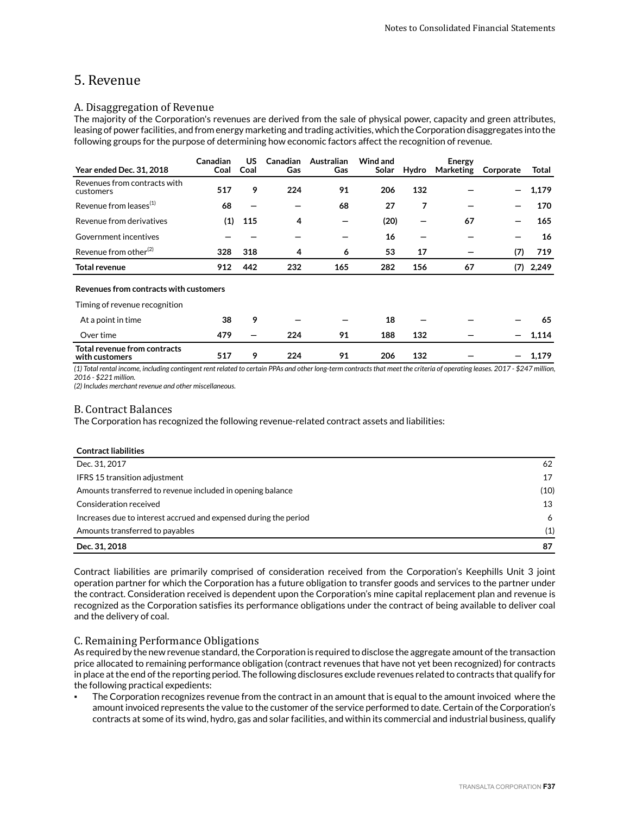## 5. Revenue

## A. Disaggregation of Revenue

The majority of the Corporation's revenues are derived from the sale of physical power, capacity and green attributes, leasing of power facilities, and from energy marketing and trading activities, which the Corporation disaggregates into the following groups for the purpose of determining how economic factors affect the recognition of revenue.

| <b>Year ended Dec. 31, 2018</b>                | Canadian<br>Coal | US<br>Coal | <b>Canadian</b><br>Gas | Australian<br>Gas | Wind and<br>Solar | Hydro | <b>Energy</b><br>Marketing | Corporate | Total |
|------------------------------------------------|------------------|------------|------------------------|-------------------|-------------------|-------|----------------------------|-----------|-------|
| Revenues from contracts with<br>customers      | 517              | 9          | 224                    | 91                | 206               | 132   |                            | -         | 1,179 |
| Revenue from leases <sup>(1)</sup>             | 68               |            |                        | 68                | 27                | 7     |                            |           | 170   |
| Revenue from derivatives                       | (1)              | 115        | 4                      | -                 | (20)              |       | 67                         |           | 165   |
| Government incentives                          |                  |            |                        |                   | 16                |       |                            | -         | 16    |
| Revenue from other <sup>(2)</sup>              | 328              | 318        | 4                      | 6                 | 53                | 17    |                            | (7)       | 719   |
| <b>Total revenue</b>                           | 912              | 442        | 232                    | 165               | 282               | 156   | 67                         | (7)       | 2,249 |
| Revenues from contracts with customers         |                  |            |                        |                   |                   |       |                            |           |       |
| Timing of revenue recognition                  |                  |            |                        |                   |                   |       |                            |           |       |
| At a point in time                             | 38               | 9          |                        |                   | 18                |       |                            |           | 65    |
| Over time                                      | 479              |            | 224                    | 91                | 188               | 132   |                            |           | 1,114 |
| Total revenue from contracts<br>with customers | 517              | 9          | 224                    | 91                | 206               | 132   |                            |           | 1,179 |

*(1) Total rental income, including contingent rent related to certain PPAs and other long-term contracts that meet the criteria of operating leases. 2017 - \$247 million, 2016 - \$221 million.*

*(2) Includes merchant revenue and other miscellaneous.*

## B. Contract Balances

The Corporation has recognized the following revenue-related contract assets and liabilities:

| <b>Contract liabilities</b>                                      |      |
|------------------------------------------------------------------|------|
| Dec. 31, 2017                                                    | 62   |
| <b>IFRS 15 transition adjustment</b>                             | 17   |
| Amounts transferred to revenue included in opening balance       | (10) |
| Consideration received                                           | 13   |
| Increases due to interest accrued and expensed during the period | 6    |
| Amounts transferred to payables                                  | (1)  |
| Dec. 31, 2018                                                    | 87   |

Contract liabilities are primarily comprised of consideration received from the Corporation's Keephills Unit 3 joint operation partner for which the Corporation has a future obligation to transfer goods and services to the partner under the contract. Consideration received is dependent upon the Corporation's mine capital replacement plan and revenue is recognized as the Corporation satisfies its performance obligations under the contract of being available to deliver coal and the delivery of coal.

## C. Remaining Performance Obligations

As required by the new revenue standard, the Corporation is required to disclose the aggregate amount of the transaction price allocated to remaining performance obligation (contract revenues that have not yet been recognized) for contracts in place at the end of the reporting period. The following disclosures exclude revenues related to contracts that qualify for the following practical expedients:

The Corporation recognizes revenue from the contract in an amount that is equal to the amount invoiced where the amount invoiced represents the value to the customer of the service performed to date. Certain of the Corporation's contracts at some of its wind, hydro, gas and solar facilities, and within its commercial and industrial business, qualify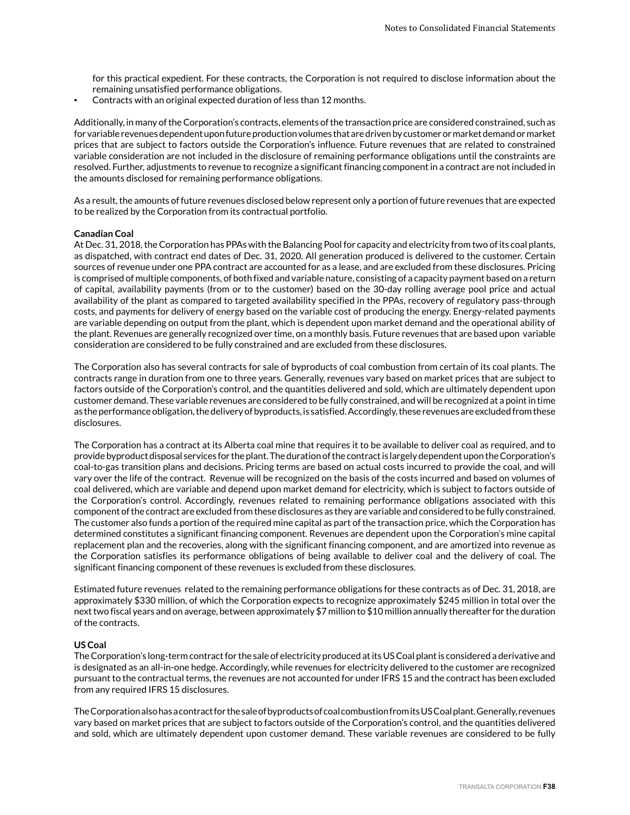for this practical expedient. For these contracts, the Corporation is not required to disclose information about the remaining unsatisfied performance obligations.

Contracts with an original expected duration of less than 12 months.

Additionally, in many of the Corporation's contracts, elements of the transaction price are considered constrained, such as for variable revenues dependent upon future production volumes that are driven by customer or market demand or market prices that are subject to factors outside the Corporation's influence. Future revenues that are related to constrained variable consideration are not included in the disclosure of remaining performance obligations until the constraints are resolved. Further, adjustments to revenue to recognize a significant financing component in a contract are not included in the amounts disclosed for remaining performance obligations.

As a result, the amounts of future revenues disclosed below represent only a portion of future revenues that are expected to be realized by the Corporation from its contractual portfolio.

#### **Canadian Coal**

At Dec. 31, 2018, the Corporation has PPAs with the Balancing Pool for capacity and electricity from two of its coal plants, as dispatched, with contract end dates of Dec. 31, 2020. All generation produced is delivered to the customer. Certain sources of revenue under one PPA contract are accounted for as a lease, and are excluded from these disclosures. Pricing is comprised of multiple components, of both fixed and variable nature, consisting of a capacity payment based on a return of capital, availability payments (from or to the customer) based on the 30-day rolling average pool price and actual availability of the plant as compared to targeted availability specified in the PPAs, recovery of regulatory pass-through costs, and payments for delivery of energy based on the variable cost of producing the energy. Energy-related payments are variable depending on output from the plant, which is dependent upon market demand and the operational ability of the plant. Revenues are generally recognized over time, on a monthly basis. Future revenues that are based upon variable consideration are considered to be fully constrained and are excluded from these disclosures.

The Corporation also has several contracts for sale of byproducts of coal combustion from certain of its coal plants. The contracts range in duration from one to three years. Generally, revenues vary based on market prices that are subject to factors outside of the Corporation's control, and the quantities delivered and sold, which are ultimately dependent upon customer demand. These variable revenues are considered to be fully constrained, and will be recognized at a point in time as the performance obligation, the delivery of byproducts, is satisfied. Accordingly, these revenues are excluded from these disclosures.

The Corporation has a contract at its Alberta coal mine that requires it to be available to deliver coal as required, and to provide byproduct disposal services for the plant. The duration of the contract is largely dependent upon the Corporation's coal-to-gas transition plans and decisions. Pricing terms are based on actual costs incurred to provide the coal, and will vary over the life of the contract. Revenue will be recognized on the basis of the costs incurred and based on volumes of coal delivered, which are variable and depend upon market demand for electricity, which is subject to factors outside of the Corporation's control. Accordingly, revenues related to remaining performance obligations associated with this component of the contract are excluded from these disclosures as they are variable and considered to be fully constrained. The customer also funds a portion of the required mine capital as part of the transaction price, which the Corporation has determined constitutes a significant financing component. Revenues are dependent upon the Corporation's mine capital replacement plan and the recoveries, along with the significant financing component, and are amortized into revenue as the Corporation satisfies its performance obligations of being available to deliver coal and the delivery of coal. The significant financing component of these revenues is excluded from these disclosures.

Estimated future revenues related to the remaining performance obligations for these contracts as of Dec. 31, 2018, are approximately \$330 million, of which the Corporation expects to recognize approximately \$245 million in total over the next two fiscal years and on average, between approximately \$7 million to \$10 million annually thereafter for the duration of the contracts.

### **US Coal**

The Corporation's long-term contract for the sale of electricity produced at its US Coal plant is considered a derivative and is designated as an all-in-one hedge. Accordingly, while revenues for electricity delivered to the customer are recognized pursuant to the contractual terms, the revenues are not accounted for under IFRS 15 and the contract has been excluded from any required IFRS 15 disclosures.

The Corporation also has a contract for the sale of byproducts of coal combustion from its US Coal plant. Generally, revenues vary based on market prices that are subject to factors outside of the Corporation's control, and the quantities delivered and sold, which are ultimately dependent upon customer demand. These variable revenues are considered to be fully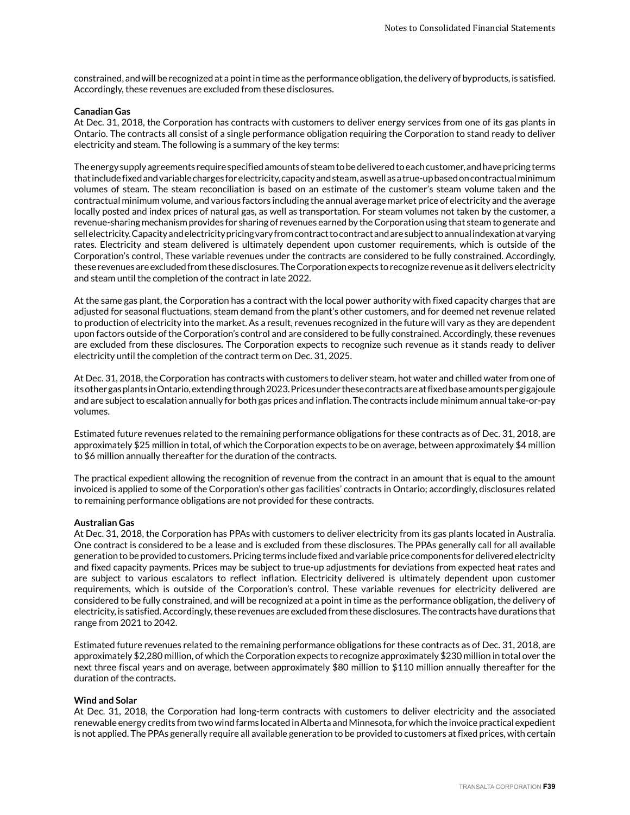constrained, and will be recognized at a point in time as the performance obligation, the delivery of byproducts, is satisfied. Accordingly, these revenues are excluded from these disclosures.

#### **Canadian Gas**

At Dec. 31, 2018, the Corporation has contracts with customers to deliver energy services from one of its gas plants in Ontario. The contracts all consist of a single performance obligation requiring the Corporation to stand ready to deliver electricity and steam. The following is a summary of the key terms:

The energy supply agreements require specified amounts of steam to be delivered to each customer, and have pricing terms that include fixed and variable charges for electricity, capacity and steam, as well as a true-up based on contractual minimum volumes of steam. The steam reconciliation is based on an estimate of the customer's steam volume taken and the contractual minimum volume, and various factors including the annual average market price of electricity and the average locally posted and index prices of natural gas, as well as transportation. For steam volumes not taken by the customer, a revenue-sharing mechanism provides for sharing of revenues earned by the Corporation using that steam to generate and sell electricity. Capacity and electricity pricing vary from contract to contract and are subject to annual indexation at varying rates. Electricity and steam delivered is ultimately dependent upon customer requirements, which is outside of the Corporation's control, These variable revenues under the contracts are considered to be fully constrained. Accordingly, these revenues are excluded from these disclosures. The Corporation expects to recognize revenue as it delivers electricity and steam until the completion of the contract in late 2022.

At the same gas plant, the Corporation has a contract with the local power authority with fixed capacity charges that are adjusted for seasonal fluctuations, steam demand from the plant's other customers, and for deemed net revenue related to production of electricity into the market. As a result, revenues recognized in the future will vary as they are dependent upon factors outside of the Corporation's control and are considered to be fully constrained. Accordingly, these revenues are excluded from these disclosures. The Corporation expects to recognize such revenue as it stands ready to deliver electricity until the completion of the contract term on Dec. 31, 2025.

At Dec. 31, 2018, the Corporation has contracts with customers to deliver steam, hot water and chilled water from one of its other gas plants in Ontario, extending through 2023. Prices under these contracts are at fixed base amounts per gigajoule and are subject to escalation annually for both gas prices and inflation. The contracts include minimum annual take-or-pay volumes.

Estimated future revenues related to the remaining performance obligations for these contracts as of Dec. 31, 2018, are approximately \$25 million in total, of which the Corporation expects to be on average, between approximately \$4 million to \$6 million annually thereafter for the duration of the contracts.

The practical expedient allowing the recognition of revenue from the contract in an amount that is equal to the amount invoiced is applied to some of the Corporation's other gas facilities' contracts in Ontario; accordingly, disclosures related to remaining performance obligations are not provided for these contracts.

### **Australian Gas**

At Dec. 31, 2018, the Corporation has PPAs with customers to deliver electricity from its gas plants located in Australia. One contract is considered to be a lease and is excluded from these disclosures. The PPAs generally call for all available generation to be provided to customers. Pricing terms include fixed and variable price components for delivered electricity and fixed capacity payments. Prices may be subject to true-up adjustments for deviations from expected heat rates and are subject to various escalators to reflect inflation. Electricity delivered is ultimately dependent upon customer requirements, which is outside of the Corporation's control. These variable revenues for electricity delivered are considered to be fully constrained, and will be recognized at a point in time as the performance obligation, the delivery of electricity, is satisfied. Accordingly, these revenues are excluded from these disclosures. The contracts have durations that range from 2021 to 2042.

Estimated future revenues related to the remaining performance obligations for these contracts as of Dec. 31, 2018, are approximately \$2,280 million, of which the Corporation expects to recognize approximately \$230 million in total over the next three fiscal years and on average, between approximately \$80 million to \$110 million annually thereafter for the duration of the contracts.

#### **Wind and Solar**

At Dec. 31, 2018, the Corporation had long-term contracts with customers to deliver electricity and the associated renewable energy credits from two wind farms located in Alberta and Minnesota, for which the invoice practical expedient is not applied. The PPAs generally require all available generation to be provided to customers at fixed prices, with certain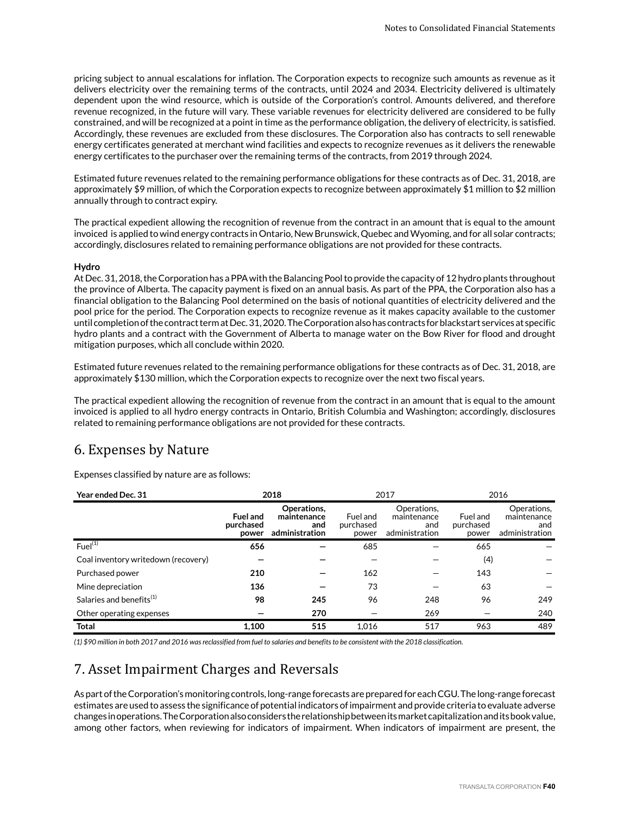pricing subject to annual escalations for inflation. The Corporation expects to recognize such amounts as revenue as it delivers electricity over the remaining terms of the contracts, until 2024 and 2034. Electricity delivered is ultimately dependent upon the wind resource, which is outside of the Corporation's control. Amounts delivered, and therefore revenue recognized, in the future will vary. These variable revenues for electricity delivered are considered to be fully constrained, and will be recognized at a point in time as the performance obligation, the delivery of electricity, is satisfied. Accordingly, these revenues are excluded from these disclosures. The Corporation also has contracts to sell renewable energy certificates generated at merchant wind facilities and expects to recognize revenues as it delivers the renewable energy certificates to the purchaser over the remaining terms of the contracts, from 2019 through 2024.

Estimated future revenues related to the remaining performance obligations for these contracts as of Dec. 31, 2018, are approximately \$9 million, of which the Corporation expects to recognize between approximately \$1 million to \$2 million annually through to contract expiry.

The practical expedient allowing the recognition of revenue from the contract in an amount that is equal to the amount invoiced is applied to wind energy contracts in Ontario, New Brunswick, Quebec and Wyoming, and for all solar contracts; accordingly, disclosures related to remaining performance obligations are not provided for these contracts.

### **Hydro**

At Dec. 31, 2018, the Corporation has a PPA with the Balancing Pool to provide the capacity of 12 hydro plants throughout the province of Alberta. The capacity payment is fixed on an annual basis. As part of the PPA, the Corporation also has a financial obligation to the Balancing Pool determined on the basis of notional quantities of electricity delivered and the pool price for the period. The Corporation expects to recognize revenue as it makes capacity available to the customer until completion of the contract term at Dec. 31, 2020. The Corporation also has contracts for blackstart services at specific hydro plants and a contract with the Government of Alberta to manage water on the Bow River for flood and drought mitigation purposes, which all conclude within 2020.

Estimated future revenues related to the remaining performance obligations for these contracts as of Dec. 31, 2018, are approximately \$130 million, which the Corporation expects to recognize over the next two fiscal years.

The practical expedient allowing the recognition of revenue from the contract in an amount that is equal to the amount invoiced is applied to all hydro energy contracts in Ontario, British Columbia and Washington; accordingly, disclosures related to remaining performance obligations are not provided for these contracts.

## 6. Expenses by Nature

Expenses classified by nature are as follows:

| Year ended Dec. 31                   | 2018                                  |                                                     | 2017                           |                                                     | 2016                           |                                                     |
|--------------------------------------|---------------------------------------|-----------------------------------------------------|--------------------------------|-----------------------------------------------------|--------------------------------|-----------------------------------------------------|
|                                      | <b>Fuel and</b><br>purchased<br>power | Operations.<br>maintenance<br>and<br>administration | Fuel and<br>purchased<br>power | Operations.<br>maintenance<br>and<br>administration | Fuel and<br>purchased<br>power | Operations.<br>maintenance<br>and<br>administration |
| $Fuel^{(1)}$                         | 656                                   |                                                     | 685                            |                                                     | 665                            |                                                     |
| Coal inventory writedown (recovery)  |                                       |                                                     |                                |                                                     | (4)                            |                                                     |
| Purchased power                      | 210                                   |                                                     | 162                            |                                                     | 143                            |                                                     |
| Mine depreciation                    | 136                                   |                                                     | 73                             |                                                     | 63                             |                                                     |
| Salaries and benefits <sup>(1)</sup> | 98                                    | 245                                                 | 96                             | 248                                                 | 96                             | 249                                                 |
| Other operating expenses             |                                       | 270                                                 |                                | 269                                                 |                                | 240                                                 |
| <b>Total</b>                         | 1,100                                 | 515                                                 | 1.016                          | 517                                                 | 963                            | 489                                                 |

*(1) \$90 million in both 2017 and 2016 was reclassified from fuel to salaries and benefits to be consistent with the 2018 classification.*

# 7. Asset Impairment Charges and Reversals

As part of the Corporation's monitoring controls, long-range forecasts are prepared for each CGU. The long-range forecast estimates are used to assess the significance of potential indicators of impairment and provide criteria to evaluate adverse changes in operations. The Corporation also considers the relationship between its market capitalization and its book value, among other factors, when reviewing for indicators of impairment. When indicators of impairment are present, the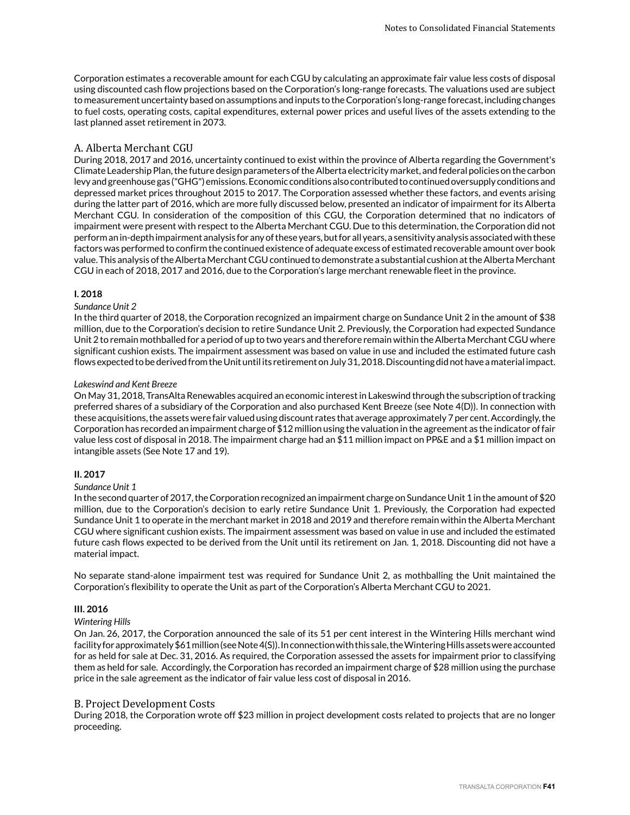Corporation estimates a recoverable amount for each CGU by calculating an approximate fair value less costs of disposal using discounted cash flow projections based on the Corporation's long-range forecasts. The valuations used are subject to measurement uncertainty based on assumptions and inputs to the Corporation's long-range forecast, including changes to fuel costs, operating costs, capital expenditures, external power prices and useful lives of the assets extending to the last planned asset retirement in 2073.

### A. Alberta Merchant CGU

During 2018, 2017 and 2016, uncertainty continued to exist within the province of Alberta regarding the Government's Climate Leadership Plan, the future design parameters of the Alberta electricity market, and federal policies on the carbon levy and greenhouse gas ("GHG") emissions. Economic conditions also contributed to continued oversupply conditions and depressed market prices throughout 2015 to 2017. The Corporation assessed whether these factors, and events arising during the latter part of 2016, which are more fully discussed below, presented an indicator of impairment for its Alberta Merchant CGU. In consideration of the composition of this CGU, the Corporation determined that no indicators of impairment were present with respect to the Alberta Merchant CGU. Due to this determination, the Corporation did not perform an in-depth impairment analysis for any of these years, but for all years, a sensitivity analysis associated with these factors was performed to confirm the continued existence of adequate excess of estimated recoverable amount over book value. This analysis of the Alberta Merchant CGU continued to demonstrate a substantial cushion at the Alberta Merchant CGU in each of 2018, 2017 and 2016, due to the Corporation's large merchant renewable fleet in the province.

### **I. 2018**

### *Sundance Unit 2*

In the third quarter of 2018, the Corporation recognized an impairment charge on Sundance Unit 2 in the amount of \$38 million, due to the Corporation's decision to retire Sundance Unit 2. Previously, the Corporation had expected Sundance Unit 2 to remain mothballed for a period of up to two years and therefore remain within the Alberta Merchant CGU where significant cushion exists. The impairment assessment was based on value in use and included the estimated future cash flows expected to be derived from the Unit until its retirement on July 31, 2018. Discounting did not have a material impact.

### *Lakeswind and Kent Breeze*

On May 31, 2018, TransAlta Renewables acquired an economic interest in Lakeswind through the subscription of tracking preferred shares of a subsidiary of the Corporation and also purchased Kent Breeze (see Note 4(D)). In connection with these acquisitions, the assets were fair valued using discount rates that average approximately 7 per cent. Accordingly, the Corporation has recorded an impairment charge of \$12 million using the valuation in the agreement as the indicator of fair value less cost of disposal in 2018. The impairment charge had an \$11 million impact on PP&E and a \$1 million impact on intangible assets (See Note 17 and 19).

### **II. 2017**

### *Sundance Unit 1*

In the second quarter of 2017, the Corporation recognized an impairment charge on Sundance Unit 1 in the amount of \$20 million, due to the Corporation's decision to early retire Sundance Unit 1. Previously, the Corporation had expected Sundance Unit 1 to operate in the merchant market in 2018 and 2019 and therefore remain within the Alberta Merchant CGU where significant cushion exists. The impairment assessment was based on value in use and included the estimated future cash flows expected to be derived from the Unit until its retirement on Jan. 1, 2018. Discounting did not have a material impact.

No separate stand-alone impairment test was required for Sundance Unit 2, as mothballing the Unit maintained the Corporation's flexibility to operate the Unit as part of the Corporation's Alberta Merchant CGU to 2021.

### **III. 2016**

### *Wintering Hills*

On Jan. 26, 2017, the Corporation announced the sale of its 51 per cent interest in the Wintering Hills merchant wind facility for approximately \$61 million (see Note 4(S)). In connection with this sale, the Wintering Hills assets were accounted for as held for sale at Dec. 31, 2016. As required, the Corporation assessed the assets for impairment prior to classifying them as held for sale. Accordingly, the Corporation has recorded an impairment charge of \$28 million using the purchase price in the sale agreement as the indicator of fair value less cost of disposal in 2016.

### B. Project Development Costs

During 2018, the Corporation wrote off \$23 million in project development costs related to projects that are no longer proceeding.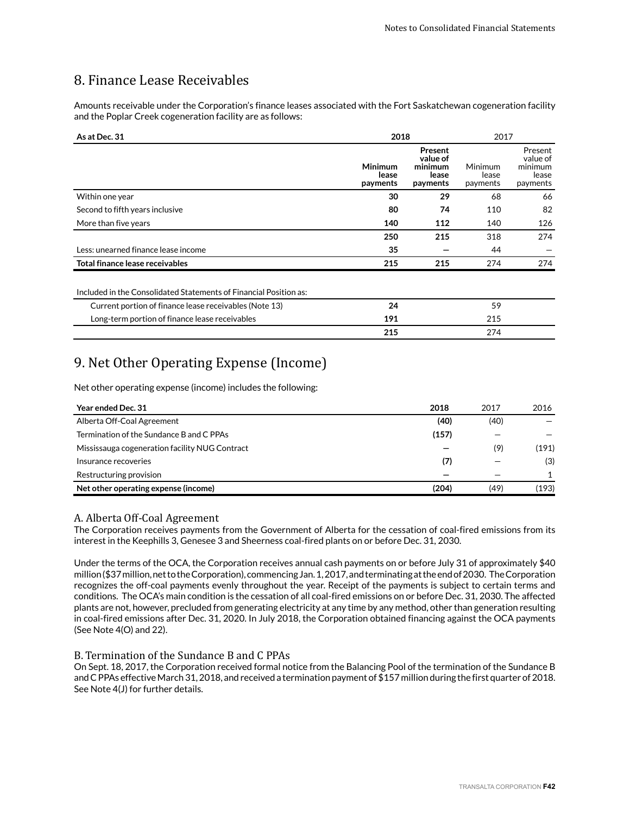# 8. Finance Lease Receivables

Amounts receivable under the Corporation's finance leases associated with the Fort Saskatchewan cogeneration facility and the Poplar Creek cogeneration facility are as follows:

| As at Dec. 31                                                     | 2018                                |                                                     | 2017                         |                                                     |
|-------------------------------------------------------------------|-------------------------------------|-----------------------------------------------------|------------------------------|-----------------------------------------------------|
|                                                                   | <b>Minimum</b><br>lease<br>payments | Present<br>value of<br>minimum<br>lease<br>payments | Minimum<br>lease<br>payments | Present<br>value of<br>minimum<br>lease<br>payments |
| Within one year                                                   | 30                                  | 29                                                  | 68                           | 66                                                  |
| Second to fifth years inclusive                                   | 80                                  | 74                                                  | 110                          | 82                                                  |
| More than five years                                              | 140                                 | 112                                                 | 140                          | 126                                                 |
|                                                                   | 250                                 | 215                                                 | 318                          | 274                                                 |
| Less: unearned finance lease income                               | 35                                  |                                                     | 44                           |                                                     |
| Total finance lease receivables                                   | 215                                 | 215                                                 | 274                          | 274                                                 |
| Included in the Consolidated Statements of Financial Position as: |                                     |                                                     |                              |                                                     |
| Current portion of finance lease receivables (Note 13)            | 24                                  |                                                     | 59                           |                                                     |
| Long-term portion of finance lease receivables                    | 191                                 |                                                     | 215                          |                                                     |
|                                                                   | 215                                 |                                                     | 274                          |                                                     |

## 9. Net Other Operating Expense (Income)

Net other operating expense (income) includes the following:

| Year ended Dec. 31                             | 2018  | 2017 | 2016  |
|------------------------------------------------|-------|------|-------|
| Alberta Off-Coal Agreement                     | (40)  | (40) |       |
| Termination of the Sundance B and C PPAs       | (157) |      |       |
| Mississauga cogeneration facility NUG Contract |       | (9)  | (191) |
| Insurance recoveries                           | (7)   |      | (3)   |
| Restructuring provision                        |       |      |       |
| Net other operating expense (income)           | (204) | (49) | (193) |

## A. Alberta Off-Coal Agreement

The Corporation receives payments from the Government of Alberta for the cessation of coal-fired emissions from its interest in the Keephills 3, Genesee 3 and Sheerness coal-fired plants on or before Dec. 31, 2030.

Under the terms of the OCA, the Corporation receives annual cash payments on or before July 31 of approximately \$40 million (\$37 million, net to the Corporation), commencing Jan. 1, 2017, and terminating at the end of 2030. The Corporation recognizes the off-coal payments evenly throughout the year. Receipt of the payments is subject to certain terms and conditions. The OCA's main condition is the cessation of all coal-fired emissions on or before Dec. 31, 2030. The affected plants are not, however, precluded from generating electricity at any time by any method, other than generation resulting in coal-fired emissions after Dec. 31, 2020. In July 2018, the Corporation obtained financing against the OCA payments (See Note 4(O) and 22).

## B. Termination of the Sundance B and C PPAs

On Sept. 18, 2017, the Corporation received formal notice from the Balancing Pool of the termination of the Sundance B and C PPAs effective March 31, 2018, and received a termination payment of \$157 million during the first quarter of 2018. See Note 4(J) for further details.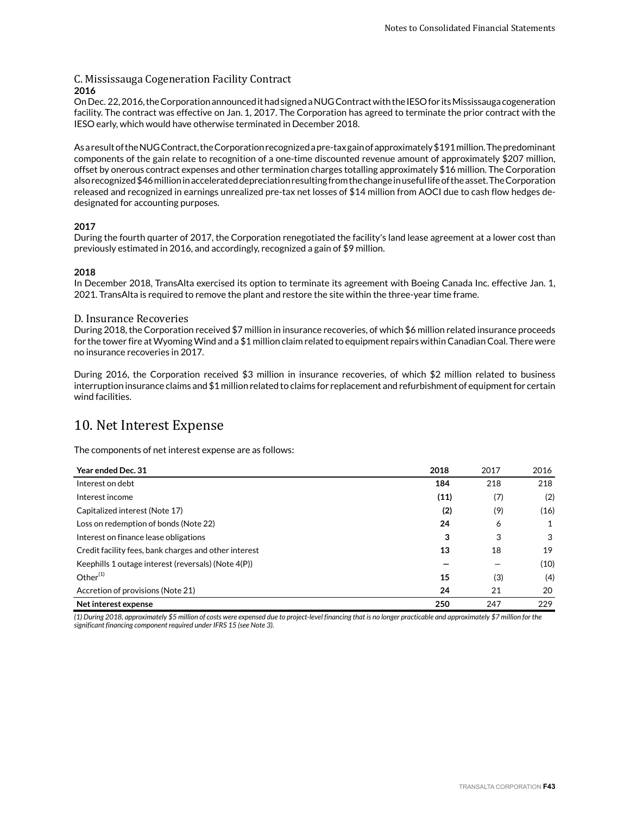## C. Mississauga Cogeneration Facility Contract **2016**

On Dec. 22, 2016, the Corporation announced it had signed a NUG Contract with the IESO for its Mississauga cogeneration facility. The contract was effective on Jan. 1, 2017. The Corporation has agreed to terminate the prior contract with the IESO early, which would have otherwise terminated in December 2018.

As a result of the NUG Contract, the Corporation recognized a pre-tax gain of approximately \$191 million. The predominant components of the gain relate to recognition of a one-time discounted revenue amount of approximately \$207 million, offset by onerous contract expenses and other termination charges totalling approximately \$16 million. The Corporation also recognized \$46 million in accelerated depreciation resulting from the change in useful life of the asset. The Corporation released and recognized in earnings unrealized pre-tax net losses of \$14 million from AOCI due to cash flow hedges dedesignated for accounting purposes.

## **2017**

During the fourth quarter of 2017, the Corporation renegotiated the facility's land lease agreement at a lower cost than previously estimated in 2016, and accordingly, recognized a gain of \$9 million.

## **2018**

In December 2018, TransAlta exercised its option to terminate its agreement with Boeing Canada Inc. effective Jan. 1, 2021. TransAlta is required to remove the plant and restore the site within the three-year time frame.

### D. Insurance Recoveries

During 2018, the Corporation received \$7 million in insurance recoveries, of which \$6 million related insurance proceeds for the tower fire at Wyoming Wind and a \$1 million claim related to equipment repairs within Canadian Coal. There were no insurance recoveries in 2017.

During 2016, the Corporation received \$3 million in insurance recoveries, of which \$2 million related to business interruption insurance claims and \$1 million related to claims for replacement and refurbishment of equipment for certain wind facilities.

## 10. Net Interest Expense

The components of net interest expense are as follows:

| Year ended Dec. 31                                    | 2018 | 2017 | 2016 |
|-------------------------------------------------------|------|------|------|
| Interest on debt                                      | 184  | 218  | 218  |
| Interest income                                       | (11) | (7)  | (2)  |
| Capitalized interest (Note 17)                        | (2)  | (9)  | (16) |
| Loss on redemption of bonds (Note 22)                 | 24   | 6    | 1    |
| Interest on finance lease obligations                 | 3    | 3    | 3    |
| Credit facility fees, bank charges and other interest | 13   | 18   | 19   |
| Keephills 1 outage interest (reversals) (Note 4(P))   |      |      | (10) |
| Other $(1)$                                           | 15   | (3)  | (4)  |
| Accretion of provisions (Note 21)                     | 24   | 21   | 20   |
| Net interest expense                                  | 250  | 247  | 229  |

*(1) During 2018, approximately \$5 million of costs were expensed due to project-level financing that is no longer practicable and approximately \$7 million for the significant financing component required under IFRS 15 (see Note 3).*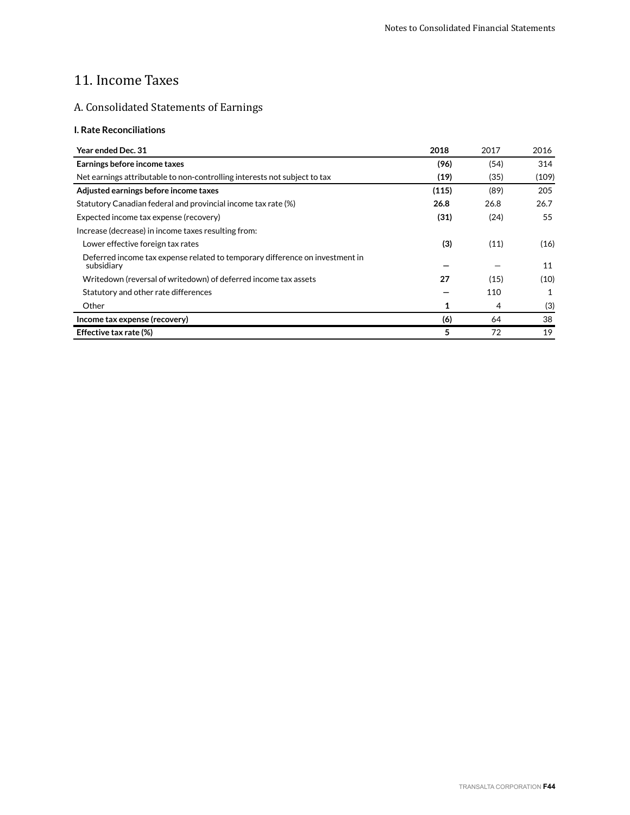# 11. Income Taxes

## A. Consolidated Statements of Earnings

## **I. Rate Reconciliations**

| Year ended Dec. 31                                                                         | 2018  | 2017 | 2016  |
|--------------------------------------------------------------------------------------------|-------|------|-------|
| Earnings before income taxes                                                               | (96)  | (54) | 314   |
| Net earnings attributable to non-controlling interests not subject to tax                  | (19)  | (35) | (109) |
| Adjusted earnings before income taxes                                                      | (115) | (89) | 205   |
| Statutory Canadian federal and provincial income tax rate (%)                              | 26.8  | 26.8 | 26.7  |
| Expected income tax expense (recovery)                                                     | (31)  | (24) | 55    |
| Increase (decrease) in income taxes resulting from:                                        |       |      |       |
| Lower effective foreign tax rates                                                          | (3)   | (11) | (16)  |
| Deferred income tax expense related to temporary difference on investment in<br>subsidiary |       |      | 11    |
| Writedown (reversal of writedown) of deferred income tax assets                            | 27    | (15) | (10)  |
| Statutory and other rate differences                                                       |       | 110  | 1     |
| Other                                                                                      | 1     | 4    | (3)   |
| Income tax expense (recovery)                                                              | (6)   | 64   | 38    |
| Effective tax rate (%)                                                                     | 5     | 72   | 19    |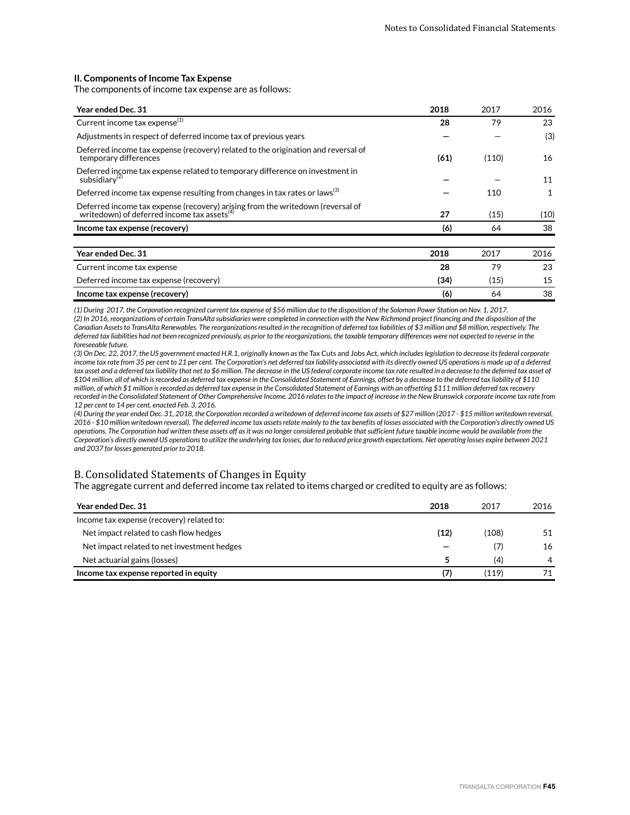### **II. Components of Income Tax Expense**

The components of income tax expense are as follows:

| Year ended Dec. 31                                                                                                                     | 2018 | 2017  | 2016 |
|----------------------------------------------------------------------------------------------------------------------------------------|------|-------|------|
| Current income tax expense <sup>(1)</sup>                                                                                              | 28   | 79    | 23   |
| Adjustments in respect of deferred income tax of previous years                                                                        |      |       | (3)  |
| Deferred income tax expense (recovery) related to the origination and reversal of<br>temporary differences                             | (61) | (110) | 16   |
| Deferred income tax expense related to temporary difference on investment in<br>subsidiary <sup>(2)</sup>                              |      |       | 11   |
| Deferred income tax expense resulting from changes in tax rates or laws <sup>(3)</sup>                                                 |      | 110   | 1    |
| Deferred income tax expense (recovery) arising from the writedown (reversal of writedown) of deferred income tax assets <sup>(4)</sup> | 27   | (15)  | (10) |
| Income tax expense (recovery)                                                                                                          | (6)  | 64    | 38   |
|                                                                                                                                        |      |       |      |
| Year ended Dec. 31                                                                                                                     | 2018 | 2017  | 2016 |
| Current income tax expense                                                                                                             | 28   | 79    | 23   |
| Deferred income tax expense (recovery)                                                                                                 | (34) | (15)  | 15   |
| Income tax expense (recovery)                                                                                                          | (6)  | 64    | 38   |

*(1) During 2017, the Corporation recognized current tax expense of \$56 million due to the disposition of the Solomon Power Station on Nov. 1, 2017. (2) In 2016, reorganizations of certain TransAlta subsidiaries were completed in connection with the New Richmond project financing and the disposition of the Canadian Assets to TransAlta Renewables. The reorganizations resulted in the recognition of deferred tax liabilities of \$3 million and \$8 million, respectively. The deferred tax liabilities had not been recognized previously, as prior to the reorganizations, the taxable temporary differences were not expected to reverse in the foreseeable future.*

*(3) On Dec. 22, 2017, the US government enacted H.R.1, originally known as the* Tax Cuts and Jobs Act*, which includes legislation to decrease its federal corporate income tax rate from 35 per cent to 21 per cent. The Corporation's net deferred tax liability associated with its directly owned US operations is made up of a deferred tax asset and a deferred tax liability that net to \$6 million. The decrease in the US federal corporate income tax rate resulted in a decrease to the deferred tax asset of \$104 million, all of which is recorded as deferred tax expense in the Consolidated Statement of Earnings, offset by a decrease to the deferred tax liability of \$110 million, of which \$1 million is recorded as deferred tax expense in the Consolidated Statement of Earnings with an offsetting \$111 million deferred tax recovery recorded in the Consolidated Statement of Other Comprehensive Income. 2016 relates to the impact of increase in the New Brunswick corporate income tax rate from 12 per cent to 14 per cent, enacted Feb. 3, 2016.* 

*(4) During the year ended Dec. 31, 2018, the Corporation recorded a writedown of deferred income tax assets of \$27 million (2017 - \$15 million writedown reversal, 2016 - \$10 million writedown reversal). The deferred income tax assets relate mainly to the tax benefits of losses associated with the Corporation's directly owned US operations. The Corporation had written these assets off as it was no longer considered probable that sufficient future taxable income would be available from the Corporation's directly owned US operations to utilize the underlying tax losses, due to reduced price growth expectations. Net operating losses expire between 2021 and 2037 for losses generated prior to 2018.* 

## B. Consolidated Statements of Changes in Equity

The aggregate current and deferred income tax related to items charged or credited to equity are as follows:

| <b>Year ended Dec. 31</b>                   | 2018 | 2017  | 2016           |
|---------------------------------------------|------|-------|----------------|
| Income tax expense (recovery) related to:   |      |       |                |
| Net impact related to cash flow hedges      | (12) | (108) | 51             |
| Net impact related to net investment hedges |      | (7)   | 16             |
| Net actuarial gains (losses)                | 5    | (4)   | $\overline{4}$ |
| Income tax expense reported in equity       | (7)  | (119) |                |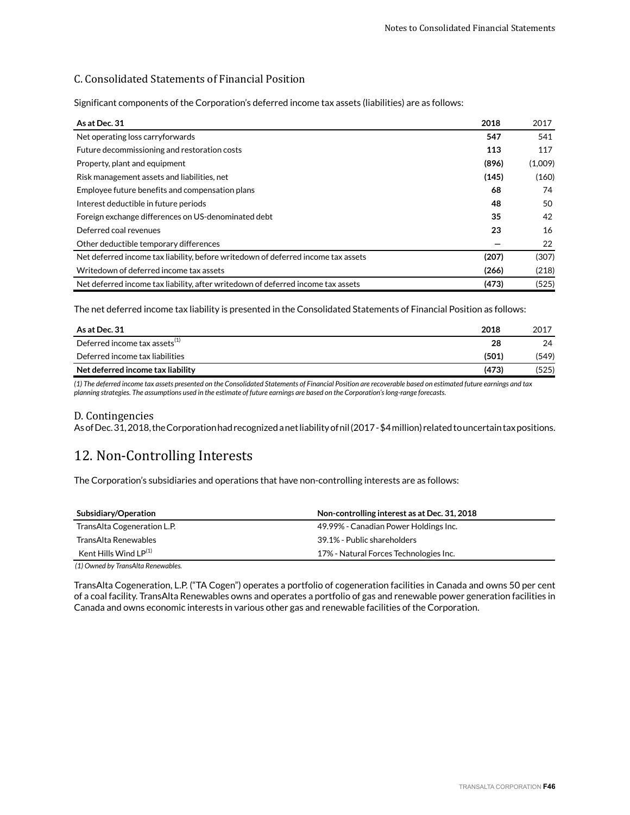## C. Consolidated Statements of Financial Position

Significant components of the Corporation's deferred income tax assets (liabilities) are as follows:

| As at Dec. 31                                                                     | 2018  | 2017    |
|-----------------------------------------------------------------------------------|-------|---------|
| Net operating loss carryforwards                                                  | 547   | 541     |
| Future decommissioning and restoration costs                                      | 113   | 117     |
| Property, plant and equipment                                                     | (896) | (1,009) |
| Risk management assets and liabilities, net                                       | (145) | (160)   |
| Employee future benefits and compensation plans                                   | 68    | 74      |
| Interest deductible in future periods                                             | 48    | 50      |
| Foreign exchange differences on US-denominated debt                               | 35    | 42      |
| Deferred coal revenues                                                            | 23    | 16      |
| Other deductible temporary differences                                            |       | 22      |
| Net deferred income tax liability, before writedown of deferred income tax assets | (207) | (307)   |
| Writedown of deferred income tax assets                                           | (266) | (218)   |
| Net deferred income tax liability, after writedown of deferred income tax assets  | (473) | (525)   |

The net deferred income tax liability is presented in the Consolidated Statements of Financial Position as follows:

| As at Dec. 31                                           | 2018  | 2017  |
|---------------------------------------------------------|-------|-------|
| Deferred income tax assets $^{\scriptscriptstyle{(1)}}$ | 28    | 24    |
| Deferred income tax liabilities                         | (501) | (549) |
| Net deferred income tax liability                       | (473) | (525) |

*(1) The deferred income tax assets presented on the Consolidated Statements of Financial Position are recoverable based on estimated future earnings and tax planning strategies. The assumptions used in the estimate of future earnings are based on the Corporation's long-range forecasts.*

### D. Contingencies

As of Dec. 31, 2018, the Corporation had recognized a net liability of nil (2017 - \$4 million) related to uncertain tax positions.

## 12. Non-Controlling Interests

The Corporation's subsidiaries and operations that have non-controlling interests are as follows:

| Subsidiary/Operation        | Non-controlling interest as at Dec. 31, 2018 |
|-----------------------------|----------------------------------------------|
| TransAlta Cogeneration L.P. | 49.99% - Canadian Power Holdings Inc.        |
| TransAlta Renewables        | 39.1% - Public shareholders                  |
| Kent Hills Wind $LP^{(1)}$  | 17% - Natural Forces Technologies Inc.       |
|                             |                                              |

*(1) Owned by TransAlta Renewables.*

TransAlta Cogeneration, L.P. ("TA Cogen") operates a portfolio of cogeneration facilities in Canada and owns 50 per cent of a coal facility. TransAlta Renewables owns and operates a portfolio of gas and renewable power generation facilities in Canada and owns economic interests in various other gas and renewable facilities of the Corporation.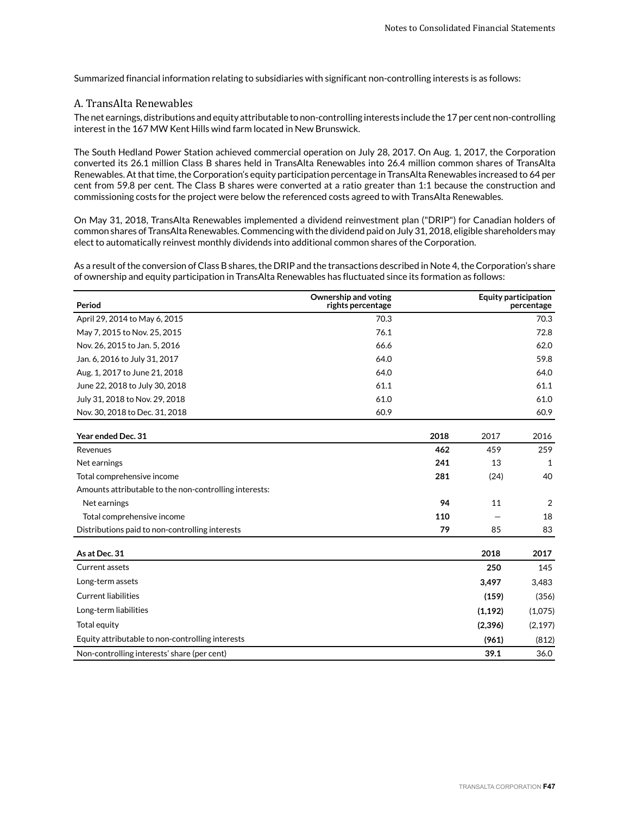Summarized financial information relating to subsidiaries with significant non-controlling interests is as follows:

## A. TransAlta Renewables

The net earnings, distributions and equity attributable to non-controlling interests include the 17 per cent non-controlling interest in the 167 MW Kent Hills wind farm located in New Brunswick.

The South Hedland Power Station achieved commercial operation on July 28, 2017. On Aug. 1, 2017, the Corporation converted its 26.1 million Class B shares held in TransAlta Renewables into 26.4 million common shares of TransAlta Renewables. At that time, the Corporation's equity participation percentage in TransAlta Renewables increased to 64 per cent from 59.8 per cent. The Class B shares were converted at a ratio greater than 1:1 because the construction and commissioning costs for the project were below the referenced costs agreed to with TransAlta Renewables.

On May 31, 2018, TransAlta Renewables implemented a dividend reinvestment plan ("DRIP") for Canadian holders of common shares of TransAlta Renewables. Commencing with the dividend paid on July 31, 2018, eligible shareholders may elect to automatically reinvest monthly dividends into additional common shares of the Corporation.

As a result of the conversion of Class B shares, the DRIP and the transactions described in Note 4, the Corporation's share of ownership and equity participation in TransAlta Renewables has fluctuated since its formation as follows:

| Period                                                 | Ownership and voting<br>rights percentage |      | <b>Equity participation</b> | percentage   |
|--------------------------------------------------------|-------------------------------------------|------|-----------------------------|--------------|
| April 29, 2014 to May 6, 2015                          | 70.3                                      |      |                             | 70.3         |
| May 7, 2015 to Nov. 25, 2015                           | 76.1                                      |      |                             | 72.8         |
| Nov. 26, 2015 to Jan. 5, 2016                          | 66.6                                      |      |                             | 62.0         |
| Jan. 6, 2016 to July 31, 2017                          | 64.0                                      |      |                             | 59.8         |
| Aug. 1, 2017 to June 21, 2018                          | 64.0                                      |      |                             | 64.0         |
| June 22, 2018 to July 30, 2018                         | 61.1                                      |      |                             | 61.1         |
| July 31, 2018 to Nov. 29, 2018                         | 61.0                                      |      |                             | 61.0         |
| Nov. 30, 2018 to Dec. 31, 2018                         | 60.9                                      |      |                             | 60.9         |
| Year ended Dec. 31                                     |                                           | 2018 | 2017                        | 2016         |
| Revenues                                               |                                           | 462  | 459                         | 259          |
| Net earnings                                           |                                           | 241  | 13                          | $\mathbf{1}$ |
| Total comprehensive income                             |                                           | 281  | (24)                        | 40           |
| Amounts attributable to the non-controlling interests: |                                           |      |                             |              |
| Net earnings                                           |                                           | 94   | 11                          | 2            |
| Total comprehensive income                             |                                           | 110  |                             | 18           |
| Distributions paid to non-controlling interests        |                                           | 79   | 85                          | 83           |
| As at Dec. 31                                          |                                           |      | 2018                        | 2017         |
| Current assets                                         |                                           |      | 250                         | 145          |
| Long-term assets                                       |                                           |      | 3,497                       | 3,483        |
| <b>Current liabilities</b>                             |                                           |      | (159)                       | (356)        |
| Long-term liabilities                                  |                                           |      | (1, 192)                    | (1,075)      |
| Total equity                                           |                                           |      | (2,396)                     | (2, 197)     |
| Equity attributable to non-controlling interests       |                                           |      | (961)                       | (812)        |
| Non-controlling interests' share (per cent)            |                                           |      | 39.1                        | 36.0         |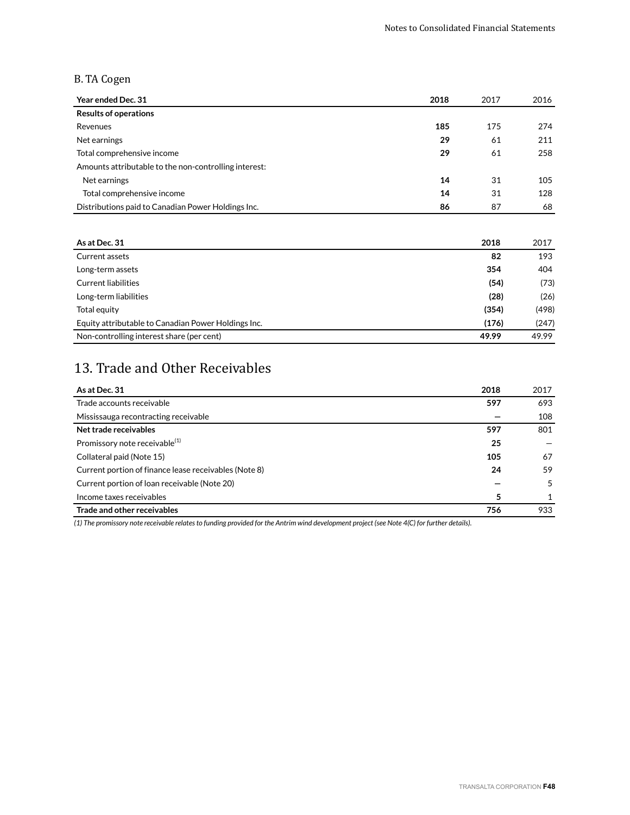## B. TA Cogen

| Year ended Dec. 31                                    | 2018 | 2017 | 2016 |
|-------------------------------------------------------|------|------|------|
| <b>Results of operations</b>                          |      |      |      |
| Revenues                                              | 185  | 175  | 274  |
| Net earnings                                          | 29   | 61   | 211  |
| Total comprehensive income                            | 29   | 61   | 258  |
| Amounts attributable to the non-controlling interest: |      |      |      |
| Net earnings                                          | 14   | 31   | 105  |
| Total comprehensive income                            | 14   | 31   | 128  |
| Distributions paid to Canadian Power Holdings Inc.    | 86   | 87   | 68   |

| As at Dec. 31                                       | 2018  | 2017  |
|-----------------------------------------------------|-------|-------|
| Current assets                                      | 82    | 193   |
| Long-term assets                                    | 354   | 404   |
| <b>Current liabilities</b>                          | (54)  | (73)  |
| Long-term liabilities                               | (28)  | (26)  |
| Total equity                                        | (354) | (498) |
| Equity attributable to Canadian Power Holdings Inc. | (176) | (247) |
| Non-controlling interest share (per cent)           | 49.99 | 49.99 |

# 13. Trade and Other Receivables

| As at Dec. 31                                         | 2018 | 2017 |
|-------------------------------------------------------|------|------|
| Trade accounts receivable                             | 597  | 693  |
| Mississauga recontracting receivable                  |      | 108  |
| Net trade receivables                                 | 597  | 801  |
| Promissory note receivable <sup>(1)</sup>             | 25   |      |
| Collateral paid (Note 15)                             | 105  | 67   |
| Current portion of finance lease receivables (Note 8) | 24   | 59   |
| Current portion of Ioan receivable (Note 20)          |      | 5    |
| Income taxes receivables                              | 5    |      |
| Trade and other receivables                           | 756  | 933  |

*(1) The promissory note receivable relates to funding provided for the Antrim wind development project (see Note 4(C) for further details).*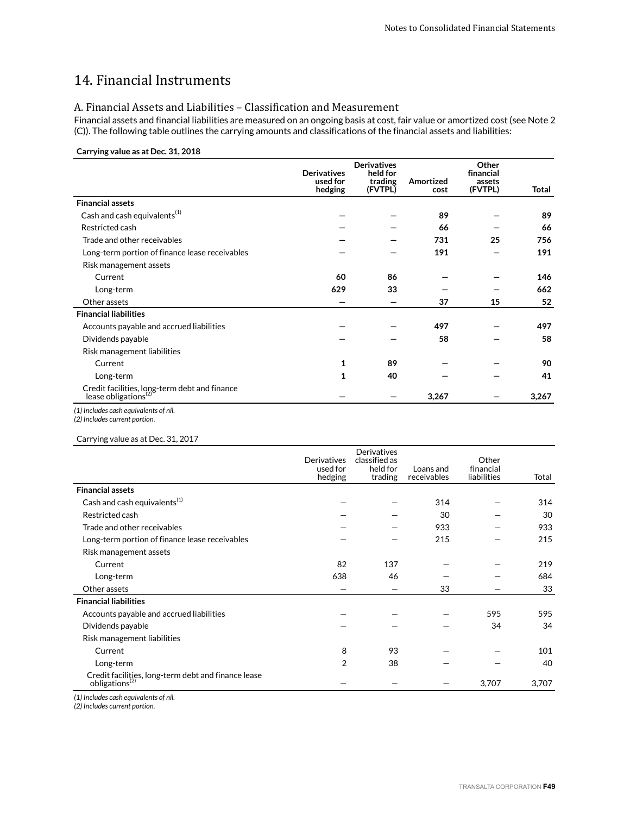# 14. Financial Instruments

## A. Financial Assets and Liabilities – Classification and Measurement

Financial assets and financial liabilities are measured on an ongoing basis at cost, fair value or amortized cost (see Note 2 (C)). The following table outlines the carrying amounts and classifications of the financial assets and liabilities:

## **Carrying value as at Dec. 31, 2018**

|                                                                                   | <b>Derivatives</b><br>used for<br>hedging | <b>Derivatives</b><br>held for<br>trading<br>(FVTPL) | Amortized<br>cost | Other<br>financial<br>assets<br>(FVTPL) | Total |
|-----------------------------------------------------------------------------------|-------------------------------------------|------------------------------------------------------|-------------------|-----------------------------------------|-------|
| <b>Financial assets</b>                                                           |                                           |                                                      |                   |                                         |       |
| Cash and cash equivalents $(1)$                                                   |                                           |                                                      | 89                |                                         | 89    |
| Restricted cash                                                                   |                                           |                                                      | 66                |                                         | 66    |
| Trade and other receivables                                                       |                                           |                                                      | 731               | 25                                      | 756   |
| Long-term portion of finance lease receivables                                    |                                           |                                                      | 191               |                                         | 191   |
| Risk management assets                                                            |                                           |                                                      |                   |                                         |       |
| Current                                                                           | 60                                        | 86                                                   |                   |                                         | 146   |
| Long-term                                                                         | 629                                       | 33                                                   |                   |                                         | 662   |
| Other assets                                                                      |                                           |                                                      | 37                | 15                                      | 52    |
| <b>Financial liabilities</b>                                                      |                                           |                                                      |                   |                                         |       |
| Accounts payable and accrued liabilities                                          |                                           |                                                      | 497               |                                         | 497   |
| Dividends payable                                                                 |                                           |                                                      | 58                |                                         | 58    |
| Risk management liabilities                                                       |                                           |                                                      |                   |                                         |       |
| Current                                                                           | 1                                         | 89                                                   |                   |                                         | 90    |
| Long-term                                                                         | 1                                         | 40                                                   |                   |                                         | 41    |
| Credit facilities, long-term debt and finance<br>lease obligations <sup>(2)</sup> |                                           |                                                      | 3,267             |                                         | 3,267 |
| (1) Includes cash equivalents of nil.                                             |                                           |                                                      |                   |                                         |       |

*(2) Includes current portion.*

## Carrying value as at Dec. 31, 2017

|                                                                                  | <b>Derivatives</b><br>used for<br>hedging | Derivatives<br>classified as<br>held for<br>trading | Loans and<br>receivables | Other<br>financial<br>liabilities | Total |
|----------------------------------------------------------------------------------|-------------------------------------------|-----------------------------------------------------|--------------------------|-----------------------------------|-------|
| <b>Financial assets</b>                                                          |                                           |                                                     |                          |                                   |       |
| Cash and cash equivalents <sup>(1)</sup>                                         |                                           |                                                     | 314                      |                                   | 314   |
| Restricted cash                                                                  |                                           |                                                     | 30                       |                                   | 30    |
| Trade and other receivables                                                      |                                           |                                                     | 933                      |                                   | 933   |
| Long-term portion of finance lease receivables                                   |                                           |                                                     | 215                      |                                   | 215   |
| Risk management assets                                                           |                                           |                                                     |                          |                                   |       |
| Current                                                                          | 82                                        | 137                                                 |                          |                                   | 219   |
| Long-term                                                                        | 638                                       | 46                                                  |                          |                                   | 684   |
| Other assets                                                                     |                                           |                                                     | 33                       |                                   | 33    |
| <b>Financial liabilities</b>                                                     |                                           |                                                     |                          |                                   |       |
| Accounts payable and accrued liabilities                                         |                                           |                                                     |                          | 595                               | 595   |
| Dividends payable                                                                |                                           |                                                     |                          | 34                                | 34    |
| Risk management liabilities                                                      |                                           |                                                     |                          |                                   |       |
| Current                                                                          | 8                                         | 93                                                  |                          |                                   | 101   |
| Long-term                                                                        | 2                                         | 38                                                  |                          |                                   | 40    |
| Credit facilities, long-term debt and finance lease<br>obligations <sup>12</sup> |                                           |                                                     |                          | 3,707                             | 3,707 |

*(1) Includes cash equivalents of nil.*

*(2) Includes current portion.*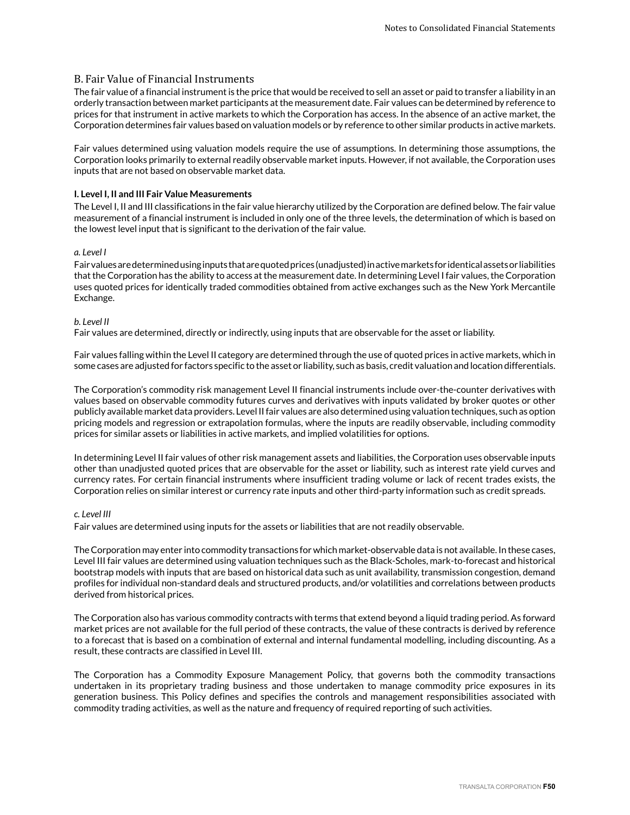## B. Fair Value of Financial Instruments

The fair value of a financial instrument is the price that would be received to sell an asset or paid to transfer a liability in an orderly transaction between market participants at the measurement date. Fair values can be determined by reference to prices for that instrument in active markets to which the Corporation has access. In the absence of an active market, the Corporation determines fair values based on valuation models or by reference to other similar products in active markets.

Fair values determined using valuation models require the use of assumptions. In determining those assumptions, the Corporation looks primarily to external readily observable market inputs. However, if not available, the Corporation uses inputs that are not based on observable market data.

### **I. Level I, II and III Fair Value Measurements**

The Level I, II and III classifications in the fair value hierarchy utilized by the Corporation are defined below. The fair value measurement of a financial instrument is included in only one of the three levels, the determination of which is based on the lowest level input that is significant to the derivation of the fair value.

### *a. Level I*

Fair values are determined using inputs that are quoted prices (unadjusted) in active markets for identical assets or liabilities that the Corporation has the ability to access at the measurement date. In determining Level I fair values, the Corporation uses quoted prices for identically traded commodities obtained from active exchanges such as the New York Mercantile Exchange.

### *b. Level II*

Fair values are determined, directly or indirectly, using inputs that are observable for the asset or liability.

Fair values falling within the Level II category are determined through the use of quoted prices in active markets, which in some cases are adjusted for factors specific to the asset or liability, such as basis, credit valuation and location differentials.

The Corporation's commodity risk management Level II financial instruments include over-the-counter derivatives with values based on observable commodity futures curves and derivatives with inputs validated by broker quotes or other publicly available market data providers. Level II fair values are also determined using valuation techniques, such as option pricing models and regression or extrapolation formulas, where the inputs are readily observable, including commodity prices for similar assets or liabilities in active markets, and implied volatilities for options.

In determining Level II fair values of other risk management assets and liabilities, the Corporation uses observable inputs other than unadjusted quoted prices that are observable for the asset or liability, such as interest rate yield curves and currency rates. For certain financial instruments where insufficient trading volume or lack of recent trades exists, the Corporation relies on similar interest or currency rate inputs and other third-party information such as credit spreads.

### *c. Level III*

Fair values are determined using inputs for the assets or liabilities that are not readily observable.

The Corporation may enter into commodity transactions for which market-observable data is not available. In these cases, Level III fair values are determined using valuation techniques such as the Black-Scholes, mark-to-forecast and historical bootstrap models with inputs that are based on historical data such as unit availability, transmission congestion, demand profiles for individual non-standard deals and structured products, and/or volatilities and correlations between products derived from historical prices.

The Corporation also has various commodity contracts with terms that extend beyond a liquid trading period. As forward market prices are not available for the full period of these contracts, the value of these contracts is derived by reference to a forecast that is based on a combination of external and internal fundamental modelling, including discounting. As a result, these contracts are classified in Level III.

The Corporation has a Commodity Exposure Management Policy, that governs both the commodity transactions undertaken in its proprietary trading business and those undertaken to manage commodity price exposures in its generation business. This Policy defines and specifies the controls and management responsibilities associated with commodity trading activities, as well as the nature and frequency of required reporting of such activities.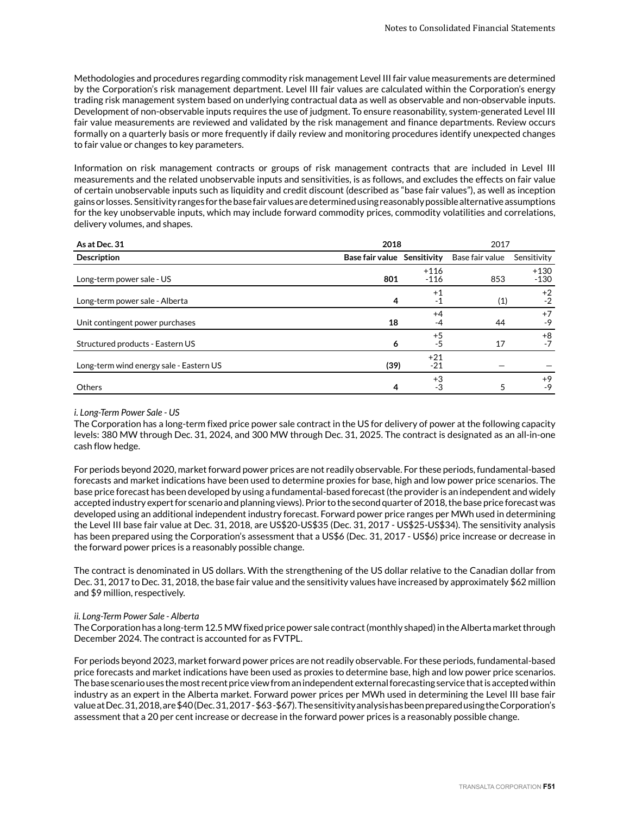Methodologies and procedures regarding commodity risk management Level III fair value measurements are determined by the Corporation's risk management department. Level III fair values are calculated within the Corporation's energy trading risk management system based on underlying contractual data as well as observable and non-observable inputs. Development of non-observable inputs requires the use of judgment. To ensure reasonability, system-generated Level III fair value measurements are reviewed and validated by the risk management and finance departments. Review occurs formally on a quarterly basis or more frequently if daily review and monitoring procedures identify unexpected changes to fair value or changes to key parameters.

Information on risk management contracts or groups of risk management contracts that are included in Level III measurements and the related unobservable inputs and sensitivities, is as follows, and excludes the effects on fair value of certain unobservable inputs such as liquidity and credit discount (described as "base fair values"), as well as inception gains or losses. Sensitivity ranges for the base fair values are determined using reasonably possible alternative assumptions for the key unobservable inputs, which may include forward commodity prices, commodity volatilities and correlations, delivery volumes, and shapes.

| As at Dec. 31                           | 2018                        |                  | 2017            |                  |
|-----------------------------------------|-----------------------------|------------------|-----------------|------------------|
| <b>Description</b>                      | Base fair value Sensitivity |                  | Base fair value | Sensitivity      |
| Long-term power sale - US               | 801                         | $+116$<br>$-116$ | 853             | $+130$<br>$-130$ |
| Long-term power sale - Alberta          | 4                           | $+1$<br>-1       | (1)             | $+2$<br>$-2$     |
| Unit contingent power purchases         | 18                          | $+4$<br>-4       | 44              | $+7$<br>$-9$     |
| Structured products - Eastern US        | 6                           | $+5$<br>$-5$     | 17              | $+8$<br>$-7$     |
| Long-term wind energy sale - Eastern US | (39)                        | $+21$<br>$-21$   |                 |                  |
| Others                                  | 4                           | $+3$<br>-3       | 5               | $+9$<br>-9       |

#### *i. Long-Term Power Sale - US*

The Corporation has a long-term fixed price power sale contract in the US for delivery of power at the following capacity levels: 380 MW through Dec. 31, 2024, and 300 MW through Dec. 31, 2025. The contract is designated as an all-in-one cash flow hedge.

For periods beyond 2020, market forward power prices are not readily observable. For these periods, fundamental-based forecasts and market indications have been used to determine proxies for base, high and low power price scenarios. The base price forecast has been developed by using a fundamental-based forecast (the provider is an independent and widely accepted industry expert for scenario and planning views). Prior to the second quarter of 2018, the base price forecast was developed using an additional independent industry forecast. Forward power price ranges per MWh used in determining the Level III base fair value at Dec. 31, 2018, are US\$20-US\$35 (Dec. 31, 2017 - US\$25-US\$34). The sensitivity analysis has been prepared using the Corporation's assessment that a US\$6 (Dec. 31, 2017 - US\$6) price increase or decrease in the forward power prices is a reasonably possible change.

The contract is denominated in US dollars. With the strengthening of the US dollar relative to the Canadian dollar from Dec. 31, 2017 to Dec. 31, 2018, the base fair value and the sensitivity values have increased by approximately \$62 million and \$9 million, respectively.

### *ii. Long-Term Power Sale - Alberta*

The Corporation has a long-term 12.5 MW fixed price power sale contract (monthly shaped) in the Alberta market through December 2024. The contract is accounted for as FVTPL.

For periods beyond 2023, market forward power prices are not readily observable. For these periods, fundamental-based price forecasts and market indications have been used as proxies to determine base, high and low power price scenarios. The base scenario uses the most recent price view from an independent external forecasting service that is accepted within industry as an expert in the Alberta market. Forward power prices per MWh used in determining the Level III base fair value at Dec. 31, 2018, are \$40 (Dec. 31, 2017 - \$63 -\$67). The sensitivity analysis has been prepared using the Corporation's assessment that a 20 per cent increase or decrease in the forward power prices is a reasonably possible change.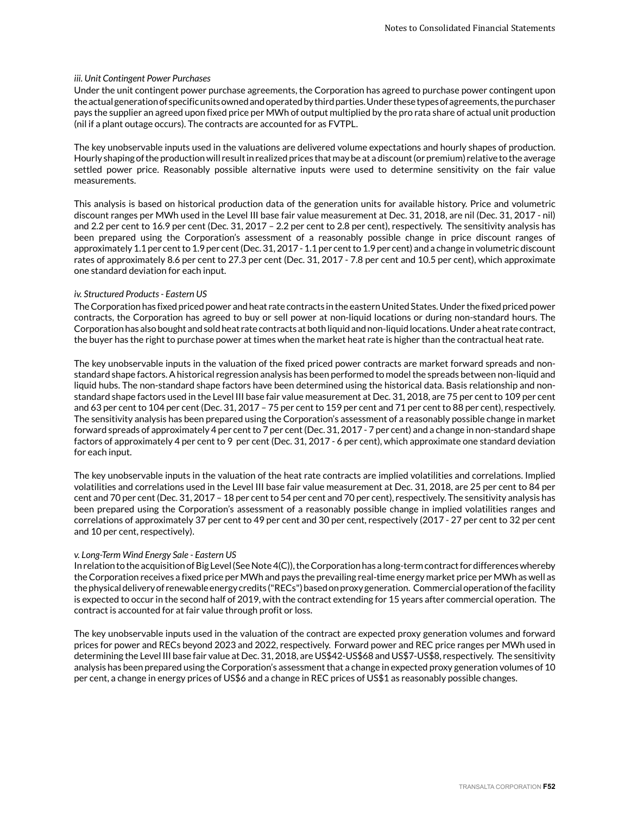### *iii. Unit Contingent Power Purchases*

Under the unit contingent power purchase agreements, the Corporation has agreed to purchase power contingent upon the actual generation of specific units owned and operated by third parties. Under these types of agreements, the purchaser pays the supplier an agreed upon fixed price per MWh of output multiplied by the pro rata share of actual unit production (nil if a plant outage occurs). The contracts are accounted for as FVTPL.

The key unobservable inputs used in the valuations are delivered volume expectations and hourly shapes of production. Hourly shaping of the production will result in realized prices that may be at a discount (or premium) relative to the average settled power price. Reasonably possible alternative inputs were used to determine sensitivity on the fair value measurements.

This analysis is based on historical production data of the generation units for available history. Price and volumetric discount ranges per MWh used in the Level III base fair value measurement at Dec. 31, 2018, are nil (Dec. 31, 2017 - nil) and 2.2 per cent to 16.9 per cent (Dec. 31, 2017 – 2.2 per cent to 2.8 per cent), respectively. The sensitivity analysis has been prepared using the Corporation's assessment of a reasonably possible change in price discount ranges of approximately 1.1 per cent to 1.9 per cent (Dec. 31, 2017 - 1.1 per cent to 1.9 per cent) and a change in volumetric discount rates of approximately 8.6 per cent to 27.3 per cent (Dec. 31, 2017 - 7.8 per cent and 10.5 per cent), which approximate one standard deviation for each input.

### *iv. Structured Products - Eastern US*

The Corporation has fixed priced power and heat rate contracts in the eastern United States. Under the fixed priced power contracts, the Corporation has agreed to buy or sell power at non-liquid locations or during non-standard hours. The Corporation has also bought and sold heat rate contracts at both liquid and non-liquid locations. Under a heat rate contract, the buyer has the right to purchase power at times when the market heat rate is higher than the contractual heat rate.

The key unobservable inputs in the valuation of the fixed priced power contracts are market forward spreads and nonstandard shape factors. A historical regression analysis has been performed to model the spreads between non-liquid and liquid hubs. The non-standard shape factors have been determined using the historical data. Basis relationship and nonstandard shape factors used in the Level III base fair value measurement at Dec. 31, 2018, are 75 per cent to 109 per cent and 63 per cent to 104 per cent (Dec. 31, 2017 - 75 per cent to 159 per cent and 71 per cent to 88 per cent), respectively. The sensitivity analysis has been prepared using the Corporation's assessment of a reasonably possible change in market forward spreads of approximately 4 per cent to 7 per cent (Dec. 31, 2017 - 7 per cent) and a change in non-standard shape factors of approximately 4 per cent to 9 per cent (Dec. 31, 2017 - 6 per cent), which approximate one standard deviation for each input.

The key unobservable inputs in the valuation of the heat rate contracts are implied volatilities and correlations. Implied volatilities and correlations used in the Level III base fair value measurement at Dec. 31, 2018, are 25 per cent to 84 per cent and 70 per cent (Dec. 31, 2017 – 18 per cent to 54 per cent and 70 per cent), respectively. The sensitivity analysis has been prepared using the Corporation's assessment of a reasonably possible change in implied volatilities ranges and correlations of approximately 37 per cent to 49 per cent and 30 per cent, respectively (2017 - 27 per cent to 32 per cent and 10 per cent, respectively).

### *v. Long-Term Wind Energy Sale - Eastern US*

In relation to the acquisition of Big Level (See Note 4(C)), the Corporation has a long-term contract for differences whereby the Corporation receives a fixed price per MWh and pays the prevailing real-time energy market price per MWh as well as the physical delivery of renewable energy credits ("RECs") based on proxy generation. Commercial operation of the facility is expected to occur in the second half of 2019, with the contract extending for 15 years after commercial operation. The contract is accounted for at fair value through profit or loss.

The key unobservable inputs used in the valuation of the contract are expected proxy generation volumes and forward prices for power and RECs beyond 2023 and 2022, respectively. Forward power and REC price ranges per MWh used in determining the Level III base fair value at Dec. 31, 2018, are US\$42-US\$68 and US\$7-US\$8, respectively. The sensitivity analysis has been prepared using the Corporation's assessment that a change in expected proxy generation volumes of 10 per cent, a change in energy prices of US\$6 and a change in REC prices of US\$1 as reasonably possible changes.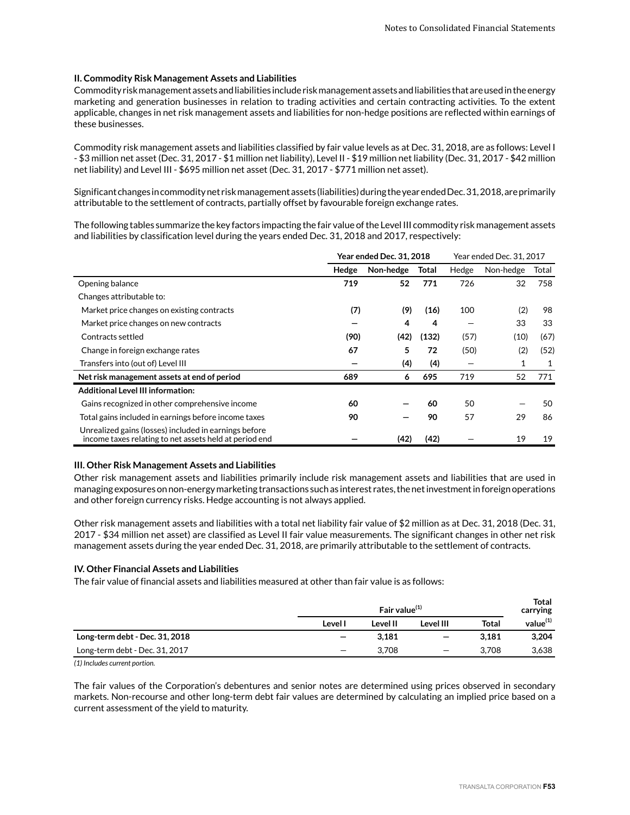### **II. Commodity Risk Management Assets and Liabilities**

Commodity risk management assets and liabilities include risk management assets and liabilities that are used in the energy marketing and generation businesses in relation to trading activities and certain contracting activities. To the extent applicable, changes in net risk management assets and liabilities for non-hedge positions are reflected within earnings of these businesses.

Commodity risk management assets and liabilities classified by fair value levels as at Dec. 31, 2018, are as follows: Level I - \$3 million net asset (Dec. 31, 2017 - \$1 million net liability), Level II - \$19 million net liability (Dec. 31, 2017 - \$42 million net liability) and Level III - \$695 million net asset (Dec. 31, 2017 - \$771 million net asset).

Significant changes in commodity net risk management assets (liabilities) during the year ended Dec. 31, 2018, are primarily attributable to the settlement of contracts, partially offset by favourable foreign exchange rates.

The following tables summarize the key factors impacting the fair value of the Level III commodity risk management assets and liabilities by classification level during the years ended Dec. 31, 2018 and 2017, respectively:

|                                                                                                                 | <b>Year ended Dec. 31, 2018</b> |           |       |       | Year ended Dec. 31, 2017 |       |
|-----------------------------------------------------------------------------------------------------------------|---------------------------------|-----------|-------|-------|--------------------------|-------|
|                                                                                                                 | Hedge                           | Non-hedge | Total | Hedge | Non-hedge                | Total |
| Opening balance                                                                                                 | 719                             | 52        | 771   | 726   | 32                       | 758   |
| Changes attributable to:                                                                                        |                                 |           |       |       |                          |       |
| Market price changes on existing contracts                                                                      | (7)                             | (9)       | (16)  | 100   | (2)                      | 98    |
| Market price changes on new contracts                                                                           |                                 | 4         | 4     |       | 33                       | 33    |
| Contracts settled                                                                                               | (90)                            | (42)      | (132) | (57)  | (10)                     | (67)  |
| Change in foreign exchange rates                                                                                | 67                              | 5         | 72    | (50)  | (2)                      | (52)  |
| Transfers into (out of) Level III                                                                               |                                 | (4)       | (4)   |       | 1                        | 1     |
| Net risk management assets at end of period                                                                     | 689                             | 6         | 695   | 719   | 52                       | 771   |
| <b>Additional Level III information:</b>                                                                        |                                 |           |       |       |                          |       |
| Gains recognized in other comprehensive income                                                                  | 60                              |           | 60    | 50    |                          | 50    |
| Total gains included in earnings before income taxes                                                            | 90                              |           | 90    | 57    | 29                       | 86    |
| Unrealized gains (losses) included in earnings before<br>income taxes relating to net assets held at period end |                                 | (42)      | (42)  |       | 19                       | 19    |

### **III. Other Risk Management Assets and Liabilities**

Other risk management assets and liabilities primarily include risk management assets and liabilities that are used in managing exposures on non-energy marketing transactions such as interest rates, the net investment in foreign operations and other foreign currency risks. Hedge accounting is not always applied.

Other risk management assets and liabilities with a total net liability fair value of \$2 million as at Dec. 31, 2018 (Dec. 31, 2017 - \$34 million net asset) are classified as Level II fair value measurements. The significant changes in other net risk management assets during the year ended Dec. 31, 2018, are primarily attributable to the settlement of contracts.

### **IV. Other Financial Assets and Liabilities**

The fair value of financial assets and liabilities measured at other than fair value is as follows:

|                                | Fair value $(1)$         |          |                          | <b>Total</b><br>carrying |                      |
|--------------------------------|--------------------------|----------|--------------------------|--------------------------|----------------------|
|                                | Level I                  | Level II | Level III                | <b>Total</b>             | value <sup>(1)</sup> |
| Long-term debt - Dec. 31, 2018 | $\overline{\phantom{0}}$ | 3.181    | $\overline{\phantom{m}}$ | 3.181                    | 3,204                |
| Long-term debt - Dec. 31, 2017 |                          | 3.708    |                          | 3.708                    | 3,638                |

*(1) Includes current portion.*

The fair values of the Corporation's debentures and senior notes are determined using prices observed in secondary markets. Non-recourse and other long-term debt fair values are determined by calculating an implied price based on a current assessment of the yield to maturity.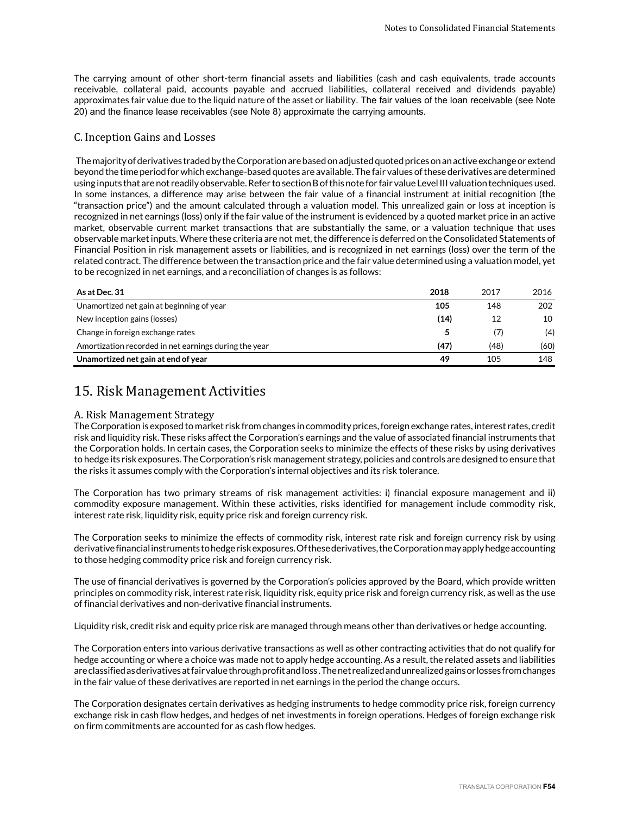The carrying amount of other short-term financial assets and liabilities (cash and cash equivalents, trade accounts receivable, collateral paid, accounts payable and accrued liabilities, collateral received and dividends payable) approximates fair value due to the liquid nature of the asset or liability. The fair values of the loan receivable (see Note 20) and the finance lease receivables (see Note 8) approximate the carrying amounts.

## C. Inception Gains and Losses

 The majority of derivatives traded by the Corporation are based on adjusted quoted prices on an active exchange or extend beyond the time period for which exchange-based quotes are available. The fair values of these derivatives are determined using inputs that are not readily observable. Refer to section B of this note for fair value Level III valuation techniques used. In some instances, a difference may arise between the fair value of a financial instrument at initial recognition (the "transaction price") and the amount calculated through a valuation model. This unrealized gain or loss at inception is recognized in net earnings (loss) only if the fair value of the instrument is evidenced by a quoted market price in an active market, observable current market transactions that are substantially the same, or a valuation technique that uses observable market inputs. Where these criteria are not met, the difference is deferred on the Consolidated Statements of Financial Position in risk management assets or liabilities, and is recognized in net earnings (loss) over the term of the related contract. The difference between the transaction price and the fair value determined using a valuation model, yet to be recognized in net earnings, and a reconciliation of changes is as follows:

| As at Dec. 31                                         | 2018 | 2017 | 2016 |
|-------------------------------------------------------|------|------|------|
| Unamortized net gain at beginning of year             | 105  | 148  | 202  |
| New inception gains (losses)                          | (14) | 12   | 10   |
| Change in foreign exchange rates                      |      | (7)  | (4)  |
| Amortization recorded in net earnings during the year | (47) | (48) | (60) |
| Unamortized net gain at end of year                   | 49   | 105  | 148  |

## 15. Risk Management Activities

## A. Risk Management Strategy

The Corporation is exposed to market risk from changes in commodity prices, foreign exchange rates, interest rates, credit risk and liquidity risk. These risks affect the Corporation's earnings and the value of associated financial instruments that the Corporation holds. In certain cases, the Corporation seeks to minimize the effects of these risks by using derivatives to hedge its risk exposures. The Corporation's risk management strategy, policies and controls are designed to ensure that the risks it assumes comply with the Corporation's internal objectives and its risk tolerance.

The Corporation has two primary streams of risk management activities: i) financial exposure management and ii) commodity exposure management. Within these activities, risks identified for management include commodity risk, interest rate risk, liquidity risk, equity price risk and foreign currency risk.

The Corporation seeks to minimize the effects of commodity risk, interest rate risk and foreign currency risk by using derivative financial instruments to hedge risk exposures. Of these derivatives, the Corporation may apply hedge accounting to those hedging commodity price risk and foreign currency risk.

The use of financial derivatives is governed by the Corporation's policies approved by the Board, which provide written principles on commodity risk, interest rate risk, liquidity risk, equity price risk and foreign currency risk, as well as the use of financial derivatives and non-derivative financial instruments.

Liquidity risk, credit risk and equity price risk are managed through means other than derivatives or hedge accounting.

The Corporation enters into various derivative transactions as well as other contracting activities that do not qualify for hedge accounting or where a choice was made not to apply hedge accounting. As a result, the related assets and liabilities are classified as derivatives at fair value through profit and loss . The net realized and unrealized gains or losses from changes in the fair value of these derivatives are reported in net earnings in the period the change occurs.

The Corporation designates certain derivatives as hedging instruments to hedge commodity price risk, foreign currency exchange risk in cash flow hedges, and hedges of net investments in foreign operations. Hedges of foreign exchange risk on firm commitments are accounted for as cash flow hedges.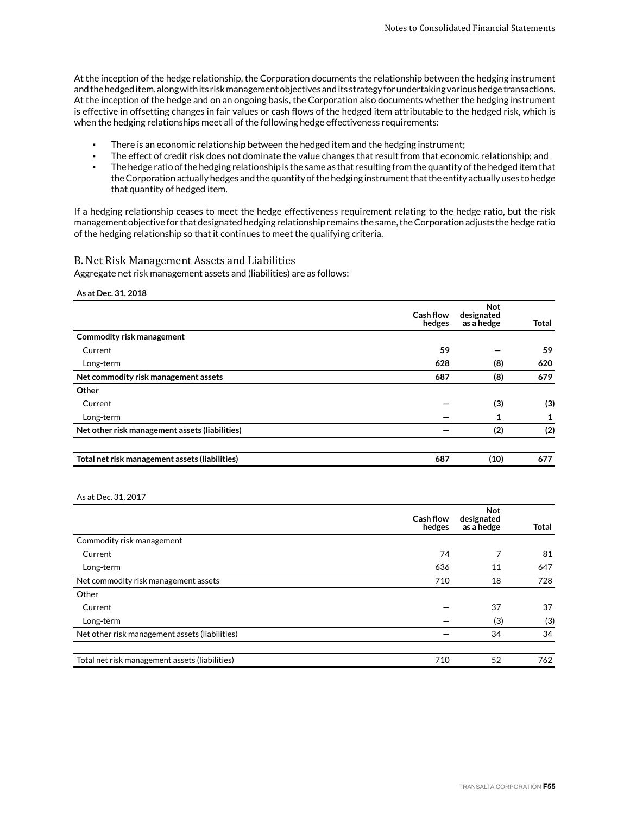At the inception of the hedge relationship, the Corporation documents the relationship between the hedging instrument and the hedged item, along with its risk management objectives and its strategy for undertaking various hedge transactions. At the inception of the hedge and on an ongoing basis, the Corporation also documents whether the hedging instrument is effective in offsetting changes in fair values or cash flows of the hedged item attributable to the hedged risk, which is when the hedging relationships meet all of the following hedge effectiveness requirements:

- There is an economic relationship between the hedged item and the hedging instrument;
- The effect of credit risk does not dominate the value changes that result from that economic relationship; and
- The hedge ratio of the hedging relationship is the same as that resulting from the quantity of the hedged item that the Corporation actually hedges and the quantity of the hedging instrument that the entity actually uses to hedge that quantity of hedged item.

If a hedging relationship ceases to meet the hedge effectiveness requirement relating to the hedge ratio, but the risk management objective for that designated hedging relationship remains the same, the Corporation adjusts the hedge ratio of the hedging relationship so that it continues to meet the qualifying criteria.

### B. Net Risk Management Assets and Liabilities

Aggregate net risk management assets and (liabilities) are as follows:

#### **As at Dec. 31, 2018**

|                                                | <b>Cash flow</b><br>hedges | <b>Not</b><br>designated<br>as a hedge | Total |
|------------------------------------------------|----------------------------|----------------------------------------|-------|
| <b>Commodity risk management</b>               |                            |                                        |       |
| Current                                        | 59                         |                                        | 59    |
| Long-term                                      | 628                        | (8)                                    | 620   |
| Net commodity risk management assets           | 687                        | (8)                                    | 679   |
| Other                                          |                            |                                        |       |
| Current                                        |                            | (3)                                    | (3)   |
| Long-term                                      |                            |                                        | 1     |
| Net other risk management assets (liabilities) |                            | (2)                                    | (2)   |
| Total net risk management assets (liabilities) | 687                        | (10)                                   | 677   |

#### As at Dec. 31, 2017

|                                                | <b>Cash flow</b><br>hedges | <b>Not</b><br>designated<br>as a hedge | <b>Total</b> |
|------------------------------------------------|----------------------------|----------------------------------------|--------------|
| Commodity risk management                      |                            |                                        |              |
| Current                                        | 74                         | 7                                      | 81           |
| Long-term                                      | 636                        | 11                                     | 647          |
| Net commodity risk management assets           | 710                        | 18                                     | 728          |
| Other                                          |                            |                                        |              |
| Current                                        |                            | 37                                     | 37           |
| Long-term                                      |                            | (3)                                    | (3)          |
| Net other risk management assets (liabilities) |                            | 34                                     | 34           |
| Total net risk management assets (liabilities) | 710                        | 52                                     | 762          |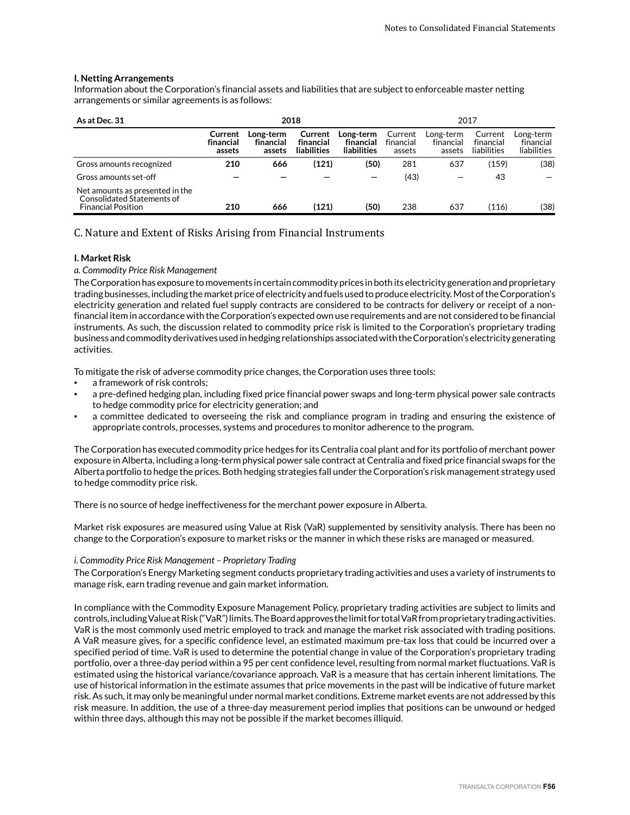### **I. Netting Arrangements**

Information about the Corporation's financial assets and liabilities that are subject to enforceable master netting arrangements or similar agreements is as follows:

| As at Dec. 31                                                                              | 2018                           |                                  |                                     |                                       |                                | 2017                             |                                     |                                       |
|--------------------------------------------------------------------------------------------|--------------------------------|----------------------------------|-------------------------------------|---------------------------------------|--------------------------------|----------------------------------|-------------------------------------|---------------------------------------|
|                                                                                            | Current<br>financial<br>assets | Long-term<br>financial<br>assets | Current<br>financial<br>liabilities | Long-term<br>financial<br>liabilities | Current<br>financial<br>assets | Long-term<br>financial<br>assets | Current<br>financial<br>liabilities | Long-term<br>financial<br>liabilities |
| Gross amounts recognized                                                                   | 210                            | 666                              | (121)                               | (50)                                  | 281                            | 637                              | (159)                               | (38)                                  |
| Gross amounts set-off                                                                      |                                |                                  |                                     | –                                     | (43)                           |                                  | 43                                  |                                       |
| Net amounts as presented in the<br>Consolidated Statements of<br><b>Financial Position</b> | 210                            | 666                              | (121)                               | (50)                                  | 238                            | 637                              | (116)                               | (38)                                  |

## C. Nature and Extent of Risks Arising from Financial Instruments

### **I. Market Risk**

### *a. Commodity Price Risk Management*

The Corporation has exposure to movements in certain commodity prices in both its electricity generation and proprietary trading businesses, including the market price of electricity and fuels used to produce electricity. Most of the Corporation's electricity generation and related fuel supply contracts are considered to be contracts for delivery or receipt of a nonfinancial item in accordance with the Corporation's expected own use requirements and are not considered to be financial instruments. As such, the discussion related to commodity price risk is limited to the Corporation's proprietary trading business and commodity derivatives used in hedging relationships associated with the Corporation's electricity generating activities.

To mitigate the risk of adverse commodity price changes, the Corporation uses three tools:

- a framework of risk controls;
- a pre-defined hedging plan, including fixed price financial power swaps and long-term physical power sale contracts to hedge commodity price for electricity generation; and
- a committee dedicated to overseeing the risk and compliance program in trading and ensuring the existence of appropriate controls, processes, systems and procedures to monitor adherence to the program.

The Corporation has executed commodity price hedges for its Centralia coal plant and for its portfolio of merchant power exposure in Alberta, including a long-term physical power sale contract at Centralia and fixed price financial swaps for the Alberta portfolio to hedge the prices. Both hedging strategies fall under the Corporation's risk management strategy used to hedge commodity price risk.

There is no source of hedge ineffectiveness for the merchant power exposure in Alberta.

Market risk exposures are measured using Value at Risk (VaR) supplemented by sensitivity analysis. There has been no change to the Corporation's exposure to market risks or the manner in which these risks are managed or measured.

### *i. Commodity Price Risk Management – Proprietary Trading*

The Corporation's Energy Marketing segment conducts proprietary trading activities and uses a variety of instruments to manage risk, earn trading revenue and gain market information.

In compliance with the Commodity Exposure Management Policy, proprietary trading activities are subject to limits and controls, including Value at Risk ("VaR") limits. The Board approves the limit for total VaR from proprietary trading activities. VaR is the most commonly used metric employed to track and manage the market risk associated with trading positions. A VaR measure gives, for a specific confidence level, an estimated maximum pre-tax loss that could be incurred over a specified period of time. VaR is used to determine the potential change in value of the Corporation's proprietary trading portfolio, over a three-day period within a 95 per cent confidence level, resulting from normal market fluctuations. VaR is estimated using the historical variance/covariance approach. VaR is a measure that has certain inherent limitations. The use of historical information in the estimate assumes that price movements in the past will be indicative of future market risk. As such, it may only be meaningful under normal market conditions. Extreme market events are not addressed by this risk measure. In addition, the use of a three-day measurement period implies that positions can be unwound or hedged within three days, although this may not be possible if the market becomes illiquid.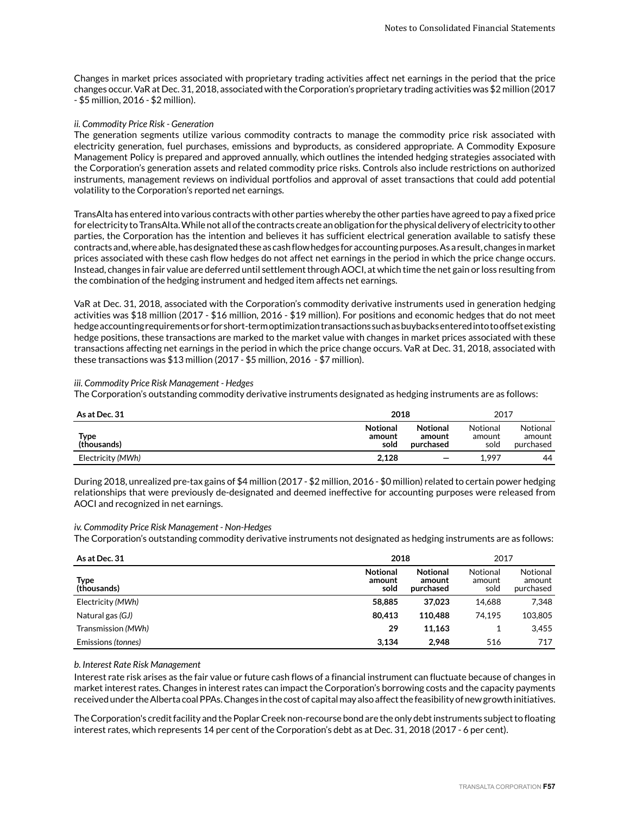Changes in market prices associated with proprietary trading activities affect net earnings in the period that the price changes occur. VaR at Dec. 31, 2018, associated with the Corporation's proprietary trading activities was \$2 million (2017 - \$5 million, 2016 - \$2 million).

### *ii. Commodity Price Risk - Generation*

The generation segments utilize various commodity contracts to manage the commodity price risk associated with electricity generation, fuel purchases, emissions and byproducts, as considered appropriate. A Commodity Exposure Management Policy is prepared and approved annually, which outlines the intended hedging strategies associated with the Corporation's generation assets and related commodity price risks. Controls also include restrictions on authorized instruments, management reviews on individual portfolios and approval of asset transactions that could add potential volatility to the Corporation's reported net earnings.

TransAlta has entered into various contracts with other parties whereby the other parties have agreed to pay a fixed price for electricity to TransAlta. While not all of the contracts create an obligation for the physical delivery of electricity to other parties, the Corporation has the intention and believes it has sufficient electrical generation available to satisfy these contracts and, where able, has designated these as cash flow hedges for accounting purposes. As a result, changes in market prices associated with these cash flow hedges do not affect net earnings in the period in which the price change occurs. Instead, changes in fair value are deferred until settlement through AOCI, at which time the net gain or loss resulting from the combination of the hedging instrument and hedged item affects net earnings.

VaR at Dec. 31, 2018, associated with the Corporation's commodity derivative instruments used in generation hedging activities was \$18 million (2017 - \$16 million, 2016 - \$19 million). For positions and economic hedges that do not meet hedge accounting requirements or for short-term optimization transactions such as buybacks entered into to offset existing hedge positions, these transactions are marked to the market value with changes in market prices associated with these transactions affecting net earnings in the period in which the price change occurs. VaR at Dec. 31, 2018, associated with these transactions was \$13 million (2017 - \$5 million, 2016 - \$7 million).

### *iii. Commodity Price Risk Management - Hedges*

The Corporation's outstanding commodity derivative instruments designated as hedging instruments are as follows:

| As at Dec. 31       | 2018                              | 2017                                   |                            |                                 |
|---------------------|-----------------------------------|----------------------------------------|----------------------------|---------------------------------|
| Type<br>(thousands) | <b>Notional</b><br>amount<br>sold | <b>Notional</b><br>amount<br>purchased | Notional<br>amount<br>sold | Notional<br>amount<br>purchased |
| Electricity (MWh)   | 2.128                             | $\overline{\phantom{m}}$               | 1.997                      | 44                              |

During 2018, unrealized pre-tax gains of \$4 million (2017 - \$2 million, 2016 - \$0 million) related to certain power hedging relationships that were previously de-designated and deemed ineffective for accounting purposes were released from AOCI and recognized in net earnings.

### *iv. Commodity Price Risk Management - Non-Hedges*

The Corporation's outstanding commodity derivative instruments not designated as hedging instruments are as follows:

| As at Dec. 31       | 2018                              |                                        |                            | 2017                            |
|---------------------|-----------------------------------|----------------------------------------|----------------------------|---------------------------------|
| Type<br>(thousands) | <b>Notional</b><br>amount<br>sold | <b>Notional</b><br>amount<br>purchased | Notional<br>amount<br>sold | Notional<br>amount<br>purchased |
| Electricity (MWh)   | 58,885                            | 37.023                                 | 14.688                     | 7,348                           |
| Natural gas (GJ)    | 80.413                            | 110,488                                | 74.195                     | 103.805                         |
| Transmission (MWh)  | 29                                | 11,163                                 |                            | 3.455                           |
| Emissions (tonnes)  | 3.134                             | 2.948                                  | 516                        | 717                             |

### *b. Interest Rate Risk Management*

Interest rate risk arises as the fair value or future cash flows of a financial instrument can fluctuate because of changes in market interest rates. Changes in interest rates can impact the Corporation's borrowing costs and the capacity payments received under the Alberta coal PPAs. Changes in the cost of capital may also affect the feasibility of new growth initiatives.

The Corporation's credit facility and the Poplar Creek non-recourse bond are the only debt instruments subject to floating interest rates, which represents 14 per cent of the Corporation's debt as at Dec. 31, 2018 (2017 - 6 per cent).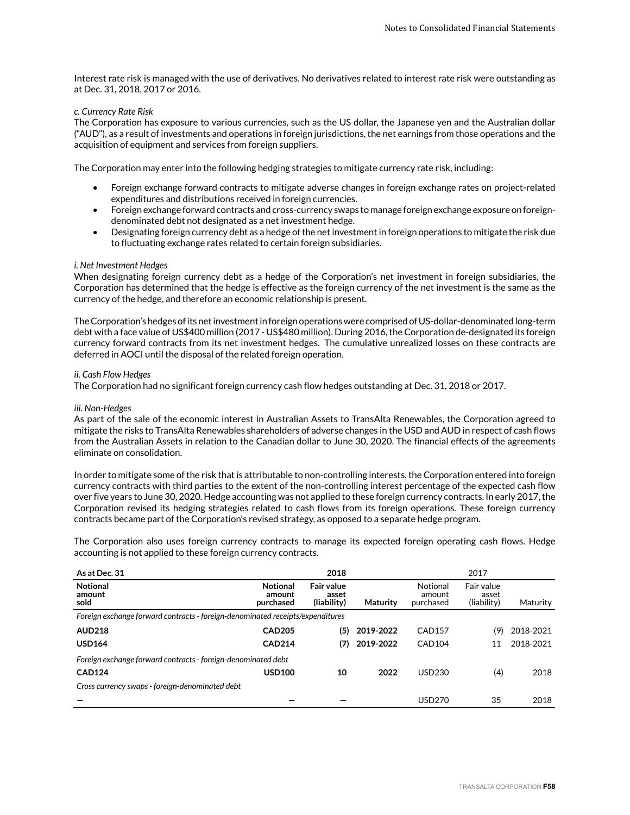Interest rate risk is managed with the use of derivatives. No derivatives related to interest rate risk were outstanding as at Dec. 31, 2018, 2017 or 2016.

### *c. Currency Rate Risk*

The Corporation has exposure to various currencies, such as the US dollar, the Japanese yen and the Australian dollar ("AUD"), as a result of investments and operations in foreign jurisdictions, the net earnings from those operations and the acquisition of equipment and services from foreign suppliers.

The Corporation may enter into the following hedging strategies to mitigate currency rate risk, including:

- Foreign exchange forward contracts to mitigate adverse changes in foreign exchange rates on project-related expenditures and distributions received in foreign currencies.
- Foreign exchange forward contracts and cross-currency swaps to manage foreign exchange exposure on foreigndenominated debt not designated as a net investment hedge.
- Designating foreign currency debt as a hedge of the net investment in foreign operations to mitigate the risk due to fluctuating exchange rates related to certain foreign subsidiaries.

### *i. Net Investment Hedges*

When designating foreign currency debt as a hedge of the Corporation's net investment in foreign subsidiaries, the Corporation has determined that the hedge is effective as the foreign currency of the net investment is the same as the currency of the hedge, and therefore an economic relationship is present.

The Corporation's hedges of its net investment in foreign operations were comprised of US-dollar-denominated long-term debt with a face value of US\$400 million (2017 - US\$480 million). During 2016, the Corporation de-designated its foreign currency forward contracts from its net investment hedges. The cumulative unrealized losses on these contracts are deferred in AOCI until the disposal of the related foreign operation.

### *ii. Cash Flow Hedges*

The Corporation had no significant foreign currency cash flow hedges outstanding at Dec. 31, 2018 or 2017.

### *iii. Non-Hedges*

As part of the sale of the economic interest in Australian Assets to TransAlta Renewables, the Corporation agreed to mitigate the risks to TransAlta Renewables shareholders of adverse changes in the USD and AUD in respect of cash flows from the Australian Assets in relation to the Canadian dollar to June 30, 2020. The financial effects of the agreements eliminate on consolidation.

In order to mitigate some of the risk that is attributable to non-controlling interests, the Corporation entered into foreign currency contracts with third parties to the extent of the non-controlling interest percentage of the expected cash flow over five years to June 30, 2020. Hedge accounting was not applied to these foreign currency contracts. In early 2017, the Corporation revised its hedging strategies related to cash flows from its foreign operations. These foreign currency contracts became part of the Corporation's revised strategy, as opposed to a separate hedge program.

The Corporation also uses foreign currency contracts to manage its expected foreign operating cash flows. Hedge accounting is not applied to these foreign currency contracts.

| As at Dec. 31                                                                  |                                        | 2018                                      |                 |                                 | 2017                               |           |
|--------------------------------------------------------------------------------|----------------------------------------|-------------------------------------------|-----------------|---------------------------------|------------------------------------|-----------|
| <b>Notional</b><br>amount<br>sold                                              | <b>Notional</b><br>amount<br>purchased | <b>Fair value</b><br>asset<br>(liability) | <b>Maturity</b> | Notional<br>amount<br>purchased | Fair value<br>asset<br>(liability) | Maturity  |
| Foreign exchange forward contracts - foreign-denominated receipts/expenditures |                                        |                                           |                 |                                 |                                    |           |
| <b>AUD218</b>                                                                  | <b>CAD205</b>                          | (5)                                       | 2019-2022       | <b>CAD157</b>                   | (9)                                | 2018-2021 |
| <b>USD164</b>                                                                  | <b>CAD214</b>                          | (7)                                       | 2019-2022       | <b>CAD104</b>                   | 11                                 | 2018-2021 |
| Foreign exchange forward contracts - foreign-denominated debt                  |                                        |                                           |                 |                                 |                                    |           |
| <b>CAD124</b>                                                                  | <b>USD100</b>                          | 10                                        | 2022            | USD230                          | (4)                                | 2018      |
| Cross currency swaps - foreign-denominated debt                                |                                        |                                           |                 |                                 |                                    |           |
|                                                                                |                                        |                                           |                 | <b>USD270</b>                   | 35                                 | 2018      |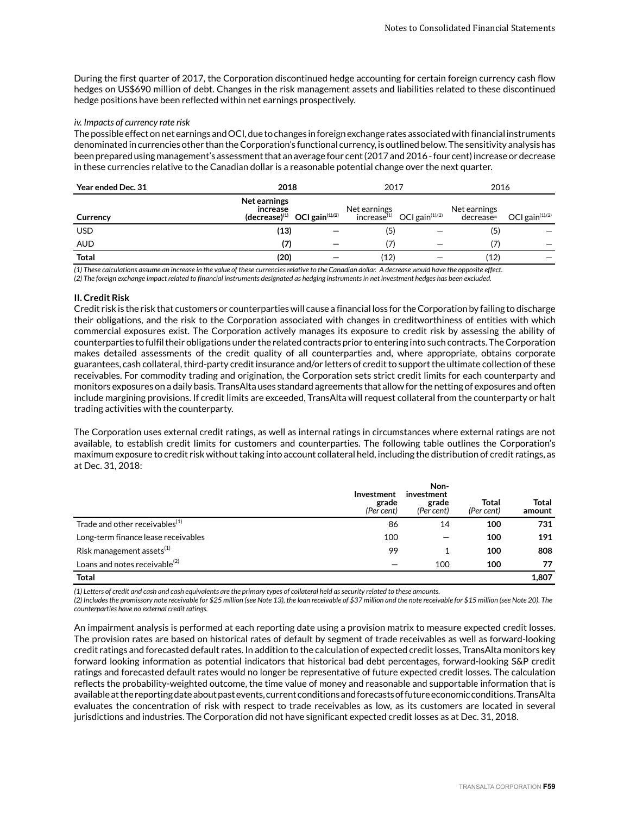During the first quarter of 2017, the Corporation discontinued hedge accounting for certain foreign currency cash flow hedges on US\$690 million of debt. Changes in the risk management assets and liabilities related to these discontinued hedge positions have been reflected within net earnings prospectively.

#### *iv. Impacts of currency rate risk*

The possible effect on net earnings and OCI, due to changes in foreign exchange rates associated with financial instruments denominated in currencies other than the Corporation's functional currency, is outlined below. The sensitivity analysis has been prepared using management's assessment that an average four cent (2017 and 2016 - four cent) increase or decrease in these currencies relative to the Canadian dollar is a reasonable potential change over the next quarter.

| Year ended Dec. 31 | 2018                     |                                                       | 2017                                                      |  | 2016                                                                  |  |
|--------------------|--------------------------|-------------------------------------------------------|-----------------------------------------------------------|--|-----------------------------------------------------------------------|--|
| Currency           | Net earnings<br>increase | $(\text{decrease})^{(1)}$ OCI gain <sup>(1),(2)</sup> | Net earnings $\sum_{i=1}^{N}$ OCI gain <sup>(1),(2)</sup> |  | Net earnings<br>decrease <sup>(1)</sup> , OCI gain <sup>(1),(2)</sup> |  |
| <b>USD</b>         | (13)                     |                                                       | (5)                                                       |  | (5)                                                                   |  |
| <b>AUD</b>         | (7)                      |                                                       | 7)                                                        |  | (7)                                                                   |  |
| <b>Total</b>       | (20)                     |                                                       | (12)                                                      |  | (12)                                                                  |  |

*(1) These calculations assume an increase in the value of these currencies relative to the Canadian dollar. A decrease would have the opposite effect.*

*(2) The foreign exchange impact related to financial instruments designated as hedging instruments in net investment hedges has been excluded.*

### **II. Credit Risk**

Credit risk is the risk that customers or counterparties will cause a financial loss for the Corporation by failing to discharge their obligations, and the risk to the Corporation associated with changes in creditworthiness of entities with which commercial exposures exist. The Corporation actively manages its exposure to credit risk by assessing the ability of counterparties to fulfil their obligations under the related contracts prior to entering into such contracts. The Corporation makes detailed assessments of the credit quality of all counterparties and, where appropriate, obtains corporate guarantees, cash collateral, third-party credit insurance and/or letters of credit to support the ultimate collection of these receivables. For commodity trading and origination, the Corporation sets strict credit limits for each counterparty and monitors exposures on a daily basis. TransAlta uses standard agreements that allow for the netting of exposures and often include margining provisions. If credit limits are exceeded, TransAlta will request collateral from the counterparty or halt trading activities with the counterparty.

The Corporation uses external credit ratings, as well as internal ratings in circumstances where external ratings are not available, to establish credit limits for customers and counterparties. The following table outlines the Corporation's maximum exposure to credit risk without taking into account collateral held, including the distribution of credit ratings, as at Dec. 31, 2018:

|                                           | Investment<br>grade<br>(Per cent) | Non-<br>investment<br>grade<br>(Per cent) | Total<br>(Per cent) | <b>Total</b><br>amount |
|-------------------------------------------|-----------------------------------|-------------------------------------------|---------------------|------------------------|
| Trade and other receivables $(1)$         | 86                                | 14                                        | 100                 | 731                    |
| Long-term finance lease receivables       | 100                               |                                           | 100                 | 191                    |
| Risk management assets <sup>(1)</sup>     | 99                                |                                           | 100                 | 808                    |
| Loans and notes receivable <sup>(2)</sup> |                                   | 100                                       | 100                 | 77                     |
| <b>Total</b>                              |                                   |                                           |                     | 1,807                  |

*(1) Letters of credit and cash and cash equivalents are the primary types of collateral held as security related to these amounts.* 

*(2) Includes the promissory note receivable for \$25 million (see Note 13), the loan receivable of \$37 million and the note receivable for \$15 million (see Note 20). The counterparties have no external credit ratings.* 

An impairment analysis is performed at each reporting date using a provision matrix to measure expected credit losses. The provision rates are based on historical rates of default by segment of trade receivables as well as forward-looking credit ratings and forecasted default rates. In addition to the calculation of expected credit losses, TransAlta monitors key forward looking information as potential indicators that historical bad debt percentages, forward-looking S&P credit ratings and forecasted default rates would no longer be representative of future expected credit losses. The calculation reflects the probability-weighted outcome, the time value of money and reasonable and supportable information that is available at the reporting date about past events, current conditions and forecasts of future economic conditions. TransAlta evaluates the concentration of risk with respect to trade receivables as low, as its customers are located in several jurisdictions and industries. The Corporation did not have significant expected credit losses as at Dec. 31, 2018.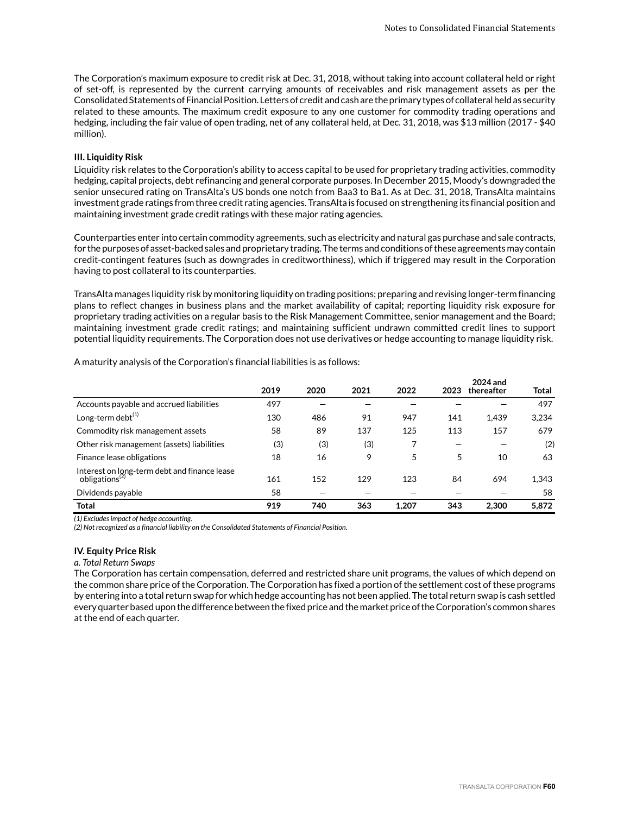The Corporation's maximum exposure to credit risk at Dec. 31, 2018, without taking into account collateral held or right of set-off, is represented by the current carrying amounts of receivables and risk management assets as per the Consolidated Statements of Financial Position. Letters of credit and cash are the primary types of collateral held as security related to these amounts. The maximum credit exposure to any one customer for commodity trading operations and hedging, including the fair value of open trading, net of any collateral held, at Dec. 31, 2018, was \$13 million (2017 - \$40 million).

### **III. Liquidity Risk**

Liquidity risk relates to the Corporation's ability to access capital to be used for proprietary trading activities, commodity hedging, capital projects, debt refinancing and general corporate purposes. In December 2015, Moody's downgraded the senior unsecured rating on TransAlta's US bonds one notch from Baa3 to Ba1. As at Dec. 31, 2018, TransAlta maintains investment grade ratings from three credit rating agencies. TransAlta is focused on strengthening its financial position and maintaining investment grade credit ratings with these major rating agencies.

Counterparties enter into certain commodity agreements, such as electricity and natural gas purchase and sale contracts, for the purposes of asset-backed sales and proprietary trading. The terms and conditions of these agreements may contain credit-contingent features (such as downgrades in creditworthiness), which if triggered may result in the Corporation having to post collateral to its counterparties.

TransAlta manages liquidity risk by monitoring liquidity on trading positions; preparing and revising longer-term financing plans to reflect changes in business plans and the market availability of capital; reporting liquidity risk exposure for proprietary trading activities on a regular basis to the Risk Management Committee, senior management and the Board; maintaining investment grade credit ratings; and maintaining sufficient undrawn committed credit lines to support potential liquidity requirements. The Corporation does not use derivatives or hedge accounting to manage liquidity risk.

|                                                                            | 2019 | 2020 | 2021 | 2022  | 2023 | 2024 and<br>thereafter | Total |
|----------------------------------------------------------------------------|------|------|------|-------|------|------------------------|-------|
| Accounts payable and accrued liabilities                                   | 497  |      |      |       |      |                        | 497   |
| Long-term debt $^{(1)}$                                                    | 130  | 486  | 91   | 947   | 141  | 1.439                  | 3,234 |
| Commodity risk management assets                                           | 58   | 89   | 137  | 125   | 113  | 157                    | 679   |
| Other risk management (assets) liabilities                                 | (3)  | (3)  | (3)  |       |      |                        | (2)   |
| Finance lease obligations                                                  | 18   | 16   | 9    | 5     | 5    | 10                     | 63    |
| Interest on long-term debt and finance lease<br>obligations <sup>(2)</sup> | 161  | 152  | 129  | 123   | 84   | 694                    | 1,343 |
| Dividends payable                                                          | 58   |      |      |       |      |                        | 58    |
| Total                                                                      | 919  | 740  | 363  | 1.207 | 343  | 2.300                  | 5.872 |

A maturity analysis of the Corporation's financial liabilities is as follows:

*(1) Excludes impact of hedge accounting.*

*(2) Not recognized as a financial liability on the Consolidated Statements of Financial Position.*

### **IV. Equity Price Risk**

*a. Total Return Swaps*

The Corporation has certain compensation, deferred and restricted share unit programs, the values of which depend on the common share price of the Corporation. The Corporation has fixed a portion of the settlement cost of these programs by entering into a total return swap for which hedge accounting has not been applied. The total return swap is cash settled every quarter based upon the difference between the fixed price and the market price of the Corporation's common shares at the end of each quarter.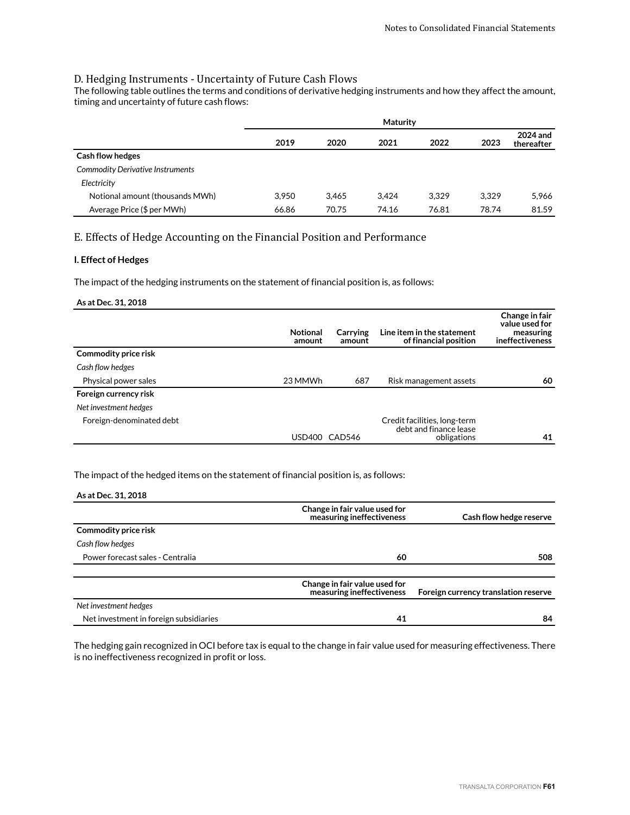## D. Hedging Instruments - Uncertainty of Future Cash Flows

The following table outlines the terms and conditions of derivative hedging instruments and how they affect the amount, timing and uncertainty of future cash flows:

|                                         | Maturity |       |       |       |       |                        |
|-----------------------------------------|----------|-------|-------|-------|-------|------------------------|
|                                         | 2019     | 2020  | 2021  | 2022  | 2023  | 2024 and<br>thereafter |
| <b>Cash flow hedges</b>                 |          |       |       |       |       |                        |
| <b>Commodity Derivative Instruments</b> |          |       |       |       |       |                        |
| Electricity                             |          |       |       |       |       |                        |
| Notional amount (thousands MWh)         | 3.950    | 3.465 | 3.424 | 3.329 | 3.329 | 5,966                  |
| Average Price (\$ per MWh)              | 66.86    | 70.75 | 74.16 | 76.81 | 78.74 | 81.59                  |

## E. Effects of Hedge Accounting on the Financial Position and Performance

## **I. Effect of Hedges**

The impact of the hedging instruments on the statement of financial position is, as follows:

### **As at Dec. 31, 2018**

|                          | <b>Notional</b><br>amount | Carrying<br>amount | Line item in the statement<br>of financial position                   | Change in fair<br>value used for<br>measuring<br>ineffectiveness |
|--------------------------|---------------------------|--------------------|-----------------------------------------------------------------------|------------------------------------------------------------------|
| Commodity price risk     |                           |                    |                                                                       |                                                                  |
| Cash flow hedges         |                           |                    |                                                                       |                                                                  |
| Physical power sales     | 23 MMWh                   | 687                | Risk management assets                                                | 60                                                               |
| Foreign currency risk    |                           |                    |                                                                       |                                                                  |
| Net investment hedges    |                           |                    |                                                                       |                                                                  |
| Foreign-denominated debt | USD400                    | CAD546             | Credit facilities, long-term<br>debt and finance lease<br>obligations | 41                                                               |

### The impact of the hedged items on the statement of financial position is, as follows:

### **As at Dec. 31, 2018**

|                                        | Change in fair value used for<br>measuring ineffectiveness | Cash flow hedge reserve              |
|----------------------------------------|------------------------------------------------------------|--------------------------------------|
| Commodity price risk                   |                                                            |                                      |
| Cash flow hedges                       |                                                            |                                      |
| Power forecast sales - Centralia       | 60                                                         | 508                                  |
|                                        |                                                            |                                      |
|                                        | Change in fair value used for<br>measuring ineffectiveness | Foreign currency translation reserve |
| Net investment hedges                  |                                                            |                                      |
| Net investment in foreign subsidiaries | 41                                                         | 84                                   |

The hedging gain recognized in OCI before tax is equal to the change in fair value used for measuring effectiveness. There is no ineffectiveness recognized in profit or loss.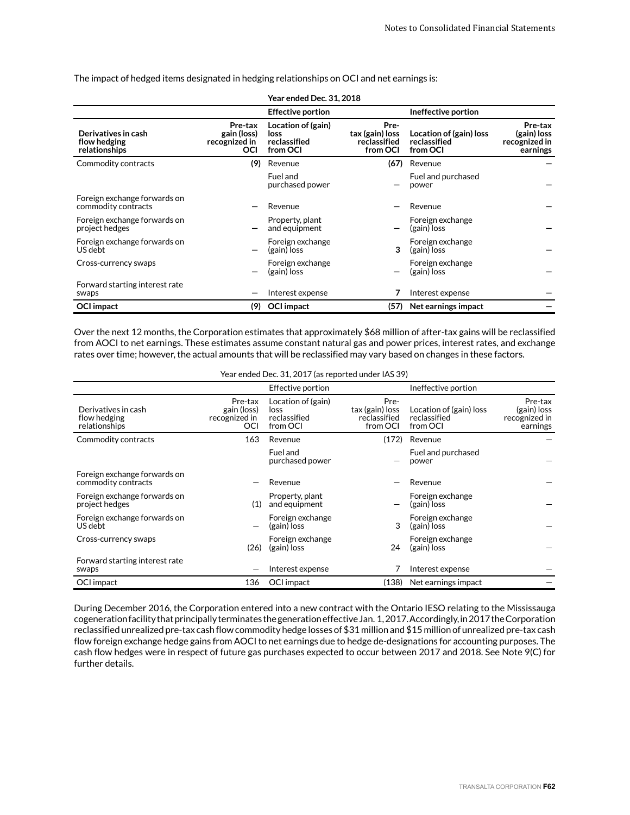The impact of hedged items designated in hedging relationships on OCI and net earnings is:

|                                                      |                                                       | <b>Year ended Dec. 31, 2018</b>                        |                                                     |                                                     |                                                     |
|------------------------------------------------------|-------------------------------------------------------|--------------------------------------------------------|-----------------------------------------------------|-----------------------------------------------------|-----------------------------------------------------|
|                                                      |                                                       | <b>Effective portion</b>                               |                                                     | Ineffective portion                                 |                                                     |
| Derivatives in cash<br>flow hedging<br>relationships | Pre-tax<br>gain (loss)<br>recognized in<br><b>OCI</b> | Location of (gain)<br>loss<br>reclassified<br>from OCI | Pre-<br>tax (gain) loss<br>reclassified<br>from OCI | Location of (gain) loss<br>reclassified<br>from OCI | Pre-tax<br>(gain) loss<br>recognized in<br>earnings |
| Commodity contracts                                  | (9)                                                   | Revenue                                                | (67)                                                | Revenue                                             |                                                     |
|                                                      |                                                       | Fuel and<br>purchased power                            |                                                     | Fuel and purchased<br>power                         |                                                     |
| Foreign exchange forwards on<br>commodity contracts  |                                                       | Revenue                                                |                                                     | Revenue                                             |                                                     |
| Foreign exchange forwards on<br>project hedges       |                                                       | Property, plant<br>and equipment                       |                                                     | Foreign exchange<br>(gain) loss                     |                                                     |
| Foreign exchange forwards on<br>US debt              |                                                       | Foreign exchange<br>(gain) loss                        | 3                                                   | Foreign exchange<br>(gain) loss                     |                                                     |
| Cross-currency swaps                                 |                                                       | Foreign exchange<br>(gain) loss                        |                                                     | Foreign exchange<br>(gain) loss                     |                                                     |
| Forward starting interest rate<br>swaps              |                                                       | Interest expense                                       | 7                                                   | Interest expense                                    |                                                     |
| <b>OCI</b> impact                                    | (9)                                                   | <b>OCI</b> impact                                      | (57)                                                | Net earnings impact                                 |                                                     |

Over the next 12 months, the Corporation estimates that approximately \$68 million of after-tax gains will be reclassified from AOCI to net earnings. These estimates assume constant natural gas and power prices, interest rates, and exchange rates over time; however, the actual amounts that will be reclassified may vary based on changes in these factors.

|  | Year ended Dec. 31, 2017 (as reported under IAS 39) |
|--|-----------------------------------------------------|
|--|-----------------------------------------------------|

|                                                      |                                                | <b>Effective portion</b>                               |                                                     | Ineffective portion                                 |                                                     |
|------------------------------------------------------|------------------------------------------------|--------------------------------------------------------|-----------------------------------------------------|-----------------------------------------------------|-----------------------------------------------------|
| Derivatives in cash<br>flow hedging<br>relationships | Pre-tax<br>gain (loss)<br>recognized in<br>OCI | Location of (gain)<br>loss<br>reclassified<br>from OCI | Pre-<br>tax (gain) loss<br>reclassified<br>from OCI | Location of (gain) loss<br>reclassified<br>from OCI | Pre-tax<br>(gain) loss<br>recognized in<br>earnings |
| Commodity contracts                                  | 163                                            | Revenue                                                | (172)                                               | Revenue                                             |                                                     |
|                                                      |                                                | Fuel and<br>purchased power                            |                                                     | Fuel and purchased<br>power                         |                                                     |
| Foreign exchange forwards on<br>commodity contracts  |                                                | Revenue                                                |                                                     | Revenue                                             |                                                     |
| Foreign exchange forwards on<br>project hedges       | (1)                                            | Property, plant<br>and equipment                       |                                                     | Foreign exchange<br>(gain) loss                     |                                                     |
| Foreign exchange forwards on<br>US debt              |                                                | Foreign exchange<br>(gain) loss                        | 3                                                   | Foreign exchange<br>(gain) loss                     |                                                     |
| Cross-currency swaps                                 | (26)                                           | Foreign exchange<br>(gain) loss                        | 24                                                  | Foreign exchange<br>(gain) loss                     |                                                     |
| Forward starting interest rate<br>swaps              |                                                | Interest expense                                       |                                                     | Interest expense                                    |                                                     |
| OCI impact                                           | 136                                            | OCI impact                                             | (138)                                               | Net earnings impact                                 |                                                     |

During December 2016, the Corporation entered into a new contract with the Ontario IESO relating to the Mississauga cogeneration facility that principally terminates the generation effective Jan. 1, 2017. Accordingly, in 2017 the Corporation reclassified unrealized pre-tax cash flow commodity hedge losses of \$31 million and \$15 million of unrealized pre-tax cash flow foreign exchange hedge gains from AOCI to net earnings due to hedge de-designations for accounting purposes. The cash flow hedges were in respect of future gas purchases expected to occur between 2017 and 2018. See Note 9(C) for further details.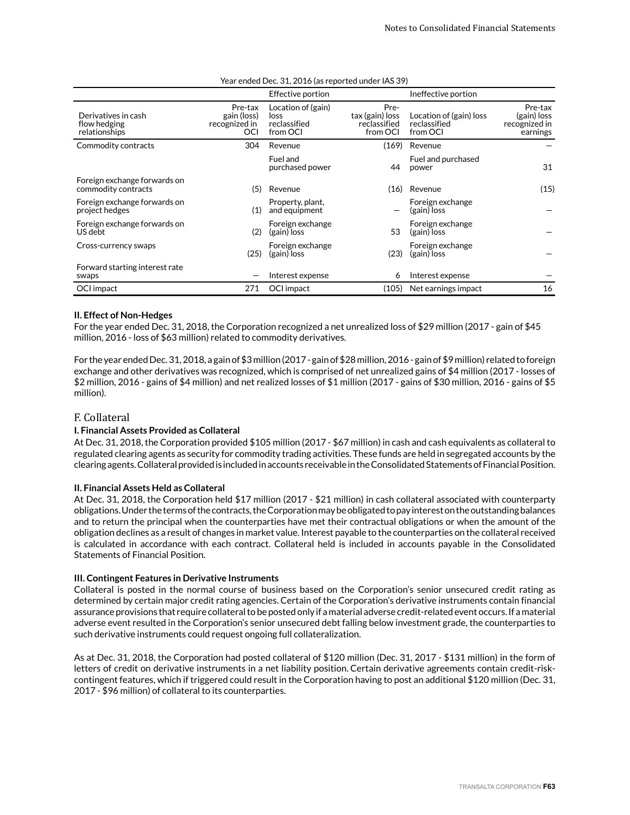|                                                      |                                                | Effective portion                                      |                                                     | Ineffective portion                                 |                                                     |
|------------------------------------------------------|------------------------------------------------|--------------------------------------------------------|-----------------------------------------------------|-----------------------------------------------------|-----------------------------------------------------|
| Derivatives in cash<br>flow hedging<br>relationships | Pre-tax<br>gain (loss)<br>recognized in<br>OCI | Location of (gain)<br>loss<br>reclassified<br>from OCI | Pre-<br>tax (gain) loss<br>reclassified<br>from OCI | Location of (gain) loss<br>reclassified<br>from OCI | Pre-tax<br>(gain) loss<br>recognized in<br>earnings |
| Commodity contracts                                  | 304                                            | Revenue                                                | (169)                                               | Revenue                                             |                                                     |
|                                                      |                                                | Fuel and<br>purchased power                            | 44                                                  | Fuel and purchased<br>power                         | 31                                                  |
| Foreign exchange forwards on<br>commodity contracts  | (5)                                            | Revenue                                                | (16)                                                | Revenue                                             | (15)                                                |
| Foreign exchange forwards on<br>project hedges       | (1)                                            | Property, plant,<br>and equipment                      |                                                     | Foreign exchange<br>(gain) loss                     |                                                     |
| Foreign exchange forwards on<br>US debt              | (2)                                            | Foreign exchange<br>(gain) loss                        | 53                                                  | Foreign exchange<br>(gain) loss                     |                                                     |
| Cross-currency swaps                                 | (25)                                           | Foreign exchange<br>(gain) loss                        | (23)                                                | Foreign exchange<br>(gain) loss                     |                                                     |
| Forward starting interest rate<br>swaps              |                                                | Interest expense                                       | 6                                                   | Interest expense                                    |                                                     |
| OCI impact                                           | 271                                            | OCI impact                                             | (105)                                               | Net earnings impact                                 | 16                                                  |
|                                                      |                                                |                                                        |                                                     |                                                     |                                                     |

#### Year ended Dec. 31, 2016 (as reported under IAS 39)

### **II. Effect of Non-Hedges**

For the year ended Dec. 31, 2018, the Corporation recognized a net unrealized loss of \$29 million (2017 - gain of \$45 million, 2016 - loss of \$63 million) related to commodity derivatives.

For the year ended Dec. 31, 2018, a gain of \$3 million (2017 - gain of \$28 million, 2016 - gain of \$9 million) related to foreign exchange and other derivatives was recognized, which is comprised of net unrealized gains of \$4 million (2017 - losses of \$2 million, 2016 - gains of \$4 million) and net realized losses of \$1 million (2017 - gains of \$30 million, 2016 - gains of \$5 million).

## F. Collateral

### **I. Financial Assets Provided as Collateral**

At Dec. 31, 2018, the Corporation provided \$105 million (2017 - \$67 million) in cash and cash equivalents as collateral to regulated clearing agents as security for commodity trading activities. These funds are held in segregated accounts by the clearing agents. Collateral provided is included in accounts receivable in the Consolidated Statements of Financial Position.

### **II. Financial Assets Held as Collateral**

At Dec. 31, 2018, the Corporation held \$17 million (2017 - \$21 million) in cash collateral associated with counterparty obligations. Under the terms of the contracts, the Corporation may be obligated to pay interest on the outstanding balances and to return the principal when the counterparties have met their contractual obligations or when the amount of the obligation declines as a result of changes in market value. Interest payable to the counterparties on the collateral received is calculated in accordance with each contract. Collateral held is included in accounts payable in the Consolidated Statements of Financial Position.

### **III. Contingent Features in Derivative Instruments**

Collateral is posted in the normal course of business based on the Corporation's senior unsecured credit rating as determined by certain major credit rating agencies. Certain of the Corporation's derivative instruments contain financial assurance provisions that require collateral to be posted only if a material adverse credit-related event occurs. If a material adverse event resulted in the Corporation's senior unsecured debt falling below investment grade, the counterparties to such derivative instruments could request ongoing full collateralization.

As at Dec. 31, 2018, the Corporation had posted collateral of \$120 million (Dec. 31, 2017 - \$131 million) in the form of letters of credit on derivative instruments in a net liability position. Certain derivative agreements contain credit-riskcontingent features, which if triggered could result in the Corporation having to post an additional \$120 million (Dec. 31, 2017 - \$96 million) of collateral to its counterparties.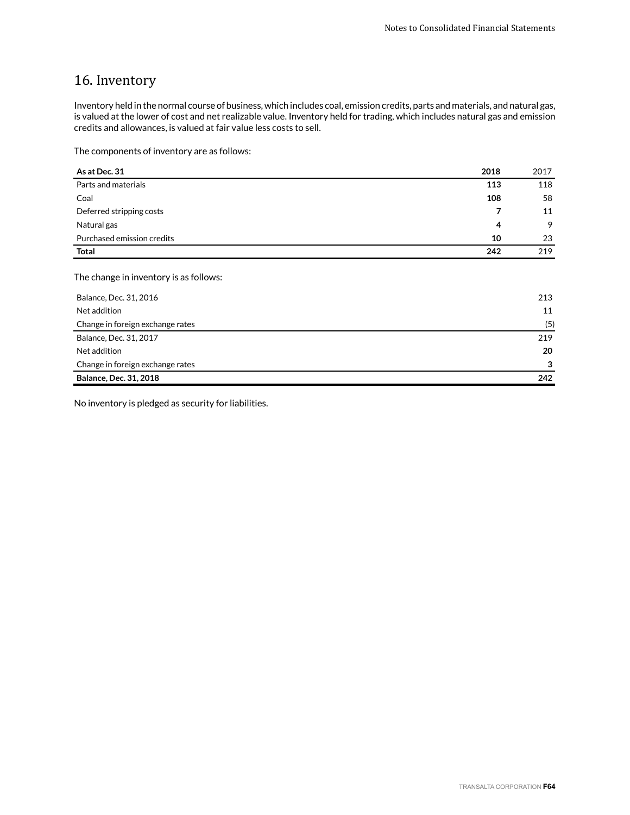# 16. Inventory

Inventory held in the normal course of business, which includes coal, emission credits, parts and materials, and natural gas, is valued at the lower of cost and net realizable value. Inventory held for trading, which includes natural gas and emission credits and allowances, is valued at fair value less costs to sell.

The components of inventory are as follows:

| As at Dec. 31                          | 2018 | 2017 |
|----------------------------------------|------|------|
| Parts and materials                    | 113  | 118  |
| Coal                                   | 108  | 58   |
| Deferred stripping costs               | 7    | 11   |
| Natural gas                            | 4    | 9    |
| Purchased emission credits             | 10   | 23   |
| <b>Total</b>                           | 242  | 219  |
|                                        |      |      |
| The change in inventory is as follows: |      |      |

| Balance, Dec. 31, 2016           | 213 |
|----------------------------------|-----|
| Net addition                     | 11  |
| Change in foreign exchange rates | (5) |
| Balance, Dec. 31, 2017           | 219 |
| Net addition                     | 20  |
| Change in foreign exchange rates | 3   |
| <b>Balance, Dec. 31, 2018</b>    | 242 |

No inventory is pledged as security for liabilities.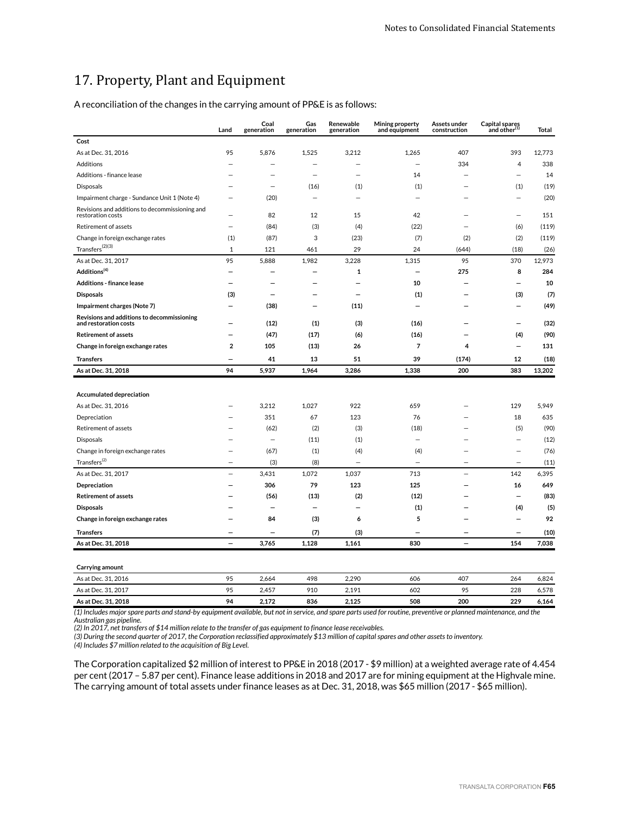# 17. Property, Plant and Equipment

A reconciliation of the changes in the carrying amount of PP&E is as follows:

|                                                                     | Land                     | Coal<br>generation       | Gas<br>generation        | Renewable<br>generation  | Mining property<br>and equipment | Assets under<br>construction | Capital spares<br>and other(1) | Total  |
|---------------------------------------------------------------------|--------------------------|--------------------------|--------------------------|--------------------------|----------------------------------|------------------------------|--------------------------------|--------|
| Cost                                                                |                          |                          |                          |                          |                                  |                              |                                |        |
| As at Dec. 31, 2016                                                 | 95                       | 5,876                    | 1,525                    | 3,212                    | 1,265                            | 407                          | 393                            | 12,773 |
| Additions                                                           |                          | $\overline{\phantom{0}}$ | $\overline{\phantom{0}}$ | $\overline{\phantom{0}}$ | $\overline{\phantom{0}}$         | 334                          | 4                              | 338    |
| Additions - finance lease                                           |                          | -                        | $\overline{\phantom{0}}$ | $\overline{\phantom{0}}$ | 14                               |                              | $\overline{\phantom{0}}$       | 14     |
| Disposals                                                           |                          | $\overline{\phantom{0}}$ | (16)                     | (1)                      | (1)                              | -                            | (1)                            | (19)   |
| Impairment charge - Sundance Unit 1 (Note 4)                        |                          | (20)                     | $\overline{a}$           | $\overline{\phantom{0}}$ | $\overline{\phantom{0}}$         |                              | $\overline{\phantom{0}}$       | (20)   |
| Revisions and additions to decommissioning and<br>restoration costs |                          | 82                       | 12                       | 15                       | 42                               |                              |                                | 151    |
| Retirement of assets                                                | $\equiv$                 | (84)                     | (3)                      | (4)                      | (22)                             |                              | (6)                            | (119)  |
| Change in foreign exchange rates                                    | (1)                      | (87)                     | 3                        | (23)                     | (7)                              | (2)                          | (2)                            | (119)  |
| $\text{Transfers}^{(2)(3)}$                                         | 1                        | 121                      | 461                      | 29                       | 24                               | (644)                        | (18)                           | (26)   |
| As at Dec. 31, 2017                                                 | 95                       | 5,888                    | 1,982                    | 3,228                    | 1,315                            | 95                           | 370                            | 12,973 |
| Additions <sup>(4)</sup>                                            | —                        |                          | ▃                        | 1                        | $\overline{\phantom{0}}$         | 275                          | 8                              | 284    |
| <b>Additions - finance lease</b>                                    | -                        | -                        | -                        | -                        | 10                               | -                            | -                              | 10     |
| <b>Disposals</b>                                                    | (3)                      | -                        |                          | $\overline{\phantom{0}}$ | (1)                              |                              | (3)                            | (7)    |
| Impairment charges (Note 7)                                         |                          | (38)                     | -                        | (11)                     |                                  |                              | -                              | (49)   |
| Revisions and additions to decommissioning<br>and restoration costs |                          | (12)                     | (1)                      | (3)                      | (16)                             |                              |                                | (32)   |
| <b>Retirement of assets</b>                                         |                          | (47)                     | (17)                     | (6)                      | (16)                             |                              | (4)                            | (90)   |
| Change in foreign exchange rates                                    | $\overline{\mathbf{2}}$  | 105                      | (13)                     | 26                       | 7                                | 4                            |                                | 131    |
| <b>Transfers</b>                                                    |                          | 41                       | 13                       | 51                       | 39                               | (174)                        | 12                             | (18)   |
| As at Dec. 31, 2018                                                 | 94                       | 5,937                    | 1,964                    | 3,286                    | 1,338                            | 200                          | 383                            | 13,202 |
|                                                                     |                          |                          |                          |                          |                                  |                              |                                |        |
| Accumulated depreciation                                            |                          |                          |                          |                          |                                  |                              |                                |        |
| As at Dec. 31, 2016                                                 |                          | 3,212                    | 1,027                    | 922                      | 659                              |                              | 129                            | 5,949  |
| Depreciation                                                        |                          | 351                      | 67                       | 123                      | 76                               |                              | 18                             | 635    |
| Retirement of assets                                                |                          | (62)                     | (2)                      | (3)                      | (18)                             |                              | (5)                            | (90)   |
| Disposals                                                           |                          | -                        | (11)                     | (1)                      | $\overline{\phantom{0}}$         |                              | $\overline{\phantom{0}}$       | (12)   |
| Change in foreign exchange rates                                    |                          | (67)                     | (1)                      | (4)                      | (4)                              |                              |                                | (76)   |
| Transfers <sup>(2)</sup>                                            |                          | (3)                      | (8)                      | $\overline{a}$           | -                                |                              | $\overline{a}$                 | (11)   |
| As at Dec. 31, 2017                                                 | $\overline{\phantom{0}}$ | 3,431                    | 1,072                    | 1,037                    | 713                              | $\overline{\phantom{0}}$     | 142                            | 6,395  |
| Depreciation                                                        |                          | 306                      | 79                       | 123                      | 125                              |                              | 16                             | 649    |
| <b>Retirement of assets</b>                                         |                          | (56)                     | (13)                     | (2)                      | (12)                             |                              |                                | (83)   |
| <b>Disposals</b>                                                    |                          |                          | -                        |                          | (1)                              |                              | (4)                            | (5)    |
| Change in foreign exchange rates                                    |                          | 84                       | (3)                      | 6                        | 5                                |                              | -                              | 92     |
| <b>Transfers</b>                                                    |                          | -                        | (7)                      | (3)                      | -                                |                              |                                | (10)   |
| As at Dec. 31, 2018                                                 | $\overline{\phantom{0}}$ | 3,765                    | 1,128                    | 1,161                    | 830                              | $\overline{\phantom{0}}$     | 154                            | 7,038  |

| Carrying amount     |    |       |     |       |     |     |     |       |
|---------------------|----|-------|-----|-------|-----|-----|-----|-------|
| As at Dec. 31, 2016 | 95 | 2.664 | 498 | 2.290 | 606 | 407 | 264 | 6.824 |
| As at Dec. 31, 2017 | 95 | 2.457 | 910 | 2.191 | 602 | 95  | 228 | 6.578 |
| As at Dec. 31, 2018 | 94 | 2.172 | 836 | 2.125 | 508 | 200 | 229 | 5.164 |
|                     |    |       |     |       |     |     |     |       |

*(1) Includes major spare parts and stand-by equipment available, but not in service, and spare parts used for routine, preventive or planned maintenance, and the*

*Australian gas pipeline. (2) In 2017, net transfers of \$14 million relate to the transfer of gas equipment to finance lease receivables.*

*(3) During the second quarter of 2017, the Corporation reclassified approximately \$13 million of capital spares and other assets to inventory.*

*(4) Includes \$7 million related to the acquisition of Big Level.* 

The Corporation capitalized \$2 million of interest to PP&E in 2018 (2017 - \$9 million) at a weighted average rate of 4.454 per cent (2017 – 5.87 per cent). Finance lease additions in 2018 and 2017 are for mining equipment at the Highvale mine. The carrying amount of total assets under finance leases as at Dec. 31, 2018, was \$65 million (2017 - \$65 million).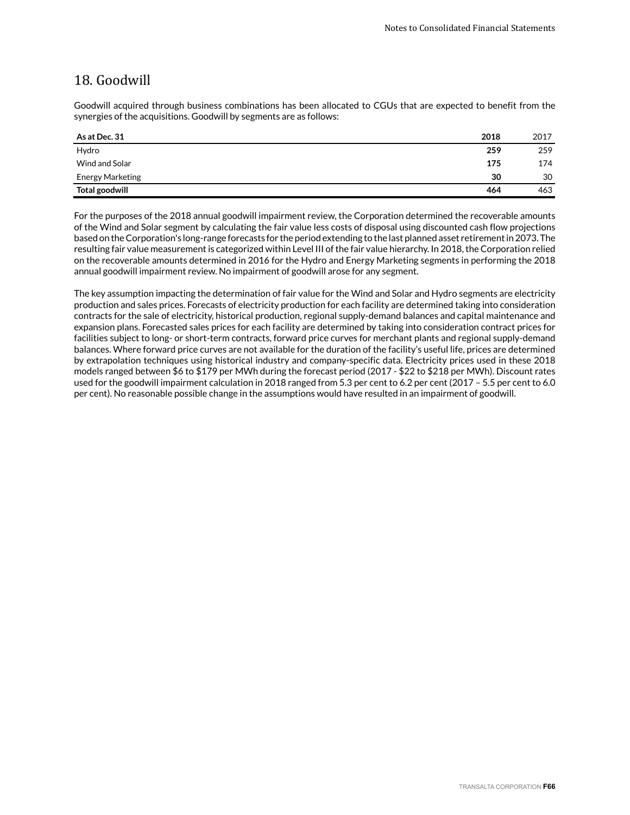## 18. Goodwill

Goodwill acquired through business combinations has been allocated to CGUs that are expected to benefit from the synergies of the acquisitions. Goodwill by segments are as follows:

| As at Dec. 31    | 2018 | 2017 |
|------------------|------|------|
| Hydro            | 259  | 259  |
| Wind and Solar   | 175  | 174  |
| Energy Marketing | 30   | 30   |
| Total goodwill   | 464  | 463  |

For the purposes of the 2018 annual goodwill impairment review, the Corporation determined the recoverable amounts of the Wind and Solar segment by calculating the fair value less costs of disposal using discounted cash flow projections based on the Corporation's long-range forecasts for the period extending to the last planned asset retirement in 2073. The resulting fair value measurement is categorized within Level III of the fair value hierarchy. In 2018, the Corporation relied on the recoverable amounts determined in 2016 for the Hydro and Energy Marketing segments in performing the 2018 annual goodwill impairment review. No impairment of goodwill arose for any segment.

The key assumption impacting the determination of fair value for the Wind and Solar and Hydro segments are electricity production and sales prices. Forecasts of electricity production for each facility are determined taking into consideration contracts for the sale of electricity, historical production, regional supply-demand balances and capital maintenance and expansion plans. Forecasted sales prices for each facility are determined by taking into consideration contract prices for facilities subject to long- or short-term contracts, forward price curves for merchant plants and regional supply-demand balances. Where forward price curves are not available for the duration of the facility's useful life, prices are determined by extrapolation techniques using historical industry and company-specific data. Electricity prices used in these 2018 models ranged between \$6 to \$179 per MWh during the forecast period (2017 - \$22 to \$218 per MWh). Discount rates used for the goodwill impairment calculation in 2018 ranged from 5.3 per cent to 6.2 per cent (2017 – 5.5 per cent to 6.0 per cent). No reasonable possible change in the assumptions would have resulted in an impairment of goodwill.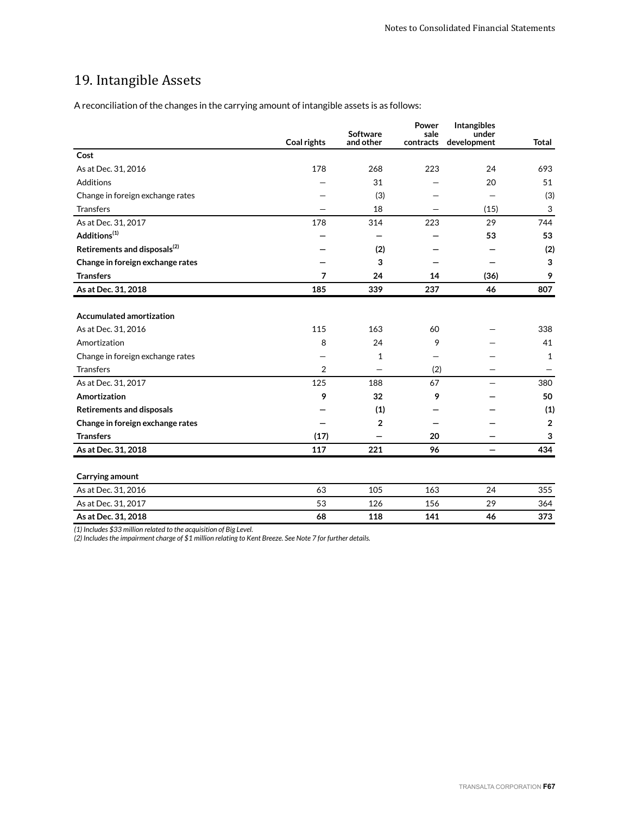# 19. Intangible Assets

A reconciliation of the changes in the carrying amount of intangible assets is as follows:

|                                          |                | <b>Software</b> | Power<br>sale | Intangibles<br>under |                |
|------------------------------------------|----------------|-----------------|---------------|----------------------|----------------|
|                                          | Coal rights    | and other       | contracts     | development          | <b>Total</b>   |
| Cost                                     |                |                 |               |                      |                |
| As at Dec. 31, 2016                      | 178            | 268             | 223           | 24                   | 693            |
| Additions                                |                | 31              |               | 20                   | 51             |
| Change in foreign exchange rates         |                | (3)             |               |                      | (3)            |
| <b>Transfers</b>                         |                | 18              |               | (15)                 | 3              |
| As at Dec. 31, 2017                      | 178            | 314             | 223           | 29                   | 744            |
| Additions <sup>(1)</sup>                 |                |                 |               | 53                   | 53             |
| Retirements and disposals <sup>(2)</sup> |                | (2)             |               |                      | (2)            |
| Change in foreign exchange rates         |                | 3               |               |                      | 3              |
| <b>Transfers</b>                         | 7              | 24              | 14            | (36)                 | 9              |
| As at Dec. 31, 2018                      | 185            | 339             | 237           | 46                   | 807            |
|                                          |                |                 |               |                      |                |
| <b>Accumulated amortization</b>          |                |                 |               |                      |                |
| As at Dec. 31, 2016                      | 115            | 163             | 60            |                      | 338            |
| Amortization                             | 8              | 24              | 9             |                      | 41             |
| Change in foreign exchange rates         |                | $\mathbf{1}$    |               |                      | 1              |
| <b>Transfers</b>                         | $\overline{2}$ |                 | (2)           |                      |                |
| As at Dec. 31, 2017                      | 125            | 188             | 67            |                      | 380            |
| Amortization                             | 9              | 32              | 9             |                      | 50             |
| <b>Retirements and disposals</b>         |                | (1)             |               |                      | (1)            |
| Change in foreign exchange rates         |                | $\overline{2}$  |               |                      | $\overline{2}$ |
| <b>Transfers</b>                         | (17)           |                 | 20            |                      | 3              |
| As at Dec. 31, 2018                      | 117            | 221             | 96            |                      | 434            |
|                                          |                |                 |               |                      |                |
| Carrying amount                          |                |                 |               |                      |                |
| As at Dec. 31, 2016                      | 63             | 105             | 163           | 24                   | 355            |
| As at Dec. 31, 2017                      | 53             | 126             | 156           | 29                   | 364            |
| As at Dec. 31, 2018                      | 68             | 118             | 141           | 46                   | 373            |
|                                          |                |                 |               |                      |                |

*(1) Includes \$33 million related to the acquisition of Big Level.* 

*(2) Includes the impairment charge of \$1 million relating to Kent Breeze. See Note 7 for further details.*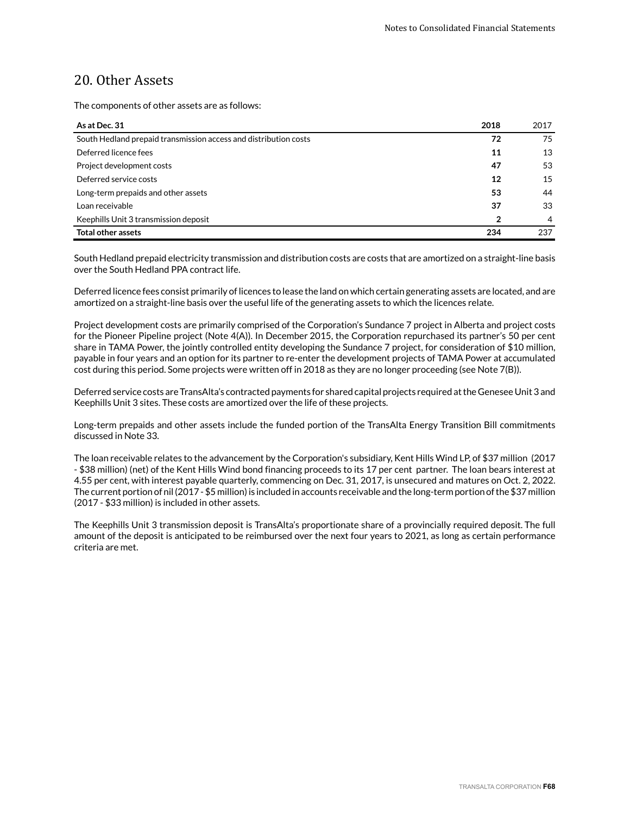## 20. Other Assets

The components of other assets are as follows:

| As at Dec. 31                                                    | 2018 | 2017 |
|------------------------------------------------------------------|------|------|
| South Hedland prepaid transmission access and distribution costs | 72   | 75   |
| Deferred licence fees                                            | 11   | 13   |
| Project development costs                                        | 47   | 53   |
| Deferred service costs                                           | 12   | 15   |
| Long-term prepaids and other assets                              | 53   | 44   |
| Loan receivable                                                  | 37   | 33   |
| Keephills Unit 3 transmission deposit                            | 2    | 4    |
| <b>Total other assets</b>                                        | 234  | 237  |

South Hedland prepaid electricity transmission and distribution costs are costs that are amortized on a straight-line basis over the South Hedland PPA contract life.

Deferred licence fees consist primarily of licences to lease the land on which certain generating assets are located, and are amortized on a straight-line basis over the useful life of the generating assets to which the licences relate.

Project development costs are primarily comprised of the Corporation's Sundance 7 project in Alberta and project costs for the Pioneer Pipeline project (Note 4(A)). In December 2015, the Corporation repurchased its partner's 50 per cent share in TAMA Power, the jointly controlled entity developing the Sundance 7 project, for consideration of \$10 million, payable in four years and an option for its partner to re-enter the development projects of TAMA Power at accumulated cost during this period. Some projects were written off in 2018 as they are no longer proceeding (see Note 7(B)).

Deferred service costs are TransAlta's contracted payments for shared capital projects required at the Genesee Unit 3 and Keephills Unit 3 sites. These costs are amortized over the life of these projects.

Long-term prepaids and other assets include the funded portion of the TransAlta Energy Transition Bill commitments discussed in Note 33.

The loan receivable relates to the advancement by the Corporation's subsidiary, Kent Hills Wind LP, of \$37 million (2017 - \$38 million) (net) of the Kent Hills Wind bond financing proceeds to its 17 per cent partner. The loan bears interest at 4.55 per cent, with interest payable quarterly, commencing on Dec. 31, 2017, is unsecured and matures on Oct. 2, 2022. The current portion of nil (2017 - \$5 million) is included in accounts receivable and the long-term portion of the \$37 million (2017 - \$33 million) is included in other assets.

The Keephills Unit 3 transmission deposit is TransAlta's proportionate share of a provincially required deposit. The full amount of the deposit is anticipated to be reimbursed over the next four years to 2021, as long as certain performance criteria are met.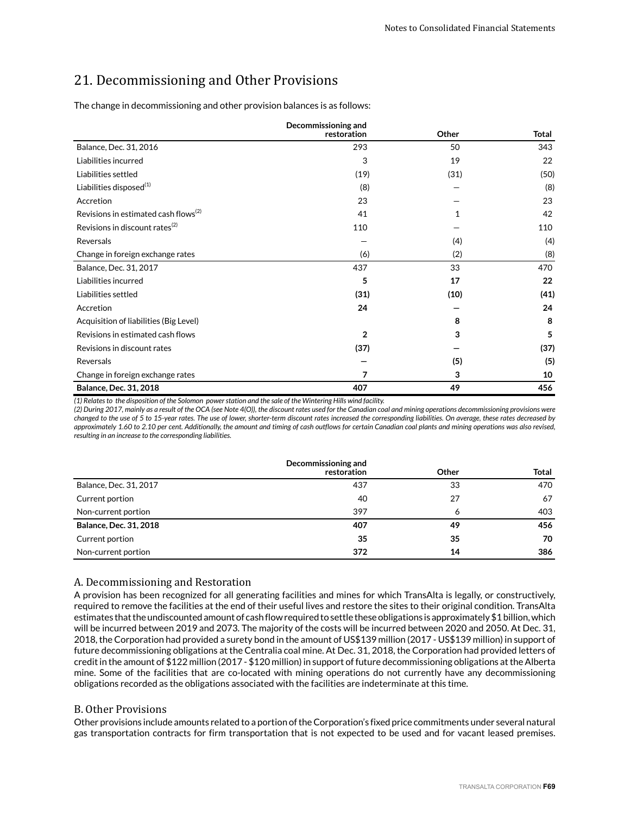# 21. Decommissioning and Other Provisions

The change in decommissioning and other provision balances is as follows:

|                                                  | Decommissioning and<br>restoration | Other | <b>Total</b> |
|--------------------------------------------------|------------------------------------|-------|--------------|
| Balance, Dec. 31, 2016                           | 293                                | 50    | 343          |
| Liabilities incurred                             | 3                                  | 19    | 22           |
| Liabilities settled                              | (19)                               | (31)  | (50)         |
| Liabilities disposed <sup>(1)</sup>              | (8)                                |       | (8)          |
| Accretion                                        | 23                                 |       | 23           |
| Revisions in estimated cash flows <sup>(2)</sup> | 41                                 | 1     | 42           |
| Revisions in discount rates $^{(2)}$             | 110                                |       | 110          |
| Reversals                                        |                                    | (4)   | (4)          |
| Change in foreign exchange rates                 | (6)                                | (2)   | (8)          |
| Balance, Dec. 31, 2017                           | 437                                | 33    | 470          |
| Liabilities incurred                             | 5                                  | 17    | 22           |
| Liabilities settled                              | (31)                               | (10)  | (41)         |
| Accretion                                        | 24                                 |       | 24           |
| Acquisition of liabilities (Big Level)           |                                    | 8     | 8            |
| Revisions in estimated cash flows                | $\overline{2}$                     | 3     | 5            |
| Revisions in discount rates                      | (37)                               |       | (37)         |
| Reversals                                        |                                    | (5)   | (5)          |
| Change in foreign exchange rates                 | 7                                  | 3     | 10           |
| Balance, Dec. 31, 2018                           | 407                                | 49    | 456          |

*(1) Relates to the disposition of the Solomon power station and the sale of the Wintering Hills wind facility.*

*(2) During 2017, mainly as a result of the OCA (see Note 4(O)), the discount rates used for the Canadian coal and mining operations decommissioning provisions were changed to the use of 5 to 15-year rates. The use of lower, shorter-term discount rates increased the corresponding liabilities. On average, these rates decreased by approximately 1.60 to 2.10 per cent. Additionally, the amount and timing of cash outflows for certain Canadian coal plants and mining operations was also revised, resulting in an increase to the corresponding liabilities.*

|                               | Decommissioning and |              |              |
|-------------------------------|---------------------|--------------|--------------|
|                               | restoration         | <b>Other</b> | <b>Total</b> |
| Balance, Dec. 31, 2017        | 437                 | 33           | 470          |
| Current portion               | 40                  | 27           | 67           |
| Non-current portion           | 397                 | 6            | 403          |
| <b>Balance, Dec. 31, 2018</b> | 407                 | 49           | 456          |
| Current portion               | 35                  | 35           | 70           |
| Non-current portion           | 372                 | 14           | 386          |

## A. Decommissioning and Restoration

A provision has been recognized for all generating facilities and mines for which TransAlta is legally, or constructively, required to remove the facilities at the end of their useful lives and restore the sites to their original condition. TransAlta estimates that the undiscounted amount of cash flow required to settle these obligations is approximately \$1 billion, which will be incurred between 2019 and 2073. The majority of the costs will be incurred between 2020 and 2050. At Dec. 31, 2018, the Corporation had provided a surety bond in the amount of US\$139 million (2017 - US\$139 million) in support of future decommissioning obligations at the Centralia coal mine. At Dec. 31, 2018, the Corporation had provided letters of credit in the amount of \$122 million (2017 - \$120 million) in support of future decommissioning obligations at the Alberta mine. Some of the facilities that are co-located with mining operations do not currently have any decommissioning obligations recorded as the obligations associated with the facilities are indeterminate at this time.

## B. Other Provisions

Other provisions include amounts related to a portion of the Corporation's fixed price commitments under several natural gas transportation contracts for firm transportation that is not expected to be used and for vacant leased premises.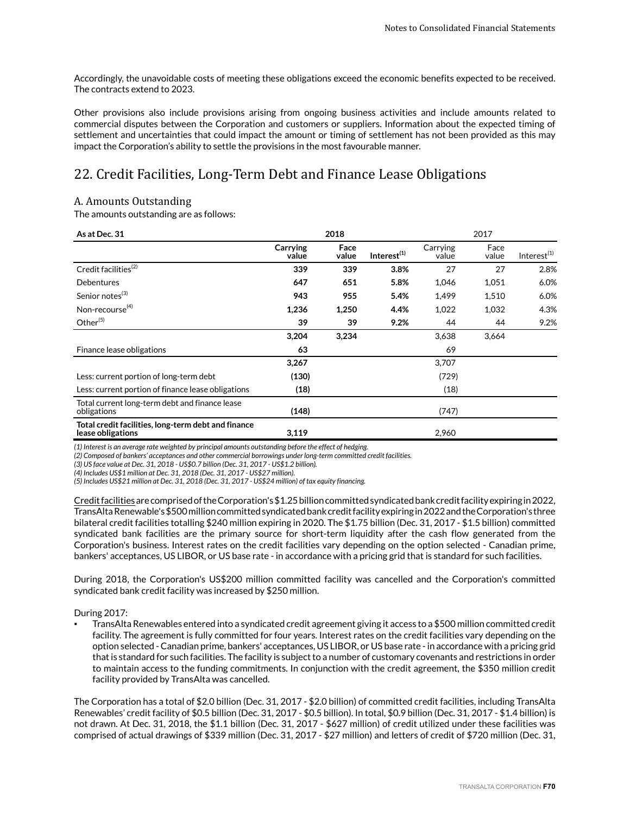Accordingly, the unavoidable costs of meeting these obligations exceed the economic benefits expected to be received. The contracts extend to 2023.

Other provisions also include provisions arising from ongoing business activities and include amounts related to commercial disputes between the Corporation and customers or suppliers. Information about the expected timing of settlement and uncertainties that could impact the amount or timing of settlement has not been provided as this may impact the Corporation's ability to settle the provisions in the most favourable manner.

# 22. Credit Facilities, Long-Term Debt and Finance Lease Obligations

## A. Amounts Outstanding

The amounts outstanding are as follows:

| As at Dec. 31                                                            |                   | 2018          |                         |                   | 2017          |                         |  |
|--------------------------------------------------------------------------|-------------------|---------------|-------------------------|-------------------|---------------|-------------------------|--|
|                                                                          | Carrying<br>value | Face<br>value | Interest <sup>(1)</sup> | Carrying<br>value | Face<br>value | Interest <sup>(1)</sup> |  |
| Credit facilities <sup>(2)</sup>                                         | 339               | 339           | 3.8%                    | 27                | 27            | 2.8%                    |  |
| <b>Debentures</b>                                                        | 647               | 651           | 5.8%                    | 1,046             | 1,051         | 6.0%                    |  |
| Senior notes <sup>(3)</sup>                                              | 943               | 955           | 5.4%                    | 1,499             | 1,510         | 6.0%                    |  |
| Non-recourse <sup>(4)</sup>                                              | 1,236             | 1,250         | 4.4%                    | 1,022             | 1,032         | 4.3%                    |  |
| Other $(5)$                                                              | 39                | 39            | 9.2%                    | 44                | 44            | 9.2%                    |  |
|                                                                          | 3,204             | 3,234         |                         | 3,638             | 3,664         |                         |  |
| Finance lease obligations                                                | 63                |               |                         | 69                |               |                         |  |
|                                                                          | 3,267             |               |                         | 3,707             |               |                         |  |
| Less: current portion of long-term debt                                  | (130)             |               |                         | (729)             |               |                         |  |
| Less: current portion of finance lease obligations                       | (18)              |               |                         | (18)              |               |                         |  |
| Total current long-term debt and finance lease<br>obligations            | (148)             |               |                         | (747)             |               |                         |  |
| Total credit facilities, long-term debt and finance<br>lease obligations | 3,119             |               |                         | 2,960             |               |                         |  |

*(1) Interest is an average rate weighted by principal amounts outstanding before the effect of hedging.*

*(2) Composed of bankers' acceptances and other commercial borrowings under long-term committed credit facilities.*

*(3) US face value at Dec. 31, 2018 - US\$0.7 billion (Dec. 31, 2017 - US\$1.2 billion).*

*(4) Includes US\$1 million at Dec. 31, 2018 (Dec. 31, 2017 - US\$27 million).*

*(5) Includes US\$21 million at Dec. 31, 2018 (Dec. 31, 2017 - US\$24 million) of tax equity financing.*

Credit facilities are comprised of the Corporation's \$1.25 billion committed syndicated bank credit facility expiring in 2022, TransAlta Renewable's \$500 million committed syndicated bank credit facility expiring in 2022 and the Corporation's three bilateral credit facilities totalling \$240 million expiring in 2020. The \$1.75 billion (Dec. 31, 2017 - \$1.5 billion) committed syndicated bank facilities are the primary source for short-term liquidity after the cash flow generated from the Corporation's business. Interest rates on the credit facilities vary depending on the option selected - Canadian prime, bankers' acceptances, US LIBOR, or US base rate - in accordance with a pricing grid that is standard for such facilities.

During 2018, the Corporation's US\$200 million committed facility was cancelled and the Corporation's committed syndicated bank credit facility was increased by \$250 million.

During 2017:

TransAlta Renewables entered into a syndicated credit agreement giving it access to a \$500 million committed credit facility. The agreement is fully committed for four years. Interest rates on the credit facilities vary depending on the option selected - Canadian prime, bankers' acceptances, US LIBOR, or US base rate - in accordance with a pricing grid that is standard for such facilities. The facility is subject to a number of customary covenants and restrictions in order to maintain access to the funding commitments. In conjunction with the credit agreement, the \$350 million credit facility provided by TransAlta was cancelled.

The Corporation has a total of \$2.0 billion (Dec. 31, 2017 - \$2.0 billion) of committed credit facilities, including TransAlta Renewables' credit facility of \$0.5 billion (Dec. 31, 2017 - \$0.5 billion). In total, \$0.9 billion (Dec. 31, 2017 - \$1.4 billion) is not drawn. At Dec. 31, 2018, the \$1.1 billion (Dec. 31, 2017 - \$627 million) of credit utilized under these facilities was comprised of actual drawings of \$339 million (Dec. 31, 2017 - \$27 million) and letters of credit of \$720 million (Dec. 31,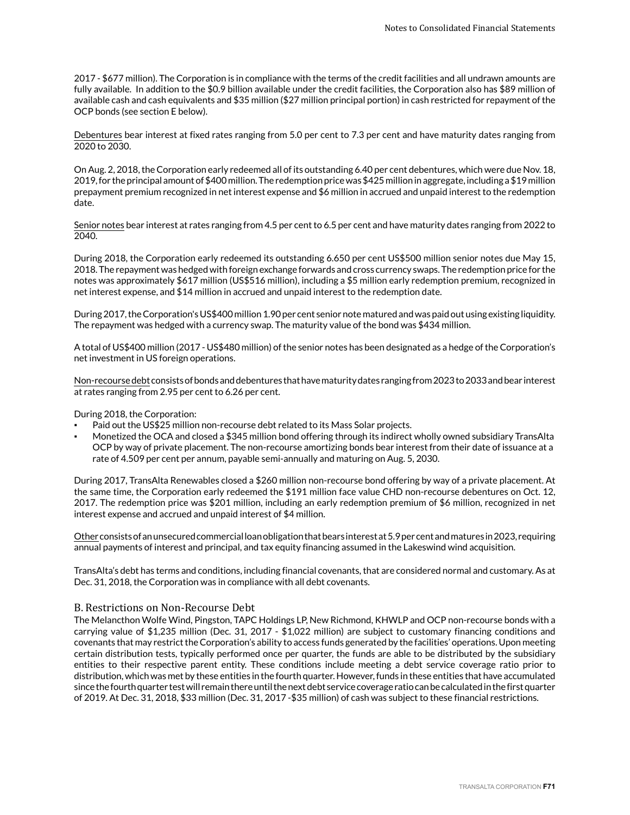2017 - \$677 million). The Corporation is in compliance with the terms of the credit facilities and all undrawn amounts are fully available. In addition to the \$0.9 billion available under the credit facilities, the Corporation also has \$89 million of available cash and cash equivalents and \$35 million (\$27 million principal portion) in cash restricted for repayment of the OCP bonds (see section E below).

Debentures bear interest at fixed rates ranging from 5.0 per cent to 7.3 per cent and have maturity dates ranging from 2020 to 2030.

On Aug. 2, 2018, the Corporation early redeemed all of its outstanding 6.40 per cent debentures, which were due Nov. 18, 2019, for the principal amount of \$400 million. The redemption price was \$425 million in aggregate, including a \$19 million prepayment premium recognized in net interest expense and \$6 million in accrued and unpaid interest to the redemption date.

Senior notes bear interest at rates ranging from 4.5 per cent to 6.5 per cent and have maturity dates ranging from 2022 to 2040.

During 2018, the Corporation early redeemed its outstanding 6.650 per cent US\$500 million senior notes due May 15, 2018. The repayment was hedged with foreign exchange forwards and cross currency swaps. The redemption price for the notes was approximately \$617 million (US\$516 million), including a \$5 million early redemption premium, recognized in net interest expense, and \$14 million in accrued and unpaid interest to the redemption date.

During 2017, the Corporation's US\$400 million 1.90 per cent senior note matured and was paid out using existing liquidity. The repayment was hedged with a currency swap. The maturity value of the bond was \$434 million.

A total of US\$400 million (2017 - US\$480 million) of the senior notes has been designated as a hedge of the Corporation's net investment in US foreign operations.

Non-recourse debt consists of bonds and debentures that have maturity dates ranging from 2023 to 2033 and bear interest at rates ranging from 2.95 per cent to 6.26 per cent.

During 2018, the Corporation:

- Paid out the US\$25 million non-recourse debt related to its Mass Solar projects.
- Monetized the OCA and closed a \$345 million bond offering through its indirect wholly owned subsidiary TransAlta OCP by way of private placement. The non-recourse amortizing bonds bear interest from their date of issuance at a rate of 4.509 per cent per annum, payable semi-annually and maturing on Aug. 5, 2030.

During 2017, TransAlta Renewables closed a \$260 million non-recourse bond offering by way of a private placement. At the same time, the Corporation early redeemed the \$191 million face value CHD non-recourse debentures on Oct. 12, 2017. The redemption price was \$201 million, including an early redemption premium of \$6 million, recognized in net interest expense and accrued and unpaid interest of \$4 million.

Other consists of an unsecured commercial loan obligation that bears interest at 5.9 per cent and matures in 2023, requiring annual payments of interest and principal, and tax equity financing assumed in the Lakeswind wind acquisition.

TransAlta's debt has terms and conditions, including financial covenants, that are considered normal and customary. As at Dec. 31, 2018, the Corporation was in compliance with all debt covenants.

### B. Restrictions on Non-Recourse Debt

The Melancthon Wolfe Wind, Pingston, TAPC Holdings LP, New Richmond, KHWLP and OCP non-recourse bonds with a carrying value of \$1,235 million (Dec. 31, 2017 - \$1,022 million) are subject to customary financing conditions and covenants that may restrict the Corporation's ability to access funds generated by the facilities' operations. Upon meeting certain distribution tests, typically performed once per quarter, the funds are able to be distributed by the subsidiary entities to their respective parent entity. These conditions include meeting a debt service coverage ratio prior to distribution, which was met by these entities in the fourth quarter. However, funds in these entities that have accumulated since the fourth quarter test will remain there until the next debt service coverage ratio can be calculated in the first quarter of 2019. At Dec. 31, 2018, \$33 million (Dec. 31, 2017 -\$35 million) of cash was subject to these financial restrictions.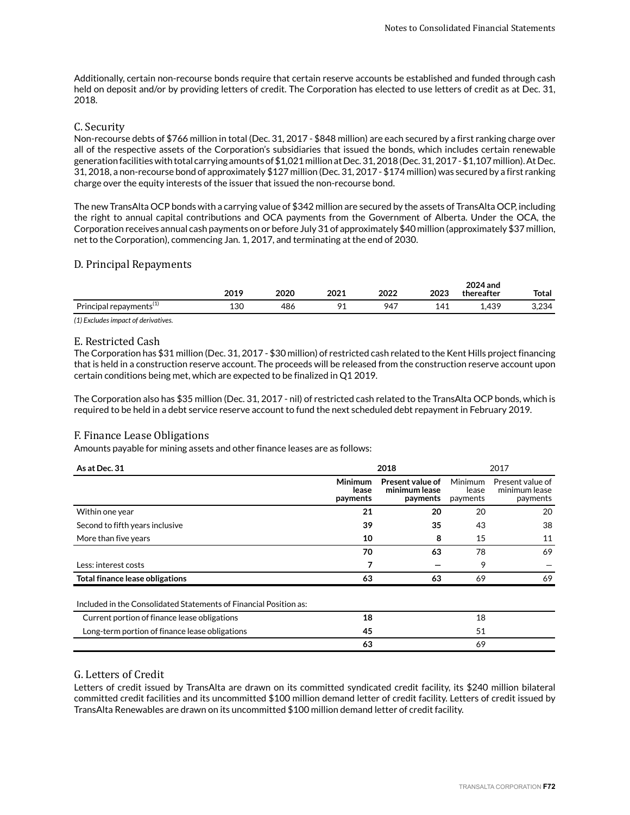Additionally, certain non-recourse bonds require that certain reserve accounts be established and funded through cash held on deposit and/or by providing letters of credit. The Corporation has elected to use letters of credit as at Dec. 31, 2018.

## C. Security

Non-recourse debts of \$766 million in total (Dec. 31, 2017 - \$848 million) are each secured by a first ranking charge over all of the respective assets of the Corporation's subsidiaries that issued the bonds, which includes certain renewable generation facilities with total carrying amounts of \$1,021 million at Dec. 31, 2018 (Dec. 31, 2017 - \$1,107 million). At Dec. 31, 2018, a non-recourse bond of approximately \$127 million (Dec. 31, 2017 - \$174 million) was secured by a first ranking charge over the equity interests of the issuer that issued the non-recourse bond.

The new TransAlta OCP bonds with a carrying value of \$342 million are secured by the assets of TransAlta OCP, including the right to annual capital contributions and OCA payments from the Government of Alberta. Under the OCA, the Corporation receives annual cash payments on or before July 31 of approximately \$40 million (approximately \$37 million, net to the Corporation), commencing Jan. 1, 2017, and terminating at the end of 2030.

### D. Principal Repayments

|                                              | ว∩1 ด<br>49 L Z | 2020 | 2021 | 2022<br>LVLL | 2023     | 2024 and<br>thereafter | <b>Total</b> |
|----------------------------------------------|-----------------|------|------|--------------|----------|------------------------|--------------|
| $\overline{a}$<br>Principal repayments $(1)$ | 130<br>___      | 486  | 01   | 947          | 41،<br>. | ,439                   | 3,234        |

*(1) Excludes impact of derivatives.*

### E. Restricted Cash

The Corporation has \$31 million (Dec. 31, 2017 - \$30 million) of restricted cash related to the Kent Hills project financing that is held in a construction reserve account. The proceeds will be released from the construction reserve account upon certain conditions being met, which are expected to be finalized in Q1 2019.

The Corporation also has \$35 million (Dec. 31, 2017 - nil) of restricted cash related to the TransAlta OCP bonds, which is required to be held in a debt service reserve account to fund the next scheduled debt repayment in February 2019.

## F. Finance Lease Obligations

Amounts payable for mining assets and other finance leases are as follows:

| As at Dec. 31                                                     | 2018                                |                                               |                                     | 2017                                          |  |
|-------------------------------------------------------------------|-------------------------------------|-----------------------------------------------|-------------------------------------|-----------------------------------------------|--|
|                                                                   | <b>Minimum</b><br>lease<br>payments | Present value of<br>minimum lease<br>payments | <b>Minimum</b><br>lease<br>payments | Present value of<br>minimum lease<br>payments |  |
| Within one year                                                   | 21                                  | 20                                            | 20                                  | 20                                            |  |
| Second to fifth years inclusive                                   | 39                                  | 35                                            | 43                                  | 38                                            |  |
| More than five years                                              | 10                                  | 8                                             | 15                                  | 11                                            |  |
|                                                                   | 70                                  | 63                                            | 78                                  | 69                                            |  |
| Less: interest costs                                              | 7                                   |                                               | 9                                   |                                               |  |
| Total finance lease obligations                                   | 63                                  | 63                                            | 69                                  | 69                                            |  |
| Included in the Consolidated Statements of Financial Position as: |                                     |                                               |                                     |                                               |  |
| Current portion of finance lease obligations                      | 18                                  |                                               | 18                                  |                                               |  |
| Long-term portion of finance lease obligations                    | 45                                  |                                               | 51                                  |                                               |  |
|                                                                   | 63                                  |                                               | 69                                  |                                               |  |

## G. Letters of Credit

Letters of credit issued by TransAlta are drawn on its committed syndicated credit facility, its \$240 million bilateral committed credit facilities and its uncommitted \$100 million demand letter of credit facility. Letters of credit issued by TransAlta Renewables are drawn on its uncommitted \$100 million demand letter of credit facility.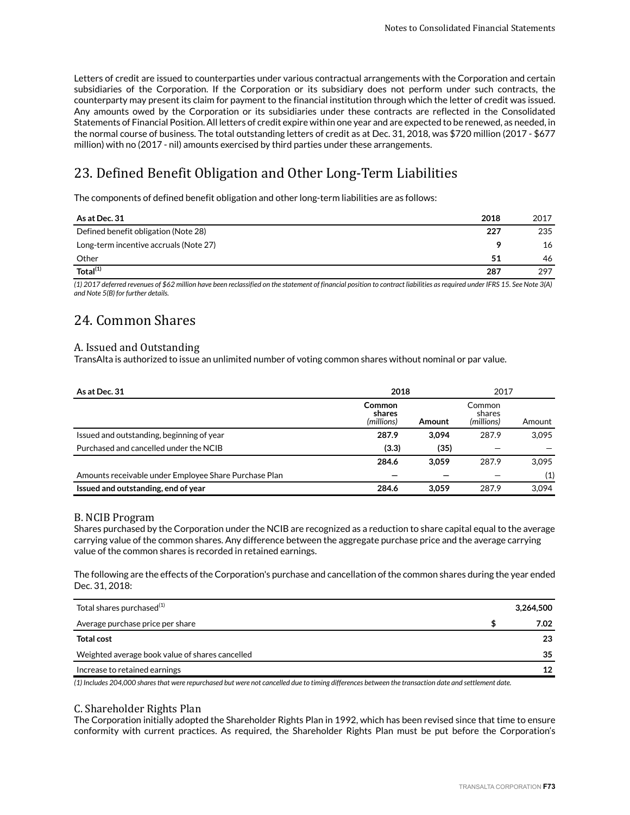Letters of credit are issued to counterparties under various contractual arrangements with the Corporation and certain subsidiaries of the Corporation. If the Corporation or its subsidiary does not perform under such contracts, the counterparty may present its claim for payment to the financial institution through which the letter of credit was issued. Any amounts owed by the Corporation or its subsidiaries under these contracts are reflected in the Consolidated Statements of Financial Position. All letters of credit expire within one year and are expected to be renewed, as needed, in the normal course of business. The total outstanding letters of credit as at Dec. 31, 2018, was \$720 million (2017 - \$677 million) with no (2017 - nil) amounts exercised by third parties under these arrangements.

# 23. Defined Benefit Obligation and Other Long-Term Liabilities

The components of defined benefit obligation and other long-term liabilities are as follows:

| As at Dec. 31                                                                                                   | 2018 | 2017 |
|-----------------------------------------------------------------------------------------------------------------|------|------|
| Defined benefit obligation (Note 28)                                                                            | 227  | 235  |
| Long-term incentive accruals (Note 27)                                                                          |      | 16   |
| Other                                                                                                           | 51   | 46   |
| $\overline{\text{Total}^{(1)}}$                                                                                 | 287  | 297  |
| the contract of the contract of the contract of the contract of the contract of the contract of the contract of |      |      |

*(1) 2017 deferred revenues of \$62 million have been reclassified on the statement of financial position to contract liabilities as required under IFRS 15. See Note 3(A) and Note 5(B) for further details.* 

# 24. Common Shares

#### A. Issued and Outstanding

TransAlta is authorized to issue an unlimited number of voting common shares without nominal or par value.

| As at Dec. 31                                         | 2018                                  |        | 2017                           |        |
|-------------------------------------------------------|---------------------------------------|--------|--------------------------------|--------|
|                                                       | <b>Common</b><br>shares<br>(millions) | Amount | Common<br>shares<br>(millions) | Amount |
| Issued and outstanding, beginning of year             | 287.9                                 | 3.094  | 287.9                          | 3.095  |
| Purchased and cancelled under the NCIB                | (3.3)                                 | (35)   |                                |        |
|                                                       | 284.6                                 | 3.059  | 287.9                          | 3.095  |
| Amounts receivable under Employee Share Purchase Plan |                                       |        |                                | (1)    |
| Issued and outstanding, end of year                   | 284.6                                 | 3.059  | 287.9                          | 3.094  |

#### B. NCIB Program

Shares purchased by the Corporation under the NCIB are recognized as a reduction to share capital equal to the average carrying value of the common shares. Any difference between the aggregate purchase price and the average carrying value of the common shares is recorded in retained earnings.

The following are the effects of the Corporation's purchase and cancellation of the common shares during the year ended Dec. 31, 2018:

| Total shares purchased $(1)$                    | 3,264,500 |
|-------------------------------------------------|-----------|
| Average purchase price per share                | 7.02      |
| <b>Total cost</b>                               | 23        |
| Weighted average book value of shares cancelled | 35        |
| Increase to retained earnings                   | 12        |

*(1) Includes 204,000 shares that were repurchased but were not cancelled due to timing differences between the transaction date and settlement date.*

#### C. Shareholder Rights Plan

The Corporation initially adopted the Shareholder Rights Plan in 1992, which has been revised since that time to ensure conformity with current practices. As required, the Shareholder Rights Plan must be put before the Corporation's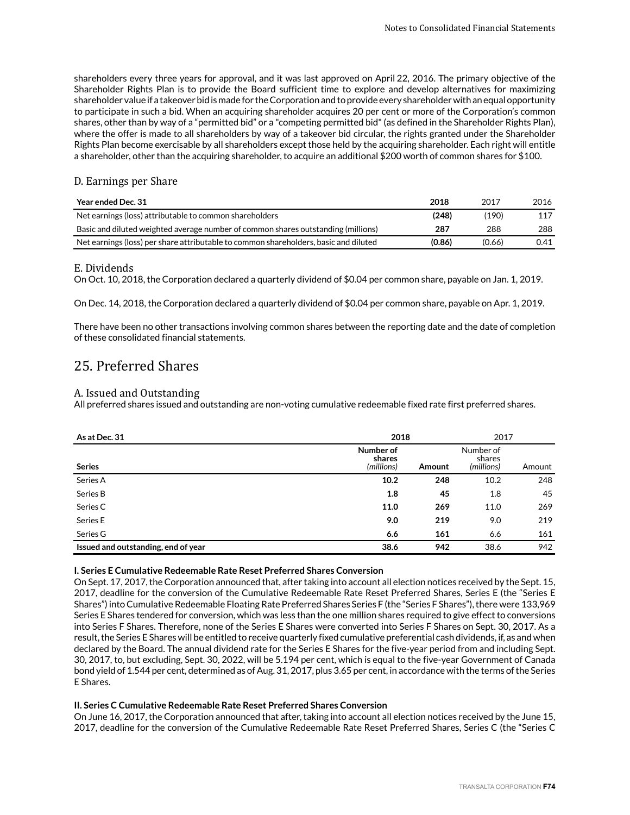shareholders every three years for approval, and it was last approved on April 22, 2016. The primary objective of the Shareholder Rights Plan is to provide the Board sufficient time to explore and develop alternatives for maximizing shareholder value if a takeover bid is made for the Corporation and to provide every shareholder with an equal opportunity to participate in such a bid. When an acquiring shareholder acquires 20 per cent or more of the Corporation's common shares, other than by way of a "permitted bid" or a "competing permitted bid" (as defined in the Shareholder Rights Plan), where the offer is made to all shareholders by way of a takeover bid circular, the rights granted under the Shareholder Rights Plan become exercisable by all shareholders except those held by the acquiring shareholder. Each right will entitle a shareholder, other than the acquiring shareholder, to acquire an additional \$200 worth of common shares for \$100.

### D. Earnings per Share

| Year ended Dec. 31                                                                   | 2018   | 2017   | 2016 |
|--------------------------------------------------------------------------------------|--------|--------|------|
| Net earnings (loss) attributable to common shareholders                              | (248)  | (190)  | 117  |
| Basic and diluted weighted average number of common shares outstanding (millions)    | 287    | 288    | 288  |
| Net earnings (loss) per share attributable to common shareholders, basic and diluted | (0.86) | (0.66) | 0.41 |

#### E. Dividends

On Oct. 10, 2018, the Corporation declared a quarterly dividend of \$0.04 per common share, payable on Jan. 1, 2019.

On Dec. 14, 2018, the Corporation declared a quarterly dividend of \$0.04 per common share, payable on Apr. 1, 2019.

There have been no other transactions involving common shares between the reporting date and the date of completion of these consolidated financial statements.

# 25. Preferred Shares

#### A. Issued and Outstanding

All preferred shares issued and outstanding are non-voting cumulative redeemable fixed rate first preferred shares.

| As at Dec. 31                       |                                   | 2018   |                                   | 2017   |  |
|-------------------------------------|-----------------------------------|--------|-----------------------------------|--------|--|
| <b>Series</b>                       | Number of<br>shares<br>(millions) | Amount | Number of<br>shares<br>(millions) | Amount |  |
| Series A                            | 10.2                              | 248    | 10.2                              | 248    |  |
| Series B                            | 1.8                               | 45     | 1.8                               | 45     |  |
| Series C                            | 11.0                              | 269    | 11.0                              | 269    |  |
| Series E                            | 9.0                               | 219    | 9.0                               | 219    |  |
| Series G                            | 6.6                               | 161    | 6.6                               | 161    |  |
| Issued and outstanding, end of year | 38.6                              | 942    | 38.6                              | 942    |  |

#### **I. Series E Cumulative Redeemable Rate Reset Preferred Shares Conversion**

On Sept. 17, 2017, the Corporation announced that, after taking into account all election notices received by the Sept. 15, 2017, deadline for the conversion of the Cumulative Redeemable Rate Reset Preferred Shares, Series E (the "Series E Shares") into Cumulative Redeemable Floating Rate Preferred Shares Series F (the "Series F Shares"), there were 133,969 Series E Shares tendered for conversion, which was less than the one million shares required to give effect to conversions into Series F Shares. Therefore, none of the Series E Shares were converted into Series F Shares on Sept. 30, 2017. As a result, the Series E Shares will be entitled to receive quarterly fixed cumulative preferential cash dividends, if, as and when declared by the Board. The annual dividend rate for the Series E Shares for the five-year period from and including Sept. 30, 2017, to, but excluding, Sept. 30, 2022, will be 5.194 per cent, which is equal to the five-year Government of Canada bond yield of 1.544 per cent, determined as of Aug. 31, 2017, plus 3.65 per cent, in accordance with the terms of the Series E Shares.

#### **II. Series C Cumulative Redeemable Rate Reset Preferred Shares Conversion**

On June 16, 2017, the Corporation announced that after, taking into account all election notices received by the June 15, 2017, deadline for the conversion of the Cumulative Redeemable Rate Reset Preferred Shares, Series C (the "Series C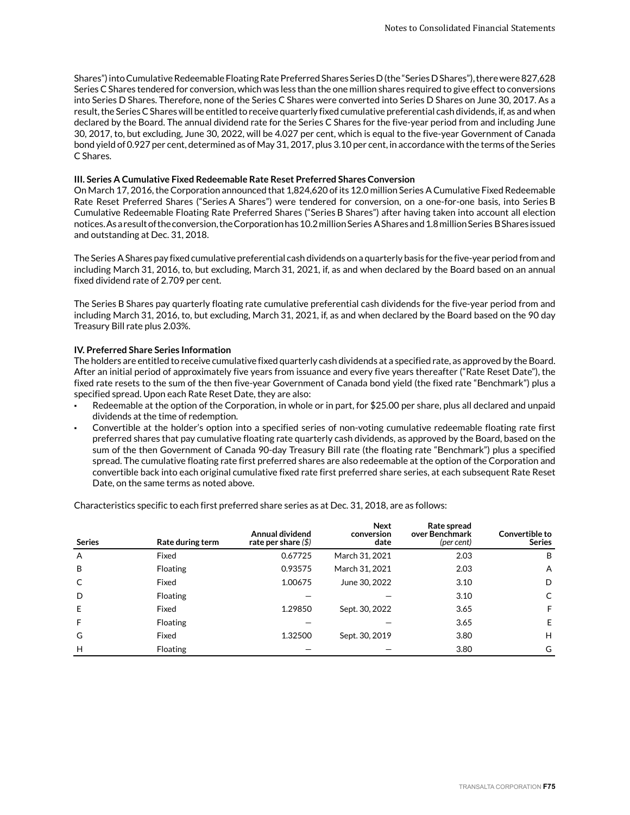Shares") into Cumulative Redeemable Floating Rate Preferred Shares Series D (the "Series D Shares"), there were 827,628 Series C Shares tendered for conversion, which was less than the one million shares required to give effect to conversions into Series D Shares. Therefore, none of the Series C Shares were converted into Series D Shares on June 30, 2017. As a result, the Series C Shares will be entitled to receive quarterly fixed cumulative preferential cash dividends, if, as and when declared by the Board. The annual dividend rate for the Series C Shares for the five-year period from and including June 30, 2017, to, but excluding, June 30, 2022, will be 4.027 per cent, which is equal to the five-year Government of Canada bond yield of 0.927 per cent, determined as of May 31, 2017, plus 3.10 per cent, in accordance with the terms of the Series C Shares.

#### **III. Series A Cumulative Fixed Redeemable Rate Reset Preferred Shares Conversion**

On March 17, 2016, the Corporation announced that 1,824,620 of its 12.0 million Series A Cumulative Fixed Redeemable Rate Reset Preferred Shares ("Series A Shares") were tendered for conversion, on a one-for-one basis, into Series B Cumulative Redeemable Floating Rate Preferred Shares ("Series B Shares") after having taken into account all election notices. As a result of the conversion, the Corporation has 10.2 million Series A Shares and 1.8 million Series B Shares issued and outstanding at Dec. 31, 2018.

The Series A Shares pay fixed cumulative preferential cash dividends on a quarterly basis for the five-year period from and including March 31, 2016, to, but excluding, March 31, 2021, if, as and when declared by the Board based on an annual fixed dividend rate of 2.709 per cent.

The Series B Shares pay quarterly floating rate cumulative preferential cash dividends for the five-year period from and including March 31, 2016, to, but excluding, March 31, 2021, if, as and when declared by the Board based on the 90 day Treasury Bill rate plus 2.03%.

#### **IV. Preferred Share Series Information**

The holders are entitled to receive cumulative fixed quarterly cash dividends at a specified rate, as approved by the Board. After an initial period of approximately five years from issuance and every five years thereafter ("Rate Reset Date"), the fixed rate resets to the sum of the then five-year Government of Canada bond yield (the fixed rate "Benchmark") plus a specified spread. Upon each Rate Reset Date, they are also:

- Redeemable at the option of the Corporation, in whole or in part, for \$25.00 per share, plus all declared and unpaid dividends at the time of redemption.
- Convertible at the holder's option into a specified series of non-voting cumulative redeemable floating rate first preferred shares that pay cumulative floating rate quarterly cash dividends, as approved by the Board, based on the sum of the then Government of Canada 90-day Treasury Bill rate (the floating rate "Benchmark") plus a specified spread. The cumulative floating rate first preferred shares are also redeemable at the option of the Corporation and convertible back into each original cumulative fixed rate first preferred share series, at each subsequent Rate Reset Date, on the same terms as noted above.

Characteristics specific to each first preferred share series as at Dec. 31, 2018, are as follows:

| <b>Series</b> | Rate during term | Annual dividend<br>rate per share $($ math) | <b>Next</b><br>conversion<br>date | Rate spread<br>over Benchmark<br>(per cent) | Convertible to<br><b>Series</b> |
|---------------|------------------|---------------------------------------------|-----------------------------------|---------------------------------------------|---------------------------------|
| A             | Fixed            | 0.67725                                     | March 31, 2021                    | 2.03                                        | B                               |
| B             | <b>Floating</b>  | 0.93575                                     | March 31, 2021                    | 2.03                                        | A                               |
| C             | Fixed            | 1.00675                                     | June 30, 2022                     | 3.10                                        | D                               |
| D             | Floating         |                                             |                                   | 3.10                                        | C                               |
| E             | Fixed            | 1.29850                                     | Sept. 30, 2022                    | 3.65                                        | F                               |
| F             | <b>Floating</b>  |                                             |                                   | 3.65                                        | E                               |
| G             | Fixed            | 1.32500                                     | Sept. 30, 2019                    | 3.80                                        | H                               |
| H             | <b>Floating</b>  |                                             |                                   | 3.80                                        | G                               |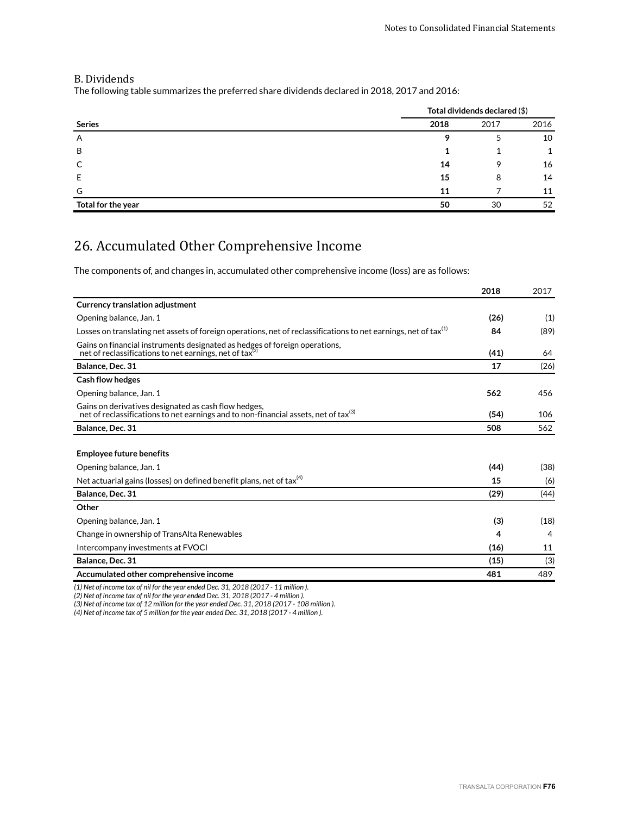### B. Dividends

The following table summarizes the preferred share dividends declared in 2018, 2017 and 2016:

|                    | Total dividends declared (\$) |      |      |  |
|--------------------|-------------------------------|------|------|--|
| <b>Series</b>      | 2018                          | 2017 | 2016 |  |
| Α                  |                               |      | 10   |  |
| B                  |                               |      |      |  |
|                    | 14                            | 9    | 16   |  |
| E                  | 15                            | 8    | 14   |  |
| G                  | 11                            |      | 11   |  |
| Total for the year | 50                            | 30   | 52   |  |

# 26. Accumulated Other Comprehensive Income

The components of, and changes in, accumulated other comprehensive income (loss) are as follows:

|                                                                                                                                                         | 2018 | 2017 |
|---------------------------------------------------------------------------------------------------------------------------------------------------------|------|------|
| <b>Currency translation adjustment</b>                                                                                                                  |      |      |
| Opening balance, Jan. 1                                                                                                                                 | (26) | (1)  |
| Losses on translating net assets of foreign operations, net of reclassifications to net earnings, net of tax <sup>(1)</sup>                             | 84   | (89) |
| Gains on financial instruments designated as hedges of foreign operations,<br>net of reclassifications to net earnings, net of tax $^{(2)}$             | (41) | 64   |
| Balance, Dec. 31                                                                                                                                        | 17   | (26) |
| <b>Cash flow hedges</b>                                                                                                                                 |      |      |
| Opening balance, Jan. 1                                                                                                                                 | 562  | 456  |
| Gains on derivatives designated as cash flow hedges,<br>net of reclassifications to net earnings and to non-financial assets, net of tax <sup>(3)</sup> | (54) | 106  |
| Balance, Dec. 31                                                                                                                                        | 508  | 562  |
|                                                                                                                                                         |      |      |
| <b>Employee future benefits</b>                                                                                                                         |      |      |
| Opening balance, Jan. 1                                                                                                                                 | (44) | (38) |
| Net actuarial gains (losses) on defined benefit plans, net of tax $(4)$                                                                                 | 15   | (6)  |
| Balance, Dec. 31                                                                                                                                        | (29) | (44) |
| Other                                                                                                                                                   |      |      |
| Opening balance, Jan. 1                                                                                                                                 | (3)  | (18) |
| Change in ownership of TransAlta Renewables                                                                                                             | 4    | 4    |
| Intercompany investments at FVOCI                                                                                                                       | (16) | 11   |
| Balance, Dec. 31                                                                                                                                        | (15) | (3)  |
| Accumulated other comprehensive income                                                                                                                  | 481  | 489  |

*(1) Net of income tax of nil for the year ended Dec. 31, 2018 (2017 - 11 million ).*

*(2) Net of income tax of nil for the year ended Dec. 31, 2018 (2017 - 4 million ).*

*(3) Net of income tax of 12 million for the year ended Dec. 31, 2018 (2017 - 108 million ).*

*(4) Net of income tax of 5 million for the year ended Dec. 31, 2018 (2017 - 4 million ).*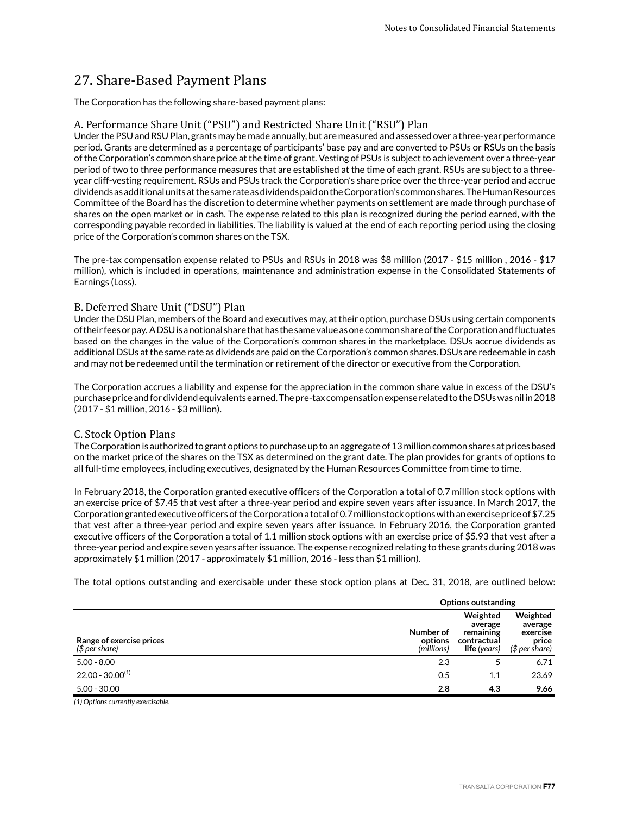# 27. Share-Based Payment Plans

The Corporation has the following share-based payment plans:

#### A. Performance Share Unit ("PSU") and Restricted Share Unit ("RSU") Plan

Under the PSU and RSU Plan, grants may be made annually, but are measured and assessed over a three-year performance period. Grants are determined as a percentage of participants' base pay and are converted to PSUs or RSUs on the basis of the Corporation's common share price at the time of grant. Vesting of PSUs is subject to achievement over a three-year period of two to three performance measures that are established at the time of each grant. RSUs are subject to a threeyear cliff-vesting requirement. RSUs and PSUs track the Corporation's share price over the three-year period and accrue dividends as additional units at the same rate as dividends paid on the Corporation's common shares. The Human Resources Committee of the Board has the discretion to determine whether payments on settlement are made through purchase of shares on the open market or in cash. The expense related to this plan is recognized during the period earned, with the corresponding payable recorded in liabilities. The liability is valued at the end of each reporting period using the closing price of the Corporation's common shares on the TSX.

The pre-tax compensation expense related to PSUs and RSUs in 2018 was \$8 million (2017 - \$15 million , 2016 - \$17 million), which is included in operations, maintenance and administration expense in the Consolidated Statements of Earnings (Loss).

#### B. Deferred Share Unit ("DSU") Plan

Under the DSU Plan, members of the Board and executives may, at their option, purchase DSUs using certain components of their fees or pay. A DSU is a notional share that has the same value as one common share of the Corporation and fluctuates based on the changes in the value of the Corporation's common shares in the marketplace. DSUs accrue dividends as additional DSUs at the same rate as dividends are paid on the Corporation's common shares. DSUs are redeemable in cash and may not be redeemed until the termination or retirement of the director or executive from the Corporation.

The Corporation accrues a liability and expense for the appreciation in the common share value in excess of the DSU's purchase price and for dividend equivalents earned. The pre-tax compensation expense related to the DSUs was nil in 2018 (2017 - \$1 million, 2016 - \$3 million).

#### C. Stock Option Plans

The Corporation is authorized to grant options to purchase up to an aggregate of 13 million common shares at prices based on the market price of the shares on the TSX as determined on the grant date. The plan provides for grants of options to all full-time employees, including executives, designated by the Human Resources Committee from time to time.

In February 2018, the Corporation granted executive officers of the Corporation a total of 0.7 million stock options with an exercise price of \$7.45 that vest after a three-year period and expire seven years after issuance. In March 2017, the Corporation granted executive officers of the Corporation a total of 0.7 million stock options with an exercise price of \$7.25 that vest after a three-year period and expire seven years after issuance. In February 2016, the Corporation granted executive officers of the Corporation a total of 1.1 million stock options with an exercise price of \$5.93 that vest after a three-year period and expire seven years after issuance. The expense recognized relating to these grants during 2018 was approximately \$1 million (2017 - approximately \$1 million, 2016 - less than \$1 million).

The total options outstanding and exercisable under these stock option plans at Dec. 31, 2018, are outlined below:

|                                            |                                    | <b>Options outstanding</b>                                             |                                                            |  |
|--------------------------------------------|------------------------------------|------------------------------------------------------------------------|------------------------------------------------------------|--|
| Range of exercise prices<br>$$$ per share) | Number of<br>options<br>(millions) | Weighted<br>average<br>remaining<br>contractual<br><b>life</b> (years) | Weighted<br>average<br>exercise<br>price<br>$$$ per share) |  |
| $5.00 - 8.00$                              | 2.3                                |                                                                        | 6.71                                                       |  |
| $22.00 - 30.00^{(1)}$                      | 0.5                                | 1.1                                                                    | 23.69                                                      |  |
| $5.00 - 30.00$                             | 2.8                                | 4.3                                                                    | 9.66                                                       |  |

*(1) Options currently exercisable.*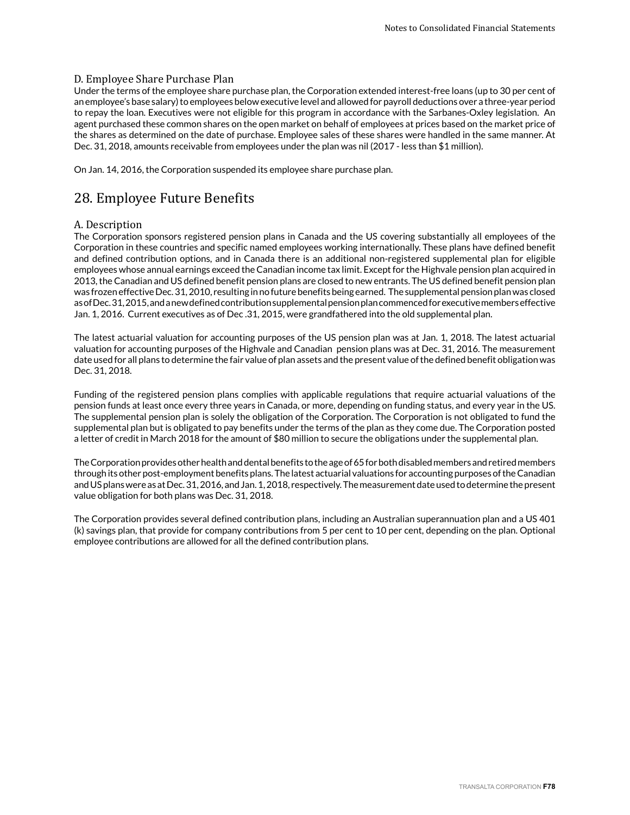### D. Employee Share Purchase Plan

Under the terms of the employee share purchase plan, the Corporation extended interest-free loans (up to 30 per cent of an employee's base salary) to employees below executive level and allowed for payroll deductions over a three-year period to repay the loan. Executives were not eligible for this program in accordance with the Sarbanes-Oxley legislation. An agent purchased these common shares on the open market on behalf of employees at prices based on the market price of the shares as determined on the date of purchase. Employee sales of these shares were handled in the same manner. At Dec. 31, 2018, amounts receivable from employees under the plan was nil (2017 - less than \$1 million).

On Jan. 14, 2016, the Corporation suspended its employee share purchase plan.

# 28. Employee Future Benefits

### A. Description

The Corporation sponsors registered pension plans in Canada and the US covering substantially all employees of the Corporation in these countries and specific named employees working internationally. These plans have defined benefit and defined contribution options, and in Canada there is an additional non-registered supplemental plan for eligible employees whose annual earnings exceed the Canadian income tax limit. Except for the Highvale pension plan acquired in 2013, the Canadian and US defined benefit pension plans are closed to new entrants. The US defined benefit pension plan was frozen effective Dec. 31, 2010, resulting in no future benefits being earned. The supplemental pension plan was closed as of Dec. 31, 2015, and a new defined contribution supplemental pension plan commenced for executive members effective Jan. 1, 2016. Current executives as of Dec .31, 2015, were grandfathered into the old supplemental plan.

The latest actuarial valuation for accounting purposes of the US pension plan was at Jan. 1, 2018. The latest actuarial valuation for accounting purposes of the Highvale and Canadian pension plans was at Dec. 31, 2016. The measurement date used for all plans to determine the fair value of plan assets and the present value of the defined benefit obligation was Dec. 31, 2018.

Funding of the registered pension plans complies with applicable regulations that require actuarial valuations of the pension funds at least once every three years in Canada, or more, depending on funding status, and every year in the US. The supplemental pension plan is solely the obligation of the Corporation. The Corporation is not obligated to fund the supplemental plan but is obligated to pay benefits under the terms of the plan as they come due. The Corporation posted a letter of credit in March 2018 for the amount of \$80 million to secure the obligations under the supplemental plan.

The Corporation provides other health and dental benefits to the age of 65 for both disabled members and retired members through its other post-employment benefits plans. The latest actuarial valuations for accounting purposes of the Canadian and US plans were as at Dec. 31, 2016, and Jan. 1, 2018, respectively. The measurement date used to determine the present value obligation for both plans was Dec. 31, 2018.

The Corporation provides several defined contribution plans, including an Australian superannuation plan and a US 401 (k) savings plan, that provide for company contributions from 5 per cent to 10 per cent, depending on the plan. Optional employee contributions are allowed for all the defined contribution plans.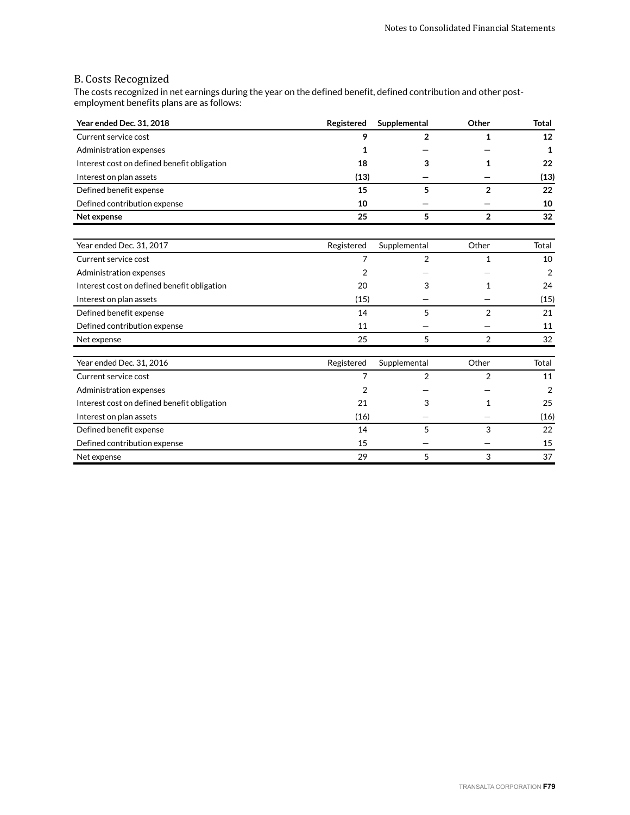### B. Costs Recognized

The costs recognized in net earnings during the year on the defined benefit, defined contribution and other postemployment benefits plans are as follows:

| Year ended Dec. 31, 2018                    | Registered | Supplemental   | Other          | <b>Total</b>   |
|---------------------------------------------|------------|----------------|----------------|----------------|
| Current service cost                        | 9          | $\mathbf{2}$   | 1              | 12             |
| Administration expenses                     | 1          |                |                | 1              |
| Interest cost on defined benefit obligation | 18         | 3              | 1              | 22             |
| Interest on plan assets                     | (13)       |                |                | (13)           |
| Defined benefit expense                     | 15         | 5              | $\overline{2}$ | 22             |
| Defined contribution expense                | 10         |                |                | 10             |
| Net expense                                 | 25         | 5              | $\overline{2}$ | 32             |
| Year ended Dec. 31, 2017                    | Registered | Supplemental   | Other          | Total          |
| Current service cost                        | 7          | $\overline{2}$ | $\mathbf{1}$   | 10             |
| Administration expenses                     | 2          |                |                | 2              |
| Interest cost on defined benefit obligation | 20         | 3              | 1              | 24             |
| Interest on plan assets                     | (15)       |                |                | (15)           |
| Defined benefit expense                     | 14         | 5              | $\overline{2}$ | 21             |
| Defined contribution expense                | 11         |                |                | 11             |
| Net expense                                 | 25         | 5              | $\overline{2}$ | 32             |
| Year ended Dec. 31, 2016                    | Registered | Supplemental   | Other          | Total          |
| Current service cost                        | 7          | 2              | $\overline{2}$ | 11             |
| Administration expenses                     | 2          |                |                | $\overline{2}$ |
| Interest cost on defined benefit obligation | 21         | 3              | 1              | 25             |
| Interest on plan assets                     | (16)       |                |                | (16)           |
| Defined benefit expense                     | 14         | 5              | 3              | 22             |
| Defined contribution expense                | 15         |                |                | 15             |
| Net expense                                 | 29         | 5              | 3              | 37             |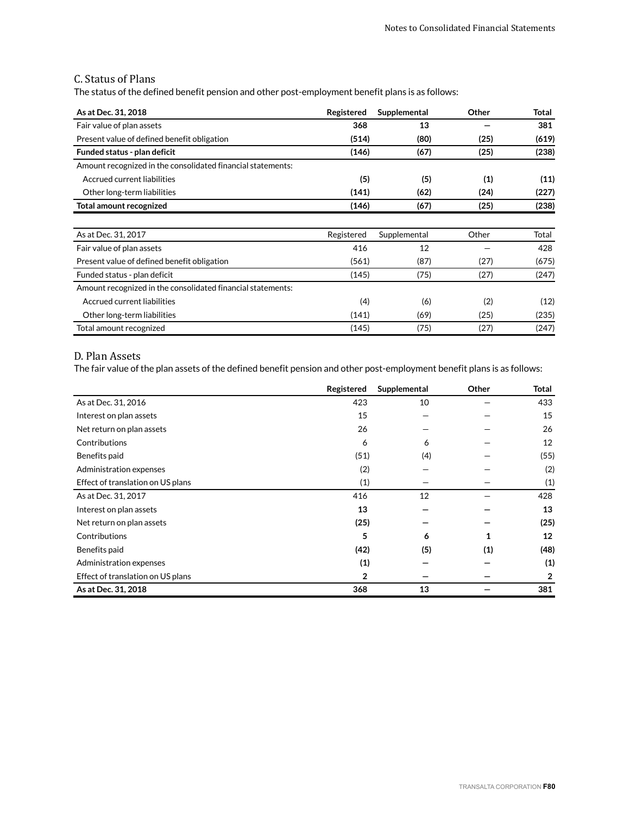### C. Status of Plans

The status of the defined benefit pension and other post-employment benefit plans is as follows:

| As at Dec. 31, 2018                                         | Registered | Supplemental | Other | Total |
|-------------------------------------------------------------|------------|--------------|-------|-------|
| Fair value of plan assets                                   | 368        | 13           |       | 381   |
| Present value of defined benefit obligation                 | (514)      | (80)         | (25)  | (619) |
| Funded status - plan deficit                                | (146)      | (67)         | (25)  | (238) |
| Amount recognized in the consolidated financial statements: |            |              |       |       |
| Accrued current liabilities                                 | (5)        | (5)          | (1)   | (11)  |
| Other long-term liabilities                                 | (141)      | (62)         | (24)  | (227) |
| Total amount recognized                                     | (146)      | (67)         | (25)  | (238) |
|                                                             |            |              |       |       |
| As at Dec. 31, 2017                                         | Registered | Supplemental | Other | Total |
| Fair value of plan assets                                   | 416        | 12           |       | 428   |
| Present value of defined benefit obligation                 | (561)      | (87)         | (27)  | (675) |
| Funded status - plan deficit                                | (145)      | (75)         | (27)  | (247) |
| Amount recognized in the consolidated financial statements: |            |              |       |       |
| Accrued current liabilities                                 | (4)        | (6)          | (2)   | (12)  |
| Other long-term liabilities                                 | (141)      | (69)         | (25)  | (235) |
| Total amount recognized                                     | (145)      | (75)         | (27)  | (247) |

### D. Plan Assets

The fair value of the plan assets of the defined benefit pension and other post-employment benefit plans is as follows:

|                                   | Registered   | Supplemental | Other | <b>Total</b>   |
|-----------------------------------|--------------|--------------|-------|----------------|
| As at Dec. 31, 2016               | 423          | 10           |       | 433            |
| Interest on plan assets           | 15           |              |       | 15             |
| Net return on plan assets         | 26           |              |       | 26             |
| Contributions                     | 6            | 6            |       | 12             |
| Benefits paid                     | (51)         | (4)          |       | (55)           |
| Administration expenses           | (2)          |              |       | (2)            |
| Effect of translation on US plans | (1)          |              |       | (1)            |
| As at Dec. 31, 2017               | 416          | 12           |       | 428            |
| Interest on plan assets           | 13           |              |       | 13             |
| Net return on plan assets         | (25)         |              |       | (25)           |
| Contributions                     | 5            | 6            | 1     | 12             |
| Benefits paid                     | (42)         | (5)          | (1)   | (48)           |
| Administration expenses           | (1)          |              |       | (1)            |
| Effect of translation on US plans | $\mathbf{2}$ |              |       | $\overline{2}$ |
| As at Dec. 31, 2018               | 368          | 13           |       | 381            |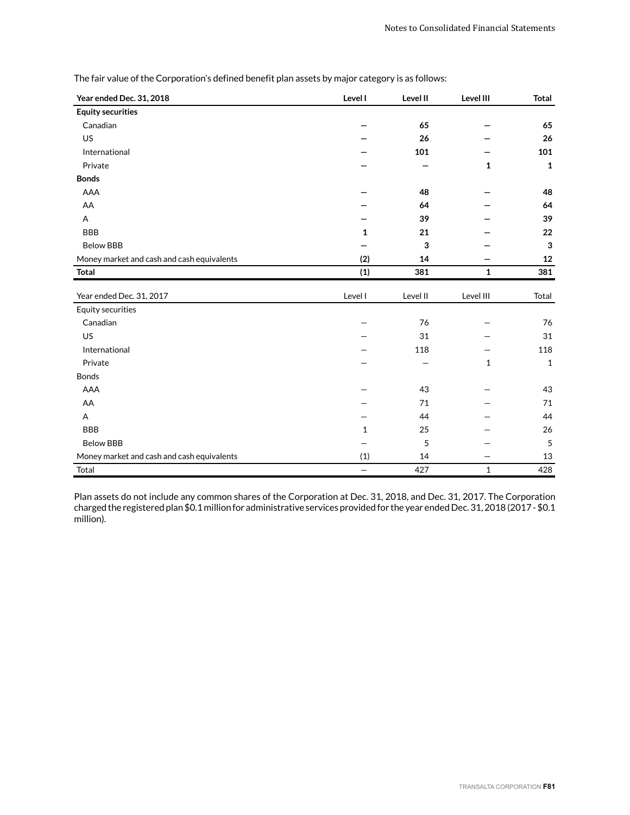| Year ended Dec. 31, 2018                   | Level I      | Level II | Level III    | <b>Total</b> |
|--------------------------------------------|--------------|----------|--------------|--------------|
| <b>Equity securities</b>                   |              |          |              |              |
| Canadian                                   |              | 65       |              | 65           |
| US                                         |              | 26       |              | 26           |
| International                              |              | 101      |              | 101          |
| Private                                    |              |          | $\mathbf{1}$ | $\mathbf 1$  |
| <b>Bonds</b>                               |              |          |              |              |
| AAA                                        |              | 48       |              | 48           |
| AA                                         |              | 64       |              | 64           |
| Α                                          |              | 39       |              | 39           |
| <b>BBB</b>                                 | 1            | 21       |              | 22           |
| <b>Below BBB</b>                           |              | 3        |              | 3            |
| Money market and cash and cash equivalents | (2)          | 14       |              | 12           |
| Total                                      | (1)          | 381      | $\mathbf{1}$ | 381          |
| Year ended Dec. 31, 2017                   | Level I      | Level II | Level III    | Total        |
|                                            |              |          |              |              |
|                                            |              |          |              |              |
| <b>Equity securities</b>                   |              |          |              |              |
| Canadian                                   |              | 76       |              | 76           |
| US                                         |              | 31       |              | 31           |
| International                              |              | 118      |              | 118          |
| Private                                    |              |          | $\mathbf 1$  | $\mathbf{1}$ |
| <b>Bonds</b><br>AAA                        |              | 43       |              |              |
|                                            |              | 71       |              | 43<br>71     |
| AA                                         |              | 44       |              | 44           |
| Α                                          | $\mathbf{1}$ |          |              |              |
| <b>BBB</b><br><b>Below BBB</b>             |              | 25<br>5  |              | 26<br>5      |
| Money market and cash and cash equivalents | (1)          | 14       |              | 13           |

The fair value of the Corporation's defined benefit plan assets by major category is as follows:

Plan assets do not include any common shares of the Corporation at Dec. 31, 2018, and Dec. 31, 2017. The Corporation charged the registered plan \$0.1 million for administrative services provided for the year ended Dec. 31, 2018 (2017 - \$0.1 million).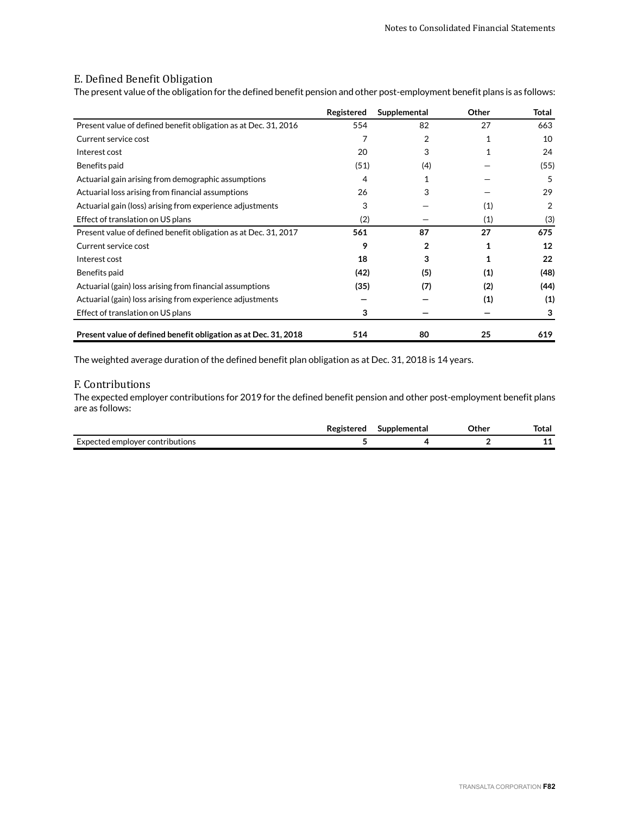### E. Defined Benefit Obligation

The present value of the obligation for the defined benefit pension and other post-employment benefit plans is as follows:

|                                                                 | Registered | Supplemental   | Other        | Total |
|-----------------------------------------------------------------|------------|----------------|--------------|-------|
| Present value of defined benefit obligation as at Dec. 31, 2016 | 554        | 82             | 27           | 663   |
| Current service cost                                            |            | $\overline{2}$ | $\mathbf{1}$ | 10    |
| Interest cost                                                   | 20         | 3              |              | 24    |
| Benefits paid                                                   | (51)       | (4)            |              | (55)  |
| Actuarial gain arising from demographic assumptions             | 4          |                |              | 5     |
| Actuarial loss arising from financial assumptions               | 26         | 3              |              | 29    |
| Actuarial gain (loss) arising from experience adjustments       | 3          |                | (1)          | 2     |
| Effect of translation on US plans                               | (2)        |                | (1)          | (3)   |
| Present value of defined benefit obligation as at Dec. 31, 2017 | 561        | 87             | 27           | 675   |
| Current service cost                                            | 9          | 2              |              | 12    |
| Interest cost                                                   | 18         | 3              |              | 22    |
| Benefits paid                                                   | (42)       | (5)            | (1)          | (48)  |
| Actuarial (gain) loss arising from financial assumptions        | (35)       | (7)            | (2)          | (44)  |
| Actuarial (gain) loss arising from experience adjustments       |            |                | (1)          | (1)   |
| Effect of translation on US plans                               | 3          |                |              | 3     |
| Present value of defined benefit obligation as at Dec. 31, 2018 | 514        | 80             | 25           | 619   |

The weighted average duration of the defined benefit plan obligation as at Dec. 31, 2018 is 14 years.

### F. Contributions

The expected employer contributions for 2019 for the defined benefit pension and other post-employment benefit plans are as follows:

|                                                   | toror | pplemental<br>sur | つther<br>----- | lotal |
|---------------------------------------------------|-------|-------------------|----------------|-------|
| rynecte <sup>d</sup><br>I emplover contributions. |       |                   |                | . .   |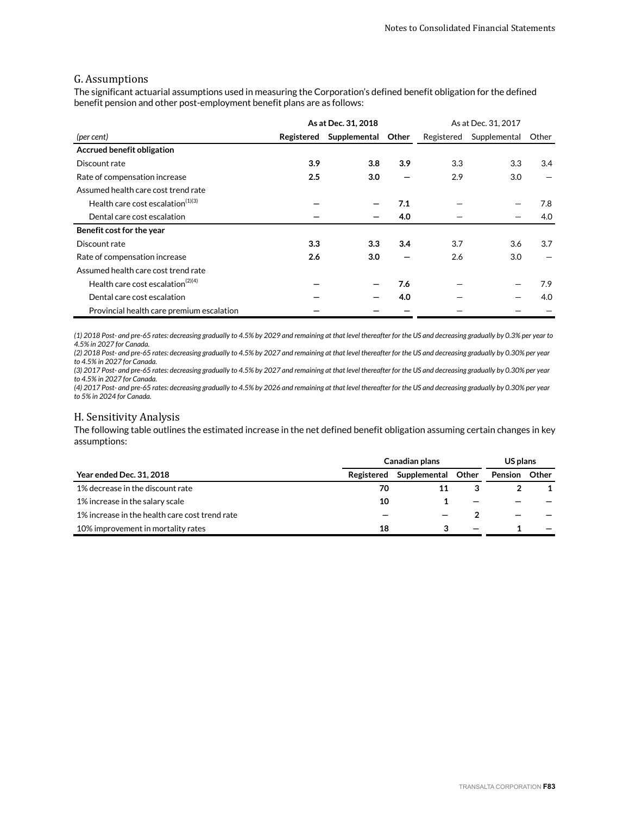### G. Assumptions

The significant actuarial assumptions used in measuring the Corporation's defined benefit obligation for the defined benefit pension and other post-employment benefit plans are as follows:

|                                               |            | As at Dec. 31, 2018 | As at Dec. 31, 2017 |            |              |       |
|-----------------------------------------------|------------|---------------------|---------------------|------------|--------------|-------|
| (per cent)                                    | Registered | Supplemental        | Other               | Registered | Supplemental | Other |
| Accrued benefit obligation                    |            |                     |                     |            |              |       |
| Discount rate                                 | 3.9        | 3.8                 | 3.9                 | 3.3        | 3.3          | 3.4   |
| Rate of compensation increase                 | 2.5        | 3.0                 |                     | 2.9        | 3.0          |       |
| Assumed health care cost trend rate           |            |                     |                     |            |              |       |
| Health care cost escalation $(1)(3)$          |            |                     | 7.1                 |            |              | 7.8   |
| Dental care cost escalation                   |            |                     | 4.0                 |            |              | 4.0   |
| Benefit cost for the year                     |            |                     |                     |            |              |       |
| Discount rate                                 | 3.3        | 3.3                 | 3.4                 | 3.7        | 3.6          | 3.7   |
| Rate of compensation increase                 | 2.6        | 3.0                 |                     | 2.6        | 3.0          |       |
| Assumed health care cost trend rate           |            |                     |                     |            |              |       |
| Health care cost escalation <sup>(2)(4)</sup> |            |                     | 7.6                 |            |              | 7.9   |
| Dental care cost escalation                   |            |                     | 4.0                 |            |              | 4.0   |
| Provincial health care premium escalation     |            |                     |                     |            |              |       |

*(1) 2018 Post- and pre-65 rates: decreasing gradually to 4.5% by 2029 and remaining at that level thereafter for the US and decreasing gradually by 0.3% per year to 4.5% in 2027 for Canada.*

*(2) 2018 Post- and pre-65 rates: decreasing gradually to 4.5% by 2027 and remaining at that level thereafter for the US and decreasing gradually by 0.30% per year to 4.5% in 2027 for Canada.*

*(3) 2017 Post- and pre-65 rates: decreasing gradually to 4.5% by 2027 and remaining at that level thereafter for the US and decreasing gradually by 0.30% per year to 4.5% in 2027 for Canada.*

*(4) 2017 Post- and pre-65 rates: decreasing gradually to 4.5% by 2026 and remaining at that level thereafter for the US and decreasing gradually by 0.30% per year to 5% in 2024 for Canada.*

### H. Sensitivity Analysis

The following table outlines the estimated increase in the net defined benefit obligation assuming certain changes in key assumptions:

|                                                | Canadian plans |              |       |         | US plans |
|------------------------------------------------|----------------|--------------|-------|---------|----------|
| <b>Year ended Dec. 31, 2018</b>                | Registered     | Supplemental | Other | Pension | Other    |
| 1% decrease in the discount rate               | 70             |              |       |         |          |
| 1% increase in the salary scale                | 10             |              |       |         |          |
| 1% increase in the health care cost trend rate |                |              |       |         |          |
| 10% improvement in mortality rates             | 18             |              |       |         |          |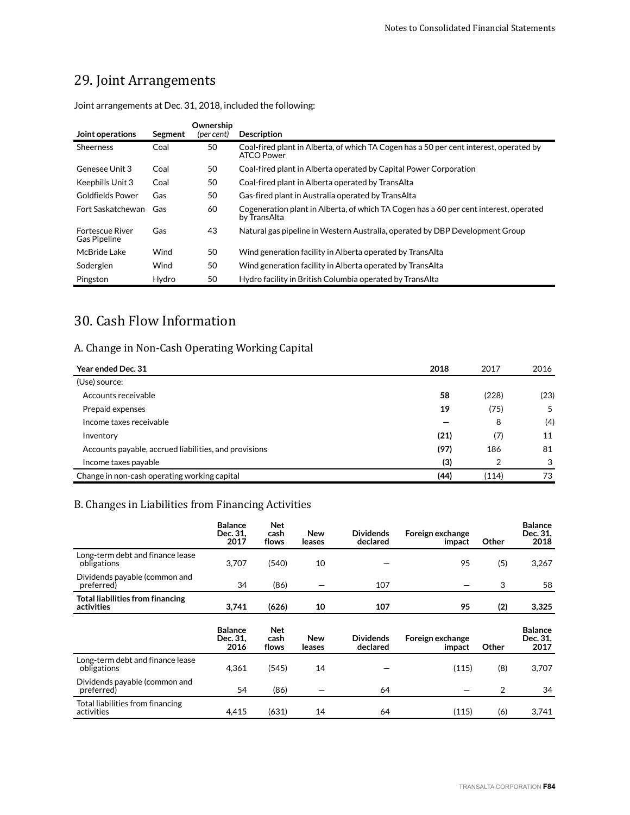# 29. Joint Arrangements

| Joint operations                              | Segment | Ownership<br>(per cent) | <b>Description</b>                                                                                    |
|-----------------------------------------------|---------|-------------------------|-------------------------------------------------------------------------------------------------------|
| <b>Sheerness</b>                              | Coal    | 50                      | Coal-fired plant in Alberta, of which TA Cogen has a 50 per cent interest, operated by<br>ATCO Power  |
| Genesee Unit 3                                | Coal    | 50                      | Coal-fired plant in Alberta operated by Capital Power Corporation                                     |
| Keephills Unit 3                              | Coal    | 50                      | Coal-fired plant in Alberta operated by TransAlta                                                     |
| Goldfields Power                              | Gas     | 50                      | Gas-fired plant in Australia operated by TransAlta                                                    |
| Fort Saskatchewan                             | Gas     | 60                      | Cogeneration plant in Alberta, of which TA Cogen has a 60 per cent interest, operated<br>by TransAlta |
| <b>Fortescue River</b><br><b>Gas Pipeline</b> | Gas     | 43                      | Natural gas pipeline in Western Australia, operated by DBP Development Group                          |
| McBride Lake                                  | Wind    | 50                      | Wind generation facility in Alberta operated by TransAlta                                             |
| Soderglen                                     | Wind    | 50                      | Wind generation facility in Alberta operated by TransAlta                                             |
| Pingston                                      | Hydro   | 50                      | Hydro facility in British Columbia operated by TransAlta                                              |

Joint arrangements at Dec. 31, 2018, included the following:

# 30. Cash Flow Information

# A. Change in Non-Cash Operating Working Capital

| Year ended Dec. 31                                    | 2018 | 2017  | 2016 |
|-------------------------------------------------------|------|-------|------|
| (Use) source:                                         |      |       |      |
| Accounts receivable                                   | 58   | (228) | (23) |
| Prepaid expenses                                      | 19   | (75)  | 5    |
| Income taxes receivable                               |      | 8     | (4)  |
| Inventory                                             | (21) | (7)   | 11   |
| Accounts payable, accrued liabilities, and provisions | (97) | 186   | 81   |
| Income taxes payable                                  | (3)  | 2     | 3    |
| Change in non-cash operating working capital          | (44) | (114) | 73   |

# B. Changes in Liabilities from Financing Activities

|                                                 | <b>Balance</b><br>Dec. 31.<br>2017 | <b>Net</b><br>cash<br>flows | New<br>leases | <b>Dividends</b><br>declared | Foreign exchange<br>impact | Other          | <b>Balance</b><br>Dec. 31,<br>2018 |
|-------------------------------------------------|------------------------------------|-----------------------------|---------------|------------------------------|----------------------------|----------------|------------------------------------|
| Long-term debt and finance lease<br>obligations | 3,707                              | (540)                       | 10            |                              | 95                         | (5)            | 3,267                              |
| Dividends payable (common and<br>preferred)     | 34                                 | (86)                        |               | 107                          |                            | 3              | 58                                 |
| Total liabilities from financing<br>activities  | 3,741                              | (626)                       | 10            | 107                          | 95                         | (2)            | 3,325                              |
|                                                 | <b>Balance</b>                     | <b>Net</b>                  |               |                              |                            |                | <b>Balance</b>                     |
|                                                 | Dec. 31.<br>2016                   | cash<br>flows               | New<br>leases | <b>Dividends</b><br>declared | Foreign exchange<br>impact | Other          | Dec. 31.<br>2017                   |
| Long-term debt and finance lease<br>obligations | 4,361                              | (545)                       | 14            |                              | (115)                      | (8)            | 3,707                              |
| Dividends payable (common and<br>preferred)     | 54                                 | (86)                        |               | 64                           |                            | $\overline{2}$ | 34                                 |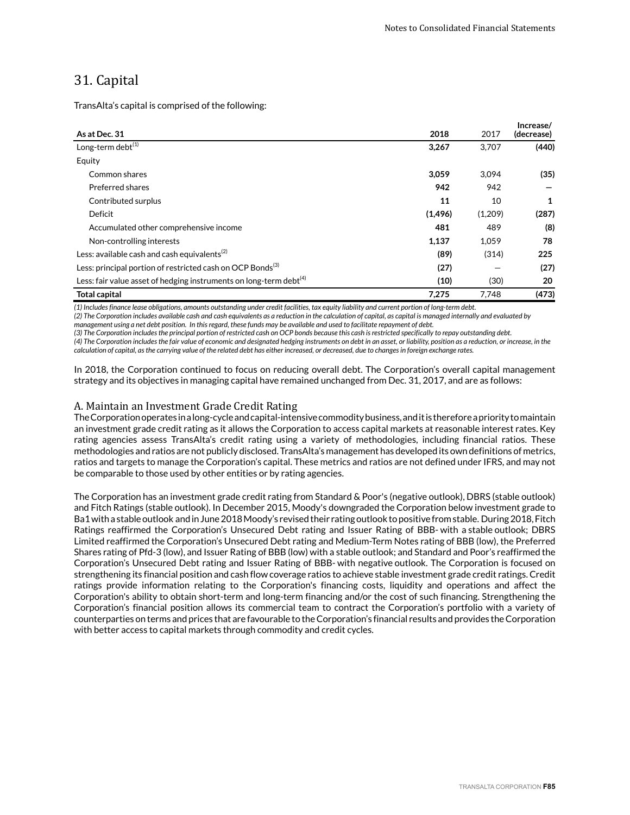# 31. Capital

TransAlta's capital is comprised of the following:

| As at Dec. 31                                                                  | 2018     | 2017    | Increase/<br>(decrease) |
|--------------------------------------------------------------------------------|----------|---------|-------------------------|
| Long-term debt $(1)$                                                           | 3,267    | 3.707   | (440)                   |
| Equity                                                                         |          |         |                         |
| Common shares                                                                  | 3.059    | 3.094   | (35)                    |
| Preferred shares                                                               | 942      | 942     |                         |
| Contributed surplus                                                            | 11       | 10      | 1                       |
| Deficit                                                                        | (1, 496) | (1,209) | (287)                   |
| Accumulated other comprehensive income                                         | 481      | 489     | (8)                     |
| Non-controlling interests                                                      | 1,137    | 1,059   | 78                      |
| Less: available cash and cash equivalents $^{(2)}$                             | (89)     | (314)   | 225                     |
| Less: principal portion of restricted cash on OCP Bonds <sup>(3)</sup>         | (27)     |         | (27)                    |
| Less: fair value asset of hedging instruments on long-term debt <sup>(4)</sup> | (10)     | (30)    | 20                      |
| <b>Total capital</b>                                                           | 7,275    | 7.748   | (473)                   |

*(1) Includes finance lease obligations, amounts outstanding under credit facilities, tax equity liability and current portion of long-term debt.*

*(2) The Corporation includes available cash and cash equivalents as a reduction in the calculation of capital, as capital is managed internally and evaluated by management using a net debt position. In this regard, these funds may be available and used to facilitate repayment of debt.*

*(3) The Corporation includes the principal portion of restricted cash on OCP bonds because this cash is restricted specifically to repay outstanding debt. (4) The Corporation includes the fair value of economic and designated hedging instruments on debt in an asset, or liability, position as a reduction, or increase, in the calculation of capital, as the carrying value of the related debt has either increased, or decreased, due to changes in foreign exchange rates.*

In 2018, the Corporation continued to focus on reducing overall debt. The Corporation's overall capital management strategy and its objectives in managing capital have remained unchanged from Dec. 31, 2017, and are as follows:

#### A. Maintain an Investment Grade Credit Rating

The Corporation operates in a long-cycle and capital-intensive commodity business, and it is therefore a priority to maintain an investment grade credit rating as it allows the Corporation to access capital markets at reasonable interest rates. Key rating agencies assess TransAlta's credit rating using a variety of methodologies, including financial ratios. These methodologies and ratios are not publicly disclosed. TransAlta's management has developed its own definitions of metrics, ratios and targets to manage the Corporation's capital. These metrics and ratios are not defined under IFRS, and may not be comparable to those used by other entities or by rating agencies.

The Corporation has an investment grade credit rating from Standard & Poor's (negative outlook), DBRS (stable outlook) and Fitch Ratings (stable outlook). In December 2015, Moody's downgraded the Corporation below investment grade to Ba1 with a stable outlook and in June 2018 Moody's revised their rating outlook to positive from stable. During 2018, Fitch Ratings reaffirmed the Corporation's Unsecured Debt rating and Issuer Rating of BBB- with a stable outlook; DBRS Limited reaffirmed the Corporation's Unsecured Debt rating and Medium-Term Notes rating of BBB (low), the Preferred Shares rating of Pfd-3 (low), and Issuer Rating of BBB (low) with a stable outlook; and Standard and Poor's reaffirmed the Corporation's Unsecured Debt rating and Issuer Rating of BBB- with negative outlook. The Corporation is focused on strengthening its financial position and cash flow coverage ratios to achieve stable investment grade credit ratings. Credit ratings provide information relating to the Corporation's financing costs, liquidity and operations and affect the Corporation's ability to obtain short-term and long-term financing and/or the cost of such financing. Strengthening the Corporation's financial position allows its commercial team to contract the Corporation's portfolio with a variety of counterparties on terms and prices that are favourable to the Corporation's financial results and provides the Corporation with better access to capital markets through commodity and credit cycles.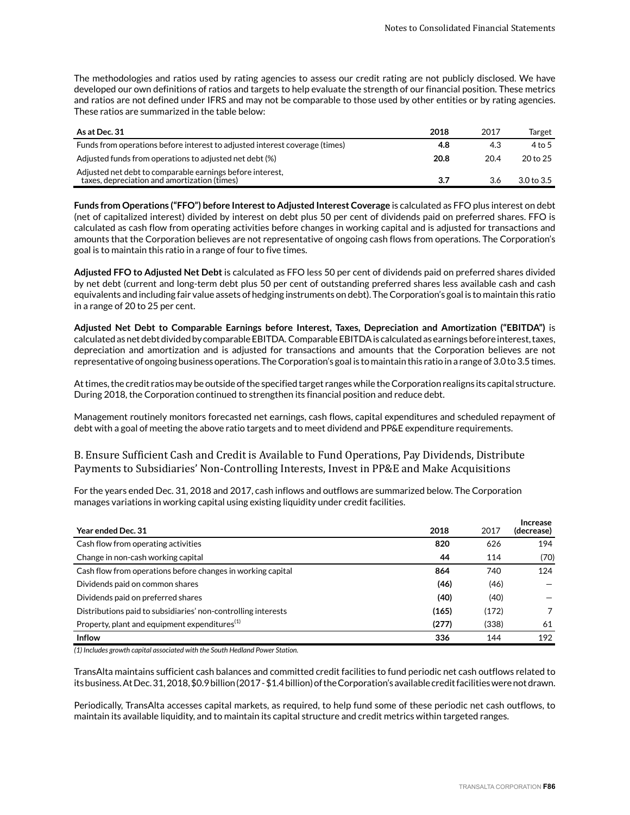The methodologies and ratios used by rating agencies to assess our credit rating are not publicly disclosed. We have developed our own definitions of ratios and targets to help evaluate the strength of our financial position. These metrics and ratios are not defined under IFRS and may not be comparable to those used by other entities or by rating agencies. These ratios are summarized in the table below:

| As at Dec. 31                                                                                             | 2018 | 2017 | Target     |
|-----------------------------------------------------------------------------------------------------------|------|------|------------|
| Funds from operations before interest to adjusted interest coverage (times)                               | 4.8  | 4.3  | 4 to 5     |
| Adjusted funds from operations to adjusted net debt (%)                                                   | 20.8 | 20.4 | 20 to 25   |
| Adjusted net debt to comparable earnings before interest,<br>taxes, depreciation and amortization (times) | 3.7  | 3.6  | 3.0 to 3.5 |

**Funds from Operations ("FFO") before Interest to Adjusted Interest Coverage** is calculated as FFO plus interest on debt (net of capitalized interest) divided by interest on debt plus 50 per cent of dividends paid on preferred shares. FFO is calculated as cash flow from operating activities before changes in working capital and is adjusted for transactions and amounts that the Corporation believes are not representative of ongoing cash flows from operations. The Corporation's goal is to maintain this ratio in a range of four to five times.

**Adjusted FFO to Adjusted Net Debt** is calculated as FFO less 50 per cent of dividends paid on preferred shares divided by net debt (current and long-term debt plus 50 per cent of outstanding preferred shares less available cash and cash equivalents and including fair value assets of hedging instruments on debt). The Corporation's goal is to maintain this ratio in a range of 20 to 25 per cent.

**Adjusted Net Debt to Comparable Earnings before Interest, Taxes, Depreciation and Amortization ("EBITDA")** is calculated as net debt divided by comparable EBITDA. Comparable EBITDA is calculated as earnings before interest, taxes, depreciation and amortization and is adjusted for transactions and amounts that the Corporation believes are not representative of ongoing business operations. The Corporation's goal is to maintain this ratio in a range of 3.0 to 3.5 times.

At times, the credit ratios may be outside of the specified target ranges while the Corporation realigns its capital structure. During 2018, the Corporation continued to strengthen its financial position and reduce debt.

Management routinely monitors forecasted net earnings, cash flows, capital expenditures and scheduled repayment of debt with a goal of meeting the above ratio targets and to meet dividend and PP&E expenditure requirements.

B. Ensure Sufficient Cash and Credit is Available to Fund Operations, Pay Dividends, Distribute Payments to Subsidiaries' Non-Controlling Interests, Invest in PP&E and Make Acquisitions

For the years ended Dec. 31, 2018 and 2017, cash inflows and outflows are summarized below. The Corporation manages variations in working capital using existing liquidity under credit facilities.

| <b>Year ended Dec. 31</b>                                     | 2018  | 2017  | Increase<br>(decrease) |
|---------------------------------------------------------------|-------|-------|------------------------|
| Cash flow from operating activities                           | 820   | 626   | 194                    |
| Change in non-cash working capital                            | 44    | 114   | (70)                   |
| Cash flow from operations before changes in working capital   | 864   | 740   | 124                    |
| Dividends paid on common shares                               | (46)  | (46)  |                        |
| Dividends paid on preferred shares                            | (40)  | (40)  |                        |
| Distributions paid to subsidiaries' non-controlling interests | (165) | (172) |                        |
| Property, plant and equipment expenditures <sup>(1)</sup>     | (277) | (338) | 61                     |
| <b>Inflow</b>                                                 | 336   | 144   | 192                    |

*(1) Includes growth capital associated with the South Hedland Power Station.*

TransAlta maintains sufficient cash balances and committed credit facilities to fund periodic net cash outflows related to its business. At Dec. 31, 2018, \$0.9 billion (2017 - \$1.4 billion) of the Corporation's available credit facilities were not drawn.

Periodically, TransAlta accesses capital markets, as required, to help fund some of these periodic net cash outflows, to maintain its available liquidity, and to maintain its capital structure and credit metrics within targeted ranges.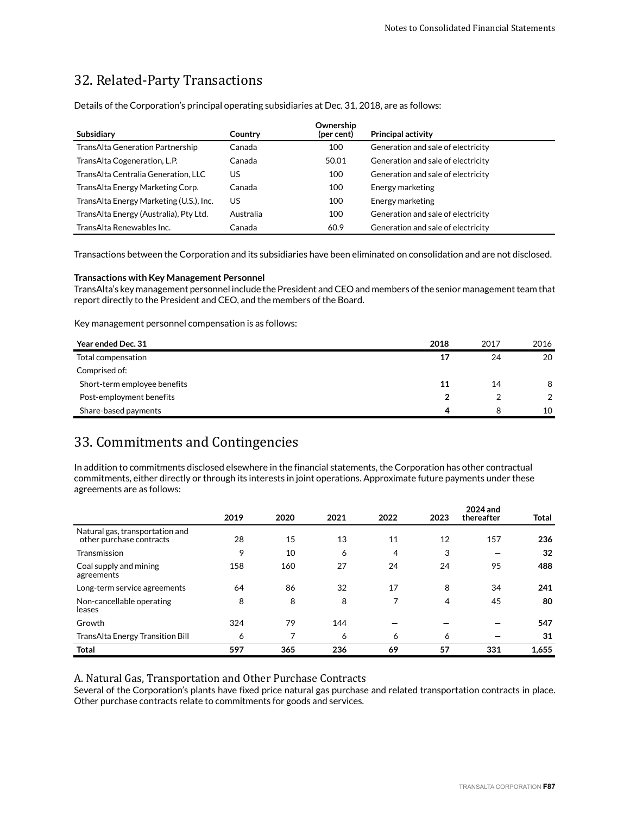# 32. Related-Party Transactions

Details of the Corporation's principal operating subsidiaries at Dec. 31, 2018, are as follows:

| Subsidiary                               | Country   | Ownership<br>(per cent) | <b>Principal activity</b>          |
|------------------------------------------|-----------|-------------------------|------------------------------------|
| TransAlta Generation Partnership         | Canada    | 100                     | Generation and sale of electricity |
| TransAlta Cogeneration, L.P.             | Canada    | 50.01                   | Generation and sale of electricity |
| TransAlta Centralia Generation, LLC      | US        | 100                     | Generation and sale of electricity |
| Trans Alta Energy Marketing Corp.        | Canada    | 100                     | Energy marketing                   |
| Trans Alta Energy Marketing (U.S.), Inc. | US        | 100                     | Energy marketing                   |
| TransAlta Energy (Australia), Pty Ltd.   | Australia | 100                     | Generation and sale of electricity |
| TransAlta Renewables Inc.                | Canada    | 60.9                    | Generation and sale of electricity |

Transactions between the Corporation and its subsidiaries have been eliminated on consolidation and are not disclosed.

#### **Transactions with Key Management Personnel**

TransAlta's key management personnel include the President and CEO and members of the senior management team that report directly to the President and CEO, and the members of the Board.

Key management personnel compensation is as follows:

| Year ended Dec. 31           | 2018 | 2017 | 2016          |
|------------------------------|------|------|---------------|
| Total compensation           | 17   | 24   | 20            |
| Comprised of:                |      |      |               |
| Short-term employee benefits | 11   | 14   | 8             |
| Post-employment benefits     |      |      | $\mathcal{P}$ |
| Share-based payments         | 4    | 8    | 10            |

# 33. Commitments and Contingencies

In addition to commitments disclosed elsewhere in the financial statements, the Corporation has other contractual commitments, either directly or through its interests in joint operations. Approximate future payments under these agreements are as follows:

|                                                             | 2019 | 2020 | 2021 | 2022 | 2023 | 2024 and<br>thereafter | <b>Total</b> |
|-------------------------------------------------------------|------|------|------|------|------|------------------------|--------------|
| Natural gas, transportation and<br>other purchase contracts | 28   | 15   | 13   | 11   | 12   | 157                    | 236          |
| Transmission                                                | 9    | 10   | 6    | 4    | 3    |                        | 32           |
| Coal supply and mining<br>agreements                        | 158  | 160  | 27   | 24   | 24   | 95                     | 488          |
| Long-term service agreements                                | 64   | 86   | 32   | 17   | 8    | 34                     | 241          |
| Non-cancellable operating<br>leases                         | 8    | 8    | 8    | 7    | 4    | 45                     | 80           |
| Growth                                                      | 324  | 79   | 144  |      |      |                        | 547          |
| <b>TransAlta Energy Transition Bill</b>                     | 6    |      | 6    | 6    | 6    |                        | 31           |
| <b>Total</b>                                                | 597  | 365  | 236  | 69   | 57   | 331                    | 1,655        |

A. Natural Gas, Transportation and Other Purchase Contracts

Several of the Corporation's plants have fixed price natural gas purchase and related transportation contracts in place. Other purchase contracts relate to commitments for goods and services.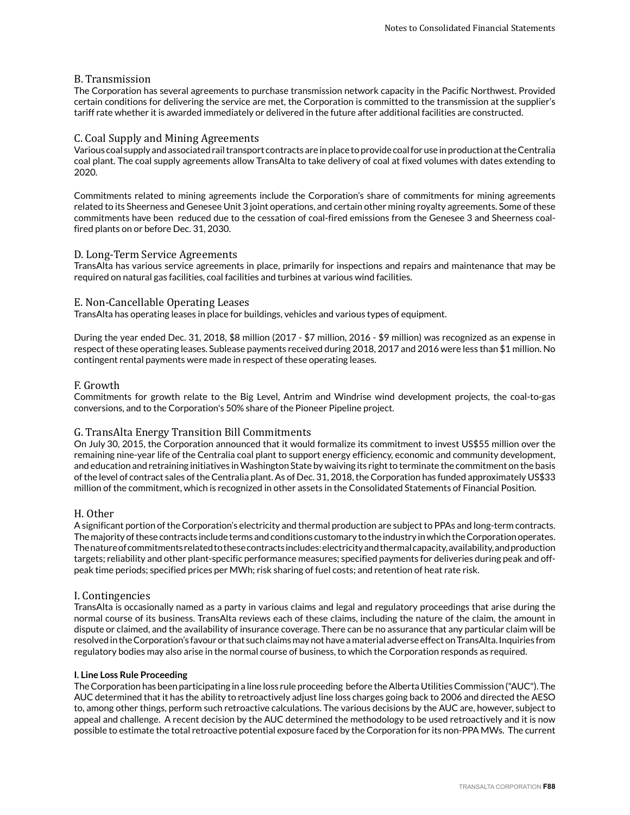#### B. Transmission

The Corporation has several agreements to purchase transmission network capacity in the Pacific Northwest. Provided certain conditions for delivering the service are met, the Corporation is committed to the transmission at the supplier's tariff rate whether it is awarded immediately or delivered in the future after additional facilities are constructed.

#### C. Coal Supply and Mining Agreements

Various coal supply and associated rail transport contracts are in place to provide coal for use in production at the Centralia coal plant. The coal supply agreements allow TransAlta to take delivery of coal at fixed volumes with dates extending to 2020.

Commitments related to mining agreements include the Corporation's share of commitments for mining agreements related to its Sheerness and Genesee Unit 3 joint operations, and certain other mining royalty agreements. Some of these commitments have been reduced due to the cessation of coal-fired emissions from the Genesee 3 and Sheerness coalfired plants on or before Dec. 31, 2030.

#### D. Long-Term Service Agreements

TransAlta has various service agreements in place, primarily for inspections and repairs and maintenance that may be required on natural gas facilities, coal facilities and turbines at various wind facilities.

#### E. Non-Cancellable Operating Leases

TransAlta has operating leases in place for buildings, vehicles and various types of equipment.

During the year ended Dec. 31, 2018, \$8 million (2017 - \$7 million, 2016 - \$9 million) was recognized as an expense in respect of these operating leases. Sublease payments received during 2018, 2017 and 2016 were less than \$1 million. No contingent rental payments were made in respect of these operating leases.

#### F. Growth

Commitments for growth relate to the Big Level, Antrim and Windrise wind development projects, the coal-to-gas conversions, and to the Corporation's 50% share of the Pioneer Pipeline project.

#### G. TransAlta Energy Transition Bill Commitments

On July 30, 2015, the Corporation announced that it would formalize its commitment to invest US\$55 million over the remaining nine-year life of the Centralia coal plant to support energy efficiency, economic and community development, and education and retraining initiatives in Washington State by waiving its right to terminate the commitment on the basis of the level of contract sales of the Centralia plant. As of Dec. 31, 2018, the Corporation has funded approximately US\$33 million of the commitment, which is recognized in other assets in the Consolidated Statements of Financial Position.

#### H. Other

A significant portion of the Corporation's electricity and thermal production are subject to PPAs and long-term contracts. The majority of these contracts include terms and conditions customary to the industry in which the Corporation operates. The nature of commitments related to these contracts includes: electricity and thermal capacity, availability, and production targets; reliability and other plant-specific performance measures; specified payments for deliveries during peak and offpeak time periods; specified prices per MWh; risk sharing of fuel costs; and retention of heat rate risk.

#### I. Contingencies

TransAlta is occasionally named as a party in various claims and legal and regulatory proceedings that arise during the normal course of its business. TransAlta reviews each of these claims, including the nature of the claim, the amount in dispute or claimed, and the availability of insurance coverage. There can be no assurance that any particular claim will be resolved in the Corporation's favour or that such claims may not have a material adverse effect on TransAlta. Inquiries from regulatory bodies may also arise in the normal course of business, to which the Corporation responds as required.

#### **I. Line Loss Rule Proceeding**

The Corporation has been participating in a line loss rule proceeding before the Alberta Utilities Commission ("AUC"). The AUC determined that it has the ability to retroactively adjust line loss charges going back to 2006 and directed the AESO to, among other things, perform such retroactive calculations. The various decisions by the AUC are, however, subject to appeal and challenge. A recent decision by the AUC determined the methodology to be used retroactively and it is now possible to estimate the total retroactive potential exposure faced by the Corporation for its non-PPA MWs. The current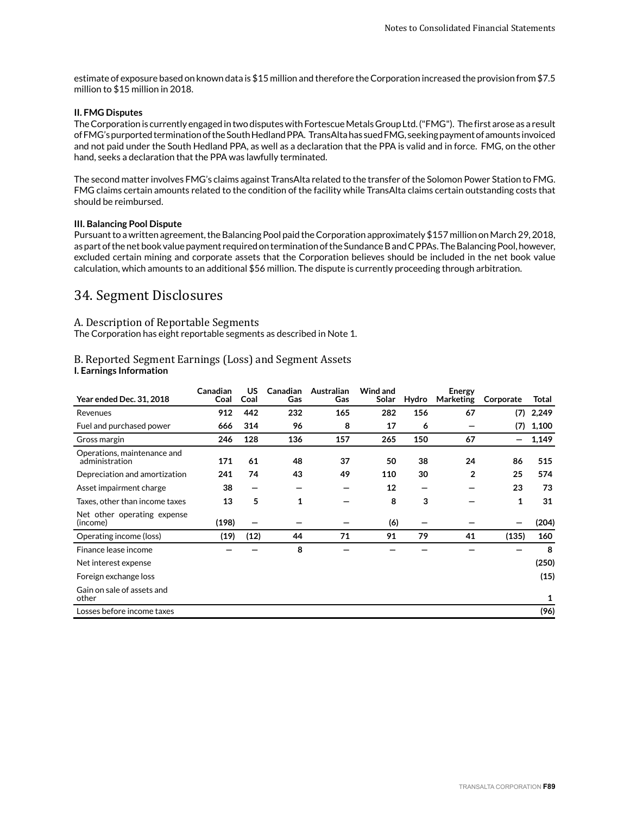estimate of exposure based on known data is \$15 million and therefore the Corporation increased the provision from \$7.5 million to \$15 million in 2018.

#### **II. FMG Disputes**

The Corporation is currently engaged in two disputes with Fortescue Metals Group Ltd. ("FMG"). The first arose as a result of FMG's purported termination of the South Hedland PPA. TransAlta has sued FMG, seeking payment of amounts invoiced and not paid under the South Hedland PPA, as well as a declaration that the PPA is valid and in force. FMG, on the other hand, seeks a declaration that the PPA was lawfully terminated.

The second matter involves FMG's claims against TransAlta related to the transfer of the Solomon Power Station to FMG. FMG claims certain amounts related to the condition of the facility while TransAlta claims certain outstanding costs that should be reimbursed.

#### **III. Balancing Pool Dispute**

Pursuant to a written agreement, the Balancing Pool paid the Corporation approximately \$157 million on March 29, 2018, as part of the net book value payment required on termination of the Sundance B and C PPAs. The Balancing Pool, however, excluded certain mining and corporate assets that the Corporation believes should be included in the net book value calculation, which amounts to an additional \$56 million. The dispute is currently proceeding through arbitration.

# 34. Segment Disclosures

#### A. Description of Reportable Segments

The Corporation has eight reportable segments as described in Note 1.

# B. Reported Segment Earnings (Loss) and Segment Assets

#### **I. Earnings Information**

| <b>Year ended Dec. 31, 2018</b>               | Canadian<br>Coal | US<br>Coal | Canadian<br>Gas | Australian<br>Gas | Wind and<br>Solar | Hydro | Energy<br>Marketing | Corporate | Total |
|-----------------------------------------------|------------------|------------|-----------------|-------------------|-------------------|-------|---------------------|-----------|-------|
| Revenues                                      | 912              | 442        | 232             | 165               | 282               | 156   | 67                  | (7)       | 2,249 |
| Fuel and purchased power                      | 666              | 314        | 96              | 8                 | 17                | 6     |                     | (7)       | 1,100 |
| Gross margin                                  | 246              | 128        | 136             | 157               | 265               | 150   | 67                  |           | 1,149 |
| Operations, maintenance and<br>administration | 171              | 61         | 48              | 37                | 50                | 38    | 24                  | 86        | 515   |
| Depreciation and amortization                 | 241              | 74         | 43              | 49                | 110               | 30    | $\overline{2}$      | 25        | 574   |
| Asset impairment charge                       | 38               | —          | –               |                   | 12                | –     |                     | 23        | 73    |
| Taxes, other than income taxes                | 13               | 5          | 1               |                   | 8                 | 3     |                     | 1         | 31    |
| Net other operating expense<br>(income)       | (198)            |            |                 |                   | (6)               |       |                     |           | (204) |
| Operating income (loss)                       | (19)             | (12)       | 44              | 71                | 91                | 79    | 41                  | (135)     | 160   |
| Finance lease income                          |                  |            | 8               |                   |                   |       |                     |           | 8     |
| Net interest expense                          |                  |            |                 |                   |                   |       |                     |           | (250) |
| Foreign exchange loss                         |                  |            |                 |                   |                   |       |                     |           | (15)  |
| Gain on sale of assets and<br>other           |                  |            |                 |                   |                   |       |                     |           | 1     |
| Losses before income taxes                    |                  |            |                 |                   |                   |       |                     |           | (96)  |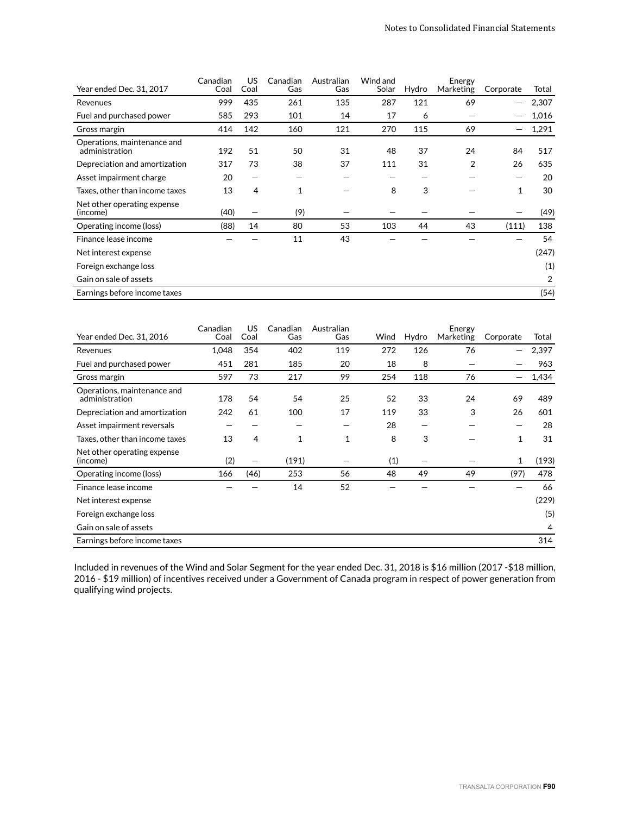| Year ended Dec. 31, 2017                      | Canadian<br>Coal | US<br>Coal     | Canadian<br>Gas | Australian<br>Gas | Wind and<br>Solar | Hydro | Energy<br>Marketing | Corporate | Total |
|-----------------------------------------------|------------------|----------------|-----------------|-------------------|-------------------|-------|---------------------|-----------|-------|
|                                               |                  |                |                 |                   |                   |       |                     |           |       |
| Revenues                                      | 999              | 435            | 261             | 135               | 287               | 121   | 69                  | —         | 2,307 |
| Fuel and purchased power                      | 585              | 293            | 101             | 14                | 17                | 6     |                     |           | 1,016 |
| Gross margin                                  | 414              | 142            | 160             | 121               | 270               | 115   | 69                  |           | 1,291 |
| Operations, maintenance and<br>administration | 192              | 51             | 50              | 31                | 48                | 37    | 24                  | 84        | 517   |
| Depreciation and amortization                 | 317              | 73             | 38              | 37                | 111               | 31    | $\overline{2}$      | 26        | 635   |
| Asset impairment charge                       | 20               | —              |                 |                   |                   |       |                     |           | 20    |
| Taxes, other than income taxes                | 13               | $\overline{4}$ | 1               |                   | 8                 | 3     |                     | 1         | 30    |
| Net other operating expense<br>(income)       | (40)             | —              | (9)             |                   |                   |       |                     |           | (49)  |
| Operating income (loss)                       | (88)             | 14             | 80              | 53                | 103               | 44    | 43                  | (111)     | 138   |
| Finance lease income                          |                  |                | 11              | 43                |                   |       |                     |           | 54    |
| Net interest expense                          |                  |                |                 |                   |                   |       |                     |           | (247) |
| Foreign exchange loss                         |                  |                |                 |                   |                   |       |                     |           | (1)   |
| Gain on sale of assets                        |                  |                |                 |                   |                   |       |                     |           | 2     |
| Earnings before income taxes                  |                  |                |                 |                   |                   |       |                     |           | (54)  |

| Year ended Dec. 31, 2016                      | Canadian<br>Coal | US<br>Coal | Canadian<br>Gas | Australian<br>Gas | Wind | Hydro | Energy<br>Marketing | Corporate                | Total |
|-----------------------------------------------|------------------|------------|-----------------|-------------------|------|-------|---------------------|--------------------------|-------|
| Revenues                                      | 1,048            | 354        | 402             | 119               | 272  | 126   | 76                  | $\overline{\phantom{0}}$ | 2,397 |
| Fuel and purchased power                      | 451              | 281        | 185             | 20                | 18   | 8     |                     |                          | 963   |
| Gross margin                                  | 597              | 73         | 217             | 99                | 254  | 118   | 76                  |                          | 1,434 |
| Operations, maintenance and<br>administration | 178              | 54         | 54              | 25                | 52   | 33    | 24                  | 69                       | 489   |
| Depreciation and amortization                 | 242              | 61         | 100             | 17                | 119  | 33    | 3                   | 26                       | 601   |
| Asset impairment reversals                    |                  |            |                 |                   | 28   |       |                     |                          | 28    |
| Taxes, other than income taxes                | 13               | 4          | 1               | 1                 | 8    | 3     |                     | $\mathbf{1}$             | 31    |
| Net other operating expense<br>(income)       | (2)              | —          | (191)           |                   | (1)  |       |                     | 1                        | (193) |
| Operating income (loss)                       | 166              | (46)       | 253             | 56                | 48   | 49    | 49                  | (97)                     | 478   |
| Finance lease income                          |                  |            | 14              | 52                |      |       |                     |                          | 66    |
| Net interest expense                          |                  |            |                 |                   |      |       |                     |                          | (229) |
| Foreign exchange loss                         |                  |            |                 |                   |      |       |                     |                          | (5)   |
| Gain on sale of assets                        |                  |            |                 |                   |      |       |                     |                          | 4     |
| Earnings before income taxes                  |                  |            |                 |                   |      |       |                     |                          | 314   |

Included in revenues of the Wind and Solar Segment for the year ended Dec. 31, 2018 is \$16 million (2017 -\$18 million, 2016 - \$19 million) of incentives received under a Government of Canada program in respect of power generation from qualifying wind projects.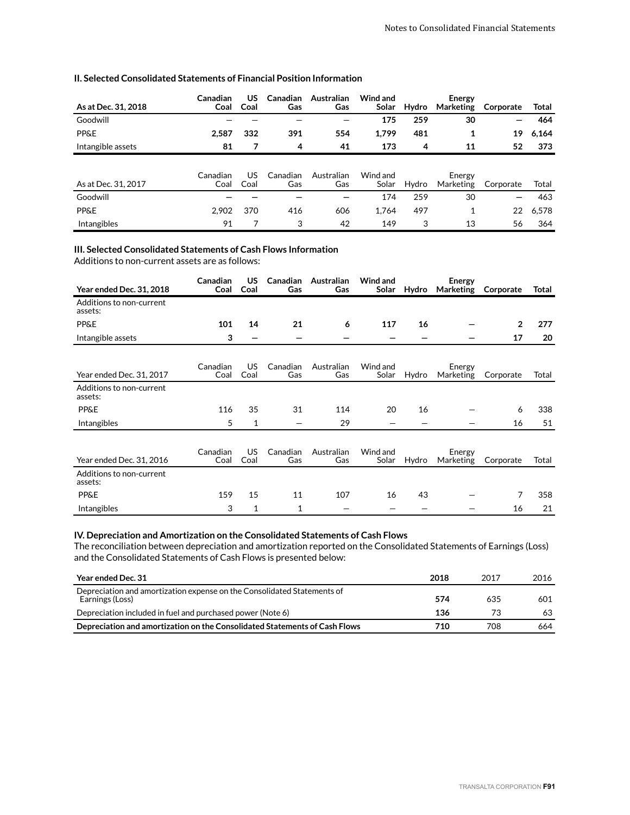| As at Dec. 31, 2018 | Canadian<br>Coal | US<br>Coal | <b>Canadian</b><br>Gas | Australian<br>Gas | Wind and<br>Solar | Hydro | Energy<br>Marketing | Corporate | Total |
|---------------------|------------------|------------|------------------------|-------------------|-------------------|-------|---------------------|-----------|-------|
| Goodwill            |                  |            |                        |                   | 175               | 259   | 30                  |           | 464   |
| <b>PP&amp;E</b>     | 2,587            | 332        | 391                    | 554               | 1,799             | 481   |                     | 19        | 6,164 |
| Intangible assets   | 81               | 7          | 4                      | 41                | 173               | 4     | 11                  | 52        | 373   |
|                     |                  |            |                        |                   |                   |       |                     |           |       |
| As at Dec. 31, 2017 | Canadian<br>Coal | US<br>Coal | Canadian<br>Gas        | Australian<br>Gas | Wind and<br>Solar | Hydro | Energy<br>Marketing | Corporate | Total |
| Goodwill            |                  |            |                        |                   | 174               | 259   | 30                  |           | 463   |
| <b>PP&amp;E</b>     | 2,902            | 370        | 416                    | 606               | 1.764             | 497   | 1                   | 22        | 6,578 |
| <b>Intangibles</b>  | 91               |            | 3                      | 42                | 149               | 3     | 13                  | 56        | 364   |

#### **II. Selected Consolidated Statements of Financial Position Information**

#### **III. Selected Consolidated Statements of Cash Flows Information**

Additions to non-current assets are as follows:

| <b>Year ended Dec. 31, 2018</b>     | Canadian<br>Coal | US.<br>Coal              | Canadian<br>Gas | Australian<br>Gas | Wind and<br>Solar | Hydro                    | <b>Energy</b><br>Marketing | Corporate      | Total |
|-------------------------------------|------------------|--------------------------|-----------------|-------------------|-------------------|--------------------------|----------------------------|----------------|-------|
| Additions to non-current<br>assets: |                  |                          |                 |                   |                   |                          |                            |                |       |
| <b>PP&amp;E</b>                     | 101              | 14                       | 21              | 6                 | 117               | 16                       |                            | $\overline{2}$ | 277   |
| Intangible assets                   | 3                | $\overline{\phantom{0}}$ |                 |                   |                   | $\overline{\phantom{0}}$ |                            | 17             | 20    |
| Year ended Dec. 31, 2017            | Canadian<br>Coal | US<br>Coal               | Canadian<br>Gas | Australian<br>Gas | Wind and<br>Solar | Hydro                    | Energy<br>Marketing        | Corporate      | Total |
| Additions to non-current<br>assets: |                  |                          |                 |                   |                   |                          |                            |                |       |
| <b>PP&amp;E</b>                     | 116              | 35                       | 31              | 114               | 20                | 16                       |                            | 6              | 338   |
| Intangibles                         | 5                | 1                        |                 | 29                |                   |                          |                            | 16             | 51    |
| Year ended Dec. 31, 2016            | Canadian<br>Coal | <b>US</b><br>Coal        | Canadian<br>Gas | Australian<br>Gas | Wind and<br>Solar | Hydro                    | Energy<br>Marketing        | Corporate      | Total |
| Additions to non-current<br>assets: |                  |                          |                 |                   |                   |                          |                            |                |       |
| <b>PP&amp;E</b>                     | 159              | 15                       | 11              | 107               | 16                | 43                       |                            | 7              | 358   |
| Intangibles                         | 3                | 1                        | 1               |                   |                   |                          |                            | 16             | 21    |

#### **IV. Depreciation and Amortization on the Consolidated Statements of Cash Flows**

The reconciliation between depreciation and amortization reported on the Consolidated Statements of Earnings (Loss) and the Consolidated Statements of Cash Flows is presented below:

| Year ended Dec. 31                                                                         | 2018 | 2017 | 2016 |
|--------------------------------------------------------------------------------------------|------|------|------|
| Depreciation and amortization expense on the Consolidated Statements of<br>Earnings (Loss) | 574  | 635  | 601  |
| Depreciation included in fuel and purchased power (Note 6)                                 | 136  | 73   | 63   |
| Depreciation and amortization on the Consolidated Statements of Cash Flows                 | 710  | 708  | 664  |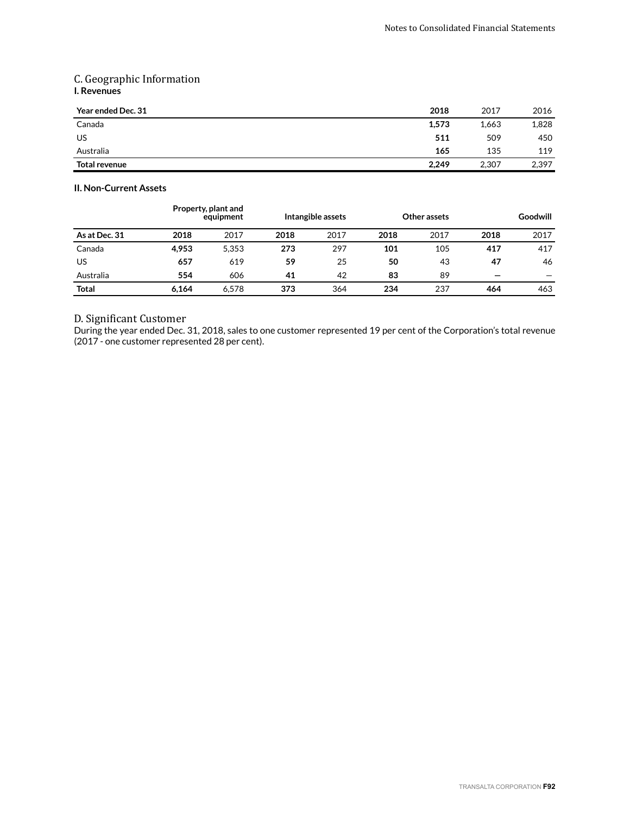### C. Geographic Information **I. Revenues**

| Year ended Dec. 31 | 2018  | 2017  | 2016  |
|--------------------|-------|-------|-------|
| Canada             | 1,573 | 1,663 | 1,828 |
| US                 | 511   | 509   | 450   |
| Australia          | 165   | 135   | 119   |
| Total revenue      | 2,249 | 2,307 | 2,397 |

#### **II. Non-Current Assets**

|               |       | Property, plant and<br>equipment |      | Intangible assets |      | Other assets |      | Goodwill |
|---------------|-------|----------------------------------|------|-------------------|------|--------------|------|----------|
| As at Dec. 31 | 2018  | 2017                             | 2018 | 2017              | 2018 | 2017         | 2018 | 2017     |
| Canada        | 4.953 | 5.353                            | 273  | 297               | 101  | 105          | 417  | 417      |
| US            | 657   | 619                              | 59   | 25                | 50   | 43           | 47   | 46       |
| Australia     | 554   | 606                              | 41   | 42                | 83   | 89           | –    |          |
| Total         | 6.164 | 6.578                            | 373  | 364               | 234  | 237          | 464  | 463      |

### D. Significant Customer

During the year ended Dec. 31, 2018, sales to one customer represented 19 per cent of the Corporation's total revenue (2017 - one customer represented 28 per cent).